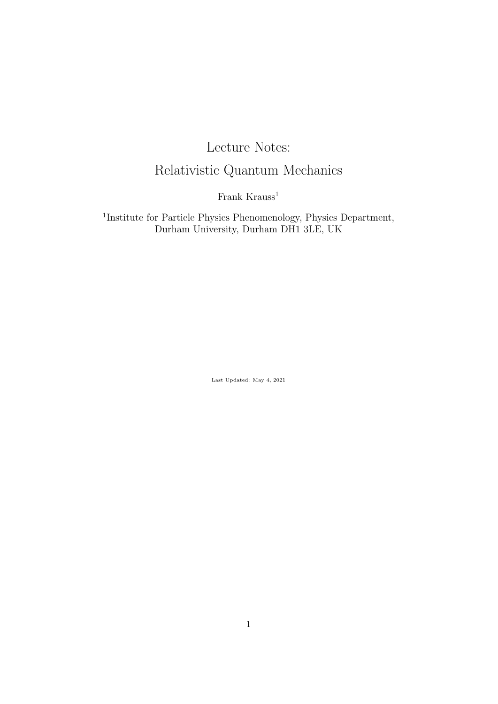# Lecture Notes: Relativistic Quantum Mechanics

Frank Krauss<sup>1</sup>

1 Institute for Particle Physics Phenomenology, Physics Department, Durham University, Durham DH1 3LE, UK

Last Updated: May 4, 2021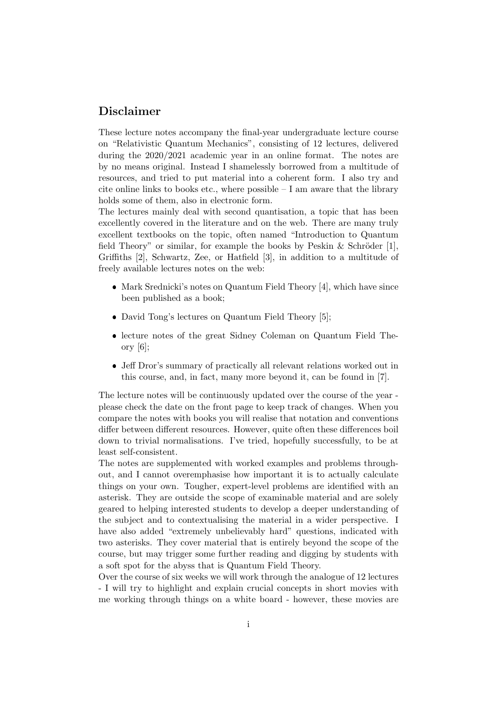## Disclaimer

These lecture notes accompany the final-year undergraduate lecture course on "Relativistic Quantum Mechanics", consisting of 12 lectures, delivered during the 2020/2021 academic year in an online format. The notes are by no means original. Instead I shamelessly borrowed from a multitude of resources, and tried to put material into a coherent form. I also try and cite online links to books etc., where possible  $-I$  am aware that the library holds some of them, also in electronic form.

The lectures mainly deal with second quantisation, a topic that has been excellently covered in the literature and on the web. There are many truly excellent textbooks on the topic, often named "Introduction to Quantum field Theory" or similar, for example the books by Peskin & Schröder  $[1]$ , Griffiths [2], Schwartz, Zee, or Hatfield [3], in addition to a multitude of freely available lectures notes on the web:

- Mark Srednicki's notes on Quantum Field Theory [4], which have since been published as a book;
- David Tong's lectures on Quantum Field Theory [5];
- lecture notes of the great Sidney Coleman on Quantum Field Theory [6];
- Jeff Dror's summary of practically all relevant relations worked out in this course, and, in fact, many more beyond it, can be found in [7].

The lecture notes will be continuously updated over the course of the year please check the date on the front page to keep track of changes. When you compare the notes with books you will realise that notation and conventions differ between different resources. However, quite often these differences boil down to trivial normalisations. I've tried, hopefully successfully, to be at least self-consistent.

The notes are supplemented with worked examples and problems throughout, and I cannot overemphasise how important it is to actually calculate things on your own. Tougher, expert-level problems are identified with an asterisk. They are outside the scope of examinable material and are solely geared to helping interested students to develop a deeper understanding of the subject and to contextualising the material in a wider perspective. I have also added "extremely unbelievably hard" questions, indicated with two asterisks. They cover material that is entirely beyond the scope of the course, but may trigger some further reading and digging by students with a soft spot for the abyss that is Quantum Field Theory.

Over the course of six weeks we will work through the analogue of 12 lectures - I will try to highlight and explain crucial concepts in short movies with me working through things on a white board - however, these movies are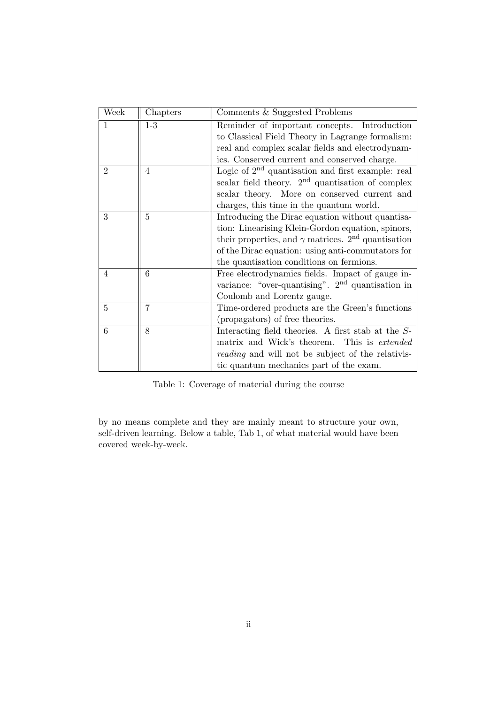| Week           | Chapters | Comments & Suggested Problems                                                                                                                                                                                                                                                   |  |  |
|----------------|----------|---------------------------------------------------------------------------------------------------------------------------------------------------------------------------------------------------------------------------------------------------------------------------------|--|--|
| $\mathbf{1}$   | $1-3$    | Reminder of important concepts. Introduction<br>to Classical Field Theory in Lagrange formalism:<br>real and complex scalar fields and electrodynam-<br>ics. Conserved current and conserved charge.                                                                            |  |  |
| $\overline{2}$ | 4        | Logic of $2nd$ quantisation and first example: real<br>scalar field theory. $2nd$ quantisation of complex<br>scalar theory. More on conserved current and<br>charges, this time in the quantum world.                                                                           |  |  |
| 3              | 5        | Introducing the Dirac equation without quantisa-<br>tion: Linearising Klein-Gordon equation, spinors,<br>their properties, and $\gamma$ matrices. 2 <sup>nd</sup> quantisation<br>of the Dirac equation: using anti-commutators for<br>the quantisation conditions on fermions. |  |  |
| 4              | 6        | Free electrodynamics fields. Impact of gauge in-<br>variance: "over-quantising". $2nd$ quantisation in<br>Coulomb and Lorentz gauge.                                                                                                                                            |  |  |
| 5              | 7        | Time-ordered products are the Green's functions<br>(propagators) of free theories.                                                                                                                                                                                              |  |  |
| 6              | 8        | Interacting field theories. A first stab at the S-<br>matrix and Wick's theorem. This is extended<br><i>reading</i> and will not be subject of the relativis-<br>tic quantum mechanics part of the exam.                                                                        |  |  |

Table 1: Coverage of material during the course

by no means complete and they are mainly meant to structure your own, self-driven learning. Below a table, Tab 1, of what material would have been covered week-by-week.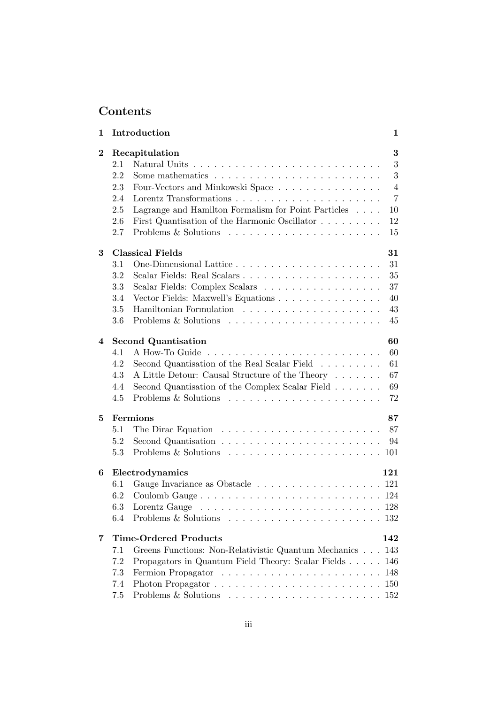# Contents

| 1        | Introduction |                                                                                                    |                |  |  |  |
|----------|--------------|----------------------------------------------------------------------------------------------------|----------------|--|--|--|
| $\bf{2}$ |              | Recapitulation                                                                                     | 3              |  |  |  |
|          | 2.1          |                                                                                                    | 3              |  |  |  |
|          | 2.2          |                                                                                                    | 3              |  |  |  |
|          | 2.3          | Four-Vectors and Minkowski Space                                                                   | $\overline{4}$ |  |  |  |
|          | 2.4          |                                                                                                    | $\overline{7}$ |  |  |  |
|          | 2.5          | Lagrange and Hamilton Formalism for Point Particles                                                | 10             |  |  |  |
|          | 2.6          | First Quantisation of the Harmonic Oscillator                                                      | 12             |  |  |  |
|          | 2.7          |                                                                                                    | 15             |  |  |  |
| 3        |              | <b>Classical Fields</b>                                                                            | 31             |  |  |  |
|          | 3.1          |                                                                                                    | 31             |  |  |  |
|          | 3.2          | Scalar Fields: Real Scalars                                                                        | 35             |  |  |  |
|          | 3.3          | Scalar Fields: Complex Scalars                                                                     | 37             |  |  |  |
|          | 3.4          | Vector Fields: Maxwell's Equations                                                                 | 40             |  |  |  |
|          | 3.5          |                                                                                                    | 43             |  |  |  |
|          | 3.6          |                                                                                                    | 45             |  |  |  |
| 4        |              | <b>Second Quantisation</b>                                                                         | 60             |  |  |  |
|          | 4.1          |                                                                                                    | 60             |  |  |  |
|          | 4.2          | Second Quantisation of the Real Scalar Field                                                       | 61             |  |  |  |
|          | 4.3          | A Little Detour: Causal Structure of the Theory                                                    | 67             |  |  |  |
|          | 4.4          | Second Quantisation of the Complex Scalar Field                                                    | 69             |  |  |  |
|          | 4.5          |                                                                                                    | 72             |  |  |  |
| 5        |              | Fermions                                                                                           | 87             |  |  |  |
|          | 5.1          | The Dirac Equation $\ldots \ldots \ldots \ldots \ldots \ldots \ldots$                              | 87             |  |  |  |
|          | 5.2          |                                                                                                    | 94             |  |  |  |
|          | 5.3          |                                                                                                    |                |  |  |  |
| 6        |              | Electrodynamics                                                                                    | 121            |  |  |  |
|          | 6.1          | Gauge Invariance as Obstacle 121                                                                   |                |  |  |  |
|          | 6.2          |                                                                                                    |                |  |  |  |
|          | 6.3          | Lorentz Gauge                                                                                      |                |  |  |  |
|          | 6.4          | Problems $\&$ Solutions $\ldots$ .<br>. 132                                                        |                |  |  |  |
| 7        |              | <b>Time-Ordered Products</b>                                                                       | 142            |  |  |  |
|          | 7.1          | Greens Functions: Non-Relativistic Quantum Mechanics 143                                           |                |  |  |  |
|          | 7.2          | Propagators in Quantum Field Theory: Scalar Fields                                                 | 146            |  |  |  |
|          | 7.3          |                                                                                                    | 148            |  |  |  |
|          | 7.4          |                                                                                                    |                |  |  |  |
|          | 7.5          | Problems & Solutions $\dots \dots \dots \dots \dots \dots \dots \dots \dots \dots \dots \dots 152$ |                |  |  |  |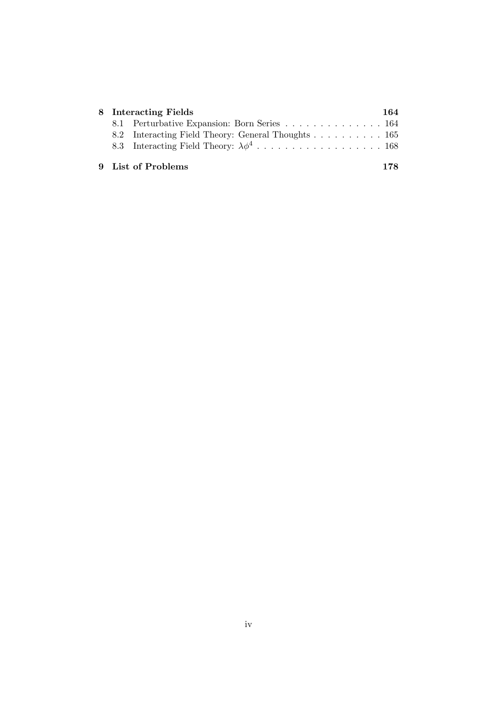| 8 Interacting Fields |                                                    |     |  |  |
|----------------------|----------------------------------------------------|-----|--|--|
|                      | 8.1 Perturbative Expansion: Born Series 164        |     |  |  |
|                      | 8.2 Interacting Field Theory: General Thoughts 165 |     |  |  |
|                      |                                                    |     |  |  |
|                      | 9 List of Problems                                 | 178 |  |  |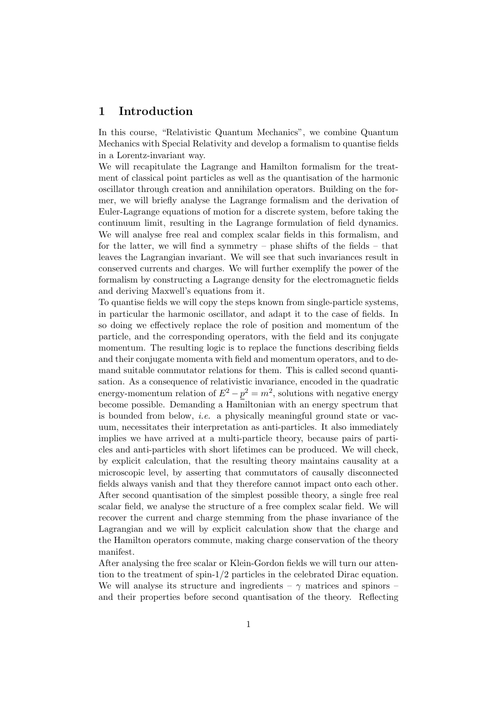## 1 Introduction

In this course, "Relativistic Quantum Mechanics", we combine Quantum Mechanics with Special Relativity and develop a formalism to quantise fields in a Lorentz-invariant way.

We will recapitulate the Lagrange and Hamilton formalism for the treatment of classical point particles as well as the quantisation of the harmonic oscillator through creation and annihilation operators. Building on the former, we will briefly analyse the Lagrange formalism and the derivation of Euler-Lagrange equations of motion for a discrete system, before taking the continuum limit, resulting in the Lagrange formulation of field dynamics. We will analyse free real and complex scalar fields in this formalism, and for the latter, we will find a symmetry – phase shifts of the fields – that leaves the Lagrangian invariant. We will see that such invariances result in conserved currents and charges. We will further exemplify the power of the formalism by constructing a Lagrange density for the electromagnetic fields and deriving Maxwell's equations from it.

To quantise fields we will copy the steps known from single-particle systems, in particular the harmonic oscillator, and adapt it to the case of fields. In so doing we effectively replace the role of position and momentum of the particle, and the corresponding operators, with the field and its conjugate momentum. The resulting logic is to replace the functions describing fields and their conjugate momenta with field and momentum operators, and to demand suitable commutator relations for them. This is called second quantisation. As a consequence of relativistic invariance, encoded in the quadratic energy-momentum relation of  $E^2 - p^2 = m^2$ , solutions with negative energy become possible. Demanding a Hamiltonian with an energy spectrum that is bounded from below, i.e. a physically meaningful ground state or vacuum, necessitates their interpretation as anti-particles. It also immediately implies we have arrived at a multi-particle theory, because pairs of particles and anti-particles with short lifetimes can be produced. We will check, by explicit calculation, that the resulting theory maintains causality at a microscopic level, by asserting that commutators of causally disconnected fields always vanish and that they therefore cannot impact onto each other. After second quantisation of the simplest possible theory, a single free real scalar field, we analyse the structure of a free complex scalar field. We will recover the current and charge stemming from the phase invariance of the Lagrangian and we will by explicit calculation show that the charge and the Hamilton operators commute, making charge conservation of the theory manifest.

After analysing the free scalar or Klein-Gordon fields we will turn our attention to the treatment of spin-1/2 particles in the celebrated Dirac equation. We will analyse its structure and ingredients –  $\gamma$  matrices and spinors – and their properties before second quantisation of the theory. Reflecting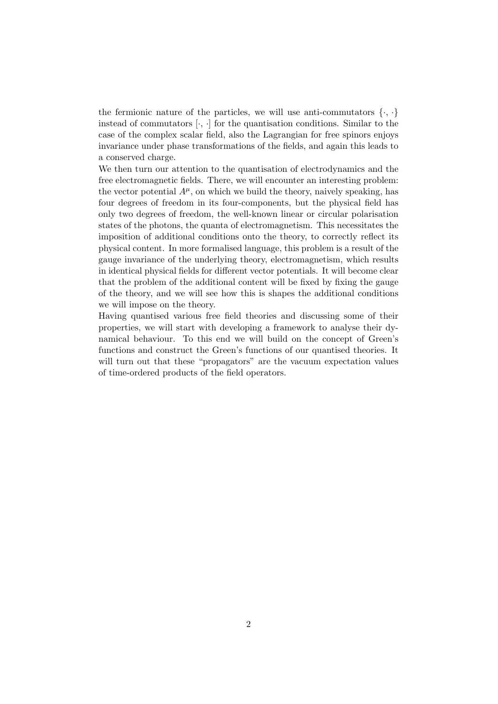the fermionic nature of the particles, we will use anti-commutators  $\{\cdot,\cdot\}$ instead of commutators  $[\cdot, \cdot]$  for the quantisation conditions. Similar to the case of the complex scalar field, also the Lagrangian for free spinors enjoys invariance under phase transformations of the fields, and again this leads to a conserved charge.

We then turn our attention to the quantisation of electrodynamics and the free electromagnetic fields. There, we will encounter an interesting problem: the vector potential  $A^{\mu}$ , on which we build the theory, naively speaking, has four degrees of freedom in its four-components, but the physical field has only two degrees of freedom, the well-known linear or circular polarisation states of the photons, the quanta of electromagnetism. This necessitates the imposition of additional conditions onto the theory, to correctly reflect its physical content. In more formalised language, this problem is a result of the gauge invariance of the underlying theory, electromagnetism, which results in identical physical fields for different vector potentials. It will become clear that the problem of the additional content will be fixed by fixing the gauge of the theory, and we will see how this is shapes the additional conditions we will impose on the theory.

Having quantised various free field theories and discussing some of their properties, we will start with developing a framework to analyse their dynamical behaviour. To this end we will build on the concept of Green's functions and construct the Green's functions of our quantised theories. It will turn out that these "propagators" are the vacuum expectation values of time-ordered products of the field operators.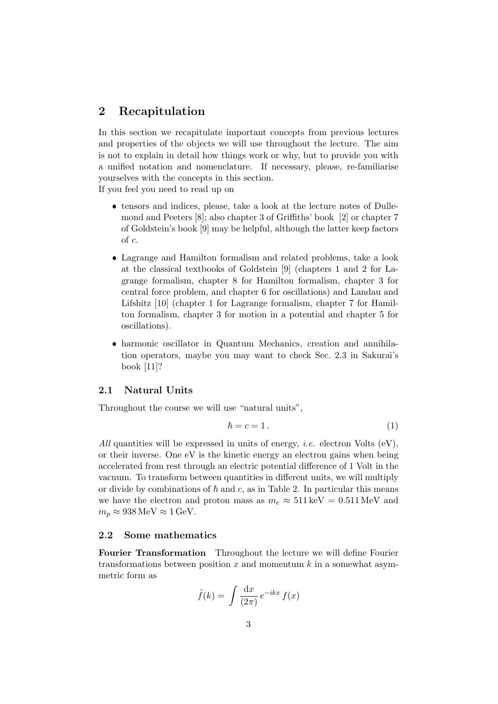## 2 Recapitulation

In this section we recapitulate important concepts from previous lectures and properties of the objects we will use throughout the lecture. The aim is not to explain in detail how things work or why, but to provide you with a unified notation and nomenclature. If necessary, please, re-familiarise yourselves with the concepts in this section.

If you feel you need to read up on

- tensors and indices, please, take a look at the lecture notes of Dullemond and Peeters [8]; also chapter 3 of Griffiths' book [2] or chapter 7 of Goldstein's book [9] may be helpful, although the latter keep factors of c.
- Lagrange and Hamilton formalism and related problems, take a look at the classical textbooks of Goldstein [9] (chapters 1 and 2 for Lagrange formalism, chapter 8 for Hamilton formalism, chapter 3 for central force problem, and chapter 6 for oscillations) and Landau and Lifshitz [10] (chapter 1 for Lagrange formalism, chapter 7 for Hamilton formalism, chapter 3 for motion in a potential and chapter 5 for oscillations).
- harmonic oscillator in Quantum Mechanics, creation and annihilation operators, maybe you may want to check Sec. 2.3 in Sakurai's book [11]?

#### 2.1 Natural Units

Throughout the course we will use "natural units",

$$
\hbar = c = 1.
$$
\n<sup>(1)</sup>

All quantities will be expressed in units of energy, *i.e.* electron Volts  $(eV)$ , or their inverse. One eV is the kinetic energy an electron gains when being accelerated from rest through an electric potential difference of 1 Volt in the vacuum. To transform between quantities in different units, we will multiply or divide by combinations of  $h$  and c, as in Table 2. In particular this means we have the electron and proton mass as  $m_e \approx 511 \,\text{keV} = 0.511 \,\text{MeV}$  and  $m_p \approx 938 \,\text{MeV} \approx 1 \,\text{GeV}.$ 

## 2.2 Some mathematics

Fourier Transformation Throughout the lecture we will define Fourier transformations between position  $x$  and momentum  $k$  in a somewhat asymmetric form as

$$
\tilde{f}(k) = \int \frac{\mathrm{d}x}{(2\pi)} e^{-ikx} f(x)
$$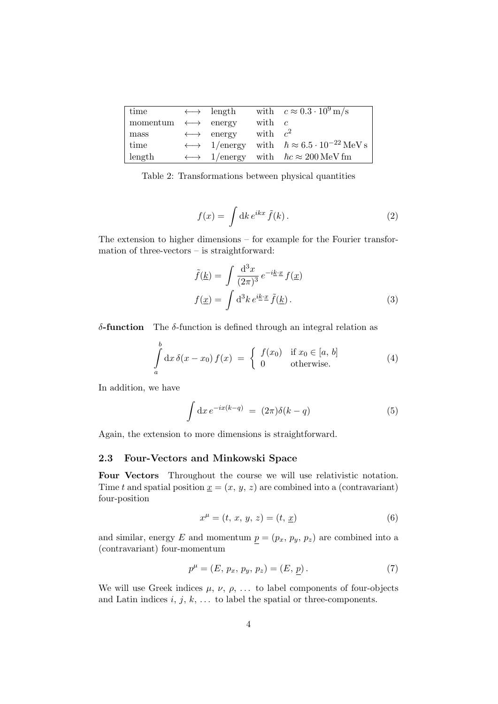| time                                  | $\longleftrightarrow$ length |            | with $c \approx 0.3 \cdot 10^9 \,\mathrm{m/s}$                                        |
|---------------------------------------|------------------------------|------------|---------------------------------------------------------------------------------------|
| momentum $\longleftrightarrow$ energy |                              | with $c$   |                                                                                       |
| mass                                  | $\longleftrightarrow$ energy | with $c^2$ |                                                                                       |
| time                                  |                              |            | $\longleftrightarrow$ 1/energy with $\hbar \approx 6.5 \cdot 10^{-22} \,\text{MeV s}$ |
| length                                |                              |            | $\longleftrightarrow$ 1/energy with $\hbar c \approx 200 \,\text{MeV fm}$             |

Table 2: Transformations between physical quantities

$$
f(x) = \int \mathrm{d}k \, e^{ikx} \, \tilde{f}(k) \,. \tag{2}
$$

The extension to higher dimensions – for example for the Fourier transformation of three-vectors – is straightforward:

$$
\tilde{f}(\underline{k}) = \int \frac{\mathrm{d}^3 x}{(2\pi)^3} e^{-i\underline{k}\cdot \underline{x}} f(\underline{x})
$$

$$
f(\underline{x}) = \int \mathrm{d}^3 k \, e^{i\underline{k}\cdot \underline{x}} \, \tilde{f}(\underline{k}) \,.
$$
 (3)

δ-function The δ-function is defined through an integral relation as

$$
\int_{a}^{b} dx \, \delta(x - x_0) f(x) = \begin{cases} f(x_0) & \text{if } x_0 \in [a, b] \\ 0 & \text{otherwise.} \end{cases}
$$
 (4)

In addition, we have

$$
\int dx e^{-ix(k-q)} = (2\pi)\delta(k-q)
$$
\n(5)

Again, the extension to more dimensions is straightforward.

#### 2.3 Four-Vectors and Minkowski Space

Four Vectors Throughout the course we will use relativistic notation. Time t and spatial position  $\underline{x} = (x, y, z)$  are combined into a (contravariant) four-position

$$
x^{\mu} = (t, x, y, z) = (t, \underline{x})
$$
\n(6)

and similar, energy E and momentum  $p = (p_x, p_y, p_z)$  are combined into a (contravariant) four-momentum

$$
p^{\mu} = (E, p_x, p_y, p_z) = (E, \underline{p}). \tag{7}
$$

We will use Greek indices  $\mu$ ,  $\nu$ ,  $\rho$ , ... to label components of four-objects and Latin indices  $i, j, k, \ldots$  to label the spatial or three-components.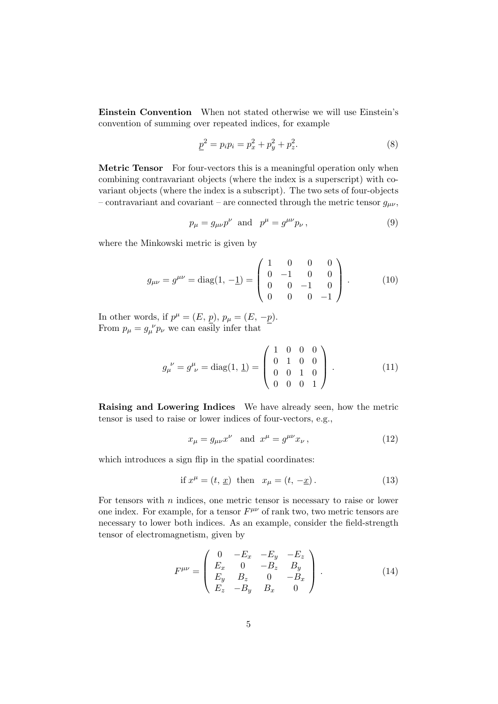Einstein Convention When not stated otherwise we will use Einstein's convention of summing over repeated indices, for example

$$
\underline{p}^2 = p_i p_i = p_x^2 + p_y^2 + p_z^2. \tag{8}
$$

Metric Tensor For four-vectors this is a meaningful operation only when combining contravariant objects (where the index is a superscript) with covariant objects (where the index is a subscript). The two sets of four-objects – contravariant and covariant – are connected through the metric tensor  $g_{\mu\nu}$ ,

$$
p_{\mu} = g_{\mu\nu}p^{\nu} \text{ and } p^{\mu} = g^{\mu\nu}p_{\nu}, \qquad (9)
$$

where the Minkowski metric is given by

$$
g_{\mu\nu} = g^{\mu\nu} = \text{diag}(1, -1) = \begin{pmatrix} 1 & 0 & 0 & 0 \\ 0 & -1 & 0 & 0 \\ 0 & 0 & -1 & 0 \\ 0 & 0 & 0 & -1 \end{pmatrix} . \tag{10}
$$

In other words, if  $p^{\mu} = (E, p), p_{\mu} = (E, -p)$ . From  $p_{\mu} = g_{\mu}^{\ \nu} p_{\nu}$  we can easily infer that

$$
g_{\mu}^{\ \nu} = g_{\ \nu}^{\mu} = \text{diag}(1, \ \underline{1}) = \begin{pmatrix} 1 & 0 & 0 & 0 \\ 0 & 1 & 0 & 0 \\ 0 & 0 & 1 & 0 \\ 0 & 0 & 0 & 1 \end{pmatrix} . \tag{11}
$$

Raising and Lowering Indices We have already seen, how the metric tensor is used to raise or lower indices of four-vectors, e.g.,

$$
x_{\mu} = g_{\mu\nu} x^{\nu} \quad \text{and} \quad x^{\mu} = g^{\mu\nu} x_{\nu} , \tag{12}
$$

which introduces a sign flip in the spatial coordinates:

$$
\text{if } x^{\mu} = (t, \underline{x}) \text{ then } x_{\mu} = (t, -\underline{x}). \tag{13}
$$

For tensors with  $n$  indices, one metric tensor is necessary to raise or lower one index. For example, for a tensor  $F^{\mu\nu}$  of rank two, two metric tensors are necessary to lower both indices. As an example, consider the field-strength tensor of electromagnetism, given by

$$
F^{\mu\nu} = \begin{pmatrix} 0 & -E_x & -E_y & -E_z \\ E_x & 0 & -B_z & B_y \\ E_y & B_z & 0 & -B_x \\ E_z & -B_y & B_x & 0 \end{pmatrix} . \tag{14}
$$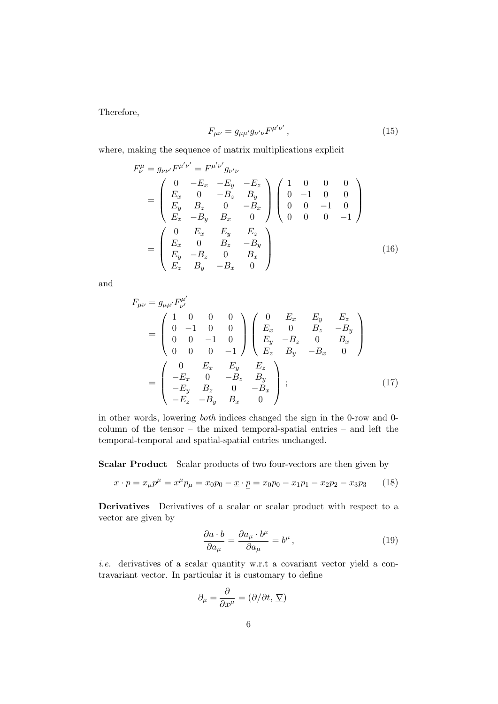Therefore,

$$
F_{\mu\nu} = g_{\mu\mu'} g_{\nu'\nu} F^{\mu'\nu'}, \qquad (15)
$$

where, making the sequence of matrix multiplications explicit

$$
F_{\nu}^{\mu} = g_{\nu\nu'} F^{\mu'\nu'} = F^{\mu'\nu'} g_{\nu'\nu}
$$
  
= 
$$
\begin{pmatrix} 0 & -E_x & -E_y & -E_z \\ E_x & 0 & -B_z & B_y \\ E_y & B_z & 0 & -B_x \\ E_z & -B_y & B_x & 0 \end{pmatrix} \begin{pmatrix} 1 & 0 & 0 & 0 \\ 0 & -1 & 0 & 0 \\ 0 & 0 & -1 & 0 \\ 0 & 0 & 0 & -1 \end{pmatrix}
$$
  
= 
$$
\begin{pmatrix} 0 & E_x & E_y & E_z \\ E_x & 0 & B_z & -B_y \\ E_y & -B_z & 0 & B_x \\ E_z & B_y & -B_x & 0 \end{pmatrix}
$$
(16)

and

$$
F_{\mu\nu} = g_{\mu\mu'} F^{\mu'}_{\nu'}
$$
  
= 
$$
\begin{pmatrix} 1 & 0 & 0 & 0 \\ 0 & -1 & 0 & 0 \\ 0 & 0 & -1 & 0 \\ 0 & 0 & 0 & -1 \end{pmatrix} \begin{pmatrix} 0 & E_x & E_y & E_z \\ E_x & 0 & B_z & -B_y \\ E_y & -B_z & 0 & B_x \\ E_z & B_y & -B_x & 0 \end{pmatrix}
$$
  
= 
$$
\begin{pmatrix} 0 & E_x & E_y & E_z \\ -E_x & 0 & -B_z & B_y \\ -E_y & B_z & 0 & -B_x \\ -E_z & -B_y & B_x & 0 \end{pmatrix};
$$
(17)

in other words, lowering both indices changed the sign in the 0-row and 0 column of the tensor – the mixed temporal-spatial entries – and left the temporal-temporal and spatial-spatial entries unchanged.

Scalar Product Scalar products of two four-vectors are then given by

$$
x \cdot p = x_{\mu}p^{\mu} = x^{\mu}p_{\mu} = x_0p_0 - \underline{x} \cdot \underline{p} = x_0p_0 - x_1p_1 - x_2p_2 - x_3p_3 \qquad (18)
$$

Derivatives Derivatives of a scalar or scalar product with respect to a vector are given by

$$
\frac{\partial a \cdot b}{\partial a_{\mu}} = \frac{\partial a_{\mu} \cdot b^{\mu}}{\partial a_{\mu}} = b^{\mu} , \qquad (19)
$$

i.e. derivatives of a scalar quantity w.r.t a covariant vector yield a contravariant vector. In particular it is customary to define

$$
\partial_{\mu} = \frac{\partial}{\partial x^{\mu}} = (\partial/\partial t, \, \underline{\nabla})
$$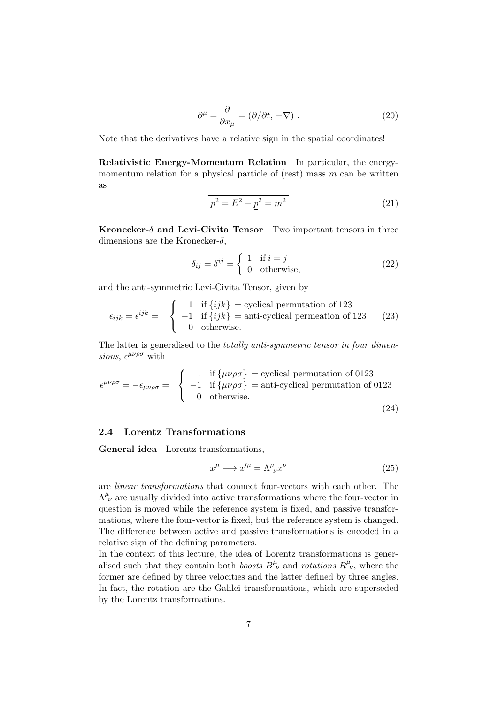$$
\partial^{\mu} = \frac{\partial}{\partial x_{\mu}} = (\partial/\partial t, -\underline{\nabla}) . \tag{20}
$$

Note that the derivatives have a relative sign in the spatial coordinates!

Relativistic Energy-Momentum Relation In particular, the energymomentum relation for a physical particle of (rest) mass  $m$  can be written as

$$
p^2 = E^2 - \underline{p}^2 = m^2
$$
 (21)

Kronecker- $\delta$  and Levi-Civita Tensor Two important tensors in three dimensions are the Kronecker- $\delta$ ,

$$
\delta_{ij} = \delta^{ij} = \begin{cases} 1 & \text{if } i = j \\ 0 & \text{otherwise,} \end{cases}
$$
 (22)

and the anti-symmetric Levi-Civita Tensor, given by

$$
\epsilon_{ijk} = \epsilon^{ijk} = \begin{cases}\n1 & \text{if } \{ijk\} = \text{cyclical permutation of 123} \\
-1 & \text{if } \{ijk\} = \text{anti-cyclical permutation of 123} \\
0 & \text{otherwise.} \n\end{cases}
$$
\n(23)

The latter is generalised to the *totally anti-symmetric tensor in four dimen*sions,  $\epsilon^{\mu\nu\rho\sigma}$  with

$$
\epsilon^{\mu\nu\rho\sigma} = -\epsilon_{\mu\nu\rho\sigma} = \begin{cases} 1 & \text{if } {\mu\nu\rho\sigma} = \text{cyclical permutation of 0123} \\ -1 & \text{if } {\mu\nu\rho\sigma} = \text{anti-cyclical permutation of 0123} \\ 0 & \text{otherwise.} \end{cases}
$$
(24)

## 2.4 Lorentz Transformations

General idea Lorentz transformations,

$$
x^{\mu} \longrightarrow x^{\prime \mu} = \Lambda^{\mu}_{\ \nu} x^{\nu} \tag{25}
$$

are linear transformations that connect four-vectors with each other. The  $\Lambda^{\mu}_{\;\nu}$  are usually divided into active transformations where the four-vector in question is moved while the reference system is fixed, and passive transformations, where the four-vector is fixed, but the reference system is changed. The difference between active and passive transformations is encoded in a relative sign of the defining parameters.

In the context of this lecture, the idea of Lorentz transformations is generalised such that they contain both boosts  $B^{\mu}_{\ \nu}$  and rotations  $R^{\mu}_{\ \nu}$ , where the former are defined by three velocities and the latter defined by three angles. In fact, the rotation are the Galilei transformations, which are superseded by the Lorentz transformations.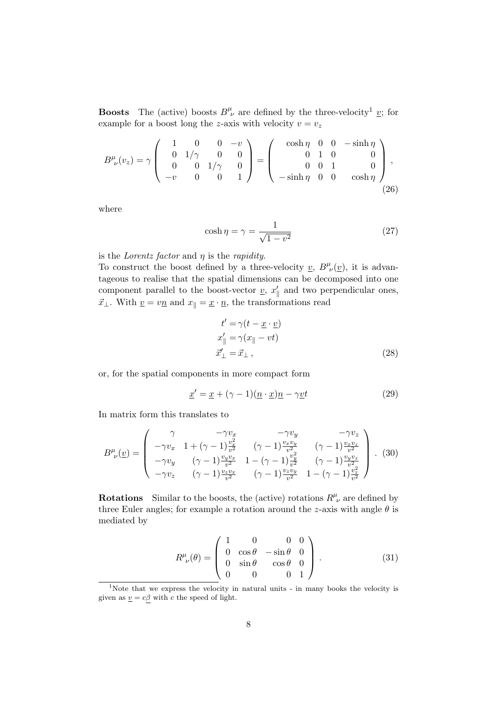**Boosts** The (active) boosts  $B^{\mu}_{\ \nu}$  are defined by the three-velocity<sup>1</sup> <u>v</u>; for example for a boost long the z-axis with velocity  $v = v_z$ 

$$
B^{\mu}_{\ \nu}(v_z) = \gamma \begin{pmatrix} 1 & 0 & 0 & -v \\ 0 & 1/\gamma & 0 & 0 \\ 0 & 0 & 1/\gamma & 0 \\ -v & 0 & 0 & 1 \end{pmatrix} = \begin{pmatrix} \cosh \eta & 0 & 0 & -\sinh \eta \\ 0 & 1 & 0 & 0 \\ 0 & 0 & 1 & 0 \\ -\sinh \eta & 0 & 0 & \cosh \eta \end{pmatrix},
$$
(26)

where

$$
\cosh \eta = \gamma = \frac{1}{\sqrt{1 - v^2}}\tag{27}
$$

is the *Lorentz factor* and  $\eta$  is the *rapidity*.

To construct the boost defined by a three-velocity  $\underline{v}$ ,  $B^{\mu}_{\ \nu}(\underline{v})$ , it is advantageous to realise that the spatial dimensions can be decomposed into one component parallel to the boost-vector  $\underline{v}$ ,  $x'_{\parallel}$  and two perpendicular ones,  $\vec{x}_\perp$ . With  $\underline{v} = v\underline{n}$  and  $x_\parallel = \underline{x} \cdot \underline{n}$ , the transformations read

$$
t' = \gamma(t - \underline{x} \cdot \underline{v})
$$
  
\n
$$
x'_{\parallel} = \gamma(x_{\parallel} - vt)
$$
  
\n
$$
\vec{x}'_{\perp} = \vec{x}_{\perp},
$$
\n(28)

or, for the spatial components in more compact form

$$
\underline{x}' = \underline{x} + (\gamma - 1)(\underline{n} \cdot \underline{x})\underline{n} - \gamma \underline{v}t \tag{29}
$$

In matrix form this translates to

$$
B^{\mu}_{\ \nu}(\underline{v}) = \begin{pmatrix} \gamma & -\gamma v_x & -\gamma v_y & -\gamma v_z \\ -\gamma v_x & 1 + (\gamma - 1) \frac{v_x^2}{v^2} & (\gamma - 1) \frac{v_x v_y}{v^2} & (\gamma - 1) \frac{v_x v_z}{v^2} \\ -\gamma v_y & (\gamma - 1) \frac{v_y v_x}{v^2} & 1 - (\gamma - 1) \frac{v_y^2}{v^2} & (\gamma - 1) \frac{v_y v_z}{v^2} \\ -\gamma v_z & (\gamma - 1) \frac{v_z v_x}{v^2} & (\gamma - 1) \frac{v_z v_y}{v^2} & 1 - (\gamma - 1) \frac{v_z^2}{v^2} \end{pmatrix} . (30)
$$

**Rotations** Similar to the boosts, the (active) rotations  $R^{\mu}_{\ \nu}$  are defined by three Euler angles; for example a rotation around the z-axis with angle  $\theta$  is mediated by

$$
R^{\mu}_{\ \nu}(\theta) = \begin{pmatrix} 1 & 0 & 0 & 0 \\ 0 & \cos \theta & -\sin \theta & 0 \\ 0 & \sin \theta & \cos \theta & 0 \\ 0 & 0 & 0 & 1 \end{pmatrix} . \tag{31}
$$

<sup>&</sup>lt;sup>1</sup>Note that we express the velocity in natural units - in many books the velocity is given as  $\underline{v} = c\underline{\beta}$  with c the speed of light.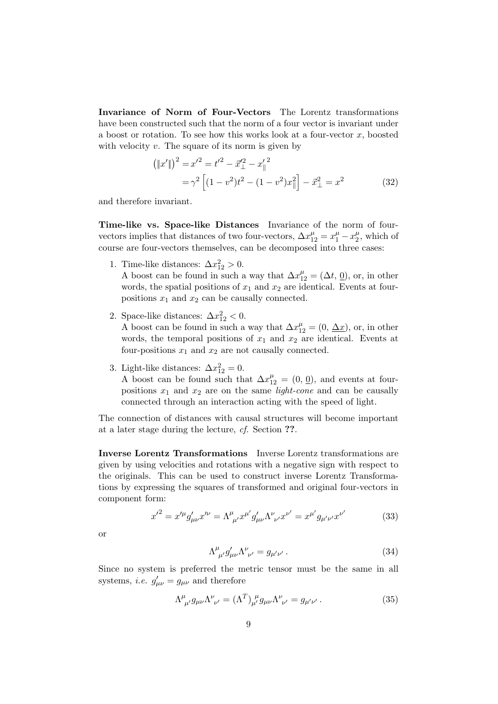Invariance of Norm of Four-Vectors The Lorentz transformations have been constructed such that the norm of a four vector is invariant under a boost or rotation. To see how this works look at a four-vector  $x$ , boosted with velocity  $v$ . The square of its norm is given by

$$
(\|x'\|)^2 = x'^2 = t'^2 - \vec{x}_{\perp}^{\prime 2} - x_{\parallel}^{\prime 2}
$$
  
=  $\gamma^2 \left[ (1 - v^2)t^2 - (1 - v^2)x_{\parallel}^2 \right] - \vec{x}_{\perp}^2 = x^2$  (32)

and therefore invariant.

Time-like vs. Space-like Distances Invariance of the norm of fourvectors implies that distances of two four-vectors,  $\Delta x_{12}^{\mu} = x_1^{\mu} - x_2^{\mu}$  $\frac{\mu}{2}$ , which of course are four-vectors themselves, can be decomposed into three cases:

1. Time-like distances:  $\Delta x_{12}^2 > 0$ .

A boost can be found in such a way that  $\Delta x_{12}^{\mu} = (\Delta t, 0)$ , or, in other words, the spatial positions of  $x_1$  and  $x_2$  are identical. Events at fourpositions  $x_1$  and  $x_2$  can be causally connected.

2. Space-like distances:  $\Delta x_{12}^2 < 0$ .

A boost can be found in such a way that  $\Delta x_{12}^{\mu} = (0, \Delta x)$ , or, in other words, the temporal positions of  $x_1$  and  $x_2$  are identical. Events at four-positions  $x_1$  and  $x_2$  are not causally connected.

3. Light-like distances:  $\Delta x_{12}^2 = 0$ .

A boost can be found such that  $\Delta x_{12}^{\mu} = (0, 0)$ , and events at fourpositions  $x_1$  and  $x_2$  are on the same *light-cone* and can be causally connected through an interaction acting with the speed of light.

The connection of distances with causal structures will become important at a later stage during the lecture, cf. Section ??.

Inverse Lorentz Transformations Inverse Lorentz transformations are given by using velocities and rotations with a negative sign with respect to the originals. This can be used to construct inverse Lorentz Transformations by expressing the squares of transformed and original four-vectors in component form:

$$
{x'}^{2} = x'^{\mu} g'_{\mu\nu} x'^{\nu} = \Lambda^{\mu}_{\ \mu'} x^{\mu'} g'_{\mu\nu} \Lambda^{\nu}_{\ \nu'} x^{\nu'} = x^{\mu'} g_{\mu'\nu'} x^{\nu'} \tag{33}
$$

or

$$
\Lambda^{\mu}_{\ \mu'} g'_{\mu\nu} \Lambda^{\nu}_{\ \nu'} = g_{\mu'\nu'}.
$$
\n(34)

Since no system is preferred the metric tensor must be the same in all systems, *i.e.*  $g'_{\mu\nu} = g_{\mu\nu}$  and therefore

$$
\Lambda^{\mu}_{\ \mu'} g_{\mu\nu} \Lambda^{\nu}_{\ \nu'} = (\Lambda^T)^{\ \mu}_{\mu'} g_{\mu\nu} \Lambda^{\nu}_{\ \nu'} = g_{\mu'\nu'}.
$$
 (35)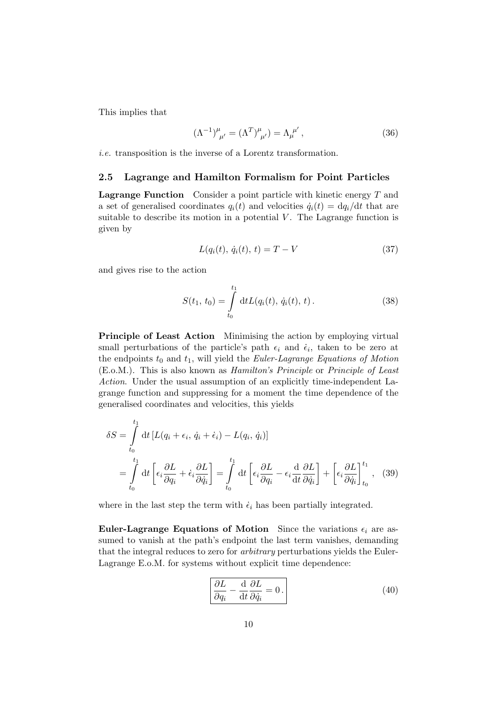This implies that

$$
(\Lambda^{-1})^{\mu}_{\ \mu'} = (\Lambda^{T})^{\mu}_{\ \mu'}) = \Lambda^{\ \mu'}_{\mu}, \tag{36}
$$

i.e. transposition is the inverse of a Lorentz transformation.

#### 2.5 Lagrange and Hamilton Formalism for Point Particles

**Lagrange Function** Consider a point particle with kinetic energy  $T$  and a set of generalised coordinates  $q_i(t)$  and velocities  $\dot{q}_i(t) = dq_i/dt$  that are suitable to describe its motion in a potential  $V$ . The Lagrange function is given by

$$
L(q_i(t), \dot{q}_i(t), t) = T - V \tag{37}
$$

and gives rise to the action

$$
S(t_1, t_0) = \int_{t_0}^{t_1} dt L(q_i(t), \dot{q}_i(t), t).
$$
 (38)

Principle of Least Action Minimising the action by employing virtual small perturbations of the particle's path  $\epsilon_i$  and  $\dot{\epsilon}_i$ , taken to be zero at the endpoints  $t_0$  and  $t_1$ , will yield the *Euler-Lagrange Equations of Motion* (E.o.M.). This is also known as Hamilton's Principle or Principle of Least Action. Under the usual assumption of an explicitly time-independent Lagrange function and suppressing for a moment the time dependence of the generalised coordinates and velocities, this yields

$$
\delta S = \int_{t_0}^{t_1} dt \left[ L(q_i + \epsilon_i, \dot{q}_i + \dot{\epsilon}_i) - L(q_i, \dot{q}_i) \right]
$$
  
= 
$$
\int_{t_0}^{t_1} dt \left[ \epsilon_i \frac{\partial L}{\partial q_i} + \dot{\epsilon}_i \frac{\partial L}{\partial \dot{q}_i} \right] = \int_{t_0}^{t_1} dt \left[ \epsilon_i \frac{\partial L}{\partial q_i} - \epsilon_i \frac{d}{dt} \frac{\partial L}{\partial \dot{q}_i} \right] + \left[ \epsilon_i \frac{\partial L}{\partial \dot{q}_i} \right]_{t_0}^{t_1},
$$
(39)

where in the last step the term with  $\dot{\epsilon}_i$  has been partially integrated.

Euler-Lagrange Equations of Motion Since the variations  $\epsilon_i$  are assumed to vanish at the path's endpoint the last term vanishes, demanding that the integral reduces to zero for arbitrary perturbations yields the Euler-Lagrange E.o.M. for systems without explicit time dependence:

$$
\frac{\partial L}{\partial q_i} - \frac{\mathrm{d}}{\mathrm{d}t} \frac{\partial L}{\partial \dot{q}_i} = 0.
$$
\n(40)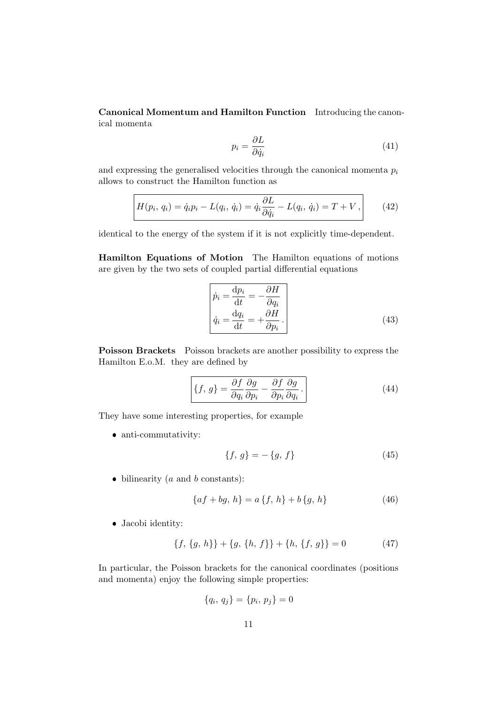Canonical Momentum and Hamilton Function Introducing the canonical momenta

$$
p_i = \frac{\partial L}{\partial \dot{q}_i} \tag{41}
$$

and expressing the generalised velocities through the canonical momenta  $p_i$ allows to construct the Hamilton function as

$$
H(p_i, q_i) = \dot{q}_i p_i - L(q_i, \dot{q}_i) = \dot{q}_i \frac{\partial L}{\partial \dot{q}_i} - L(q_i, \dot{q}_i) = T + V, \qquad (42)
$$

identical to the energy of the system if it is not explicitly time-dependent.

Hamilton Equations of Motion The Hamilton equations of motions are given by the two sets of coupled partial differential equations

$$
\begin{bmatrix}\n\dot{p}_i = \frac{\mathrm{d}p_i}{\mathrm{d}t} = -\frac{\partial H}{\partial q_i} \\
\dot{q}_i = \frac{\mathrm{d}q_i}{\mathrm{d}t} = +\frac{\partial H}{\partial p_i}.\n\end{bmatrix}
$$
\n(43)

Poisson Brackets Poisson brackets are another possibility to express the Hamilton E.o.M. they are defined by

$$
\{f, g\} = \frac{\partial f}{\partial q_i} \frac{\partial g}{\partial p_i} - \frac{\partial f}{\partial p_i} \frac{\partial g}{\partial q_i}.
$$
 (44)

They have some interesting properties, for example

• anti-commutativity:

$$
\{f, g\} = -\{g, f\} \tag{45}
$$

 $\bullet$  bilinearity (*a* and *b* constants):

$$
\{af + bg, h\} = a\{f, h\} + b\{g, h\}
$$
\n(46)

Jacobi identity:

$$
\{f, \{g, h\}\} + \{g, \{h, f\}\} + \{h, \{f, g\}\} = 0 \tag{47}
$$

In particular, the Poisson brackets for the canonical coordinates (positions and momenta) enjoy the following simple properties:

$$
\{q_i, q_j\} = \{p_i, p_j\} = 0
$$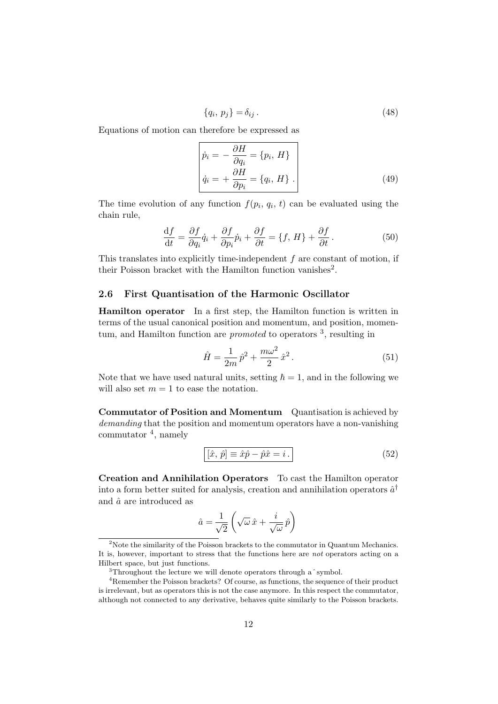$$
\{q_i, p_j\} = \delta_{ij} . \tag{48}
$$

Equations of motion can therefore be expressed as

$$
\begin{aligned}\n\dot{p}_i &= -\frac{\partial H}{\partial q_i} = \{p_i, H\} \\
\dot{q}_i &= +\frac{\partial H}{\partial p_i} = \{q_i, H\}.\n\end{aligned} \tag{49}
$$

The time evolution of any function  $f(p_i, q_i, t)$  can be evaluated using the chain rule,

$$
\frac{\mathrm{d}f}{\mathrm{d}t} = \frac{\partial f}{\partial q_i}\dot{q}_i + \frac{\partial f}{\partial p_i}\dot{p}_i + \frac{\partial f}{\partial t} = \{f, H\} + \frac{\partial f}{\partial t}.
$$
\n(50)

This translates into explicitly time-independent  $f$  are constant of motion, if their Poisson bracket with the Hamilton function vanishes<sup>2</sup>.

#### 2.6 First Quantisation of the Harmonic Oscillator

Hamilton operator In a first step, the Hamilton function is written in terms of the usual canonical position and momentum, and position, momentum, and Hamilton function are *promoted* to operators <sup>3</sup>, resulting in

$$
\hat{H} = \frac{1}{2m}\,\hat{p}^2 + \frac{m\omega^2}{2}\,\hat{x}^2\,. \tag{51}
$$

Note that we have used natural units, setting  $\hbar = 1$ , and in the following we will also set  $m = 1$  to ease the notation.

Commutator of Position and Momentum Quantisation is achieved by demanding that the position and momentum operators have a non-vanishing commutator <sup>4</sup> , namely

$$
[\hat{x}, \hat{p}] \equiv \hat{x}\hat{p} - \hat{p}\hat{x} = i.
$$
\n(52)

Creation and Annihilation Operators To cast the Hamilton operator into a form better suited for analysis, creation and annihilation operators  $\hat{a}^{\dagger}$ and  $\hat{a}$  are introduced as

$$
\hat{a} = \frac{1}{\sqrt{2}} \left( \sqrt{\omega} \, \hat{x} + \frac{i}{\sqrt{\omega}} \, \hat{p} \right)
$$

<sup>&</sup>lt;sup>2</sup>Note the similarity of the Poisson brackets to the commutator in Quantum Mechanics. It is, however, important to stress that the functions here are not operators acting on a Hilbert space, but just functions.

<sup>&</sup>lt;sup>3</sup>Throughout the lecture we will denote operators through a  $\degree$  symbol.

<sup>4</sup>Remember the Poisson brackets? Of course, as functions, the sequence of their product is irrelevant, but as operators this is not the case anymore. In this respect the commutator, although not connected to any derivative, behaves quite similarly to the Poisson brackets.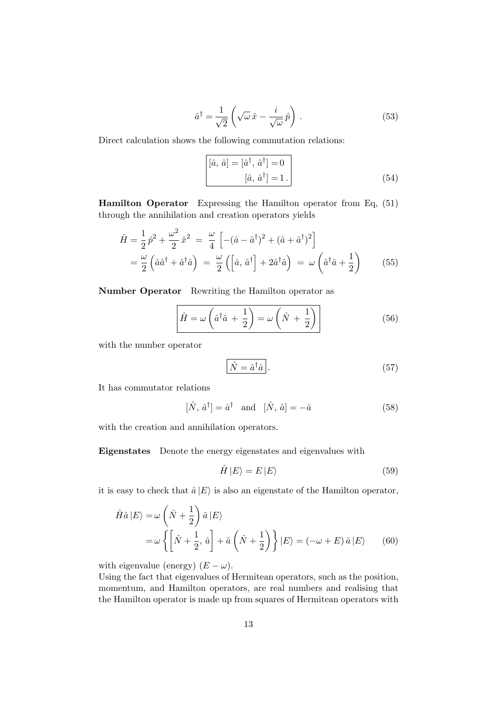$$
\hat{a}^{\dagger} = \frac{1}{\sqrt{2}} \left( \sqrt{\omega} \,\hat{x} - \frac{i}{\sqrt{\omega}} \,\hat{p} \right) . \tag{53}
$$

Direct calculation shows the following commutation relations:

$$
\begin{bmatrix} [\hat{a}, \hat{a}] = [\hat{a}^{\dagger}, \hat{a}^{\dagger}] = 0\\ \left[ \hat{a}, \hat{a}^{\dagger} \right] = 1 \end{bmatrix}
$$
 (54)

Hamilton Operator Expressing the Hamilton operator from Eq, (51) through the annihilation and creation operators yields

$$
\hat{H} = \frac{1}{2}\hat{p}^2 + \frac{\omega^2}{2}\hat{x}^2 = \frac{\omega}{4}\left[-(\hat{a} - \hat{a}^\dagger)^2 + (\hat{a} + \hat{a}^\dagger)^2\right]
$$

$$
= \frac{\omega}{2}\left(\hat{a}\hat{a}^\dagger + \hat{a}^\dagger\hat{a}\right) = \frac{\omega}{2}\left(\left[\hat{a}, \hat{a}^\dagger\right] + 2\hat{a}^\dagger\hat{a}\right) = \omega\left(\hat{a}^\dagger\hat{a} + \frac{1}{2}\right) \tag{55}
$$

Number Operator Rewriting the Hamilton operator as

$$
\hat{H} = \omega \left(\hat{a}^\dagger \hat{a} + \frac{1}{2}\right) = \omega \left(\hat{N} + \frac{1}{2}\right)
$$
\n(56)

with the number operator

$$
\hat{N} = \hat{a}^\dagger \hat{a} \,. \tag{57}
$$

It has commutator relations

$$
[\hat{N}, \hat{a}^{\dagger}] = \hat{a}^{\dagger} \quad \text{and} \quad [\hat{N}, \hat{a}] = -\hat{a} \tag{58}
$$

with the creation and annihilation operators.

Eigenstates Denote the energy eigenstates and eigenvalues with

$$
\hat{H} |E\rangle = E |E\rangle \tag{59}
$$

it is easy to check that  $\hat{a} |E\rangle$  is also an eigenstate of the Hamilton operator,

$$
\hat{H}\hat{a}|E\rangle = \omega \left(\hat{N} + \frac{1}{2}\right)\hat{a}|E\rangle
$$
  
=  $\omega \left\{ \left[\hat{N} + \frac{1}{2}, \hat{a}\right] + \hat{a}\left(\hat{N} + \frac{1}{2}\right) \right\}|E\rangle = (-\omega + E)\hat{a}|E\rangle$  (60)

with eigenvalue (energy)  $(E - \omega)$ .

Using the fact that eigenvalues of Hermitean operators, such as the position, momentum, and Hamilton operators, are real numbers and realising that the Hamilton operator is made up from squares of Hermitean operators with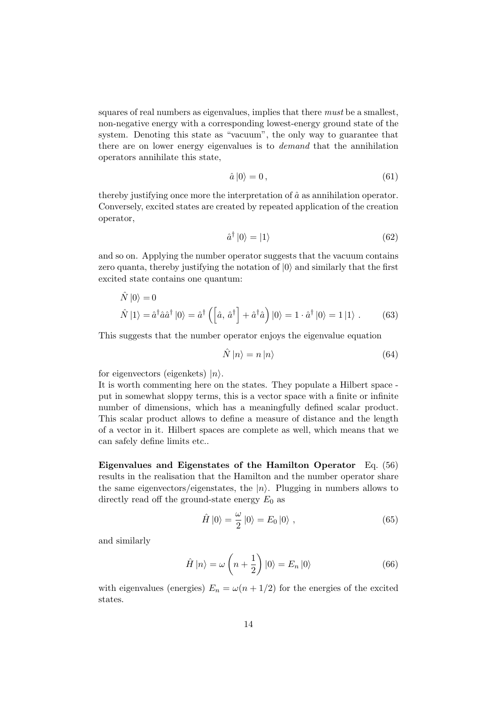squares of real numbers as eigenvalues, implies that there *must* be a smallest, non-negative energy with a corresponding lowest-energy ground state of the system. Denoting this state as "vacuum", the only way to guarantee that there are on lower energy eigenvalues is to demand that the annihilation operators annihilate this state,

$$
\hat{a}\left|0\right\rangle = 0\,,\tag{61}
$$

thereby justifying once more the interpretation of  $\hat{a}$  as annihilation operator. Conversely, excited states are created by repeated application of the creation operator,

$$
\hat{a}^{\dagger} |0\rangle = |1\rangle \tag{62}
$$

and so on. Applying the number operator suggests that the vacuum contains zero quanta, thereby justifying the notation of  $|0\rangle$  and similarly that the first excited state contains one quantum:

$$
\hat{N}|0\rangle = 0
$$
\n
$$
\hat{N}|1\rangle = \hat{a}^{\dagger}\hat{a}\hat{a}^{\dagger}|0\rangle = \hat{a}^{\dagger}\left(\left[\hat{a}, \hat{a}^{\dagger}\right] + \hat{a}^{\dagger}\hat{a}\right)|0\rangle = 1 \cdot \hat{a}^{\dagger}|0\rangle = 1|1\rangle. \tag{63}
$$

This suggests that the number operator enjoys the eigenvalue equation

$$
\hat{N} \left| n \right\rangle = n \left| n \right\rangle \tag{64}
$$

for eigenvectors (eigenkets)  $|n\rangle$ .

It is worth commenting here on the states. They populate a Hilbert space put in somewhat sloppy terms, this is a vector space with a finite or infinite number of dimensions, which has a meaningfully defined scalar product. This scalar product allows to define a measure of distance and the length of a vector in it. Hilbert spaces are complete as well, which means that we can safely define limits etc..

Eigenvalues and Eigenstates of the Hamilton Operator Eq. (56) results in the realisation that the Hamilton and the number operator share the same eigenvectors/eigenstates, the  $|n\rangle$ . Plugging in numbers allows to directly read off the ground-state energy  $E_0$  as

$$
\hat{H}|0\rangle = \frac{\omega}{2}|0\rangle = E_0|0\rangle ,\qquad (65)
$$

and similarly

$$
\hat{H} |n\rangle = \omega \left( n + \frac{1}{2} \right) |0\rangle = E_n |0\rangle \tag{66}
$$

with eigenvalues (energies)  $E_n = \omega(n + 1/2)$  for the energies of the excited states.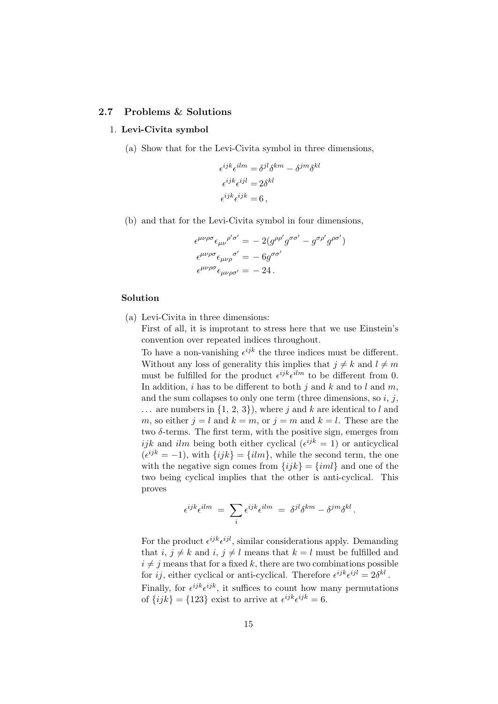#### 2.7 Problems & Solutions

#### 1. Levi-Civita symbol

(a) Show that for the Levi-Civita symbol in three dimensions,

$$
\epsilon^{ijk}\epsilon^{ilm} = \delta^{jl}\delta^{km} - \delta^{jm}\delta^{kl}
$$

$$
\epsilon^{ijk}\epsilon^{ijl} = 2\delta^{kl}
$$

$$
\epsilon^{ijk}\epsilon^{ijk} = 6
$$

(b) and that for the Levi-Civita symbol in four dimensions,

$$
\epsilon^{\mu\nu\rho\sigma}\epsilon_{\mu\nu}^{\rho'\sigma'} = -2(g^{\rho\rho'}g^{\sigma\sigma'} - g^{\sigma\rho'}g^{\rho\sigma'})
$$
  

$$
\epsilon^{\mu\nu\rho\sigma}\epsilon_{\mu\nu\rho\sigma'} = -6g^{\sigma\sigma'}
$$
  

$$
\epsilon^{\mu\nu\rho\sigma}\epsilon_{\mu\nu\rho\sigma'} = -24.
$$

#### Solution

(a) Levi-Civita in three dimensions:

First of all, it is improtant to stress here that we use Einstein's convention over repeated indices throughout.

To have a non-vanishing  $\epsilon^{ijk}$  the three indices must be different. Without any loss of generality this implies that  $j \neq k$  and  $l \neq m$ must be fulfilled for the product  $\epsilon^{ijk}\epsilon^{ilm}$  to be different from 0. In addition, i has to be different to both j and k and to l and  $m$ , and the sum collapses to only one term (three dimensions, so  $i, j$ ,  $\ldots$  are numbers in  $\{1, 2, 3\}$ , where j and k are identical to l and m, so either  $j = l$  and  $k = m$ , or  $j = m$  and  $k = l$ . These are the two  $\delta$ -terms. The first term, with the positive sign, emerges from ijk and ilm being both either cyclical  $(e^{ijk} = 1)$  or anticyclical  $(e^{ijk} = -1)$ , with  $\{ijk\} = \{ilm\}$ , while the second term, the one with the negative sign comes from  $\{ijk\} = \{iml\}$  and one of the two being cyclical implies that the other is anti-cyclical. This proves

$$
\epsilon^{ijk}\epsilon^{ilm} \;=\; \sum_i \epsilon^{ijk}\epsilon^{ilm} \;=\; \delta^{jl}\delta^{km} - \delta^{jm}\delta^{kl}\,.
$$

For the product  $\epsilon^{ijk}\epsilon^{ijl}$ , similar considerations apply. Demanding that  $i, j \neq k$  and  $i, j \neq l$  means that  $k = l$  must be fulfilled and  $i \neq j$  means that for a fixed k, there are two combinations possible for *ij*, either cyclical or anti-cyclical. Therefore  $\epsilon^{ijk}\epsilon^{ijl} = 2\delta^{kl}$ . Finally, for  $\epsilon^{ijk}\epsilon^{ijk}$ , it suffices to count how many permutations of  $\{ijk\} = \{123\}$  exist to arrive at  $\epsilon^{ijk}\epsilon^{ijk} = 6$ .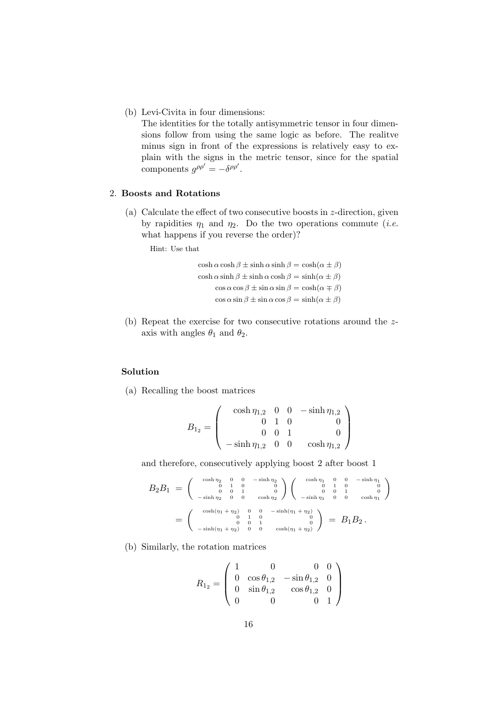(b) Levi-Civita in four dimensions:

The identities for the totally antisymmetric tensor in four dimensions follow from using the same logic as before. The realitve minus sign in front of the expressions is relatively easy to explain with the signs in the metric tensor, since for the spatial components  $g^{\rho\rho'} = -\delta^{\rho\rho'}$ .

## 2. Boosts and Rotations

(a) Calculate the effect of two consecutive boosts in z-direction, given by rapidities  $\eta_1$  and  $\eta_2$ . Do the two operations commute (*i.e.* what happens if you reverse the order)?

Hint: Use that

 $\cosh \alpha \cosh \beta \pm \sinh \alpha \sinh \beta = \cosh(\alpha \pm \beta)$  $\cosh \alpha \sinh \beta \pm \sinh \alpha \cosh \beta = \sinh(\alpha \pm \beta)$  $\cos \alpha \cos \beta \pm \sin \alpha \sin \beta = \cosh(\alpha \mp \beta)$  $\cos \alpha \sin \beta \pm \sin \alpha \cos \beta = \sinh(\alpha \pm \beta)$ 

(b) Repeat the exercise for two consecutive rotations around the zaxis with angles  $\theta_1$  and  $\theta_2$ .

## Solution

(a) Recalling the boost matrices

$$
B_{1_2} = \left(\begin{array}{rrr} \cosh \eta_{1,2} & 0 & 0 & -\sinh \eta_{1,2} \\ 0 & 1 & 0 & 0 \\ 0 & 0 & 1 & 0 \\ -\sinh \eta_{1,2} & 0 & 0 & \cosh \eta_{1,2} \end{array}\right)
$$

and therefore, consecutively applying boost 2 after boost 1

$$
B_2B_1 = \begin{pmatrix} \cosh \eta_2 & 0 & 0 & -\sinh \eta_2 \\ 0 & 1 & 0 & 0 \\ 0 & 0 & 1 & 0 \\ -\sinh \eta_2 & 0 & 0 & \cosh \eta_2 \end{pmatrix} \begin{pmatrix} \cosh \eta_1 & 0 & 0 & -\sinh \eta_1 \\ 0 & 1 & 0 & 0 \\ 0 & 0 & 1 & 0 \\ -\sinh \eta_1 & 0 & 0 & \cosh \eta_1 \end{pmatrix}
$$

$$
= \begin{pmatrix} \cosh(\eta_1 + \eta_2) & 0 & 0 & -\sinh(\eta_1 + \eta_2) \\ 0 & 1 & 0 & 0 \\ 0 & 0 & 1 & 0 \\ -\sinh(\eta_1 + \eta_2) & 0 & 0 & \cosh(\eta_1 + \eta_2) \end{pmatrix} = B_1B_2.
$$

(b) Similarly, the rotation matrices

$$
R_{1_2} = \left(\begin{array}{cccc} 1 & 0 & 0 & 0 \\ 0 & \cos\theta_{1,2} & -\sin\theta_{1,2} & 0 \\ 0 & \sin\theta_{1,2} & \cos\theta_{1,2} & 0 \\ 0 & 0 & 0 & 1 \end{array}\right)
$$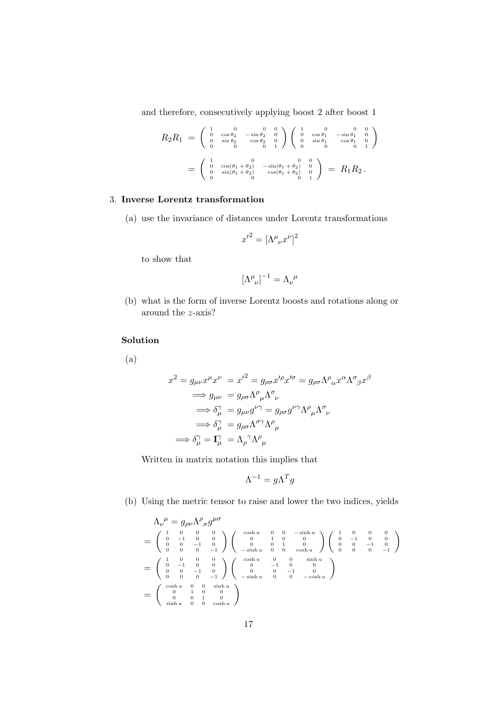and therefore, consecutively applying boost 2 after boost 1

$$
R_2R_1 = \begin{pmatrix} 1 & 0 & 0 & 0 \\ 0 & \cos\theta_2 & -\sin\theta_2 & 0 \\ 0 & \sin\theta_2 & \cos\theta_2 & 0 \\ 0 & 0 & 0 & 1 \end{pmatrix} \begin{pmatrix} 1 & 0 & 0 & 0 \\ 0 & \cos\theta_1 & -\sin\theta_1 & 0 \\ 0 & \sin\theta_1 & \cos\theta_1 & 0 \\ 0 & 0 & 0 & 0 & 1 \end{pmatrix}
$$
  
= 
$$
\begin{pmatrix} 1 & 0 & 0 & 0 \\ 0 & \cos(\theta_1 + \theta_2) & -\sin(\theta_1 + \theta_2) & 0 \\ 0 & \sin(\theta_1 + \theta_2) & \cos(\theta_1 + \theta_2) & 0 \\ 0 & 0 & 0 & 1 \end{pmatrix} = R_1R_2.
$$

## 3. Inverse Lorentz transformation

(a) use the invariance of distances under Lorentz transformations

$$
{x^\prime}^2 = [\Lambda^\mu_{\phantom{\mu}\nu}x^\nu]^2
$$

to show that

$$
[\Lambda^\mu_{\;\;\nu}]^{-1}=\Lambda_\nu^{\;\;\mu}
$$

(b) what is the form of inverse Lorentz boosts and rotations along or around the z-axis?

#### Solution

(a)

$$
x^{2} = g_{\mu\nu}x^{\mu}x^{\nu} = x^{\prime 2} = g_{\rho\sigma}x^{\prime\rho}x^{\prime\sigma} = g_{\rho\sigma}\Lambda^{\rho}{}_{\alpha}x^{\alpha}\Lambda^{\sigma}{}_{\beta}x^{\beta}
$$
  
\n
$$
\implies g_{\mu\nu} = g_{\rho\sigma}\Lambda^{\rho}{}_{\mu}\Lambda^{\sigma}{}_{\nu}
$$
  
\n
$$
\implies \delta^{\gamma}_{\mu} = g_{\mu\nu}g^{\nu\gamma} = g_{\rho\sigma}g^{\nu\gamma}\Lambda^{\rho}{}_{\mu}\Lambda^{\sigma}{}_{\nu}
$$
  
\n
$$
\implies \delta^{\gamma}_{\mu} = g_{\rho\sigma}\Lambda^{\sigma\gamma}\Lambda^{\rho}{}_{\mu}
$$
  
\n
$$
\implies \delta^{\gamma}_{\mu} = \Lambda^{\gamma}_{\rho}\Lambda^{\rho}{}_{\mu}
$$

Written in matrix notation this implies that

$$
\Lambda^{-1} = g\Lambda^T g
$$

(b) Using the metric tensor to raise and lower the two indices, yields

$$
\begin{array}{l} \Lambda_{\nu}{}^{\mu} = g_{\rho\nu} \Lambda^{\rho}{}_{\sigma} g^{\mu\sigma} \\ = \left( \begin{array}{cccc} 1 & 0 & 0 & 0 \\ 0 & -1 & 0 & 0 \\ 0 & 0 & -1 & 0 \\ 0 & 0 & 0 & -1 \end{array} \right) \left( \begin{array}{cccc} \cosh u & 0 & 0 & -\sinh u \\ 0 & 1 & 0 & 0 \\ 0 & 0 & 1 & 0 \\ 0 & 0 & 1 & 0 \\ -\sinh u & 0 & 0 & \cosh u \end{array} \right) \left( \begin{array}{cccc} 1 & 0 & 0 & 0 \\ 0 & -1 & 0 & 0 \\ 0 & 0 & -1 & 0 \\ 0 & 0 & 0 & -1 \end{array} \right) \\ = \left( \begin{array}{cccc} 1 & 0 & 0 & 0 \\ 0 & -1 & 0 & 0 \\ 0 & 0 & -1 & 0 \\ 0 & 0 & 0 & -1 \end{array} \right) \left( \begin{array}{cccc} \cosh u & 0 & 0 & \sinh u \\ 0 & 0 & -1 & 0 \\ 0 & 0 & -1 & 0 \\ -\sinh u & 0 & 0 & -\cosh u \end{array} \right) \\ = \left( \begin{array}{cccc} \cosh u & 0 & 0 & \sinh u \\ 0 & 1 & 0 & 0 \\ 0 & 0 & 1 & 0 \\ \sinh u & 0 & 0 & \cosh u \end{array} \right) \end{array}
$$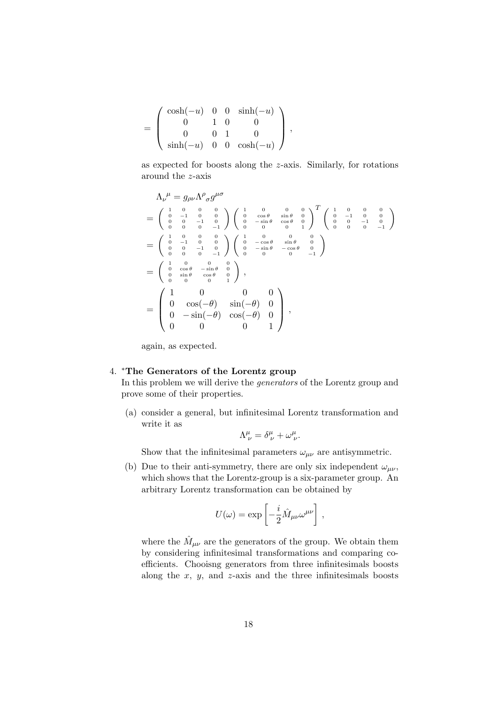$$
= \left(\begin{array}{cccc} \cosh(-u) & 0 & 0 & \sinh(-u) \\ 0 & 1 & 0 & 0 \\ 0 & 0 & 1 & 0 \\ \sinh(-u) & 0 & 0 & \cosh(-u) \end{array}\right) ,
$$

as expected for boosts along the z-axis. Similarly, for rotations around the z-axis

$$
\Lambda_{\nu}{}^{\mu} = g_{\rho\nu} \Lambda^{\rho}{}_{\sigma} g^{\mu\sigma}
$$
\n
$$
= \begin{pmatrix} 1 & 0 & 0 & 0 & 0 & 0 & 0 \\ 0 & -1 & 0 & 0 & 0 & 0 & 0 \\ 0 & 0 & -1 & 0 & 0 & 0 & 0 \\ 0 & 0 & 0 & -1 & 0 & 0 & 0 \\ 0 & 0 & 0 & -1 & 0 & 0 & 0 \\ 0 & 0 & -1 & 0 & 0 & 0 & 0 \\ 0 & 0 & 0 & -1 & 0 & 0 & 0 \\ 0 & 0 & 0 & -1 & 0 & 0 & 0 \\ 0 & 0 & 0 & -1 & 0 & 0 & 0 \\ 0 & 0 & 0 & 0 & 0 & 0 & 0 \end{pmatrix} \begin{pmatrix} 1 & 0 & 0 & 0 & 0 & 0 \\ 0 & -\cos\theta & \sin\theta & 0 & 0 & 0 \\ 0 & -\cos\theta & \sin\theta & 0 & 0 & 0 \\ 0 & -\sin\theta & -\cos\theta & 0 & 0 & -1 \\ 0 & 0 & 0 & 0 & 0 & -1 \end{pmatrix}
$$
\n
$$
= \begin{pmatrix} 1 & 0 & 0 & 0 & 0 \\ 0 & \cos\theta & -\sin\theta & 0 & 0 \\ 0 & \sin\theta & \cos\theta & 0 & 0 \\ 0 & 0 & 0 & 1 & 0 \end{pmatrix},
$$
\n
$$
= \begin{pmatrix} 1 & 0 & 0 & 0 & 0 \\ 0 & \cos(-\theta) & \sin(-\theta) & 0 & 0 \\ 0 & -\sin(-\theta) & \cos(-\theta) & 0 & 1 \\ 0 & 0 & 0 & 1 & 0 \end{pmatrix},
$$

again, as expected.

## 4. <sup>∗</sup>The Generators of the Lorentz group

In this problem we will derive the generators of the Lorentz group and prove some of their properties.

(a) consider a general, but infinitesimal Lorentz transformation and write it as

$$
\Lambda^{\mu}_{\ \nu} = \delta^{\mu}_{\ \nu} + \omega^{\mu}_{\ \nu}.
$$

Show that the infinitesimal parameters  $\omega_{\mu\nu}$  are antisymmetric.

(b) Due to their anti-symmetry, there are only six independent  $\omega_{\mu\nu}$ , which shows that the Lorentz-group is a six-parameter group. An arbitrary Lorentz transformation can be obtained by

$$
U(\omega) = \exp\left[-\frac{i}{2}\hat{M}_{\mu\nu}\omega^{\mu\nu}\right],
$$

where the  $\hat{M}_{\mu\nu}$  are the generators of the group. We obtain them by considering infinitesimal transformations and comparing coefficients. Chooisng generators from three infinitesimals boosts along the  $x$ ,  $y$ , and  $z$ -axis and the three infinitesimals boosts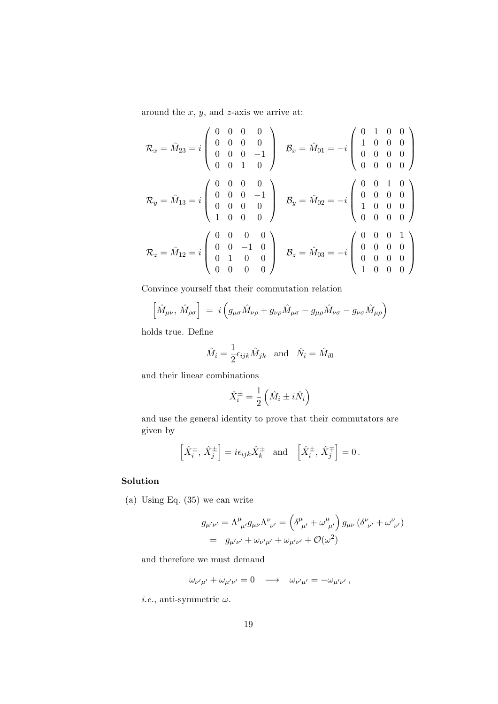around the  $x, y$ , and  $z$ -axis we arrive at:

$$
\mathcal{R}_x = \hat{M}_{23} = i \begin{pmatrix} 0 & 0 & 0 & 0 \\ 0 & 0 & 0 & 0 \\ 0 & 0 & 0 & -1 \\ 0 & 0 & 1 & 0 \end{pmatrix} \quad \mathcal{B}_x = \hat{M}_{01} = -i \begin{pmatrix} 0 & 1 & 0 & 0 \\ 1 & 0 & 0 & 0 \\ 0 & 0 & 0 & 0 \\ 0 & 0 & 0 & 0 \end{pmatrix}
$$

$$
\mathcal{R}_y = \hat{M}_{13} = i \begin{pmatrix} 0 & 0 & 0 & 0 \\ 0 & 0 & 0 & -1 \\ 0 & 0 & 0 & 0 \\ 1 & 0 & 0 & 0 \end{pmatrix} \quad \mathcal{B}_y = \hat{M}_{02} = -i \begin{pmatrix} 0 & 0 & 1 & 0 \\ 0 & 0 & 0 & 0 \\ 1 & 0 & 0 & 0 \\ 0 & 0 & 0 & 0 \end{pmatrix}
$$

$$
\mathcal{R}_z = \hat{M}_{12} = i \begin{pmatrix} 0 & 0 & 0 & 0 \\ 0 & 0 & -1 & 0 \\ 0 & 1 & 0 & 0 \\ 0 & 0 & 0 & 0 \end{pmatrix} \quad \mathcal{B}_z = \hat{M}_{03} = -i \begin{pmatrix} 0 & 0 & 0 & 1 \\ 0 & 0 & 0 & 0 \\ 0 & 0 & 0 & 0 \\ 1 & 0 & 0 & 0 \end{pmatrix}
$$

Convince yourself that their commutation relation

$$
\left[\hat{M}_{\mu\nu}, \hat{M}_{\rho\sigma}\right] = i \left(g_{\mu\sigma} \hat{M}_{\nu\rho} + g_{\nu\rho} \hat{M}_{\mu\sigma} - g_{\mu\rho} \hat{M}_{\nu\sigma} - g_{\nu\sigma} \hat{M}_{\mu\rho}\right)
$$

holds true. Define

$$
\hat{M}_i = \frac{1}{2} \epsilon_{ijk} \hat{M}_{jk} \text{ and } \hat{N}_i = \hat{M}_{i0}
$$

and their linear combinations

$$
\hat{X}^{\pm}_i = \frac{1}{2} \left( \hat{M}_i \pm i \hat{N}_i \right)
$$

and use the general identity to prove that their commutators are given by

$$
\left[\hat{X}^{\pm}_{i},\,\hat{X}^{\pm}_{j}\right]=i\epsilon_{ijk}\hat{X}^{\pm}_{k} \quad \text{and} \quad \left[\hat{X}^{\pm}_{i},\,\hat{X}^{\mp}_{j}\right]=0\,.
$$

## Solution

(a) Using Eq. (35) we can write

$$
g_{\mu'\nu'} = \Lambda^{\mu}_{\ \mu'} g_{\mu\nu} \Lambda^{\nu}_{\ \nu'} = (\delta^{\mu}_{\ \mu'} + \omega^{\mu}_{\ \mu'}) g_{\mu\nu} (\delta^{\nu}_{\ \nu'} + \omega^{\nu}_{\ \nu'})
$$
  
=  $g_{\mu'\nu'} + \omega_{\nu'\mu'} + \omega_{\mu'\nu'} + \mathcal{O}(\omega^2)$ 

and therefore we must demand

$$
\omega_{\nu'\mu'} + \omega_{\mu'\nu'} = 0 \quad \longrightarrow \quad \omega_{\nu'\mu'} = -\omega_{\mu'\nu'}\,,
$$

*i.e.*, anti-symmetric  $\omega$ .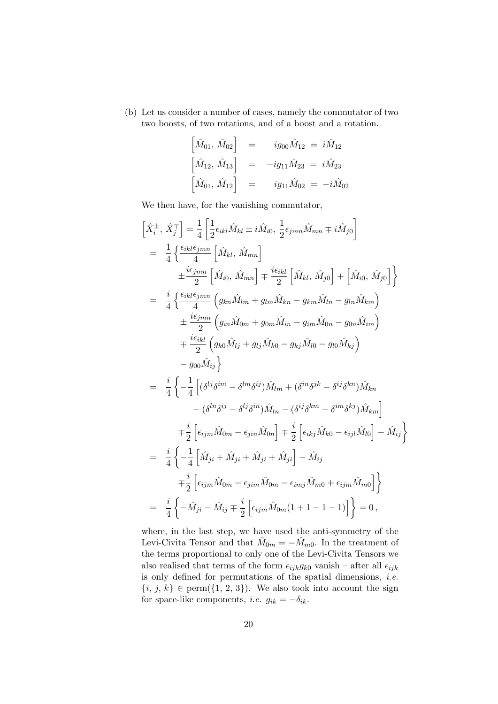(b) Let us consider a number of cases, namely the commutator of two two boosts, of two rotations, and of a boost and a rotation.

$$
\begin{bmatrix}\n\hat{M}_{01}, \hat{M}_{02}\n\end{bmatrix} = i g_{00} \hat{M}_{12} = i \hat{M}_{12}
$$
\n
$$
\begin{bmatrix}\n\hat{M}_{12}, \hat{M}_{13}\n\end{bmatrix} = -ig_{11} \hat{M}_{23} = i \hat{M}_{23}
$$
\n
$$
\begin{bmatrix}\n\hat{M}_{01}, \hat{M}_{12}\n\end{bmatrix} = i g_{11} \hat{M}_{02} = -i \hat{M}_{02}
$$

We then have, for the vanishing commutator,

$$
\begin{split}\n\left[\hat{X}_{i}^{\pm},\,\hat{X}_{j}^{\mp}\right] &= \frac{1}{4} \left[ \frac{1}{2} \epsilon_{ikl} \hat{M}_{kl} \pm i \hat{M}_{i0}, \,\frac{1}{2} \epsilon_{jmn} \hat{M}_{mn} \mp i \hat{M}_{j0} \right] \\
&= \frac{1}{4} \left\{ \frac{\epsilon_{ikl} \epsilon_{jmn}}{4} \left[ \hat{M}_{kl},\,\hat{M}_{mn} \right] \\
& \pm \frac{i \epsilon_{jmn}}{2} \left[ \hat{M}_{i0},\,\hat{M}_{mn} \right] \mp \frac{i \epsilon_{ikl}}{2} \left[ \hat{M}_{kl},\,\hat{M}_{j0} \right] + \left[ \hat{M}_{i0},\,\hat{M}_{j0} \right] \right\} \\
&= \frac{i}{4} \left\{ \frac{\epsilon_{ikl} \epsilon_{jmn}}{4} \left( g_{kn} \hat{M}_{lm} + g_{lm} \hat{M}_{kn} - g_{km} \hat{M}_{ln} - g_{ln} \hat{M}_{km} \right) \\
& \pm \frac{i \epsilon_{jmn}}{2} \left( g_{in} \hat{M}_{0m} + g_{0m} \hat{M}_{in} - g_{im} \hat{M}_{0n} - g_{0n} \hat{M}_{im} \right) \\
&= \frac{i}{2} \left\{ \epsilon_{ikl} \left( g_{k0} \hat{M}_{lj} + g_{lj} \hat{M}_{k0} - g_{kj} \hat{M}_{l0} - g_{l0} \hat{M}_{kj} \right) \right. \\
&\quad - g_{00} \hat{M}_{ij} \right\} \\
&= \frac{i}{4} \left\{ -\frac{1}{4} \left[ (\delta^{lj} \delta^{im} - \delta^{lm} \delta^{ij}) \hat{M}_{lm} + (\delta^{in} \delta^{jk} - \delta^{ij} \delta^{kn}) \hat{M}_{kn} \right. \\
&\quad - (\delta^{ln} \delta^{ij} - \delta^{lj} \delta^{in}) \hat{M}_{ln} - (\delta^{ij} \delta^{km} - \delta^{im} \delta^{kj}) \hat{M}_{km} \right] \\
&= \frac{i}{4} \left\{ -\frac{1}{4} \left[ \hat{M}_{ji} + \hat{M}_{ji} + \hat{M}_{ji} + \hat{M}_{ji} \right] - \hat{M}_{ij} \right. \\
&= \frac{i}{4} \left
$$

where, in the last step, we have used the anti-symmetry of the Levi-Civita Tensor and that  $\hat{M}_{0m} = -\hat{M}_{m0}$ . In the treatment of the terms proportional to only one of the Levi-Civita Tensors we also realised that terms of the form  $\epsilon_{ijk}g_{k0}$  vanish – after all  $\epsilon_{ijk}$ is only defined for permutations of the spatial dimensions, *i.e.*  $\{i, j, k\} \in \text{perm}(\{1, 2, 3\})$ . We also took into account the sign for space-like components, *i.e.*  $g_{ik} = -\delta_{ik}$ .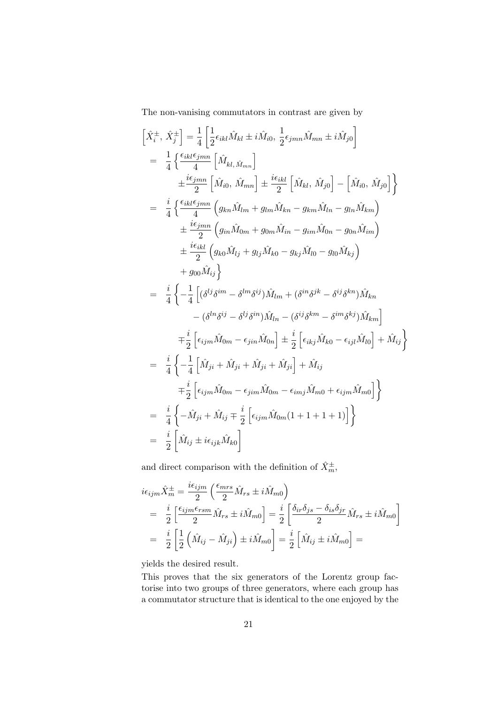The non-vanising commutators in contrast are given by

$$
\begin{split}\n\left[\hat{X}_{i}^{\pm},\,\hat{X}_{j}^{\pm}\right] &= \frac{1}{4} \left[ \frac{1}{2} \epsilon_{ikl} \hat{M}_{kl} \pm i \hat{M}_{i0},\,\frac{1}{2} \epsilon_{jmn} \hat{M}_{mn} \pm i \hat{M}_{j0} \right] \\
&= \frac{1}{4} \left\{ \frac{\epsilon_{ikl} \epsilon_{jmn}}{4} \left[ \hat{M}_{kl,\,\hat{M}_{mn}} \right] \\
& \pm \frac{i \epsilon_{jmn}}{2} \left[ \hat{M}_{i0},\,\hat{M}_{mn} \right] \pm \frac{i \epsilon_{ikl}}{2} \left[ \hat{M}_{kl},\,\hat{M}_{j0} \right] - \left[ \hat{M}_{i0},\,\hat{M}_{j0} \right] \right\} \\
&= \frac{i}{4} \left\{ \frac{\epsilon_{ikl} \epsilon_{jmn}}{4} \left( g_{kn} \hat{M}_{lm} + g_{lm} \hat{M}_{kn} - g_{km} \hat{M}_{ln} - g_{ln} \hat{M}_{km} \right) \\
& \pm \frac{i \epsilon_{jmn}}{2} \left( g_{in} \hat{M}_{0m} + g_{0m} \hat{M}_{in} - g_{im} \hat{M}_{0n} - g_{0n} \hat{M}_{im} \right) \\
& \pm \frac{i \epsilon_{ikl}}{2} \left( g_{k0} \hat{M}_{lj} + g_{lj} \hat{M}_{k0} - g_{kj} \hat{M}_{l0} - g_{l0} \hat{M}_{kj} \right) \\
& \quad + g_{00} \hat{M}_{ij} \right\} \\
&= \frac{i}{4} \left\{ -\frac{1}{4} \left[ (\delta^{lj} \delta^{im} - \delta^{lm} \delta^{ij}) \hat{M}_{lm} + (\delta^{in} \delta^{jk} - \delta^{ij} \delta^{kn}) \hat{M}_{kn} \right. \\
& \left. - (\delta^{ln} \delta^{ij} - \delta^{lj} \delta^{in}) \hat{M}_{ln} - (\delta^{ij} \delta^{km} - \delta^{im} \delta^{kj}) \hat{M}_{km} \right] \\
& \quad + \frac{i}{2} \left[ \epsilon_{ijm} \hat{M}_{0m} - \epsilon_{jin} \hat{M}_{0n} \right] \pm \frac{i}{2} \left[ \epsilon_{ikj} \hat{M}_{k0} - \epsilon_{ijl} \hat{M}_{l0}
$$

and direct comparison with the definition of  $\hat X_m^\pm,$ 

$$
\begin{split}\ni\epsilon_{ijm}\hat{X}_{m}^{\pm} &= \frac{i\epsilon_{ijm}}{2} \left( \frac{\epsilon_{mrs}}{2} \hat{M}_{rs} \pm i \hat{M}_{m0} \right) \\
&= \frac{i}{2} \left[ \frac{\epsilon_{ijm}\epsilon_{rsm}}{2} \hat{M}_{rs} \pm i \hat{M}_{m0} \right] = \frac{i}{2} \left[ \frac{\delta_{ir}\delta_{js} - \delta_{is}\delta_{jr}}{2} \hat{M}_{rs} \pm i \hat{M}_{m0} \right] \\
&= \frac{i}{2} \left[ \frac{1}{2} \left( \hat{M}_{ij} - \hat{M}_{ji} \right) \pm i \hat{M}_{m0} \right] = \frac{i}{2} \left[ \hat{M}_{ij} \pm i \hat{M}_{m0} \right] = \n\end{split}
$$

yields the desired result.

This proves that the six generators of the Lorentz group factorise into two groups of three generators, where each group has a commutator structure that is identical to the one enjoyed by the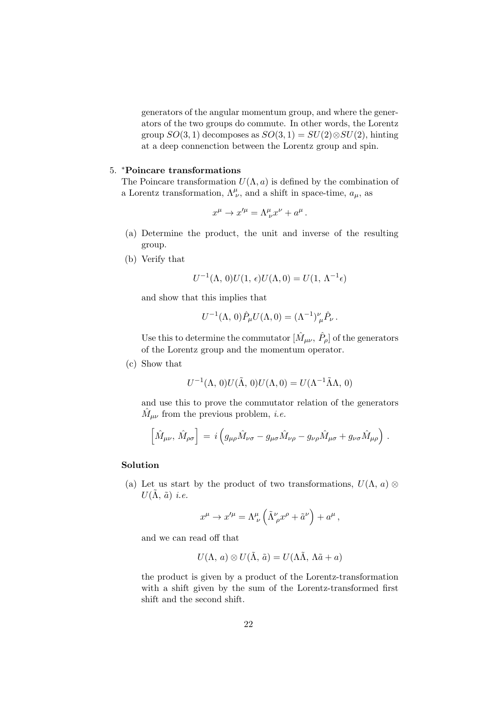generators of the angular momentum group, and where the generators of the two groups do commute. In other words, the Lorentz group  $SO(3, 1)$  decomposes as  $SO(3, 1) = SU(2) \otimes SU(2)$ , hinting at a deep connenction between the Lorentz group and spin.

#### 5. <sup>∗</sup>Poincare transformations

The Poincare transformation  $U(\Lambda, a)$  is defined by the combination of a Lorentz transformation,  $\Lambda^{\mu}_{\nu}$ , and a shift in space-time,  $a_{\mu}$ , as

$$
x^{\mu} \to x'^{\mu} = \Lambda^{\mu}_{\ \nu} x^{\nu} + a^{\mu}.
$$

- (a) Determine the product, the unit and inverse of the resulting group.
- (b) Verify that

$$
U^{-1}(\Lambda, 0)U(1, \epsilon)U(\Lambda, 0) = U(1, \Lambda^{-1}\epsilon)
$$

and show that this implies that

$$
U^{-1}(\Lambda, 0)\hat{P}_{\mu}U(\Lambda, 0) = (\Lambda^{-1})^{\nu}_{\mu}\hat{P}_{\nu}.
$$

Use this to determine the commutator  $[\hat{M}_{\mu\nu}, \hat{P}_{\rho}]$  of the generators of the Lorentz group and the momentum operator.

(c) Show that

$$
U^{-1}(\Lambda, 0)U(\tilde{\Lambda}, 0)U(\Lambda, 0) = U(\Lambda^{-1}\tilde{\Lambda}\Lambda, 0)
$$

and use this to prove the commutator relation of the generators  $\hat{M}_{\mu\nu}$  from the previous problem, *i.e.* 

$$
\left[\hat{M}_{\mu\nu},\,\hat{M}_{\rho\sigma}\right] = i \left(g_{\mu\rho}\hat{M}_{\nu\sigma} - g_{\mu\sigma}\hat{M}_{\nu\rho} - g_{\nu\rho}\hat{M}_{\mu\sigma} + g_{\nu\sigma}\hat{M}_{\mu\rho}\right) \,.
$$

#### Solution

(a) Let us start by the product of two transformations,  $U(\Lambda, a)$  $U(\Lambda, \tilde{a})$  *i.e.* 

$$
x^{\mu} \rightarrow x'^{\mu} = \Lambda^{\mu}_{\ \nu} \left( \tilde{\Lambda}^{\nu}_{\ \rho} x^{\rho} + \tilde{a}^{\nu} \right) + a^{\mu} \,,
$$

and we can read off that

$$
U(\Lambda, a) \otimes U(\tilde{\Lambda}, \tilde{a}) = U(\Lambda \tilde{\Lambda}, \Lambda \tilde{a} + a)
$$

the product is given by a product of the Lorentz-transformation with a shift given by the sum of the Lorentz-transformed first shift and the second shift.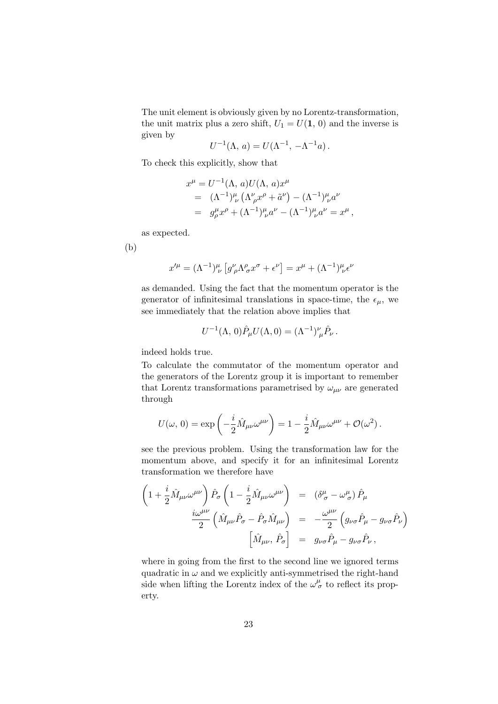The unit element is obviously given by no Lorentz-transformation, the unit matrix plus a zero shift,  $U_1 = U(1, 0)$  and the inverse is given by

$$
U^{-1}(\Lambda, a) = U(\Lambda^{-1}, -\Lambda^{-1}a).
$$

To check this explicitly, show that

$$
x^{\mu} = U^{-1}(\Lambda, a)U(\Lambda, a)x^{\mu}
$$
  
=  $({\Lambda}^{-1})^{\mu}_{\nu} ({\Lambda}^{\nu}_{\rho}x^{\rho} + {\tilde{a}}^{\nu}) - ({\Lambda}^{-1})^{\mu}_{\nu}a^{\nu}$   
=  $g^{\mu}_{\rho}x^{\rho} + ({\Lambda}^{-1})^{\mu}_{\nu}a^{\nu} - ({\Lambda}^{-1})^{\mu}_{\nu}a^{\nu} = x^{\mu},$ 

as expected.

(b)

$$
x^{\prime \mu} = (\Lambda^{-1})^{\mu}_{\ \nu} \left[ g^{\nu}_{\ \rho} \Lambda^{\rho}_{\ \sigma} x^{\sigma} + \epsilon^{\nu} \right] = x^{\mu} + (\Lambda^{-1})^{\mu}_{\ \nu} \epsilon^{\nu}
$$

as demanded. Using the fact that the momentum operator is the generator of infinitesimal translations in space-time, the  $\epsilon_{\mu}$ , we see immediately that the relation above implies that

$$
U^{-1}(\Lambda, 0)\hat{P}_{\mu}U(\Lambda, 0) = (\Lambda^{-1})^{\nu}_{\mu}\hat{P}_{\nu}.
$$

indeed holds true.

To calculate the commutator of the momentum operator and the generators of the Lorentz group it is important to remember that Lorentz transformations parametrised by  $\omega_{\mu\nu}$  are generated through

$$
U(\omega, 0) = \exp\left(-\frac{i}{2}\hat{M}_{\mu\nu}\omega^{\mu\nu}\right) = 1 - \frac{i}{2}\hat{M}_{\mu\nu}\omega^{\mu\nu} + \mathcal{O}(\omega^2).
$$

see the previous problem. Using the transformation law for the momentum above, and specify it for an infinitesimal Lorentz transformation we therefore have

$$
\begin{array}{rcl} \left(1+\frac{i}{2}\hat{M}_{\mu\nu}\omega^{\mu\nu}\right)\hat{P}_{\sigma}\left(1-\frac{i}{2}\hat{M}_{\mu\nu}\omega^{\mu\nu}\right)&=&\left(\delta^{\mu}_{\ \sigma}-\omega^{\mu}_{\ \sigma}\right)\hat{P}_{\mu}\\ &\frac{i\omega^{\mu\nu}}{2}\left(\hat{M}_{\mu\nu}\hat{P}_{\sigma}-\hat{P}_{\sigma}\hat{M}_{\mu\nu}\right)&=&-\frac{\omega^{\mu\nu}}{2}\left(g_{\nu\sigma}\hat{P}_{\mu}-g_{\nu\sigma}\hat{P}_{\nu}\right)\\ &\left[\hat{M}_{\mu\nu},\,\hat{P}_{\sigma}\right]&=&g_{\nu\sigma}\hat{P}_{\mu}-g_{\nu\sigma}\hat{P}_{\nu}\,, \end{array}
$$

where in going from the first to the second line we ignored terms quadratic in  $\omega$  and we explicitly anti-symmetrised the right-hand side when lifting the Lorentz index of the  $\omega^{\mu}_{\sigma}$  to reflect its property.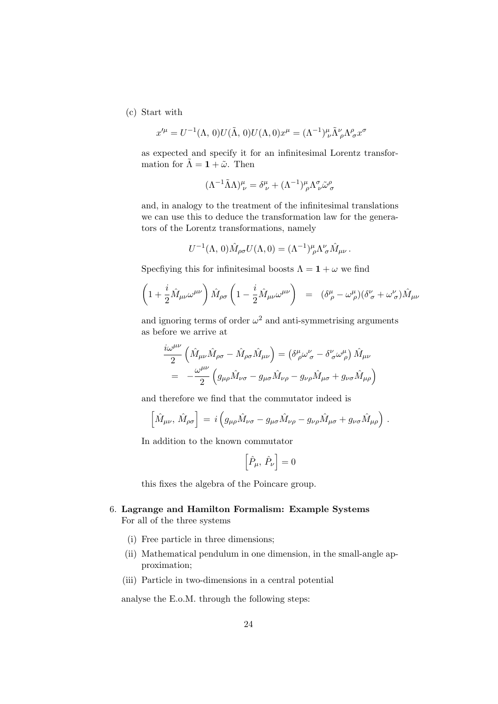(c) Start with

$$
x^{\prime \mu} = U^{-1}(\Lambda, 0)U(\tilde{\Lambda}, 0)U(\Lambda, 0)x^{\mu} = (\Lambda^{-1})^{\mu}_{\nu} \tilde{\Lambda}^{\nu}_{\rho} \Lambda^{\rho}_{\sigma} x^{\sigma}
$$

as expected and specify it for an infinitesimal Lorentz transformation for  $\tilde{\Lambda} = \mathbf{1} + \tilde{\omega}$ . Then

$$
(\Lambda^{-1}\tilde{\Lambda}\Lambda)^{\mu}_{\nu} = \delta^{\mu}_{\nu} + (\Lambda^{-1})^{\mu}_{\rho} \Lambda^{\sigma}_{\nu} \tilde{\omega}^{\rho}_{\sigma}
$$

and, in analogy to the treatment of the infinitesimal translations we can use this to deduce the transformation law for the generators of the Lorentz transformations, namely

$$
U^{-1}(\Lambda, 0)\hat{M}_{\rho\sigma}U(\Lambda, 0) = (\Lambda^{-1})^{\mu}_{\rho}\Lambda^{\nu}_{\sigma}\hat{M}_{\mu\nu}.
$$

Specfiying this for infinitesimal boosts  $\Lambda = 1 + \omega$  we find

$$
\left(1+\frac{i}{2}\hat{M}_{\mu\nu}\omega^{\mu\nu}\right)\hat{M}_{\rho\sigma}\left(1-\frac{i}{2}\hat{M}_{\mu\nu}\omega^{\mu\nu}\right) = (\delta^{\mu}_{\ \rho}-\omega^{\mu}_{\ \rho})(\delta^{\nu}_{\ \sigma}+\omega^{\nu}_{\ \sigma})\hat{M}_{\mu\nu}
$$

and ignoring terms of order  $\omega^2$  and anti-symmetrising arguments as before we arrive at

$$
\frac{i\omega^{\mu\nu}}{2} \left( \hat{M}_{\mu\nu} \hat{M}_{\rho\sigma} - \hat{M}_{\rho\sigma} \hat{M}_{\mu\nu} \right) = \left( \delta^{\mu}_{\ \rho} \omega^{\nu}_{\ \sigma} - \delta^{\nu}_{\ \sigma} \omega^{\mu}_{\ \rho} \right) \hat{M}_{\mu\nu} \n= -\frac{\omega^{\mu\nu}}{2} \left( g_{\mu\rho} \hat{M}_{\nu\sigma} - g_{\mu\sigma} \hat{M}_{\nu\rho} - g_{\nu\rho} \hat{M}_{\mu\sigma} + g_{\nu\sigma} \hat{M}_{\mu\rho} \right)
$$

and therefore we find that the commutator indeed is

$$
\left[\hat{M}_{\mu\nu},\,\hat{M}_{\rho\sigma}\right] = i \left(g_{\mu\rho}\hat{M}_{\nu\sigma} - g_{\mu\sigma}\hat{M}_{\nu\rho} - g_{\nu\rho}\hat{M}_{\mu\sigma} + g_{\nu\sigma}\hat{M}_{\mu\rho}\right) .
$$

In addition to the known commutator

$$
\left[\hat{P}_{\mu},\,\hat{P}_{\nu}\right]=0
$$

this fixes the algebra of the Poincare group.

## 6. Lagrange and Hamilton Formalism: Example Systems For all of the three systems

- (i) Free particle in three dimensions;
- (ii) Mathematical pendulum in one dimension, in the small-angle approximation;
- (iii) Particle in two-dimensions in a central potential

analyse the E.o.M. through the following steps: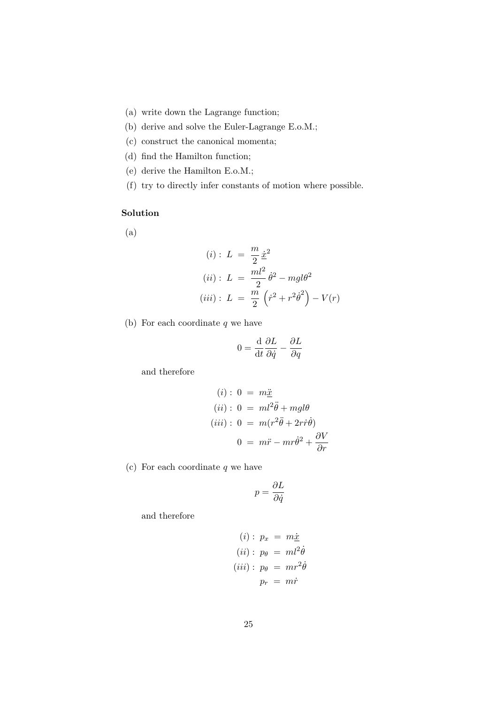- (a) write down the Lagrange function;
- (b) derive and solve the Euler-Lagrange E.o.M.;
- (c) construct the canonical momenta;
- (d) find the Hamilton function;
- (e) derive the Hamilton E.o.M.;
- (f) try to directly infer constants of motion where possible.

## Solution

(a)

(i): 
$$
L = \frac{m}{2} \dot{x}^2
$$
  
\n(ii):  $L = \frac{ml^2}{2} \dot{\theta}^2 - mgl\theta^2$   
\n(iii):  $L = \frac{m}{2} \left( \dot{r}^2 + r^2 \dot{\theta}^2 \right) - V(r)$ 

(b) For each coordinate  $q$  we have

$$
0 = \frac{\mathrm{d}}{\mathrm{d}t} \frac{\partial L}{\partial \dot{q}} - \frac{\partial L}{\partial q}
$$

and therefore

$$
(i): 0 = m\underline{\ddot{x}}
$$
  
\n
$$
(ii): 0 = ml^2\ddot{\theta} + mgl\theta
$$
  
\n
$$
(iii): 0 = m(r^2\ddot{\theta} + 2r\dot{r}\dot{\theta})
$$
  
\n
$$
0 = m\ddot{r} - mr\dot{\theta}^2 + \frac{\partial V}{\partial r}
$$

(c) For each coordinate  $q$  we have

$$
p=\frac{\partial L}{\partial \dot{q}}
$$

and therefore

$$
(i): p_x = m\underline{\dot{x}}\n(ii): p_\theta = ml^2\dot{\theta}\n(iii): p_\theta = mr^2\dot{\theta}\np_r = m\dot{r}
$$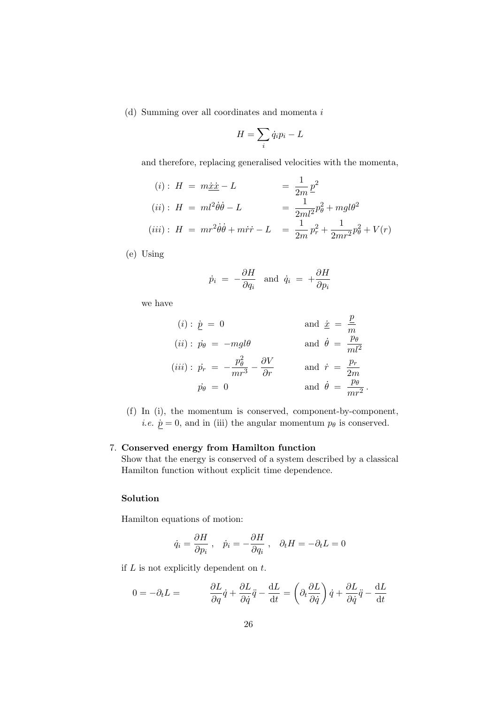(d) Summing over all coordinates and momenta i

$$
H = \sum_i \dot{q}_i p_i - L
$$

and therefore, replacing generalised velocities with the momenta,

$$
(i): H = m\underline{\dot{x}} \underline{\dot{x}} - L = \frac{1}{2m} \underline{p}^2
$$
  

$$
(ii): H = ml^2 \dot{\theta} \dot{\theta} - L = \frac{1}{2ml^2} p_\theta^2 + mgl\theta^2
$$
  

$$
(iii): H = mr^2 \dot{\theta} \dot{\theta} + m\dot{r} \dot{r} - L = \frac{1}{2m} p_r^2 + \frac{1}{2mr^2} p_\theta^2 + V(r)
$$

(e) Using

$$
\dot{p}_i = -\frac{\partial H}{\partial q_i} \text{ and } \dot{q}_i = +\frac{\partial H}{\partial p_i}
$$

we have

$$
(i): \underline{\dot{p}} = 0 \qquad \text{and } \underline{\dot{x}} = \frac{\underline{p}}{m}
$$
  
\n
$$
(ii): \vec{p}_{\theta} = -mgl\theta \qquad \text{and } \dot{\theta} = \frac{p_{\theta}}{ml^2}
$$
  
\n
$$
(iii): \vec{p}_r = -\frac{p_{\theta}^2}{mr^3} - \frac{\partial V}{\partial r} \qquad \text{and } \dot{r} = \frac{p_r}{2m}
$$
  
\n
$$
\vec{p}_{\theta} = 0 \qquad \text{and } \dot{\theta} = \frac{p_{\theta}}{mr^2}.
$$

(f) In (i), the momentum is conserved, component-by-component, *i.e.*  $\dot{p} = 0$ , and in (iii) the angular momentum  $p_{\theta}$  is conserved.

#### 7. Conserved energy from Hamilton function

Show that the energy is conserved of a system described by a classical Hamilton function without explicit time dependence.

## Solution

Hamilton equations of motion:

$$
\dot{q}_i = \frac{\partial H}{\partial p_i}
$$
,  $\dot{p}_i = -\frac{\partial H}{\partial q_i}$ ,  $\partial_t H = -\partial_t L = 0$ 

if  $L$  is not explicitly dependent on  $t$ .

$$
0 = -\partial_t L = \frac{\partial L}{\partial q}\dot{q} + \frac{\partial L}{\partial \dot{q}}\ddot{q} - \frac{\mathrm{d}L}{\mathrm{d}t} = \left(\partial_t \frac{\partial L}{\partial \dot{q}}\right)\dot{q} + \frac{\partial L}{\partial \dot{q}}\ddot{q} - \frac{\mathrm{d}L}{\mathrm{d}t}
$$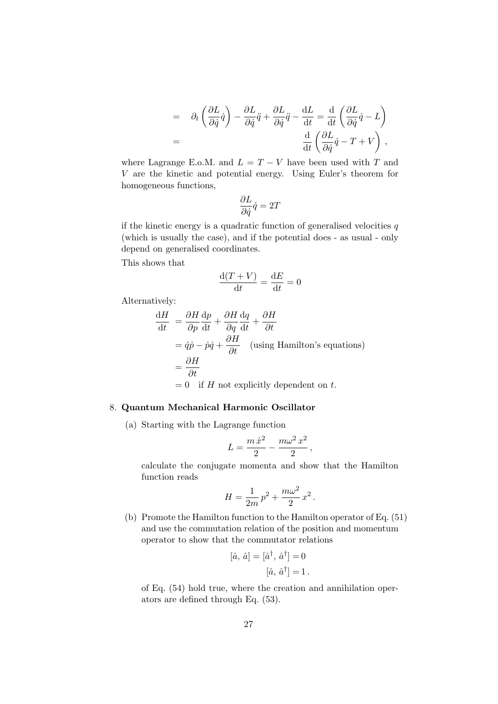$$
= \partial_t \left( \frac{\partial L}{\partial \dot{q}} \dot{q} \right) - \frac{\partial L}{\partial \dot{q}} \ddot{q} + \frac{\partial L}{\partial \dot{q}} \ddot{q} - \frac{\mathrm{d}L}{\mathrm{d}t} = \frac{\mathrm{d}}{\mathrm{d}t} \left( \frac{\partial L}{\partial \dot{q}} \dot{q} - L \right)
$$
  

$$
= \frac{\mathrm{d}}{\mathrm{d}t} \left( \frac{\partial L}{\partial \dot{q}} \dot{q} - T + V \right),
$$

where Lagrange E.o.M. and  $L = T - V$  have been used with T and V are the kinetic and potential energy. Using Euler's theorem for homogeneous functions,

$$
\frac{\partial L}{\partial \dot{q}}\dot{q}=2T
$$

if the kinetic energy is a quadratic function of generalised velocities  $q$ (which is usually the case), and if the potential does - as usual - only depend on generalised coordinates.

This shows that

$$
\frac{\mathrm{d}(T+V)}{\mathrm{d}t} = \frac{\mathrm{d}E}{\mathrm{d}t} = 0
$$

Alternatively:

$$
\frac{dH}{dt} = \frac{\partial H}{\partial p}\frac{dp}{dt} + \frac{\partial H}{\partial q}\frac{dq}{dt} + \frac{\partial H}{\partial t}
$$
  
=  $\dot{q}\dot{p} - \dot{p}\dot{q} + \frac{\partial H}{\partial t}$  (using Hamilton's equations)  
=  $\frac{\partial H}{\partial t}$   
= 0 if *H* not explicitly dependent on *t*.

#### 8. Quantum Mechanical Harmonic Oscillator

(a) Starting with the Lagrange function

$$
L=\frac{m\,\dot{x}^2}{2}-\frac{m\omega^2\,x^2}{2}\,,
$$

calculate the conjugate momenta and show that the Hamilton function reads

$$
H = \frac{1}{2m} p^2 + \frac{m\omega^2}{2} x^2.
$$

(b) Promote the Hamilton function to the Hamilton operator of Eq. (51) and use the commutation relation of the position and momentum operator to show that the commutator relations

$$
[\hat{a}, \hat{a}] = [\hat{a}^{\dagger}, \hat{a}^{\dagger}] = 0
$$

$$
[\hat{a}, \hat{a}^{\dagger}] = 1.
$$

of Eq. (54) hold true, where the creation and annihilation operators are defined through Eq. (53).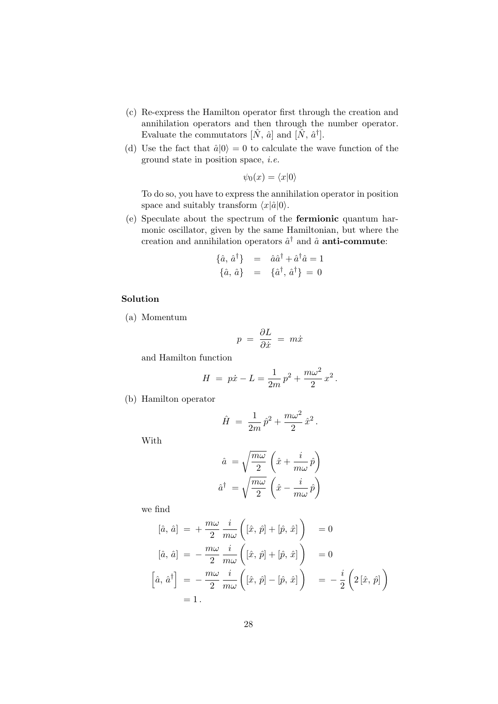- (c) Re-express the Hamilton operator first through the creation and annihilation operators and then through the number operator. Evaluate the commutators  $[\hat{N}, \hat{a}]$  and  $[\hat{N}, \hat{a}^{\dagger}]$ .
- (d) Use the fact that  $\hat{a}|0\rangle = 0$  to calculate the wave function of the ground state in position space, i.e.

$$
\psi_0(x) = \langle x|0\rangle
$$

To do so, you have to express the annihilation operator in position space and suitably transform  $\langle x|\hat{a}|0\rangle$ .

(e) Speculate about the spectrum of the fermionic quantum harmonic oscillator, given by the same Hamiltonian, but where the creation and annihilation operators  $\hat{a}^{\dagger}$  and  $\hat{a}$  anti-commute:

$$
\begin{array}{rcl} \{\hat{a}, \, \hat{a}^{\dagger}\} & = & \hat{a}\hat{a}^{\dagger} + \hat{a}^{\dagger}\hat{a} = 1 \\ \{\hat{a}, \, \hat{a}\} & = & \{\hat{a}^{\dagger}, \, \hat{a}^{\dagger}\} = 0 \end{array}
$$

## Solution

(a) Momentum

$$
p = \frac{\partial L}{\partial \dot{x}} = m\dot{x}
$$

and Hamilton function

$$
H = p\dot{x} - L = \frac{1}{2m}p^2 + \frac{m\omega^2}{2}x^2.
$$

(b) Hamilton operator

$$
\hat{H} ~=~ \frac{1}{2m}\,\hat{p}^2 + \frac{m\omega^2}{2}\,\hat{x}^2{\,}.
$$

With

$$
\begin{aligned}\n\hat{a} &= \sqrt{\frac{m\omega}{2}} \left( \hat{x} + \frac{i}{m\omega} \hat{p} \right) \\
\hat{a}^{\dagger} &= \sqrt{\frac{m\omega}{2}} \left( \hat{x} - \frac{i}{m\omega} \hat{p} \right)\n\end{aligned}
$$

we find

$$
[\hat{a}, \hat{a}] = +\frac{m\omega}{2} \frac{i}{m\omega} \left( [\hat{x}, \hat{p}] + [\hat{p}, \hat{x}] \right) = 0
$$
  

$$
[\hat{a}, \hat{a}] = -\frac{m\omega}{2} \frac{i}{m\omega} \left( [\hat{x}, \hat{p}] + [\hat{p}, \hat{x}] \right) = 0
$$
  

$$
[\hat{a}, \hat{a}^{\dagger}] = -\frac{m\omega}{2} \frac{i}{m\omega} \left( [\hat{x}, \hat{p}] - [\hat{p}, \hat{x}] \right) = -\frac{i}{2} \left( 2 [\hat{x}, \hat{p}] \right)
$$
  

$$
= 1.
$$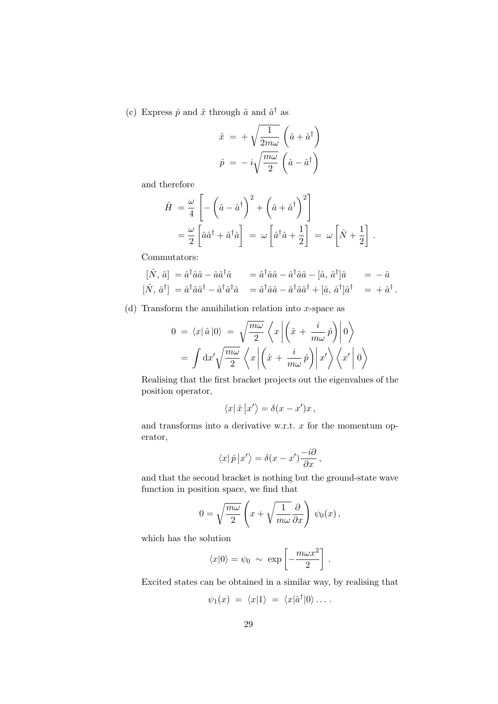(c) Express  $\hat{p}$  and  $\hat{x}$  through  $\hat{a}$  and  $\hat{a}^{\dagger}$  as

$$
\hat{x} = +\sqrt{\frac{1}{2m\omega}} \left(\hat{a} + \hat{a}^{\dagger}\right)
$$

$$
\hat{p} = -i\sqrt{\frac{m\omega}{2}} \left(\hat{a} - \hat{a}^{\dagger}\right)
$$

and therefore

$$
\hat{H} = \frac{\omega}{4} \left[ -\left(\hat{a} - \hat{a}^{\dagger}\right)^2 + \left(\hat{a} + \hat{a}^{\dagger}\right)^2 \right] \n= \frac{\omega}{2} \left[ \hat{a}\hat{a}^{\dagger} + \hat{a}^{\dagger}\hat{a} \right] = \omega \left[ \hat{a}^{\dagger}\hat{a} + \frac{1}{2} \right] = \omega \left[ \hat{N} + \frac{1}{2} \right].
$$

Commutators:

$$
[\hat{N}, \hat{a}] = \hat{a}^{\dagger} \hat{a} \hat{a} - \hat{a} \hat{a}^{\dagger} \hat{a} \qquad = \hat{a}^{\dagger} \hat{a} \hat{a} - \hat{a}^{\dagger} \hat{a} \hat{a} - [\hat{a}, \hat{a}^{\dagger}] \hat{a} \qquad = -\hat{a}
$$
  

$$
[\hat{N}, \hat{a}^{\dagger}] = \hat{a}^{\dagger} \hat{a} \hat{a}^{\dagger} - \hat{a}^{\dagger} \hat{a}^{\dagger} \hat{a} \qquad = \hat{a}^{\dagger} \hat{a} \hat{a} - \hat{a}^{\dagger} \hat{a} \hat{a}^{\dagger} + [\hat{a}, \hat{a}^{\dagger}] \hat{a}^{\dagger} \qquad = + \hat{a}^{\dagger}.
$$

(d) Transform the annihilation relation into  $x$ -space as

$$
0 = \langle x | \hat{a} | 0 \rangle = \sqrt{\frac{m\omega}{2}} \langle x | \left( \hat{x} + \frac{i}{m\omega} \hat{p} \right) | 0 \rangle
$$

$$
= \int dx' \sqrt{\frac{m\omega}{2}} \langle x | \left( \hat{x} + \frac{i}{m\omega} \hat{p} \right) | x' \rangle \langle x' | 0 \rangle
$$

Realising that the first bracket projects out the eigenvalues of the position operator,

$$
\langle x|\,\hat{x}\,\big|x'\big\rangle=\delta(x-x')x\,,
$$

and transforms into a derivative w.r.t.  $x$  for the momentum operator,

$$
\langle x|\hat{p}|x'\rangle = \delta(x-x')\frac{-i\partial}{\partial x},
$$

and that the second bracket is nothing but the ground-state wave function in position space, we find that

$$
0 = \sqrt{\frac{m\omega}{2}} \left( x + \sqrt{\frac{1}{m\omega}} \frac{\partial}{\partial x} \right) \psi_0(x) ,
$$

which has the solution

$$
\langle x|0\rangle = \psi_0 \sim \exp\left[-\frac{m\omega x^2}{2}\right].
$$

Excited states can be obtained in a similar way, by realising that

$$
\psi_1(x) = \langle x|1\rangle = \langle x|\hat{a}^\dagger|0\rangle \dots
$$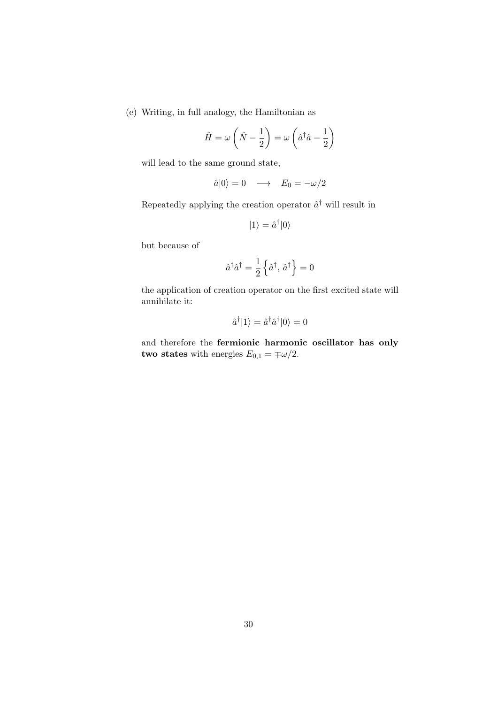(e) Writing, in full analogy, the Hamiltonian as

$$
\hat{H} = \omega \left( \hat{N} - \frac{1}{2} \right) = \omega \left( \hat{a}^\dagger \hat{a} - \frac{1}{2} \right)
$$

will lead to the same ground state,

$$
\hat{a}|0\rangle = 0 \quad \longrightarrow \quad E_0 = -\omega/2
$$

Repeatedly applying the creation operator  $\hat{a}^{\dagger}$  will result in

$$
|1\rangle = \hat{a}^{\dagger} |0\rangle
$$

but because of

$$
\hat{a}^\dagger \hat{a}^\dagger = \frac{1}{2} \left\{ \hat{a}^\dagger, \, \hat{a}^\dagger \right\} = 0
$$

the application of creation operator on the first excited state will annihilate it:

$$
\hat{a}^{\dagger}|1\rangle = \hat{a}^{\dagger}\hat{a}^{\dagger}|0\rangle = 0
$$

and therefore the fermionic harmonic oscillator has only **two states** with energies  $E_{0,1} = \pm \omega/2$ .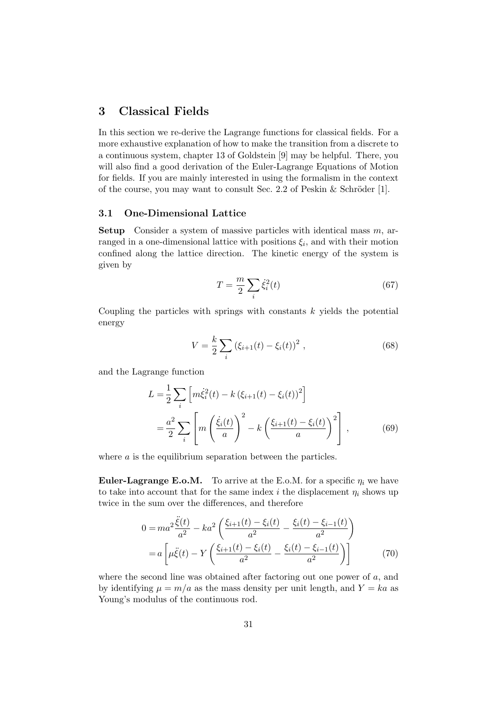## 3 Classical Fields

In this section we re-derive the Lagrange functions for classical fields. For a more exhaustive explanation of how to make the transition from a discrete to a continuous system, chapter 13 of Goldstein [9] may be helpful. There, you will also find a good derivation of the Euler-Lagrange Equations of Motion for fields. If you are mainly interested in using the formalism in the context of the course, you may want to consult Sec. 2.2 of Peskin  $&$  Schröder [1].

#### 3.1 One-Dimensional Lattice

**Setup** Consider a system of massive particles with identical mass  $m$ , arranged in a one-dimensional lattice with positions  $\xi_i$ , and with their motion confined along the lattice direction. The kinetic energy of the system is given by

$$
T = \frac{m}{2} \sum_{i} \dot{\xi}_i^2(t) \tag{67}
$$

Coupling the particles with springs with constants  $k$  yields the potential energy

$$
V = \frac{k}{2} \sum_{i} \left( \xi_{i+1}(t) - \xi_{i}(t) \right)^{2}, \qquad (68)
$$

and the Lagrange function

$$
L = \frac{1}{2} \sum_{i} \left[ m \dot{\xi}_{i}^{2}(t) - k \left( \xi_{i+1}(t) - \xi_{i}(t) \right)^{2} \right]
$$
  
=  $\frac{a^{2}}{2} \sum_{i} \left[ m \left( \frac{\dot{\xi}_{i}(t)}{a} \right)^{2} - k \left( \frac{\xi_{i+1}(t) - \xi_{i}(t)}{a} \right)^{2} \right],$  (69)

where a is the equilibrium separation between the particles.

**Euler-Lagrange E.o.M.** To arrive at the E.o.M. for a specific  $\eta_i$  we have to take into account that for the same index i the displacement  $\eta_i$  shows up twice in the sum over the differences, and therefore

$$
0 = ma^{2} \frac{\ddot{\xi}(t)}{a^{2}} - ka^{2} \left( \frac{\xi_{i+1}(t) - \xi_{i}(t)}{a^{2}} - \frac{\xi_{i}(t) - \xi_{i-1}(t)}{a^{2}} \right)
$$
  
=  $a \left[ \mu \ddot{\xi}(t) - Y \left( \frac{\xi_{i+1}(t) - \xi_{i}(t)}{a^{2}} - \frac{\xi_{i}(t) - \xi_{i-1}(t)}{a^{2}} \right) \right]$  (70)

where the second line was obtained after factoring out one power of  $a$ , and by identifying  $\mu = m/a$  as the mass density per unit length, and  $Y = ka$  as Young's modulus of the continuous rod.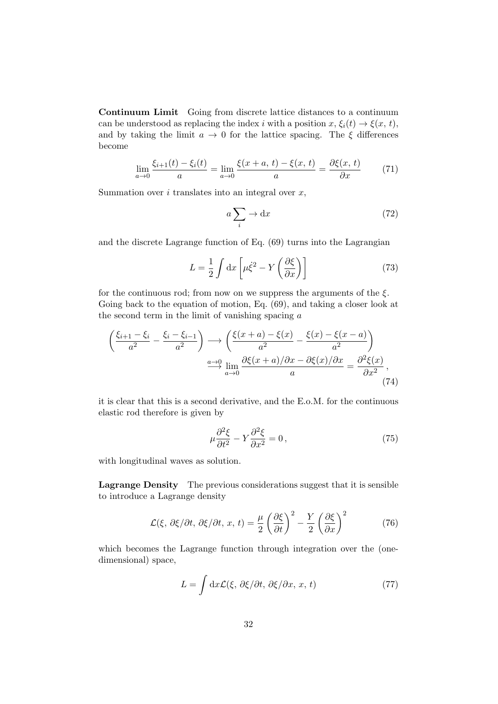Continuum Limit Going from discrete lattice distances to a continuum can be understood as replacing the index i with a position  $x, \xi_i(t) \to \xi(x, t)$ , and by taking the limit  $a \to 0$  for the lattice spacing. The  $\xi$  differences become

$$
\lim_{a \to 0} \frac{\xi_{i+1}(t) - \xi_i(t)}{a} = \lim_{a \to 0} \frac{\xi(x+a, t) - \xi(x, t)}{a} = \frac{\partial \xi(x, t)}{\partial x}
$$
(71)

Summation over  $i$  translates into an integral over  $x$ ,

$$
a\sum_{i} \to \mathrm{d}x\tag{72}
$$

and the discrete Lagrange function of Eq. (69) turns into the Lagrangian

$$
L = \frac{1}{2} \int dx \left[ \mu \dot{\xi}^2 - Y \left( \frac{\partial \xi}{\partial x} \right) \right]
$$
 (73)

for the continuous rod; from now on we suppress the arguments of the  $\xi$ . Going back to the equation of motion, Eq.  $(69)$ , and taking a closer look at the second term in the limit of vanishing spacing a

$$
\left(\frac{\xi_{i+1} - \xi_i}{a^2} - \frac{\xi_i - \xi_{i-1}}{a^2}\right) \longrightarrow \left(\frac{\xi(x+a) - \xi(x)}{a^2} - \frac{\xi(x) - \xi(x-a)}{a^2}\right)
$$

$$
\xrightarrow{a \to 0} \lim_{a \to 0} \frac{\partial \xi(x+a)/\partial x - \partial \xi(x)/\partial x}{a} = \frac{\partial^2 \xi(x)}{\partial x^2},
$$
(74)

it is clear that this is a second derivative, and the E.o.M. for the continuous elastic rod therefore is given by

$$
\mu \frac{\partial^2 \xi}{\partial t^2} - Y \frac{\partial^2 \xi}{\partial x^2} = 0,
$$
\n(75)

with longitudinal waves as solution.

Lagrange Density The previous considerations suggest that it is sensible to introduce a Lagrange density

$$
\mathcal{L}(\xi, \partial \xi/\partial t, \partial \xi/\partial t, x, t) = \frac{\mu}{2} \left(\frac{\partial \xi}{\partial t}\right)^2 - \frac{Y}{2} \left(\frac{\partial \xi}{\partial x}\right)^2 \tag{76}
$$

which becomes the Lagrange function through integration over the (onedimensional) space,

$$
L = \int dx \mathcal{L}(\xi, \partial \xi / \partial t, \partial \xi / \partial x, x, t)
$$
 (77)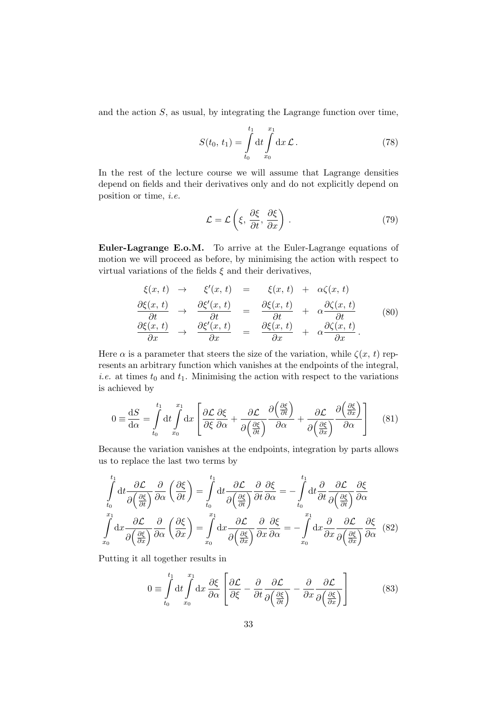and the action S, as usual, by integrating the Lagrange function over time,

$$
S(t_0, t_1) = \int_{t_0}^{t_1} dt \int_{x_0}^{x_1} dx \mathcal{L}.
$$
 (78)

In the rest of the lecture course we will assume that Lagrange densities depend on fields and their derivatives only and do not explicitly depend on position or time, i.e.

$$
\mathcal{L} = \mathcal{L}\left(\xi, \frac{\partial \xi}{\partial t}, \frac{\partial \xi}{\partial x}\right). \tag{79}
$$

Euler-Lagrange E.o.M. To arrive at the Euler-Lagrange equations of motion we will proceed as before, by minimising the action with respect to virtual variations of the fields  $\xi$  and their derivatives,

$$
\begin{array}{rcl}\n\xi(x,t) & \rightarrow & \xi'(x,t) & = & \xi(x,t) & + & \alpha \zeta(x,t) \\
\frac{\partial \xi(x,t)}{\partial t} & \rightarrow & \frac{\partial \xi'(x,t)}{\partial t} & = & \frac{\partial \xi(x,t)}{\partial t} & + & \alpha \frac{\partial \zeta(x,t)}{\partial t} \\
\frac{\partial \xi(x,t)}{\partial x} & \rightarrow & \frac{\partial \xi'(x,t)}{\partial x} & = & \frac{\partial \xi(x,t)}{\partial x} & + & \alpha \frac{\partial \zeta(x,t)}{\partial x}.\n\end{array} \tag{80}
$$

Here  $\alpha$  is a parameter that steers the size of the variation, while  $\zeta(x, t)$  represents an arbitrary function which vanishes at the endpoints of the integral, *i.e.* at times  $t_0$  and  $t_1$ . Minimising the action with respect to the variations is achieved by

$$
0 \equiv \frac{\mathrm{d}S}{\mathrm{d}\alpha} = \int_{t_0}^{t_1} \mathrm{d}t \int_{x_0}^{x_1} \mathrm{d}x \left[ \frac{\partial \mathcal{L}}{\partial \xi} \frac{\partial \xi}{\partial \alpha} + \frac{\partial \mathcal{L}}{\partial \left( \frac{\partial \xi}{\partial t} \right)} \frac{\partial \left( \frac{\partial \xi}{\partial t} \right)}{\partial \alpha} + \frac{\partial \mathcal{L}}{\partial \left( \frac{\partial \xi}{\partial x} \right)} \frac{\partial \left( \frac{\partial \xi}{\partial x} \right)}{\partial \alpha} \right] \tag{81}
$$

Because the variation vanishes at the endpoints, integration by parts allows us to replace the last two terms by

$$
\int_{t_0}^{t_1} dt \frac{\partial \mathcal{L}}{\partial \left(\frac{\partial \xi}{\partial t}\right)} \frac{\partial}{\partial \alpha} \left(\frac{\partial \xi}{\partial t}\right) = \int_{t_0}^{t_1} dt \frac{\partial \mathcal{L}}{\partial \left(\frac{\partial \xi}{\partial t}\right)} \frac{\partial}{\partial t} \frac{\partial \xi}{\partial \alpha} = -\int_{t_0}^{t_1} dt \frac{\partial}{\partial t} \frac{\partial \mathcal{L}}{\partial \left(\frac{\partial \xi}{\partial t}\right)} \frac{\partial \xi}{\partial \alpha}
$$
\n
$$
\int_{x_0}^{x_1} dx \frac{\partial \mathcal{L}}{\partial \left(\frac{\partial \xi}{\partial x}\right)} \frac{\partial}{\partial \alpha} \left(\frac{\partial \xi}{\partial x}\right) = \int_{x_0}^{x_1} dx \frac{\partial \mathcal{L}}{\partial \left(\frac{\partial \xi}{\partial x}\right)} \frac{\partial}{\partial x} \frac{\partial \xi}{\partial \alpha} = -\int_{x_0}^{x_1} dx \frac{\partial}{\partial x} \frac{\partial \mathcal{L}}{\partial \left(\frac{\partial \xi}{\partial x}\right)} \frac{\partial \xi}{\partial \alpha} \quad (82)
$$

Putting it all together results in

$$
0 \equiv \int_{t_0}^{t_1} dt \int_{x_0}^{x_1} dx \frac{\partial \xi}{\partial \alpha} \left[ \frac{\partial \mathcal{L}}{\partial \xi} - \frac{\partial}{\partial t} \frac{\partial \mathcal{L}}{\partial \left( \frac{\partial \xi}{\partial t} \right)} - \frac{\partial}{\partial x} \frac{\partial \mathcal{L}}{\partial \left( \frac{\partial \xi}{\partial x} \right)} \right] \tag{83}
$$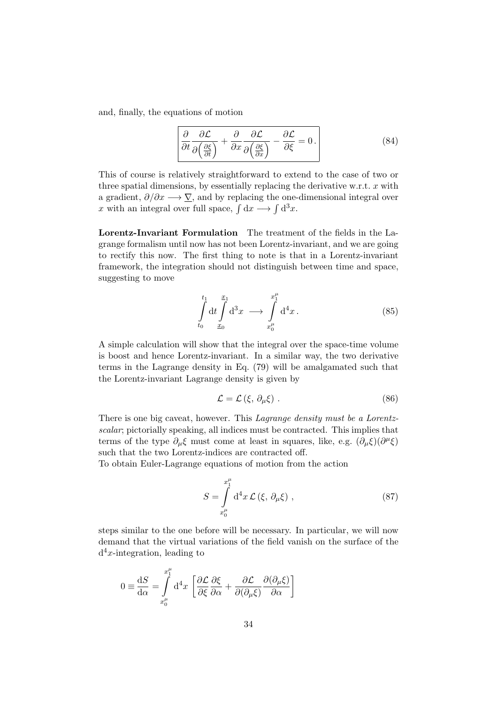and, finally, the equations of motion

$$
\left| \frac{\partial}{\partial t} \frac{\partial \mathcal{L}}{\partial \left( \frac{\partial \xi}{\partial t} \right)} + \frac{\partial}{\partial x} \frac{\partial \mathcal{L}}{\partial \left( \frac{\partial \xi}{\partial x} \right)} - \frac{\partial \mathcal{L}}{\partial \xi} = 0 \right| \tag{84}
$$

This of course is relatively straightforward to extend to the case of two or three spatial dimensions, by essentially replacing the derivative w.r.t.  $x$  with a gradient,  $\partial/\partial x \longrightarrow \nabla$ , and by replacing the one-dimensional integral over x with an integral over full space,  $\int dx \longrightarrow \int d^3x$ .

Lorentz-Invariant Formulation The treatment of the fields in the Lagrange formalism until now has not been Lorentz-invariant, and we are going to rectify this now. The first thing to note is that in a Lorentz-invariant framework, the integration should not distinguish between time and space, suggesting to move

$$
\int_{t_0}^{t_1} dt \int_{x_0}^{x_1} d^3x \longrightarrow \int_{x_0^{\mu}}^{x_1^{\mu}} d^4x.
$$
 (85)

A simple calculation will show that the integral over the space-time volume is boost and hence Lorentz-invariant. In a similar way, the two derivative terms in the Lagrange density in Eq. (79) will be amalgamated such that the Lorentz-invariant Lagrange density is given by

$$
\mathcal{L} = \mathcal{L}\left(\xi, \partial_{\mu}\xi\right). \tag{86}
$$

There is one big caveat, however. This Lagrange density must be a Lorentzscalar; pictorially speaking, all indices must be contracted. This implies that terms of the type  $\partial_{\mu}\xi$  must come at least in squares, like, e.g.  $(\partial_{\mu}\xi)(\partial^{\mu}\xi)$ such that the two Lorentz-indices are contracted off.

To obtain Euler-Lagrange equations of motion from the action

$$
S = \int_{x_0^{\mu}}^{x_1^{\mu}} d^4x \mathcal{L}(\xi, \partial_{\mu}\xi) , \qquad (87)
$$

steps similar to the one before will be necessary. In particular, we will now demand that the virtual variations of the field vanish on the surface of the  $d^4x$ -integration, leading to

$$
0 \equiv \frac{\mathrm{d}S}{\mathrm{d}\alpha} = \int_{x_0^{\mu}}^{x_1^{\mu}} \mathrm{d}^4 x \left[ \frac{\partial \mathcal{L}}{\partial \xi} \frac{\partial \xi}{\partial \alpha} + \frac{\partial \mathcal{L}}{\partial (\partial_{\mu} \xi)} \frac{\partial (\partial_{\mu} \xi)}{\partial \alpha} \right]
$$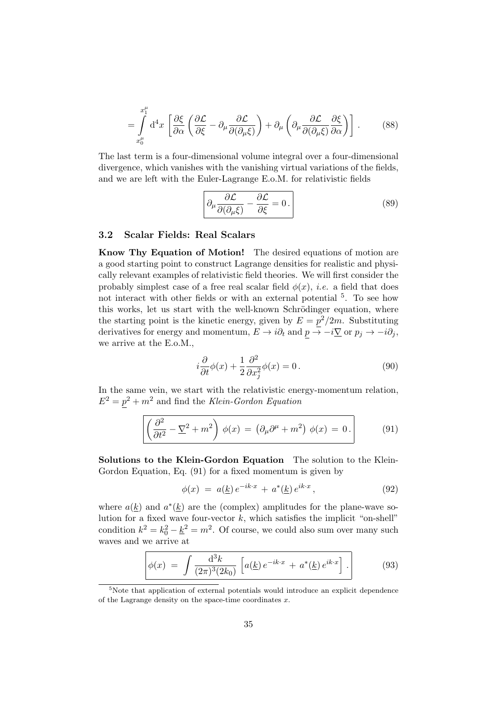$$
= \int_{x_0^{\mu}}^{x_1^{\mu}} d^4x \left[ \frac{\partial \xi}{\partial \alpha} \left( \frac{\partial \mathcal{L}}{\partial \xi} - \partial_{\mu} \frac{\partial \mathcal{L}}{\partial(\partial_{\mu} \xi)} \right) + \partial_{\mu} \left( \partial_{\mu} \frac{\partial \mathcal{L}}{\partial(\partial_{\mu} \xi)} \frac{\partial \xi}{\partial \alpha} \right) \right]. \tag{88}
$$

The last term is a four-dimensional volume integral over a four-dimensional divergence, which vanishes with the vanishing virtual variations of the fields, and we are left with the Euler-Lagrange E.o.M. for relativistic fields

$$
\left[\partial_{\mu}\frac{\partial \mathcal{L}}{\partial(\partial_{\mu}\xi)} - \frac{\partial \mathcal{L}}{\partial\xi} = 0.\right]
$$
 (89)

### 3.2 Scalar Fields: Real Scalars

Know Thy Equation of Motion! The desired equations of motion are a good starting point to construct Lagrange densities for realistic and physically relevant examples of relativistic field theories. We will first consider the probably simplest case of a free real scalar field  $\phi(x)$ , *i.e.* a field that does not interact with other fields or with an external potential <sup>5</sup>. To see how this works, let us start with the well-known Schrödinger equation, where the starting point is the kinetic energy, given by  $E = p^2/2m$ . Substituting derivatives for energy and momentum,  $E \to i\partial_t$  and  $p \to -i\nabla$  or  $p_j \to -i\partial_j$ , we arrive at the E.o.M.,

$$
i\frac{\partial}{\partial t}\phi(x) + \frac{1}{2}\frac{\partial^2}{\partial x_j^2}\phi(x) = 0.
$$
\n(90)

In the same vein, we start with the relativistic energy-momentum relation,  $E^2 = p^2 + m^2$  and find the Klein-Gordon Equation

$$
\left(\frac{\partial^2}{\partial t^2} - \underline{\nabla}^2 + m^2\right) \phi(x) = \left(\partial_\mu \partial^\mu + m^2\right) \phi(x) = 0.
$$
 (91)

Solutions to the Klein-Gordon Equation The solution to the Klein-Gordon Equation, Eq. (91) for a fixed momentum is given by

$$
\phi(x) = a(\underline{k}) e^{-ik \cdot x} + a^*(\underline{k}) e^{ik \cdot x}, \qquad (92)
$$

where  $a(\underline{k})$  and  $a^*(\underline{k})$  are the (complex) amplitudes for the plane-wave solution for a fixed wave four-vector  $k$ , which satisfies the implicit "on-shell" condition  $k^2 = k_0^2 - \underline{k}^2 = m^2$ . Of course, we could also sum over many such waves and we arrive at

$$
\phi(x) = \int \frac{\mathrm{d}^3 k}{(2\pi)^3 (2k_0)} \left[ a(\underline{k}) e^{-ik \cdot x} + a^*(\underline{k}) e^{ik \cdot x} \right]. \tag{93}
$$

 $5$ Note that application of external potentials would introduce an explicit dependence of the Lagrange density on the space-time coordinates  $x$ .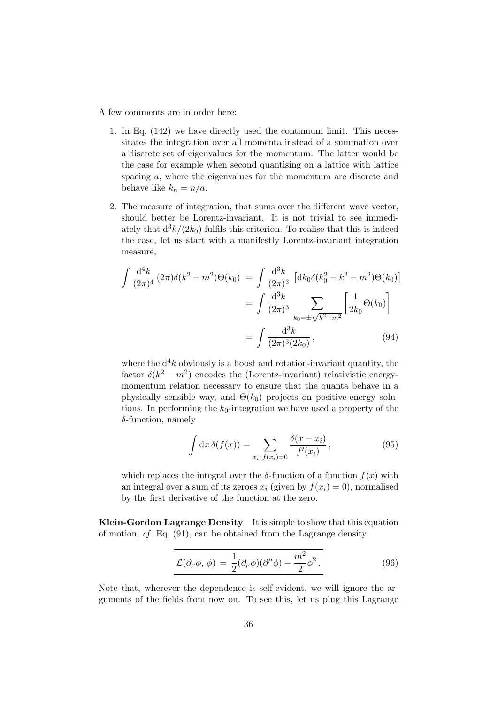#### A few comments are in order here:

- 1. In Eq. (142) we have directly used the continuum limit. This necessitates the integration over all momenta instead of a summation over a discrete set of eigenvalues for the momentum. The latter would be the case for example when second quantising on a lattice with lattice spacing a, where the eigenvalues for the momentum are discrete and behave like  $k_n = n/a$ .
- 2. The measure of integration, that sums over the different wave vector, should better be Lorentz-invariant. It is not trivial to see immediately that  $d^3k/(2k_0)$  fulfils this criterion. To realise that this is indeed the case, let us start with a manifestly Lorentz-invariant integration measure,

$$
\int \frac{d^4k}{(2\pi)^4} (2\pi)\delta(k^2 - m^2)\Theta(k_0) = \int \frac{d^3k}{(2\pi)^3} \left[ dk_0 \delta(k_0^2 - \underline{k}^2 - m^2)\Theta(k_0) \right]
$$

$$
= \int \frac{d^3k}{(2\pi)^3} \sum_{k_0 = \pm \sqrt{\underline{k}^2 + m^2}} \left[ \frac{1}{2k_0} \Theta(k_0) \right]
$$

$$
= \int \frac{d^3k}{(2\pi)^3 (2k_0)}, \qquad (94)
$$

where the  $d^4k$  obviously is a boost and rotation-invariant quantity, the factor  $\delta(k^2 - m^2)$  encodes the (Lorentz-invariant) relativistic energymomentum relation necessary to ensure that the quanta behave in a physically sensible way, and  $\Theta(k_0)$  projects on positive-energy solutions. In performing the  $k_0$ -integration we have used a property of the  $\delta$ -function, namely

$$
\int dx \,\delta(f(x)) = \sum_{x_i: f(x_i) = 0} \frac{\delta(x - x_i)}{f'(x_i)},\tag{95}
$$

which replaces the integral over the  $\delta$ -function of a function  $f(x)$  with an integral over a sum of its zeroes  $x_i$  (given by  $f(x_i) = 0$ ), normalised by the first derivative of the function at the zero.

Klein-Gordon Lagrange Density It is simple to show that this equation of motion, cf. Eq. (91), can be obtained from the Lagrange density

$$
\mathcal{L}(\partial_{\mu}\phi,\,\phi) = \frac{1}{2}(\partial_{\mu}\phi)(\partial^{\mu}\phi) - \frac{m^2}{2}\phi^2.
$$
\n(96)

Note that, wherever the dependence is self-evident, we will ignore the arguments of the fields from now on. To see this, let us plug this Lagrange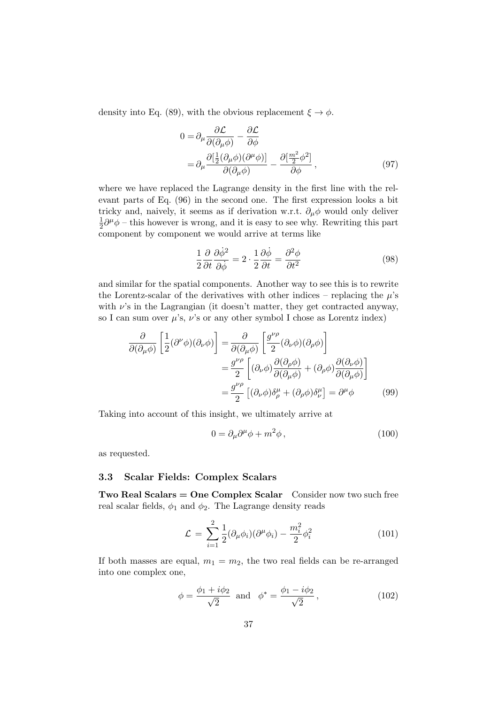density into Eq. (89), with the obvious replacement  $\xi \to \phi$ .

$$
0 = \partial_{\mu} \frac{\partial \mathcal{L}}{\partial(\partial_{\mu}\phi)} - \frac{\partial \mathcal{L}}{\partial \phi}
$$
  
=  $\partial_{\mu} \frac{\partial [\frac{1}{2}(\partial_{\mu}\phi)(\partial^{\mu}\phi)]}{\partial(\partial_{\mu}\phi)} - \frac{\partial [\frac{m^2}{2}\phi^2]}{\partial \phi}$ , (97)

where we have replaced the Lagrange density in the first line with the relevant parts of Eq. (96) in the second one. The first expression looks a bit tricky and, naively, it seems as if derivation w.r.t.  $\partial_{\mu}\phi$  would only deliver 1  $\frac{1}{2}\partial^{\mu}\phi$  – this however is wrong, and it is easy to see why. Rewriting this part component by component we would arrive at terms like

$$
\frac{1}{2}\frac{\partial}{\partial t}\frac{\partial \dot{\phi}^2}{\partial \dot{\phi}} = 2 \cdot \frac{1}{2}\frac{\partial \dot{\phi}}{\partial t} = \frac{\partial^2 \phi}{\partial t^2}
$$
(98)

and similar for the spatial components. Another way to see this is to rewrite the Lorentz-scalar of the derivatives with other indices – replacing the  $\mu$ 's with  $\nu$ 's in the Lagrangian (it doesn't matter, they get contracted anyway, so I can sum over  $\mu$ 's,  $\nu$ 's or any other symbol I chose as Lorentz index)

$$
\frac{\partial}{\partial(\partial_{\mu}\phi)}\left[\frac{1}{2}(\partial^{\nu}\phi)(\partial_{\nu}\phi)\right] = \frac{\partial}{\partial(\partial_{\mu}\phi)}\left[\frac{g^{\nu\rho}}{2}(\partial_{\nu}\phi)(\partial_{\rho}\phi)\right]
$$

$$
= \frac{g^{\nu\rho}}{2}\left[(\partial_{\nu}\phi)\frac{\partial(\partial_{\rho}\phi)}{\partial(\partial_{\mu}\phi)} + (\partial_{\rho}\phi)\frac{\partial(\partial_{\nu}\phi)}{\partial(\partial_{\mu}\phi)}\right]
$$

$$
= \frac{g^{\nu\rho}}{2}\left[(\partial_{\nu}\phi)\delta^{\mu}_{\rho} + (\partial_{\rho}\phi)\delta^{\mu}_{\nu}\right] = \partial^{\mu}\phi
$$
(99)

Taking into account of this insight, we ultimately arrive at

$$
0 = \partial_{\mu}\partial^{\mu}\phi + m^2\phi \,, \tag{100}
$$

as requested.

#### 3.3 Scalar Fields: Complex Scalars

 $Two Real Scalars = One Complex Scalar$  Consider now two such free real scalar fields,  $\phi_1$  and  $\phi_2$ . The Lagrange density reads

$$
\mathcal{L} = \sum_{i=1}^{2} \frac{1}{2} (\partial_{\mu} \phi_i)(\partial^{\mu} \phi_i) - \frac{m_i^2}{2} \phi_i^2
$$
 (101)

If both masses are equal,  $m_1 = m_2$ , the two real fields can be re-arranged into one complex one,

$$
\phi = \frac{\phi_1 + i\phi_2}{\sqrt{2}}
$$
 and  $\phi^* = \frac{\phi_1 - i\phi_2}{\sqrt{2}}$ , (102)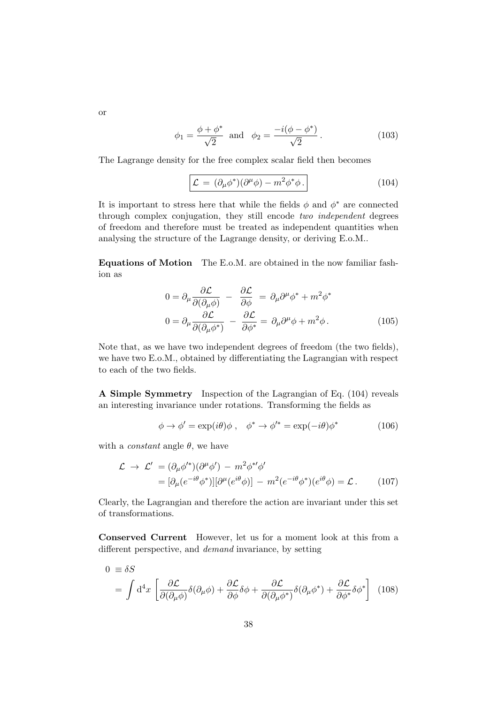$$
\phi_1 = \frac{\phi + \phi^*}{\sqrt{2}}
$$
 and  $\phi_2 = \frac{-i(\phi - \phi^*)}{\sqrt{2}}$ . (103)

The Lagrange density for the free complex scalar field then becomes

$$
\mathcal{L} = (\partial_{\mu}\phi^*)(\partial^{\mu}\phi) - m^2\phi^*\phi.
$$
 (104)

It is important to stress here that while the fields  $\phi$  and  $\phi^*$  are connected through complex conjugation, they still encode two independent degrees of freedom and therefore must be treated as independent quantities when analysing the structure of the Lagrange density, or deriving E.o.M..

Equations of Motion The E.o.M. are obtained in the now familiar fashion as

$$
0 = \partial_{\mu} \frac{\partial \mathcal{L}}{\partial(\partial_{\mu} \phi)} - \frac{\partial \mathcal{L}}{\partial \phi} = \partial_{\mu} \partial^{\mu} \phi^* + m^2 \phi^*
$$
  

$$
0 = \partial_{\mu} \frac{\partial \mathcal{L}}{\partial(\partial_{\mu} \phi^*)} - \frac{\partial \mathcal{L}}{\partial \phi^*} = \partial_{\mu} \partial^{\mu} \phi + m^2 \phi.
$$
 (105)

Note that, as we have two independent degrees of freedom (the two fields), we have two E.o.M., obtained by differentiating the Lagrangian with respect to each of the two fields.

A Simple Symmetry Inspection of the Lagrangian of Eq. (104) reveals an interesting invariance under rotations. Transforming the fields as

$$
\phi \to \phi' = \exp(i\theta)\phi \ , \quad \phi^* \to \phi'^* = \exp(-i\theta)\phi^* \tag{106}
$$

with a *constant* angle  $\theta$ , we have

$$
\mathcal{L} \to \mathcal{L}' = (\partial_{\mu}\phi'^*)(\partial^{\mu}\phi') - m^2 \phi^{*\prime}\phi'
$$
  
=  $[\partial_{\mu}(e^{-i\theta}\phi^*)][\partial^{\mu}(e^{i\theta}\phi)] - m^2(e^{-i\theta}\phi^*)(e^{i\theta}\phi) = \mathcal{L}.$  (107)

Clearly, the Lagrangian and therefore the action are invariant under this set of transformations.

Conserved Current However, let us for a moment look at this from a different perspective, and demand invariance, by setting

$$
0 \equiv \delta S
$$
  
=  $\int d^4x \left[ \frac{\partial \mathcal{L}}{\partial(\partial_\mu \phi)} \delta(\partial_\mu \phi) + \frac{\partial \mathcal{L}}{\partial \phi} \delta \phi + \frac{\partial \mathcal{L}}{\partial(\partial_\mu \phi^*)} \delta(\partial_\mu \phi^*) + \frac{\partial \mathcal{L}}{\partial \phi^*} \delta \phi^* \right]$  (108)

or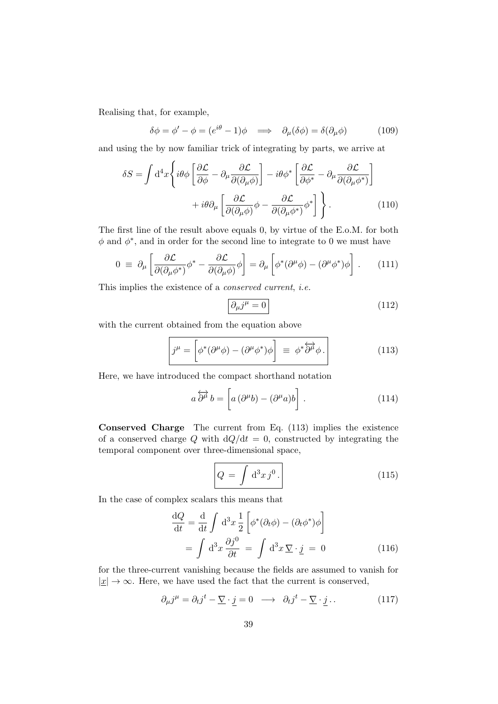Realising that, for example,

$$
\delta\phi = \phi' - \phi = (e^{i\theta} - 1)\phi \implies \partial_{\mu}(\delta\phi) = \delta(\partial_{\mu}\phi) \tag{109}
$$

and using the by now familiar trick of integrating by parts, we arrive at

$$
\delta S = \int d^4x \left\{ i\theta \phi \left[ \frac{\partial \mathcal{L}}{\partial \phi} - \partial_\mu \frac{\partial \mathcal{L}}{\partial (\partial_\mu \phi)} \right] - i\theta \phi^* \left[ \frac{\partial \mathcal{L}}{\partial \phi^*} - \partial_\mu \frac{\partial \mathcal{L}}{\partial (\partial_\mu \phi^*)} \right] + i\theta \partial_\mu \left[ \frac{\partial \mathcal{L}}{\partial (\partial_\mu \phi)} \phi - \frac{\partial \mathcal{L}}{\partial (\partial_\mu \phi^*)} \phi^* \right] \right\}.
$$
 (110)

The first line of the result above equals 0, by virtue of the E.o.M. for both  $\phi$  and  $\phi^*$ , and in order for the second line to integrate to 0 we must have

$$
0 \equiv \partial_{\mu} \left[ \frac{\partial \mathcal{L}}{\partial(\partial_{\mu} \phi^{*})} \phi^{*} - \frac{\partial \mathcal{L}}{\partial(\partial_{\mu} \phi)} \phi \right] = \partial_{\mu} \left[ \phi^{*} (\partial^{\mu} \phi) - (\partial^{\mu} \phi^{*}) \phi \right]. \tag{111}
$$

This implies the existence of a conserved current, i.e.

$$
\partial_{\mu}j^{\mu} = 0 \tag{112}
$$

with the current obtained from the equation above

$$
j^{\mu} = \left[ \phi^* (\partial^{\mu} \phi) - (\partial^{\mu} \phi^*) \phi \right] \equiv \phi^* \overleftrightarrow{\partial^{\mu}} \phi.
$$
 (113)

Here, we have introduced the compact shorthand notation

$$
a\overleftrightarrow{\partial^{\mu}}b = \left[a(\partial^{\mu}b) - (\partial^{\mu}a)b\right].
$$
 (114)

Conserved Charge The current from Eq. (113) implies the existence of a conserved charge Q with  $dQ/dt = 0$ , constructed by integrating the temporal component over three-dimensional space,

$$
Q = \int d^3x \, j^0 \,. \tag{115}
$$

In the case of complex scalars this means that

$$
\frac{dQ}{dt} = \frac{d}{dt} \int d^3x \frac{1}{2} \left[ \phi^* (\partial_t \phi) - (\partial_t \phi^*) \phi \right]
$$

$$
= \int d^3x \frac{\partial j^0}{\partial t} = \int d^3x \, \nabla \cdot \underline{j} = 0 \tag{116}
$$

for the three-current vanishing because the fields are assumed to vanish for  $|x| \to \infty$ . Here, we have used the fact that the current is conserved,

$$
\partial_{\mu}j^{\mu} = \partial_{t}j^{t} - \underline{\nabla} \cdot \underline{j} = 0 \longrightarrow \partial_{t}j^{t} - \underline{\nabla} \cdot \underline{j} \tag{117}
$$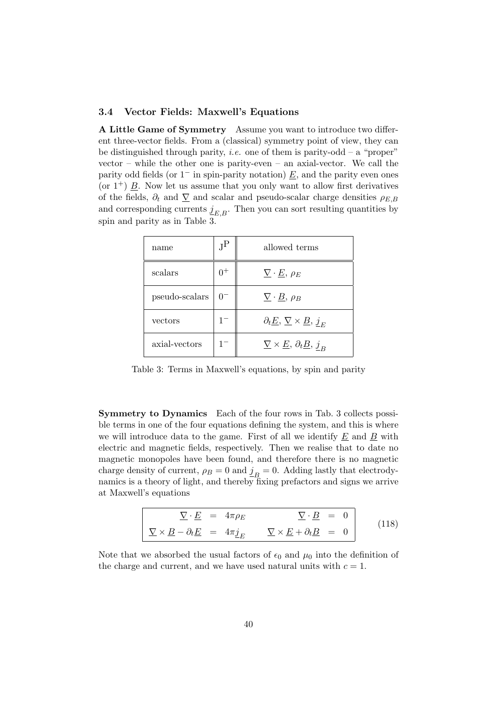### 3.4 Vector Fields: Maxwell's Equations

A Little Game of Symmetry Assume you want to introduce two different three-vector fields. From a (classical) symmetry point of view, they can be distinguished through parity, *i.e.* one of them is parity-odd – a "proper" vector – while the other one is parity-even – an axial-vector. We call the parity odd fields (or  $1^-$  in spin-parity notation)  $\underline{E}$ , and the parity even ones (or  $1^+$ )  $\underline{B}$ . Now let us assume that you only want to allow first derivatives of the fields,  $\partial_t$  and  $\nabla$  and scalar and pseudo-scalar charge densities  $\rho_{E,B}$ and corresponding currents  $\underline{j}_{E,B}$ . Then you can sort resulting quantities by spin and parity as in Table 3.

| name           | $J^{\rm P}$ | allowed terms                                                            |
|----------------|-------------|--------------------------------------------------------------------------|
| scalars        | $0^+$       | $\nabla \cdot E, \rho_E$                                                 |
| pseudo-scalars | $0^{-}$     | $\nabla \cdot \underline{B}, \rho_B$                                     |
| vectors        | $1^{-}$     | $\partial_t \underline{E}, \underline{\nabla} \times \underline{B}, j_E$ |
| axial-vectors  | $1^{-}$     | $\nabla \times E$ , $\partial_t \underline{B}$ , $j_B$                   |

Table 3: Terms in Maxwell's equations, by spin and parity

Symmetry to Dynamics Each of the four rows in Tab. 3 collects possible terms in one of the four equations defining the system, and this is where we will introduce data to the game. First of all we identify  $E$  and  $B$  with electric and magnetic fields, respectively. Then we realise that to date no magnetic monopoles have been found, and therefore there is no magnetic charge density of current,  $\rho_B = 0$  and  $\underline{j}_B = 0$ . Adding lastly that electrodynamics is a theory of light, and thereby fixing prefactors and signs we arrive at Maxwell's equations

$$
\nabla \cdot \underline{E} = 4\pi \rho_E \nabla \cdot \underline{B} = 0
$$
\n
$$
\nabla \times \underline{B} - \partial_t \underline{E} = 4\pi \underline{j}_E \nabla \times \underline{E} + \partial_t \underline{B} = 0
$$
\n(118)

Note that we absorbed the usual factors of  $\epsilon_0$  and  $\mu_0$  into the definition of the charge and current, and we have used natural units with  $c = 1$ .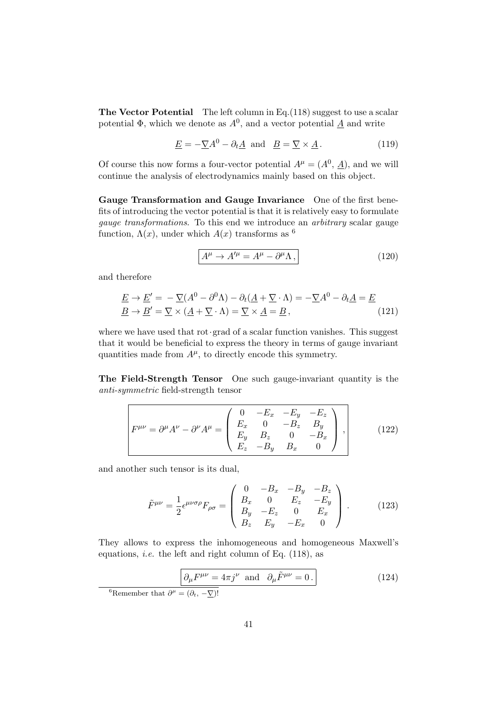The Vector Potential The left column in Eq.(118) suggest to use a scalar potential  $\Phi$ , which we denote as  $A^0$ , and a vector potential  $\underline{A}$  and write

$$
\underline{E} = -\underline{\nabla}A^0 - \partial_t \underline{A} \text{ and } \underline{B} = \underline{\nabla} \times \underline{A}.
$$
 (119)

Of course this now forms a four-vector potential  $A^{\mu} = (A^0, \underline{A})$ , and we will continue the analysis of electrodynamics mainly based on this object.

Gauge Transformation and Gauge Invariance One of the first benefits of introducing the vector potential is that it is relatively easy to formulate gauge transformations. To this end we introduce an arbitrary scalar gauge function,  $\Lambda(x)$ , under which  $A(x)$  transforms as <sup>6</sup>

$$
A^{\mu} \to A^{\prime \mu} = A^{\mu} - \partial^{\mu} \Lambda, \qquad (120)
$$

and therefore

$$
\underline{E} \to \underline{E}' = -\underline{\nabla}(A^0 - \partial^0 \Lambda) - \partial_t (\underline{A} + \underline{\nabla} \cdot \Lambda) = -\underline{\nabla}A^0 - \partial_t \underline{A} = \underline{E}
$$
  

$$
\underline{B} \to \underline{B}' = \underline{\nabla} \times (\underline{A} + \underline{\nabla} \cdot \Lambda) = \underline{\nabla} \times \underline{A} = \underline{B},
$$
 (121)

where we have used that  $rot$  grad of a scalar function vanishes. This suggest that it would be beneficial to express the theory in terms of gauge invariant quantities made from  $A^{\mu}$ , to directly encode this symmetry.

The Field-Strength Tensor One such gauge-invariant quantity is the anti-symmetric field-strength tensor

$$
F^{\mu\nu} = \partial^{\mu}A^{\nu} - \partial^{\nu}A^{\mu} = \begin{pmatrix} 0 & -E_x & -E_y & -E_z \\ E_x & 0 & -B_z & B_y \\ E_y & B_z & 0 & -B_x \\ E_z & -B_y & B_x & 0 \end{pmatrix},
$$
(122)

and another such tensor is its dual,

$$
\tilde{F}^{\mu\nu} = \frac{1}{2} \epsilon^{\mu\nu\sigma\rho} F_{\rho\sigma} = \begin{pmatrix} 0 & -B_x & -B_y & -B_z \\ B_x & 0 & E_z & -E_y \\ B_y & -E_z & 0 & E_x \\ B_z & E_y & -E_x & 0 \end{pmatrix} . \tag{123}
$$

They allows to express the inhomogeneous and homogeneous Maxwell's equations, *i.e.* the left and right column of Eq.  $(118)$ , as

$$
\partial_{\mu}F^{\mu\nu} = 4\pi j^{\nu} \text{ and } \partial_{\mu}\tilde{F}^{\mu\nu} = 0.
$$
 (124)

<sup>6</sup>Remember that  $\partial^{\mu} = (\partial_t, -\nabla)!$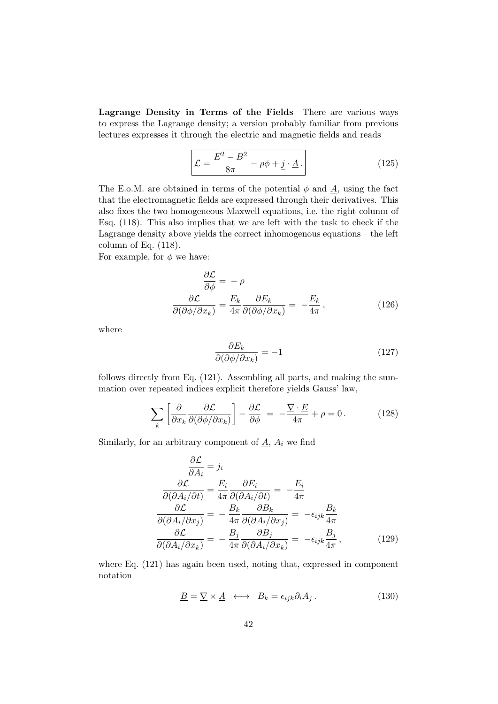Lagrange Density in Terms of the Fields There are various ways to express the Lagrange density; a version probably familiar from previous lectures expresses it through the electric and magnetic fields and reads

$$
\mathcal{L} = \frac{E^2 - B^2}{8\pi} - \rho\phi + \underline{j} \cdot \underline{A} \,. \tag{125}
$$

The E.o.M. are obtained in terms of the potential  $\phi$  and  $\underline{A}$ , using the fact that the electromagnetic fields are expressed through their derivatives. This also fixes the two homogeneous Maxwell equations, i.e. the right column of Esq. (118). This also implies that we are left with the task to check if the Lagrange density above yields the correct inhomogenous equations – the left column of Eq. (118).

For example, for  $\phi$  we have:

$$
\frac{\partial \mathcal{L}}{\partial \phi} = -\rho
$$

$$
\frac{\partial \mathcal{L}}{\partial(\partial \phi/\partial x_k)} = \frac{E_k}{4\pi} \frac{\partial E_k}{\partial(\partial \phi/\partial x_k)} = -\frac{E_k}{4\pi},
$$
(126)

where

$$
\frac{\partial E_k}{\partial(\partial \phi/\partial x_k)} = -1\tag{127}
$$

follows directly from Eq. (121). Assembling all parts, and making the summation over repeated indices explicit therefore yields Gauss' law,

$$
\sum_{k} \left[ \frac{\partial}{\partial x_k} \frac{\partial \mathcal{L}}{\partial (\partial \phi / \partial x_k)} \right] - \frac{\partial \mathcal{L}}{\partial \phi} = -\frac{\nabla \cdot E}{4\pi} + \rho = 0. \tag{128}
$$

Similarly, for an arbitrary component of  $\underline{A}$ ,  $A_i$  we find

$$
\frac{\partial \mathcal{L}}{\partial A_i} = j_i
$$
  

$$
\frac{\partial \mathcal{L}}{\partial (\partial A_i/\partial t)} = \frac{E_i}{4\pi} \frac{\partial E_i}{\partial (\partial A_i/\partial t)} = -\frac{E_i}{4\pi}
$$
  

$$
\frac{\partial \mathcal{L}}{\partial (\partial A_i/\partial x_j)} = -\frac{B_k}{4\pi} \frac{\partial B_k}{\partial (\partial A_i/\partial x_j)} = -\epsilon_{ijk} \frac{B_k}{4\pi}
$$
  

$$
\frac{\partial \mathcal{L}}{\partial (\partial A_i/\partial x_k)} = -\frac{B_j}{4\pi} \frac{\partial B_j}{\partial (\partial A_i/\partial x_k)} = -\epsilon_{ijk} \frac{B_j}{4\pi},
$$
(129)

where Eq. (121) has again been used, noting that, expressed in component notation

$$
\underline{B} = \underline{\nabla} \times \underline{A} \ \longleftrightarrow \ B_k = \epsilon_{ijk} \partial_i A_j \,. \tag{130}
$$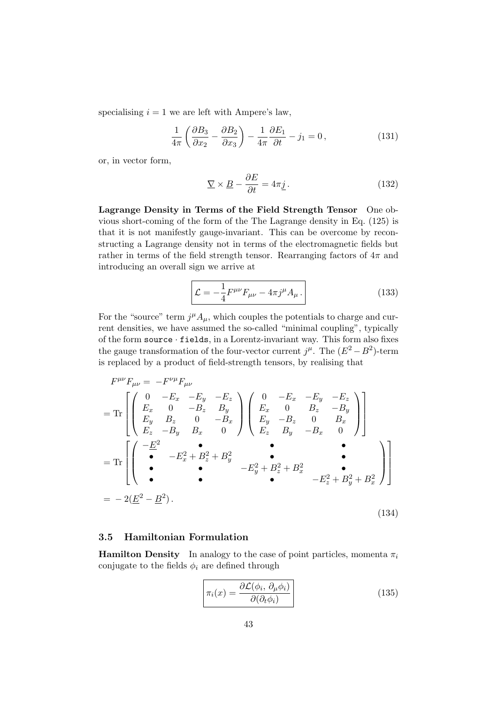specialising  $i = 1$  we are left with Ampere's law,

$$
\frac{1}{4\pi} \left( \frac{\partial B_3}{\partial x_2} - \frac{\partial B_2}{\partial x_3} \right) - \frac{1}{4\pi} \frac{\partial E_1}{\partial t} - j_1 = 0, \qquad (131)
$$

or, in vector form,

$$
\underline{\nabla} \times \underline{B} - \frac{\partial E}{\partial t} = 4\pi \underline{j} \,. \tag{132}
$$

Lagrange Density in Terms of the Field Strength Tensor One obvious short-coming of the form of the The Lagrange density in Eq. (125) is that it is not manifestly gauge-invariant. This can be overcome by reconstructing a Lagrange density not in terms of the electromagnetic fields but rather in terms of the field strength tensor. Rearranging factors of  $4\pi$  and introducing an overall sign we arrive at

$$
\mathcal{L} = -\frac{1}{4} F^{\mu\nu} F_{\mu\nu} - 4\pi j^{\mu} A_{\mu} \,. \tag{133}
$$

For the "source" term  $j^{\mu}A_{\mu}$ , which couples the potentials to charge and current densities, we have assumed the so-called "minimal coupling", typically of the form source · fields, in a Lorentz-invariant way. This form also fixes the gauge transformation of the four-vector current  $j^{\mu}$ . The  $(E^2 - B^2)$ -term is replaced by a product of field-strength tensors, by realising that

$$
F^{\mu\nu}F_{\mu\nu} = -F^{\nu\mu}F_{\mu\nu}
$$
  
= Tr  $\begin{bmatrix} 0 & -E_x & -E_y & -E_z \\ E_x & 0 & -B_z & B_y \\ E_y & B_z & 0 & -B_x \\ E_z & -B_y & B_x & 0 \end{bmatrix} \begin{bmatrix} 0 & -E_x & -E_y & -E_z \\ E_x & 0 & B_z & -B_y \\ E_y & -B_z & 0 & B_x \\ E_z & B_y & -B_x & 0 \end{bmatrix}$   
= Tr  $\begin{bmatrix} -\frac{E^2}{2} & \bullet & \bullet & \bullet \\ \bullet & -E_x^2 + B_z^2 + B_y^2 & \bullet & \bullet \\ \bullet & \bullet & -E_y^2 + B_z^2 + B_x^2 & \bullet \\ \bullet & \bullet & \bullet & -E_z^2 + B_y^2 + B_z^2 \end{bmatrix}$   
= -2( $\underline{E}^2 - \underline{B}^2$ ). (134)

### 3.5 Hamiltonian Formulation

**Hamilton Density** In analogy to the case of point particles, momenta  $\pi_i$ conjugate to the fields  $\phi_i$  are defined through

$$
\overline{\pi_i(x)} = \frac{\partial \mathcal{L}(\phi_i, \partial_\mu \phi_i)}{\partial(\partial_t \phi_i)}
$$
(135)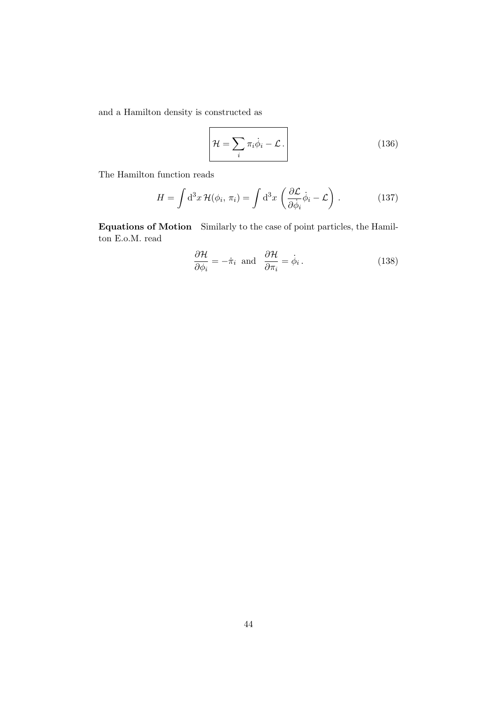and a Hamilton density is constructed as

 $\overline{a}$ 

$$
\mathcal{H} = \sum_{i} \pi_{i} \dot{\phi}_{i} - \mathcal{L} \,. \tag{136}
$$

The Hamilton function reads

$$
H = \int d^3x \, \mathcal{H}(\phi_i, \pi_i) = \int d^3x \, \left( \frac{\partial \mathcal{L}}{\partial \dot{\phi}_i} \dot{\phi}_i - \mathcal{L} \right) \,. \tag{137}
$$

Equations of Motion Similarly to the case of point particles, the Hamilton E.o.M. read

$$
\frac{\partial \mathcal{H}}{\partial \phi_i} = -\dot{\pi}_i \text{ and } \frac{\partial \mathcal{H}}{\partial \pi_i} = \dot{\phi}_i. \tag{138}
$$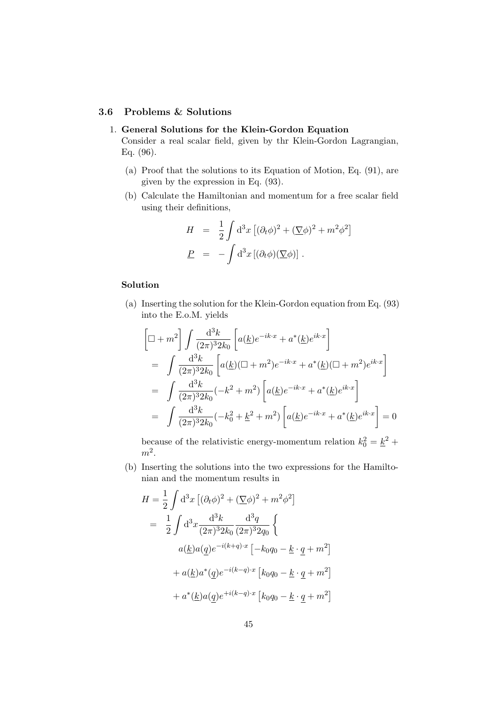### 3.6 Problems & Solutions

### 1. General Solutions for the Klein-Gordon Equation

Consider a real scalar field, given by thr Klein-Gordon Lagrangian, Eq. (96).

- (a) Proof that the solutions to its Equation of Motion, Eq. (91), are given by the expression in Eq. (93).
- (b) Calculate the Hamiltonian and momentum for a free scalar field using their definitions,

$$
H = \frac{1}{2} \int d^3x \left[ (\partial_t \phi)^2 + (\nabla \phi)^2 + m^2 \phi^2 \right]
$$
  

$$
P = - \int d^3x \left[ (\partial_t \phi)(\nabla \phi) \right].
$$

# Solution

(a) Inserting the solution for the Klein-Gordon equation from Eq. (93) into the E.o.M. yields

$$
\begin{aligned}\n\left[\Box + m^2\right] \int \frac{\mathrm{d}^3 k}{(2\pi)^3 2k_0} \left[ a(\underline{k}) e^{-ik \cdot x} + a^*(\underline{k}) e^{ik \cdot x} \right] \\
&= \int \frac{\mathrm{d}^3 k}{(2\pi)^3 2k_0} \left[ a(\underline{k}) (\Box + m^2) e^{-ik \cdot x} + a^*(\underline{k}) (\Box + m^2) e^{ik \cdot x} \right] \\
&= \int \frac{\mathrm{d}^3 k}{(2\pi)^3 2k_0} (-k^2 + m^2) \left[ a(\underline{k}) e^{-ik \cdot x} + a^*(\underline{k}) e^{ik \cdot x} \right] \\
&= \int \frac{\mathrm{d}^3 k}{(2\pi)^3 2k_0} (-k_0^2 + \underline{k}^2 + m^2) \left[ a(\underline{k}) e^{-ik \cdot x} + a^*(\underline{k}) e^{ik \cdot x} \right] = 0\n\end{aligned}
$$

because of the relativistic energy-momentum relation  $k_0^2 = \underline{k}^2 +$  $m^2$ .

(b) Inserting the solutions into the two expressions for the Hamiltonian and the momentum results in

$$
H = \frac{1}{2} \int d^3x \left[ (\partial_t \phi)^2 + (\nabla \phi)^2 + m^2 \phi^2 \right]
$$
  
=  $\frac{1}{2} \int d^3x \frac{d^3k}{(2\pi)^3 2k_0} \frac{d^3q}{(2\pi)^3 2q_0} \left\{$   
 $a(\underline{k}) a(\underline{q}) e^{-i(k+q)\cdot x} \left[ -k_0 q_0 - \underline{k} \cdot \underline{q} + m^2 \right] \right.$   
 $+ a(\underline{k}) a^*(\underline{q}) e^{-i(k-q)\cdot x} \left[ k_0 q_0 - \underline{k} \cdot \underline{q} + m^2 \right]$   
 $+ a^*(\underline{k}) a(\underline{q}) e^{+i(k-q)\cdot x} \left[ k_0 q_0 - \underline{k} \cdot \underline{q} + m^2 \right]$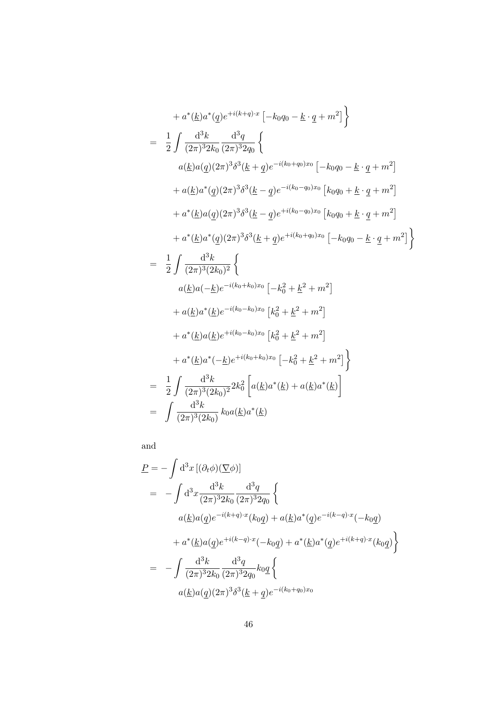$$
+ a^{*}(\underline{k})a^{*}(q)e^{+i(k+q)x}\left[-k_{0}q_{0} - \underline{k} \cdot \underline{q} + m^{2}\right]
$$
\n
$$
= \frac{1}{2} \int \frac{d^{3}k}{(2\pi)^{3}2k_{0}} \frac{d^{3}q}{(2\pi)^{3}2q_{0}} \left\{ a(\underline{k})a(q)(2\pi)^{3}\delta^{3}(\underline{k} + \underline{q})e^{-i(k_{0}+q_{0})x_{0}}\left[-k_{0}q_{0} - \underline{k} \cdot \underline{q} + m^{2}\right] \right.
$$
\n
$$
+ a(\underline{k})a^{*}(q)(2\pi)^{3}\delta^{3}(\underline{k} - \underline{q})e^{-i(k_{0}-q_{0})x_{0}}\left[k_{0}q_{0} + \underline{k} \cdot \underline{q} + m^{2}\right]
$$
\n
$$
+ a^{*}(\underline{k})a(\underline{q})(2\pi)^{3}\delta^{3}(\underline{k} - \underline{q})e^{+i(k_{0}-q_{0})x_{0}}\left[k_{0}q_{0} + \underline{k} \cdot \underline{q} + m^{2}\right]
$$
\n
$$
+ a^{*}(\underline{k})a^{*}(q)(2\pi)^{3}\delta^{3}(\underline{k} + \underline{q})e^{+i(k_{0}+q_{0})x_{0}}\left[-k_{0}q_{0} - \underline{k} \cdot \underline{q} + m^{2}\right]
$$
\n
$$
+ a^{*}(\underline{k})a^{*}(\underline{q})(2\pi)^{3}\delta^{3}(\underline{k} + \underline{q})e^{+i(k_{0}+q_{0})x_{0}}\left[-k_{0}q_{0} - \underline{k} \cdot \underline{q} + m^{2}\right]
$$
\n
$$
+ a(\underline{k})a^{*}(\underline{k})e^{-i(k_{0}+k_{0})x_{0}}\left[k_{0}^{2} + \underline{k}^{2} + m^{2}\right]
$$
\n
$$
+ a(\underline{k})a^{*}(\underline{k})e^{+i(k_{0}-k_{0})x_{0}}\left[k_{0}^{2} + \underline{k}^{2} + m^{2}\right]
$$
\n
$$
+ a^{*}(\underline{k})a(\underline{k})e^{+i(k_{0}-k_{0})x_{0}}\left[k_{0}^{2} + \underline{k}^{2} + m^{2}\right]
$$
\n
$$
+
$$

and

$$
\underline{P} = -\int d^3x \left[ (\partial_t \phi)(\nabla \phi) \right]
$$
  
=  $-\int d^3x \frac{d^3k}{(2\pi)^3 2k_0} \frac{d^3q}{(2\pi)^3 2q_0} \left\{$   
 $a(\underline{k})a(\underline{q})e^{-i(k+q)\cdot x}(k_0\underline{q}) + a(\underline{k})a^*(\underline{q})e^{-i(k-q)\cdot x}(-k_0\underline{q})$   
 $+ a^*(\underline{k})a(\underline{q})e^{+i(k-q)\cdot x}(-k_0\underline{q}) + a^*(\underline{k})a^*(\underline{q})e^{+i(k+q)\cdot x}(k_0\underline{q}) \right\}$   
=  $-\int \frac{d^3k}{(2\pi)^3 2k_0} \frac{d^3q}{(2\pi)^3 2q_0} k_0\underline{q} \left\{$   
 $a(\underline{k})a(\underline{q})(2\pi)^3 \delta^3(\underline{k} + \underline{q})e^{-i(k_0+q_0)x_0}$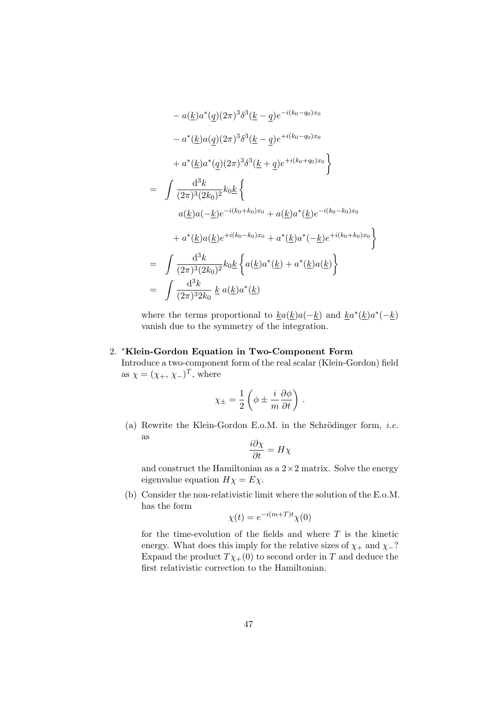$$
- a(\underline{k})a^*(\underline{q})(2\pi)^3\delta^3(\underline{k} - \underline{q})e^{-i(k_0 - q_0)x_0}
$$
  
\n
$$
- a^*(\underline{k})a(\underline{q})(2\pi)^3\delta^3(\underline{k} - \underline{q})e^{+i(k_0 - q_0)x_0}
$$
  
\n
$$
+ a^*(\underline{k})a^*(\underline{q})(2\pi)^3\delta^3(\underline{k} + \underline{q})e^{+i(k_0 + q_0)x_0}
$$
  
\n
$$
= \int \frac{d^3k}{(2\pi)^3(2k_0)^2}k_0\underline{k}\left\{ a(\underline{k})a(-\underline{k})e^{-i(k_0 + k_0)x_0} + a(\underline{k})a^*(\underline{k})e^{-i(k_0 - k_0)x_0} + a^*(\underline{k})a(\underline{k})e^{+i(k_0 + k_0)x_0} \right\}
$$
  
\n
$$
= \int \frac{d^3k}{(2\pi)^3(2k_0)^2}k_0\underline{k}\left\{ a(\underline{k})a^*(\underline{k}) + a^*(\underline{k})a(\underline{k}) \right\}
$$
  
\n
$$
= \int \frac{d^3k}{(2\pi)^32k_0} \underline{k} a(\underline{k})a^*(\underline{k})
$$

where the terms proportional to  $\underline{k}a(\underline{k})a(-\underline{k})$  and  $\underline{k}a^*(\underline{k})a^*(-\underline{k})$ vanish due to the symmetry of the integration.

#### 2. <sup>∗</sup>Klein-Gordon Equation in Two-Component Form

Introduce a two-component form of the real scalar (Klein-Gordon) field as  $\chi = (\chi_+, \chi_-)^T$ , where

$$
\chi_{\pm} = \frac{1}{2} \left( \phi \pm \frac{i}{m} \frac{\partial \phi}{\partial t} \right) .
$$

(a) Rewrite the Klein-Gordon E.o.M. in the Schrödinger form, *i.e.* as

$$
\frac{i\partial \chi}{\partial t} = H\chi
$$

and construct the Hamiltonian as a  $2 \times 2$  matrix. Solve the energy eigenvalue equation  $H\chi = E\chi$ .

(b) Consider the non-relativistic limit where the solution of the E.o.M. has the form

$$
\chi(t) = e^{-i(m+T)t} \chi(0)
$$

for the time-evolution of the fields and where  $T$  is the kinetic energy. What does this imply for the relative sizes of  $\chi$  and  $\chi$ -? Expand the product  $T\chi_{+}(0)$  to second order in T and deduce the first relativistic correction to the Hamiltonian.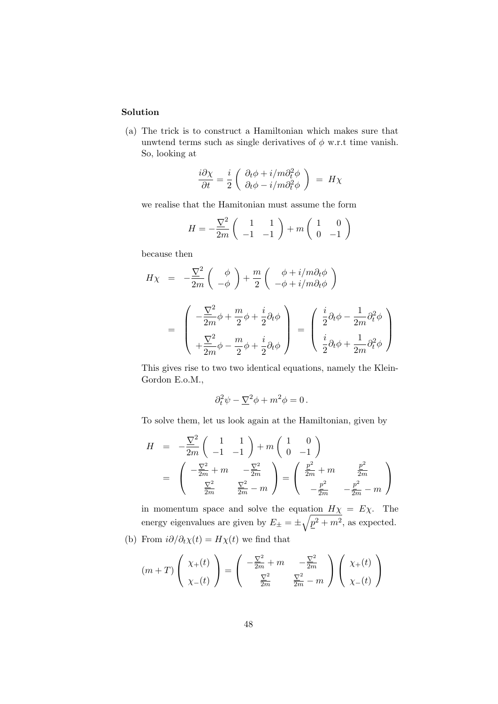(a) The trick is to construct a Hamiltonian which makes sure that unwtend terms such as single derivatives of  $\phi$  w.r.t time vanish. So, looking at

$$
\frac{i\partial\chi}{\partial t}=\frac{i}{2}\left(\begin{array}{c} \partial_t\phi+i/m\partial_t^2\phi\\ \partial_t\phi-i/m\partial_t^2\phi \end{array}\right) \ =\ H\chi
$$

we realise that the Hamitonian must assume the form

$$
H = -\frac{\nabla^2}{2m} \begin{pmatrix} 1 & 1 \ -1 & -1 \end{pmatrix} + m \begin{pmatrix} 1 & 0 \ 0 & -1 \end{pmatrix}
$$

because then

$$
H\chi = -\frac{\nabla^2}{2m} \left( \begin{array}{c} \phi \\ -\phi \end{array} \right) + \frac{m}{2} \left( \begin{array}{c} \phi + i/m\partial_t\phi \\ -\phi + i/m\partial_t\phi \end{array} \right)
$$
  
= 
$$
\begin{pmatrix} -\frac{\nabla^2}{2m}\phi + \frac{m}{2}\phi + \frac{i}{2}\partial_t\phi \\ +\frac{\nabla^2}{2m}\phi - \frac{m}{2}\phi + \frac{i}{2}\partial_t\phi \end{pmatrix} = \begin{pmatrix} \frac{i}{2}\partial_t\phi - \frac{1}{2m}\partial_t^2\phi \\ \frac{i}{2}\partial_t\phi + \frac{1}{2m}\partial_t^2\phi \end{pmatrix}
$$

This gives rise to two two identical equations, namely the Klein-Gordon E.o.M.,

$$
\partial_t^2 \psi - \underline{\nabla}^2 \phi + m^2 \phi = 0.
$$

To solve them, let us look again at the Hamiltonian, given by

$$
H = -\frac{\nabla^2}{2m} \begin{pmatrix} 1 & 1 \ -1 & -1 \end{pmatrix} + m \begin{pmatrix} 1 & 0 \ 0 & -1 \end{pmatrix}
$$
  
=  $\begin{pmatrix} -\frac{\nabla^2}{2m} + m & -\frac{\nabla^2}{2m} \\ \frac{\nabla^2}{2m} & \frac{\nabla^2}{2m} - m \end{pmatrix} = \begin{pmatrix} \frac{p^2}{2m} + m & \frac{p^2}{2m} \\ -\frac{p^2}{2m} & -\frac{p^2}{2m} - m \end{pmatrix}$ 

in momentum space and solve the equation  $H\chi = E\chi$ . The energy eigenvalues are given by  $E_{\pm} = \pm \sqrt{p^2 + m^2}$ , as expected.

(b) From  $i\partial/\partial_t \chi(t) = H\chi(t)$  we find that

$$
(m+T)\left(\begin{array}{c}\chi_{+}(t)\\ \chi_{-}(t)\end{array}\right)=\left(\begin{array}{cc} -\frac{\nabla^2}{2m}+m & -\frac{\nabla^2}{2m} \\ \frac{\nabla^2}{2m} & \frac{\nabla^2}{2m}-m \end{array}\right)\left(\begin{array}{c}\chi_{+}(t)\\ \chi_{-}(t)\end{array}\right)
$$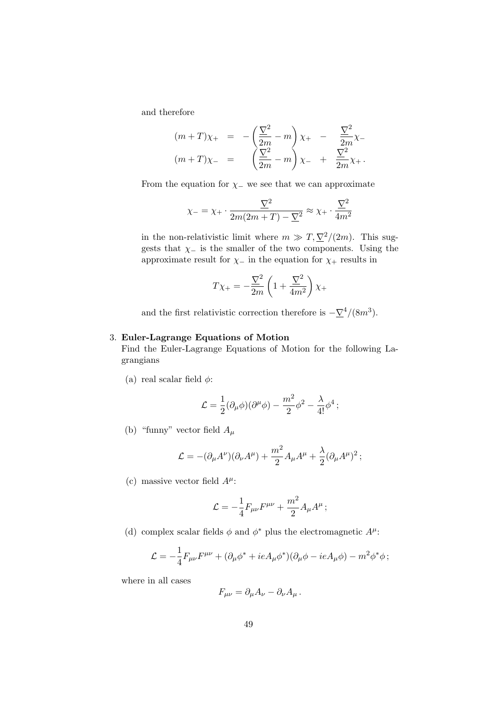and therefore

$$
(m+T)\chi_{+} = -\left(\frac{\nabla^{2}}{2m} - m\right)\chi_{+} - \frac{\nabla^{2}}{2m}\chi_{-} \n(m+T)\chi_{-} = \left(\frac{\nabla^{2}}{2m} - m\right)\chi_{-} + \frac{\nabla^{2}}{2m}\chi_{+}.
$$

From the equation for  $\chi$  – we see that we can approximate

$$
\chi_{-} = \chi_{+} \cdot \frac{\nabla^{2}}{2m(2m+T) - \Sigma^{2}} \approx \chi_{+} \cdot \frac{\nabla^{2}}{4m^{2}}
$$

in the non-relativistic limit where  $m \gg T, \nabla^2/(2m)$ . This suggests that  $\chi$  is the smaller of the two components. Using the approximate result for  $\chi$ <sub>−</sub> in the equation for  $\chi$ <sub>+</sub> results in

$$
T\chi_+ = -\frac{\nabla^2}{2m} \left( 1 + \frac{\nabla^2}{4m^2} \right) \chi_+
$$

and the first relativistic correction therefore is  $-\nabla^4/(8m^3)$ .

#### 3. Euler-Lagrange Equations of Motion

Find the Euler-Lagrange Equations of Motion for the following Lagrangians

(a) real scalar field  $\phi$ :

$$
\mathcal{L}=\frac{1}{2}(\partial_{\mu}\phi)(\partial^{\mu}\phi)-\frac{m^2}{2}\phi^2-\frac{\lambda}{4!}\phi^4\,;
$$

(b) "funny" vector field  $A_\mu$ 

$$
\mathcal{L} = -(\partial_{\mu}A^{\nu})(\partial_{\nu}A^{\mu}) + \frac{m^2}{2}A_{\mu}A^{\mu} + \frac{\lambda}{2}(\partial_{\mu}A^{\mu})^2 ;
$$

(c) massive vector field  $A^{\mu}$ :

$$
\mathcal{L} = -\frac{1}{4} F_{\mu\nu} F^{\mu\nu} + \frac{m^2}{2} A_{\mu} A^{\mu} ;
$$

(d) complex scalar fields  $\phi$  and  $\phi^*$  plus the electromagnetic  $A^{\mu}$ :

$$
\mathcal{L} = -\frac{1}{4}F_{\mu\nu}F^{\mu\nu} + (\partial_{\mu}\phi^* + ieA_{\mu}\phi^*)(\partial_{\mu}\phi - ieA_{\mu}\phi) - m^2\phi^*\phi;
$$

where in all cases

$$
F_{\mu\nu} = \partial_{\mu}A_{\nu} - \partial_{\nu}A_{\mu}.
$$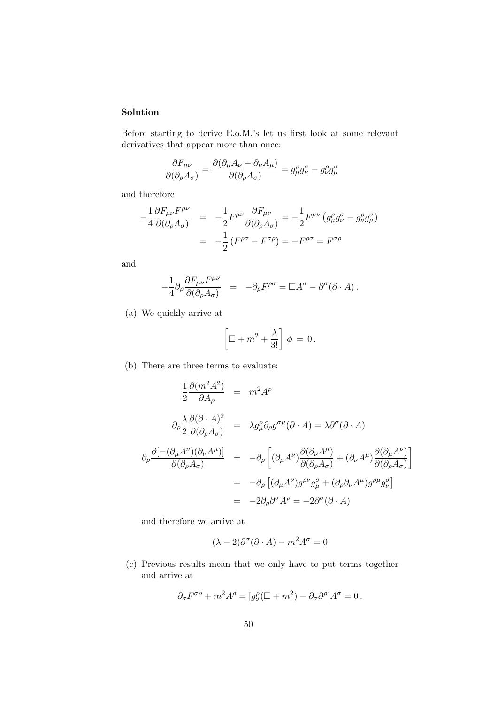Before starting to derive E.o.M.'s let us first look at some relevant derivatives that appear more than once:

$$
\frac{\partial F_{\mu\nu}}{\partial(\partial_{\rho}A_{\sigma})} = \frac{\partial(\partial_{\mu}A_{\nu} - \partial_{\nu}A_{\mu})}{\partial(\partial_{\rho}A_{\sigma})} = g^{\rho}_{\mu}g^{\sigma}_{\nu} - g^{\rho}_{\nu}g^{\sigma}_{\mu}
$$

and therefore

$$
-\frac{1}{4}\frac{\partial F_{\mu\nu}F^{\mu\nu}}{\partial(\partial_{\rho}A_{\sigma})} = -\frac{1}{2}F^{\mu\nu}\frac{\partial F_{\mu\nu}}{\partial(\partial_{\rho}A_{\sigma})} = -\frac{1}{2}F^{\mu\nu}(g_{\mu}^{\rho}g_{\nu}^{\sigma} - g_{\nu}^{\rho}g_{\mu}^{\sigma})
$$

$$
= -\frac{1}{2}(F^{\rho\sigma} - F^{\sigma\rho}) = -F^{\rho\sigma} = F^{\sigma\rho}
$$

and

$$
-\frac{1}{4}\partial_\rho\frac{\partial F_{\mu\nu}F^{\mu\nu}}{\partial(\partial_\rho A_\sigma)}\ =\ -\partial_\rho F^{\rho\sigma}=\Box A^\sigma-\partial^\sigma(\partial\cdot A)\,.
$$

(a) We quickly arrive at

$$
\left[\Box + m^2 + \frac{\lambda}{3!}\right]\phi = 0\,.
$$

(b) There are three terms to evaluate:

$$
\frac{1}{2} \frac{\partial (m^2 A^2)}{\partial A_{\rho}} = m^2 A^{\rho}
$$
\n
$$
\partial_{\rho} \frac{\lambda}{2} \frac{\partial (\partial \cdot A)^2}{\partial (\partial_{\rho} A_{\sigma})} = \lambda g^{\rho}_{\mu} \partial_{\rho} g^{\sigma \mu} (\partial \cdot A) = \lambda \partial^{\sigma} (\partial \cdot A)
$$
\n
$$
\partial_{\rho} \frac{\partial [-(\partial_{\mu} A^{\nu})(\partial_{\nu} A^{\mu})]}{\partial (\partial_{\rho} A_{\sigma})} = -\partial_{\rho} \left[ (\partial_{\mu} A^{\nu}) \frac{\partial (\partial_{\nu} A^{\mu})}{\partial (\partial_{\rho} A_{\sigma})} + (\partial_{\nu} A^{\mu}) \frac{\partial (\partial_{\mu} A^{\nu})}{\partial (\partial_{\rho} A_{\sigma})} \right]
$$
\n
$$
= -\partial_{\rho} \left[ (\partial_{\mu} A^{\nu}) g^{\rho \nu} g^{\sigma}_{\mu} + (\partial_{\rho} \partial_{\nu} A^{\mu}) g^{\rho \mu} g^{\sigma}_{\nu} \right]
$$
\n
$$
= -2\partial_{\rho} \partial^{\sigma} A^{\rho} = -2\partial^{\sigma} (\partial \cdot A)
$$

and therefore we arrive at

$$
(\lambda - 2)\partial^{\sigma}(\partial \cdot A) - m^2 A^{\sigma} = 0
$$

(c) Previous results mean that we only have to put terms together and arrive at

$$
\partial_\sigma F^{\sigma\rho} + m^2 A^\rho = [g^\rho_\sigma (\Box + m^2) - \partial_\sigma \partial^\rho] A^\sigma = 0 \, .
$$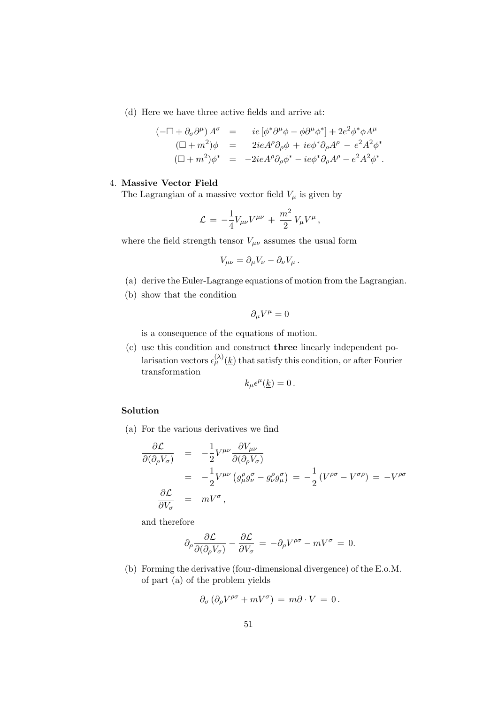(d) Here we have three active fields and arrive at:

$$
(-\Box + \partial_{\sigma}\partial^{\mu}) A^{\sigma} = i e [\phi^* \partial^{\mu} \phi - \phi \partial^{\mu} \phi^*] + 2e^2 \phi^* \phi A^{\mu}
$$
  
\n
$$
(\Box + m^2) \phi = 2ie A^{\rho} \partial_{\rho} \phi + ie \phi^* \partial_{\rho} A^{\rho} - e^2 A^2 \phi^*
$$
  
\n
$$
(\Box + m^2) \phi^* = -2ie A^{\rho} \partial_{\rho} \phi^* - ie \phi^* \partial_{\rho} A^{\rho} - e^2 A^2 \phi^*.
$$

#### 4. Massive Vector Field

The Lagrangian of a massive vector field  $V_\mu$  is given by

$$
\mathcal{L} \,=\, -\frac{1}{4} V_{\mu\nu} V^{\mu\nu} \,+\, \frac{m^2}{2} \,V_\mu V^\mu \,,
$$

where the field strength tensor  $V_{\mu\nu}$  assumes the usual form

$$
V_{\mu\nu} = \partial_{\mu}V_{\nu} - \partial_{\nu}V_{\mu}.
$$

- (a) derive the Euler-Lagrange equations of motion from the Lagrangian.
- (b) show that the condition

$$
\partial_{\mu}V^{\mu}=0
$$

is a consequence of the equations of motion.

(c) use this condition and construct three linearly independent polarisation vectors  $\epsilon_{\mu}^{(\lambda)}(\underline{k})$  that satisfy this condition, or after Fourier transformation

$$
k_{\mu}\epsilon^{\mu}(\underline{k})=0.
$$

# Solution

(a) For the various derivatives we find

$$
\frac{\partial \mathcal{L}}{\partial(\partial_{\rho}V_{\sigma})} = -\frac{1}{2}V^{\mu\nu}\frac{\partial V_{\mu\nu}}{\partial(\partial_{\rho}V_{\sigma})}
$$
\n
$$
= -\frac{1}{2}V^{\mu\nu}(g_{\mu}^{a}g_{\nu}^{\sigma} - g_{\nu}^{a}g_{\mu}^{\sigma}) = -\frac{1}{2}(V^{\rho\sigma} - V^{\sigma\rho}) = -V^{\rho\sigma}
$$
\n
$$
\frac{\partial \mathcal{L}}{\partial V_{\sigma}} = mV^{\sigma},
$$

and therefore

$$
\partial_{\rho} \frac{\partial \mathcal{L}}{\partial(\partial_{\rho} V_{\sigma})} - \frac{\partial \mathcal{L}}{\partial V_{\sigma}} = -\partial_{\rho} V^{\rho \sigma} - m V^{\sigma} = 0.
$$

(b) Forming the derivative (four-dimensional divergence) of the E.o.M. of part (a) of the problem yields

$$
\partial_{\sigma} \left( \partial_{\rho} V^{\rho \sigma} + m V^{\sigma} \right) = m \partial \cdot V = 0.
$$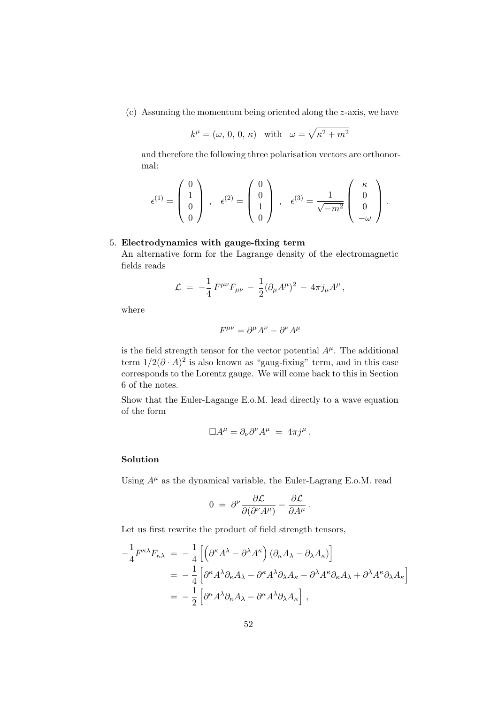(c) Assuming the momentum being oriented along the z-axis, we have

$$
k^{\mu} = (\omega, 0, 0, \kappa)
$$
 with  $\omega = \sqrt{\kappa^2 + m^2}$ 

and therefore the following three polarisation vectors are orthonormal:

$$
\epsilon^{(1)} = \begin{pmatrix} 0 \\ 1 \\ 0 \\ 0 \end{pmatrix} , \quad \epsilon^{(2)} = \begin{pmatrix} 0 \\ 0 \\ 1 \\ 0 \end{pmatrix} , \quad \epsilon^{(3)} = \frac{1}{\sqrt{-m^2}} \begin{pmatrix} \kappa \\ 0 \\ 0 \\ -\omega \end{pmatrix} .
$$

# 5. Electrodynamics with gauge-fixing term

An alternative form for the Lagrange density of the electromagnetic fields reads

$$
\mathcal{L} = -\frac{1}{4} F^{\mu\nu} F_{\mu\nu} - \frac{1}{2} (\partial_{\mu} A^{\mu})^2 - 4\pi j_{\mu} A^{\mu} ,
$$

where

$$
F^{\mu\nu} = \partial^{\mu}A^{\nu} - \partial^{\nu}A^{\mu}
$$

is the field strength tensor for the vector potential  $A^{\mu}$ . The additional term  $1/2(\partial \cdot A)^2$  is also known as "gaug-fixing" term, and in this case corresponds to the Lorentz gauge. We will come back to this in Section 6 of the notes.

Show that the Euler-Lagange E.o.M. lead directly to a wave equation of the form

$$
\Box A^{\mu} = \partial_{\nu} \partial^{\nu} A^{\mu} = 4\pi j^{\mu}.
$$

### Solution

Using  $A^{\mu}$  as the dynamical variable, the Euler-Lagrang E.o.M. read

$$
0 ~=~ \partial^{\nu}\frac{\partial\mathcal{L}}{\partial(\partial^{\nu}A^{\mu})}-\frac{\partial\mathcal{L}}{\partial A^{\mu}}{\,}.
$$

Let us first rewrite the product of field strength tensors,

$$
-\frac{1}{4}F^{\kappa\lambda}F_{\kappa\lambda} = -\frac{1}{4}\left[\left(\partial^{\kappa}A^{\lambda} - \partial^{\lambda}A^{\kappa}\right)\left(\partial_{\kappa}A_{\lambda} - \partial_{\lambda}A_{\kappa}\right)\right]
$$
  
= 
$$
-\frac{1}{4}\left[\partial^{\kappa}A^{\lambda}\partial_{\kappa}A_{\lambda} - \partial^{\kappa}A^{\lambda}\partial_{\lambda}A_{\kappa} - \partial^{\lambda}A^{\kappa}\partial_{\kappa}A_{\lambda} + \partial^{\lambda}A^{\kappa}\partial_{\lambda}A_{\kappa}\right]
$$
  
= 
$$
-\frac{1}{2}\left[\partial^{\kappa}A^{\lambda}\partial_{\kappa}A_{\lambda} - \partial^{\kappa}A^{\lambda}\partial_{\lambda}A_{\kappa}\right],
$$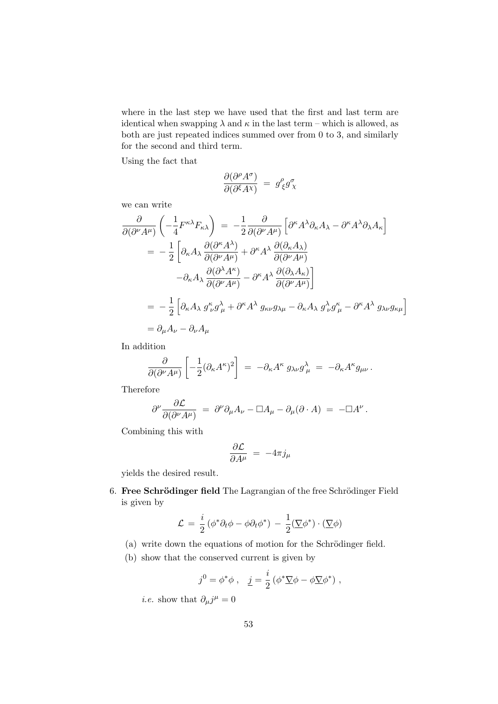where in the last step we have used that the first and last term are identical when swapping  $\lambda$  and  $\kappa$  in the last term – which is allowed, as both are just repeated indices summed over from 0 to 3, and similarly for the second and third term.

Using the fact that

$$
\frac{\partial (\partial^\rho A^\sigma)}{\partial (\partial^\xi A^\chi)}\;=\;g^\rho_{\;\xi}g^\sigma_{\;\chi}
$$

we can write

$$
\frac{\partial}{\partial(\partial^{\nu}A^{\mu})}\left(-\frac{1}{4}F^{\kappa\lambda}F_{\kappa\lambda}\right) = -\frac{1}{2}\frac{\partial}{\partial(\partial^{\nu}A^{\mu})}\left[\partial^{\kappa}A^{\lambda}\partial_{\kappa}A_{\lambda} - \partial^{\kappa}A^{\lambda}\partial_{\lambda}A_{\kappa}\right]
$$
\n
$$
= -\frac{1}{2}\left[\partial_{\kappa}A_{\lambda}\frac{\partial(\partial^{\kappa}A^{\lambda})}{\partial(\partial^{\nu}A^{\mu})} + \partial^{\kappa}A^{\lambda}\frac{\partial(\partial_{\kappa}A_{\lambda})}{\partial(\partial^{\nu}A^{\mu})}
$$
\n
$$
-\partial_{\kappa}A_{\lambda}\frac{\partial(\partial^{\lambda}A^{\kappa})}{\partial(\partial^{\nu}A^{\mu})} - \partial^{\kappa}A^{\lambda}\frac{\partial(\partial_{\lambda}A_{\kappa})}{\partial(\partial^{\nu}A^{\mu})}\right]
$$
\n
$$
= -\frac{1}{2}\left[\partial_{\kappa}A_{\lambda}g_{\nu}^{\kappa}g_{\mu}^{\lambda} + \partial^{\kappa}A^{\lambda}g_{\kappa\nu}g_{\lambda\mu} - \partial_{\kappa}A_{\lambda}g_{\nu}^{\lambda}g_{\mu}^{\kappa} - \partial^{\kappa}A^{\lambda}g_{\lambda\nu}g_{\kappa\mu}\right]
$$
\n
$$
= \partial_{\mu}A_{\nu} - \partial_{\nu}A_{\mu}
$$

In addition

$$
\frac{\partial}{\partial(\partial^{\nu}A^{\mu})}\left[-\frac{1}{2}(\partial_{\kappa}A^{\kappa})^2\right] = -\partial_{\kappa}A^{\kappa} g_{\lambda\nu}g_{\mu}^{\lambda} = -\partial_{\kappa}A^{\kappa}g_{\mu\nu}.
$$

Therefore

$$
\partial^{\nu} \frac{\partial \mathcal{L}}{\partial (\partial^{\nu} A^{\mu})} = \partial^{\nu} \partial_{\mu} A_{\nu} - \Box A_{\mu} - \partial_{\mu} (\partial \cdot A) = - \Box A^{\nu}.
$$

Combining this with

$$
\frac{\partial \mathcal{L}}{\partial A^{\mu}} = -4\pi j_{\mu}
$$

yields the desired result.

6. Free Schrödinger field The Lagrangian of the free Schrödinger Field is given by

$$
\mathcal{L} = \frac{i}{2} (\phi^* \partial_t \phi - \phi \partial_t \phi^*) - \frac{1}{2} (\underline{\nabla} \phi^*) \cdot (\underline{\nabla} \phi)
$$

- $(a)$  write down the equations of motion for the Schrödinger field.
- (b) show that the conserved current is given by

$$
j^0 = \phi^* \phi \ , \quad \underline{j} = \frac{i}{2} \left( \phi^* \nabla \phi - \phi \nabla \phi^* \right) \ ,
$$

*i.e.* show that  $\partial_{\mu}j^{\mu} = 0$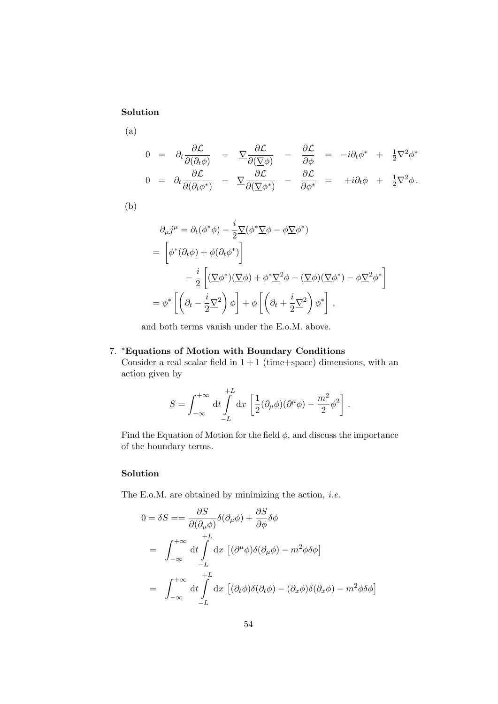(a)

$$
0 = \partial_t \frac{\partial \mathcal{L}}{\partial(\partial_t \phi)} - \nabla \frac{\partial \mathcal{L}}{\partial(\nabla \phi)} - \frac{\partial \mathcal{L}}{\partial \phi} = -i \partial_t \phi^* + \frac{1}{2} \nabla^2 \phi^*
$$
  
\n
$$
0 = \partial_t \frac{\partial \mathcal{L}}{\partial(\partial_t \phi^*)} - \nabla \frac{\partial \mathcal{L}}{\partial(\nabla \phi^*)} - \frac{\partial \mathcal{L}}{\partial \phi^*} = +i \partial_t \phi + \frac{1}{2} \nabla^2 \phi.
$$

(b)

$$
\partial_{\mu}j^{\mu} = \partial_{t}(\phi^{*}\phi) - \frac{i}{2}\nabla(\phi^{*}\nabla\phi - \phi\nabla\phi^{*})
$$
\n
$$
= \left[\phi^{*}(\partial_{t}\phi) + \phi(\partial_{t}\phi^{*})\right]
$$
\n
$$
- \frac{i}{2}\left[\left(\nabla\phi^{*}(\partial_{t}\phi) + \phi^{*}\nabla^{2}\phi - \left(\nabla\phi\right)\left(\nabla\phi^{*}\right) - \phi\nabla^{2}\phi^{*}\right]
$$
\n
$$
= \phi^{*}\left[\left(\partial_{t} - \frac{i}{2}\nabla^{2}\right)\phi\right] + \phi\left[\left(\partial_{t} + \frac{i}{2}\nabla^{2}\right)\phi^{*}\right],
$$

and both terms vanish under the E.o.M. above.

### 7. <sup>∗</sup>Equations of Motion with Boundary Conditions

Consider a real scalar field in  $1 + 1$  (time+space) dimensions, with an action given by

$$
S = \int_{-\infty}^{+\infty} dt \int_{-L}^{+L} dx \left[ \frac{1}{2} (\partial_{\mu} \phi)(\partial^{\mu} \phi) - \frac{m^2}{2} \phi^2 \right].
$$

Find the Equation of Motion for the field  $\phi$ , and discuss the importance of the boundary terms.

# Solution

The E.o.M. are obtained by minimizing the action, *i.e.* 

$$
0 = \delta S = = \frac{\partial S}{\partial(\partial_{\mu}\phi)}\delta(\partial_{\mu}\phi) + \frac{\partial S}{\partial\phi}\delta\phi
$$
  
=  $\int_{-\infty}^{+\infty} dt \int_{-L}^{+L} dx \left[ (\partial^{\mu}\phi)\delta(\partial_{\mu}\phi) - m^{2}\phi\delta\phi \right]$   
=  $\int_{-\infty}^{+\infty} dt \int_{-L}^{+L} dx \left[ (\partial_{t}\phi)\delta(\partial_{t}\phi) - (\partial_{x}\phi)\delta(\partial_{x}\phi) - m^{2}\phi\delta\phi \right]$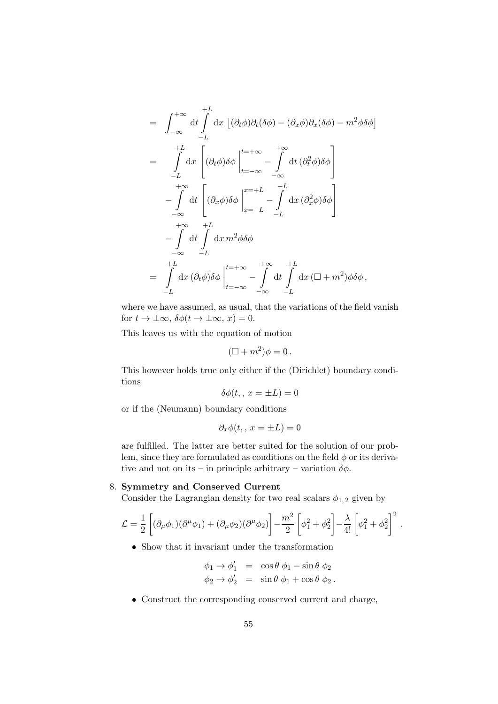$$
= \int_{-\infty}^{+\infty} dt \int_{-L}^{+L} dx \left[ (\partial_t \phi) \partial_t (\delta \phi) - (\partial_x \phi) \partial_x (\delta \phi) - m^2 \phi \delta \phi \right]
$$
  
\n
$$
= \int_{-L}^{+L} dx \left[ (\partial_t \phi) \delta \phi \Big|_{t=-\infty}^{t=-\infty} - \int_{-\infty}^{+\infty} dt \left( \partial_t^2 \phi \right) \delta \phi \right]
$$
  
\n
$$
- \int_{-\infty}^{+\infty} dt \left[ (\partial_x \phi) \delta \phi \Big|_{x=-L}^{x=-L} - \int_{-L}^{+L} dx \left( \partial_x^2 \phi \right) \delta \phi \right]
$$
  
\n
$$
- \int_{-\infty}^{+\infty} dt \int_{-L}^{+L} dx m^2 \phi \delta \phi
$$
  
\n
$$
= \int_{-L}^{+L} dx (\partial_t \phi) \delta \phi \Big|_{t=-\infty}^{t=-\infty} - \int_{-\infty}^{+\infty} dt \int_{-L}^{+L} dx (\Box + m^2) \phi \delta \phi,
$$

where we have assumed, as usual, that the variations of the field vanish for  $t \to \pm \infty$ ,  $\delta \phi(t \to \pm \infty, x) = 0$ .

This leaves us with the equation of motion

$$
(\Box + m^2)\phi = 0.
$$

This however holds true only either if the (Dirichlet) boundary conditions

$$
\delta\phi(t_,, x = \pm L) = 0
$$

or if the (Neumann) boundary conditions

$$
\partial_x \phi(t, , x = \pm L) = 0
$$

are fulfilled. The latter are better suited for the solution of our problem, since they are formulated as conditions on the field  $\phi$  or its derivative and not on its – in principle arbitrary – variation  $\delta \phi$ .

#### 8. Symmetry and Conserved Current

Consider the Lagrangian density for two real scalars  $\phi_{1,2}$  given by

$$
\mathcal{L} = \frac{1}{2} \left[ (\partial_{\mu} \phi_1)(\partial^{\mu} \phi_1) + (\partial_{\mu} \phi_2)(\partial^{\mu} \phi_2) \right] - \frac{m^2}{2} \left[ \phi_1^2 + \phi_2^2 \right] - \frac{\lambda}{4!} \left[ \phi_1^2 + \phi_2^2 \right]^2.
$$

Show that it invariant under the transformation

$$
\begin{array}{rcl}\n\phi_1 \to \phi_1' & = & \cos \theta \ \phi_1 - \sin \theta \ \phi_2 \\
\phi_2 \to \phi_2' & = & \sin \theta \ \phi_1 + \cos \theta \ \phi_2\n\end{array}.
$$

Construct the corresponding conserved current and charge,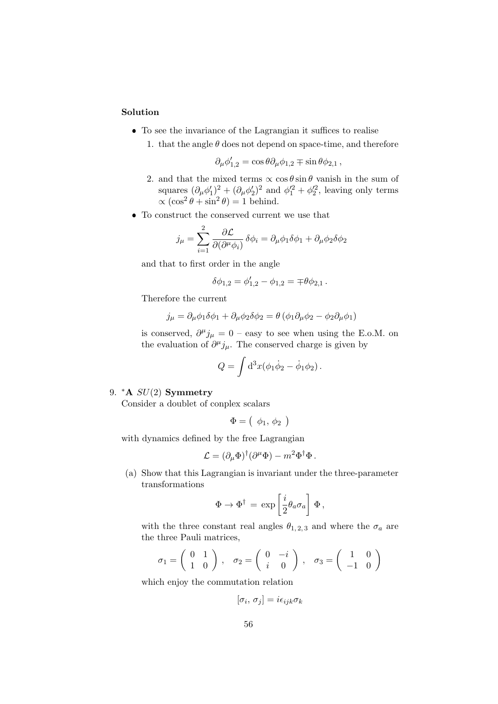- To see the invariance of the Lagrangian it suffices to realise
	- 1. that the angle  $\theta$  does not depend on space-time, and therefore

$$
\partial_{\mu}\phi'_{1,2}=\cos\theta\partial_{\mu}\phi_{1,2}\mp\sin\theta\phi_{2,1}\,,
$$

- 2. and that the mixed terms  $\propto \cos \theta \sin \theta$  vanish in the sum of squares  $(\partial_{\mu}\phi'_1)^2 + (\partial_{\mu}\phi'_2)^2$  and  $\phi'^2_1 + \phi'^2_2$ , leaving only terms  $\propto (\cos^2 \theta + \sin^2 \theta) = 1$  behind.
- To construct the conserved current we use that

$$
j_{\mu} = \sum_{i=1}^{2} \frac{\partial \mathcal{L}}{\partial(\partial^{\mu} \phi_i)} \delta \phi_i = \partial_{\mu} \phi_1 \delta \phi_1 + \partial_{\mu} \phi_2 \delta \phi_2
$$

and that to first order in the angle

$$
\delta\phi_{1,2} = \phi'_{1,2} - \phi_{1,2} = \pm \theta \phi_{2,1}.
$$

Therefore the current

$$
j_{\mu} = \partial_{\mu}\phi_1\delta\phi_1 + \partial_{\mu}\phi_2\delta\phi_2 = \theta\left(\phi_1\partial_{\mu}\phi_2 - \phi_2\partial_{\mu}\phi_1\right)
$$

is conserved,  $\partial^{\mu} j_{\mu} = 0$  – easy to see when using the E.o.M. on the evaluation of  $\partial^{\mu} j_{\mu}$ . The conserved charge is given by

$$
Q = \int d^3x (\phi_1 \dot{\phi}_2 - \dot{\phi}_1 \phi_2).
$$

#### 9.  $*A$   $SU(2)$  Symmetry

Consider a doublet of conplex scalars

$$
\Phi = (\phi_1, \phi_2)
$$

with dynamics defined by the free Lagrangian

$$
\mathcal{L} = (\partial_{\mu} \Phi)^{\dagger} (\partial^{\mu} \Phi) - m^2 \Phi^{\dagger} \Phi.
$$

(a) Show that this Lagrangian is invariant under the three-parameter transformations

$$
\Phi \to \Phi^\dagger = \exp\left[\frac{i}{2}\theta_a\sigma_a\right]\,\Phi\,,
$$

with the three constant real angles  $\theta_{1,2,3}$  and where the  $\sigma_a$  are the three Pauli matrices,

$$
\sigma_1 = \left(\begin{array}{cc} 0 & 1 \\ 1 & 0 \end{array}\right), \quad \sigma_2 = \left(\begin{array}{cc} 0 & -i \\ i & 0 \end{array}\right), \quad \sigma_3 = \left(\begin{array}{cc} 1 & 0 \\ -1 & 0 \end{array}\right)
$$

which enjoy the commutation relation

$$
[\sigma_i, \, \sigma_j] = i \epsilon_{ijk} \sigma_k
$$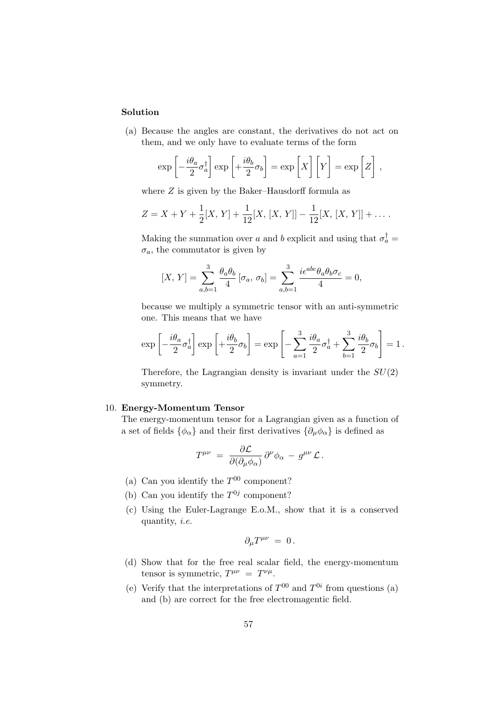(a) Because the angles are constant, the derivatives do not act on them, and we only have to evaluate terms of the form

$$
\exp\left[-\frac{i\theta_a}{2}\sigma_a^{\dagger}\right]\exp\left[+\frac{i\theta_b}{2}\sigma_b\right] = \exp\left[X\right]\left[Y\right] = \exp\left[Z\right],
$$

where  $Z$  is given by the Baker–Hausdorff formula as

$$
Z = X + Y + \frac{1}{2}[X, Y] + \frac{1}{12}[X, [X, Y]] - \frac{1}{12}[X, [X, Y]] + \dots
$$

Making the summation over a and b explicit and using that  $\sigma_a^{\dagger} =$  $\sigma_a$ , the commutator is given by

$$
[X, Y] = \sum_{a,b=1}^{3} \frac{\theta_a \theta_b}{4} [\sigma_a, \sigma_b] = \sum_{a,b=1}^{3} \frac{i\epsilon^{abc} \theta_a \theta_b \sigma_c}{4} = 0,
$$

because we multiply a symmetric tensor with an anti-symmetric one. This means that we have

$$
\exp\left[-\frac{i\theta_a}{2}\sigma_a^{\dagger}\right]\exp\left[+\frac{i\theta_b}{2}\sigma_b\right] = \exp\left[-\sum_{a=1}^3 \frac{i\theta_a}{2}\sigma_a^{\dagger} + \sum_{b=1}^3 \frac{i\theta_b}{2}\sigma_b\right] = 1.
$$

Therefore, the Lagrangian density is invariant under the  $SU(2)$ symmetry.

#### 10. Energy-Momentum Tensor

The energy-momentum tensor for a Lagrangian given as a function of a set of fields  $\{\phi_{\alpha}\}$  and their first derivatives  $\{\partial_{\mu}\phi_{\alpha}\}$  is defined as

$$
T^{\mu\nu} \;=\; \frac{\partial \mathcal{L}}{\partial (\partial_\mu \phi_\alpha)}\, \partial^\nu \phi_\alpha \,-\, g^{\mu\nu}\, \mathcal{L}\,.
$$

- (a) Can you identify the  $T^{00}$  component?
- (b) Can you identify the  $T^{0j}$  component?
- (c) Using the Euler-Lagrange E.o.M., show that it is a conserved quantity, i.e.

$$
\partial_\mu T^{\mu\nu}\ =\ 0\,.
$$

- (d) Show that for the free real scalar field, the energy-momentum tensor is symmetric,  $T^{\mu\nu} = T^{\nu\mu}$ .
- (e) Verify that the interpretations of  $T^{00}$  and  $T^{0i}$  from questions (a) and (b) are correct for the free electromagentic field.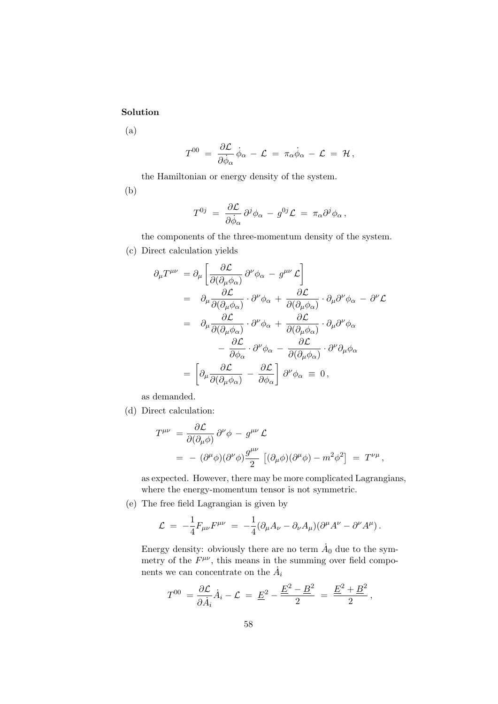(a)

$$
T^{00} \ = \ \frac{\partial \mathcal{L}}{\partial \dot{\phi}_{\alpha}} \, \dot{\phi}_{\alpha} \ - \ \mathcal{L} \ = \ \pi_{\alpha} \dot{\phi}_{\alpha} \ - \ \mathcal{L} \ = \ \mathcal{H} \, ,
$$

the Hamiltonian or energy density of the system.

(b)

$$
T^{0j} \;=\; \frac{\partial \mathcal{L}}{\partial \dot{\phi}_\alpha}\, \partial^j \phi_\alpha \,-\, g^{0j} \mathcal{L} \;=\; \pi_\alpha \partial^j \phi_\alpha \,,
$$

the components of the three-momentum density of the system.

(c) Direct calculation yields

$$
\partial_{\mu}T^{\mu\nu} = \partial_{\mu} \left[ \frac{\partial \mathcal{L}}{\partial(\partial_{\mu}\phi_{\alpha})} \partial^{\nu}\phi_{\alpha} - g^{\mu\nu} \mathcal{L} \right]
$$
  
\n
$$
= \partial_{\mu} \frac{\partial \mathcal{L}}{\partial(\partial_{\mu}\phi_{\alpha})} \cdot \partial^{\nu}\phi_{\alpha} + \frac{\partial \mathcal{L}}{\partial(\partial_{\mu}\phi_{\alpha})} \cdot \partial_{\mu}\partial^{\nu}\phi_{\alpha} - \partial^{\nu}\mathcal{L}
$$
  
\n
$$
= \partial_{\mu} \frac{\partial \mathcal{L}}{\partial(\partial_{\mu}\phi_{\alpha})} \cdot \partial^{\nu}\phi_{\alpha} + \frac{\partial \mathcal{L}}{\partial(\partial_{\mu}\phi_{\alpha})} \cdot \partial_{\mu}\partial^{\nu}\phi_{\alpha}
$$
  
\n
$$
- \frac{\partial \mathcal{L}}{\partial\phi_{\alpha}} \cdot \partial^{\nu}\phi_{\alpha} - \frac{\partial \mathcal{L}}{\partial(\partial_{\mu}\phi_{\alpha})} \cdot \partial^{\nu}\partial_{\mu}\phi_{\alpha}
$$
  
\n
$$
= \left[ \partial_{\mu} \frac{\partial \mathcal{L}}{\partial(\partial_{\mu}\phi_{\alpha})} - \frac{\partial \mathcal{L}}{\partial\phi_{\alpha}} \right] \partial^{\nu}\phi_{\alpha} \equiv 0,
$$

as demanded.

(d) Direct calculation:

$$
T^{\mu\nu} = \frac{\partial \mathcal{L}}{\partial(\partial_{\mu}\phi)} \partial^{\nu}\phi - g^{\mu\nu} \mathcal{L}
$$
  
=  $-(\partial^{\mu}\phi)(\partial^{\nu}\phi) \frac{g^{\mu\nu}}{2} [(\partial_{\mu}\phi)(\partial^{\mu}\phi) - m^{2}\phi^{2}] = T^{\nu\mu},$ 

as expected. However, there may be more complicated Lagrangians, where the energy-momentum tensor is not symmetric.

(e) The free field Lagrangian is given by

$$
\mathcal{L} = -\frac{1}{4} F_{\mu\nu} F^{\mu\nu} = -\frac{1}{4} (\partial_\mu A_\nu - \partial_\nu A_\mu) (\partial^\mu A^\nu - \partial^\nu A^\mu).
$$

Energy density: obviously there are no term  $\dot{A}_0$  due to the symmetry of the  $F^{\mu\nu}$ , this means in the summing over field components we can concentrate on the  $\dot{A}_i$ 

$$
T^{00} = \frac{\partial \mathcal{L}}{\partial \dot{A}_i} \dot{A}_i - \mathcal{L} = \underline{E}^2 - \frac{\underline{E}^2 - \underline{B}^2}{2} = \frac{\underline{E}^2 + \underline{B}^2}{2},
$$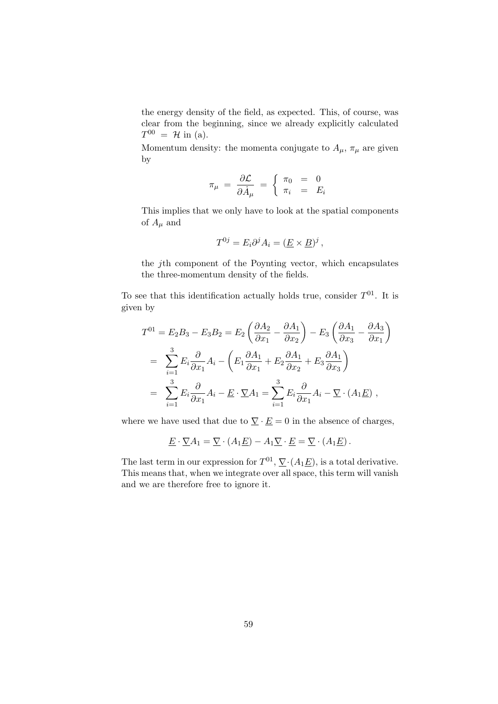the energy density of the field, as expected. This, of course, was clear from the beginning, since we already explicitly calculated  $T^{00} = \mathcal{H}$  in (a).

Momentum density: the momenta conjugate to  $A_{\mu}$ ,  $\pi_{\mu}$  are given by

$$
\pi_{\mu} = \frac{\partial \mathcal{L}}{\partial \dot{A}_{\mu}} = \begin{cases} \pi_0 = 0 \\ \pi_i = E_i \end{cases}
$$

This implies that we only have to look at the spatial components of  $A_\mu$  and

$$
T^{0j} = E_i \partial^j A_i = (\underline{E} \times \underline{B})^j ,
$$

the jth component of the Poynting vector, which encapsulates the three-momentum density of the fields.

To see that this identification actually holds true, consider  $T^{01}$ . It is given by

$$
T^{01} = E_2 B_3 - E_3 B_2 = E_2 \left( \frac{\partial A_2}{\partial x_1} - \frac{\partial A_1}{\partial x_2} \right) - E_3 \left( \frac{\partial A_1}{\partial x_3} - \frac{\partial A_3}{\partial x_1} \right)
$$
  
= 
$$
\sum_{i=1}^3 E_i \frac{\partial}{\partial x_1} A_i - \left( E_1 \frac{\partial A_1}{\partial x_1} + E_2 \frac{\partial A_1}{\partial x_2} + E_3 \frac{\partial A_1}{\partial x_3} \right)
$$
  
= 
$$
\sum_{i=1}^3 E_i \frac{\partial}{\partial x_1} A_i - \underline{E} \cdot \underline{\nabla} A_1 = \sum_{i=1}^3 E_i \frac{\partial}{\partial x_1} A_i - \underline{\nabla} \cdot (A_1 \underline{E}) ,
$$

where we have used that due to  $\nabla \cdot \underline{E} = 0$  in the absence of charges,

$$
\underline{E} \cdot \underline{\nabla} A_1 = \underline{\nabla} \cdot (A_1 \underline{E}) - A_1 \underline{\nabla} \cdot \underline{E} = \underline{\nabla} \cdot (A_1 \underline{E}).
$$

The last term in our expression for  $T^{01}$ ,  $\nabla$  ( $A_1 \underline{E}$ ), is a total derivative. This means that, when we integrate over all space, this term will vanish and we are therefore free to ignore it.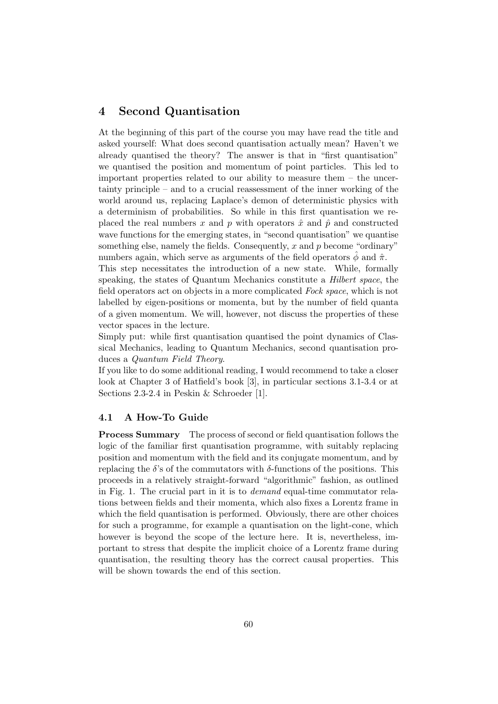# 4 Second Quantisation

At the beginning of this part of the course you may have read the title and asked yourself: What does second quantisation actually mean? Haven't we already quantised the theory? The answer is that in "first quantisation" we quantised the position and momentum of point particles. This led to important properties related to our ability to measure them – the uncertainty principle – and to a crucial reassessment of the inner working of the world around us, replacing Laplace's demon of deterministic physics with a determinism of probabilities. So while in this first quantisation we replaced the real numbers x and p with operators  $\hat{x}$  and  $\hat{p}$  and constructed wave functions for the emerging states, in "second quantisation" we quantise something else, namely the fields. Consequently,  $x$  and  $p$  become "ordinary" numbers again, which serve as arguments of the field operators  $\phi$  and  $\hat{\pi}$ .

This step necessitates the introduction of a new state. While, formally speaking, the states of Quantum Mechanics constitute a Hilbert space, the field operators act on objects in a more complicated Fock space, which is not labelled by eigen-positions or momenta, but by the number of field quanta of a given momentum. We will, however, not discuss the properties of these vector spaces in the lecture.

Simply put: while first quantisation quantised the point dynamics of Classical Mechanics, leading to Quantum Mechanics, second quantisation produces a Quantum Field Theory.

If you like to do some additional reading, I would recommend to take a closer look at Chapter 3 of Hatfield's book [3], in particular sections 3.1-3.4 or at Sections 2.3-2.4 in Peskin & Schroeder [1].

# 4.1 A How-To Guide

Process Summary The process of second or field quantisation follows the logic of the familiar first quantisation programme, with suitably replacing position and momentum with the field and its conjugate momentum, and by replacing the δ's of the commutators with δ-functions of the positions. This proceeds in a relatively straight-forward "algorithmic" fashion, as outlined in Fig. 1. The crucial part in it is to demand equal-time commutator relations between fields and their momenta, which also fixes a Lorentz frame in which the field quantisation is performed. Obviously, there are other choices for such a programme, for example a quantisation on the light-cone, which however is beyond the scope of the lecture here. It is, nevertheless, important to stress that despite the implicit choice of a Lorentz frame during quantisation, the resulting theory has the correct causal properties. This will be shown towards the end of this section.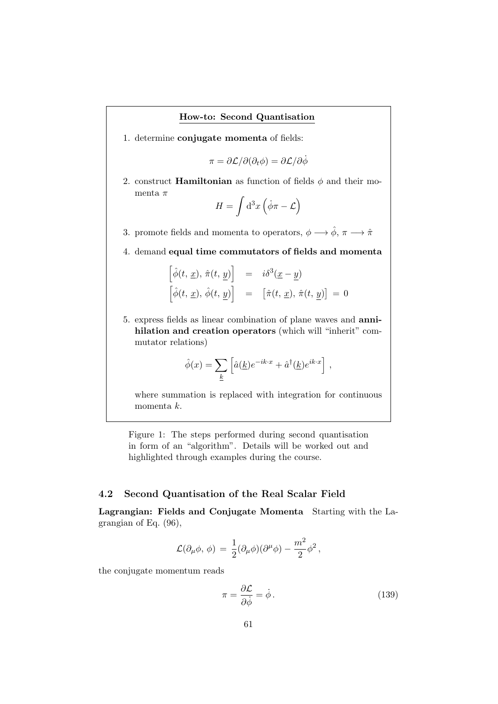#### How-to: Second Quantisation

1. determine conjugate momenta of fields:

 $\pi = \partial \mathcal{L}/\partial(\partial_t \phi) = \partial \mathcal{L}/\partial \dot{\phi}$ 

2. construct **Hamiltonian** as function of fields  $\phi$  and their momenta $\pi$ 

$$
H = \int d^3x \left(\dot{\phi}\pi - \mathcal{L}\right)
$$

3. promote fields and momenta to operators,  $\phi \longrightarrow \hat{\phi}, \, \pi \longrightarrow \hat{\pi}$ 

4. demand equal time commutators of fields and momenta

$$
\begin{array}{rcl}\n\left[\hat{\phi}(t, \underline{x}), \hat{\pi}(t, \underline{y})\right] & = & i\delta^3(\underline{x} - \underline{y}) \\
\left[\hat{\phi}(t, \underline{x}), \hat{\phi}(t, \underline{y})\right] & = & \left[\hat{\pi}(t, \underline{x}), \hat{\pi}(t, \underline{y})\right] = 0\n\end{array}
$$

5. express fields as linear combination of plane waves and annihilation and creation operators (which will "inherit" commutator relations)

$$
\hat{\phi}(x) = \sum_{\underline{k}} \left[ \hat{a}(\underline{k}) e^{-ik \cdot x} + \hat{a}^{\dagger}(\underline{k}) e^{ik \cdot x} \right],
$$

where summation is replaced with integration for continuous momenta k.

Figure 1: The steps performed during second quantisation in form of an "algorithm". Details will be worked out and highlighted through examples during the course.

### 4.2 Second Quantisation of the Real Scalar Field

Lagrangian: Fields and Conjugate Momenta Starting with the Lagrangian of Eq. (96),

$$
\mathcal{L}(\partial_{\mu}\phi,\,\phi) \,=\, \frac{1}{2}(\partial_{\mu}\phi)(\partial^{\mu}\phi)-\frac{m^2}{2}\phi^2\,,
$$

the conjugate momentum reads

$$
\pi = \frac{\partial \mathcal{L}}{\partial \dot{\phi}} = \dot{\phi} \,. \tag{139}
$$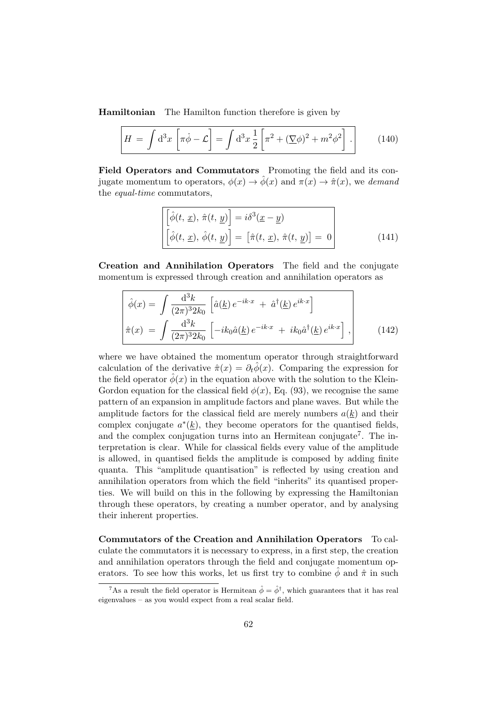Hamiltonian The Hamilton function therefore is given by

$$
H = \int d^3x \left[ \pi \dot{\phi} - \mathcal{L} \right] = \int d^3x \frac{1}{2} \left[ \pi^2 + (\nabla \phi)^2 + m^2 \phi^2 \right]. \tag{140}
$$

Field Operators and Commutators Promoting the field and its conjugate momentum to operators,  $\phi(x) \to \hat{\phi}(x)$  and  $\pi(x) \to \hat{\pi}(x)$ , we demand the equal-time commutators,

$$
\begin{bmatrix}\n\hat{\phi}(t, \underline{x}), \hat{\pi}(t, \underline{y})\n\end{bmatrix} = i\delta^3(\underline{x} - \underline{y})
$$
\n
$$
\begin{bmatrix}\n\hat{\phi}(t, \underline{x}), \hat{\phi}(t, \underline{y})\n\end{bmatrix} = \begin{bmatrix}\n\hat{\pi}(t, \underline{x}), \hat{\pi}(t, \underline{y})\n\end{bmatrix} = 0
$$
\n(141)

Creation and Annihilation Operators The field and the conjugate momentum is expressed through creation and annihilation operators as

$$
\hat{\phi}(x) = \int \frac{d^3k}{(2\pi)^3 2k_0} \left[ \hat{a}(\underline{k}) e^{-ik \cdot x} + \hat{a}^\dagger(\underline{k}) e^{ik \cdot x} \right] \n\hat{\pi}(x) = \int \frac{d^3k}{(2\pi)^3 2k_0} \left[ -ik_0 \hat{a}(\underline{k}) e^{-ik \cdot x} + ik_0 \hat{a}^\dagger(\underline{k}) e^{ik \cdot x} \right],
$$
\n(142)

where we have obtained the momentum operator through straightforward calculation of the derivative  $\hat{\pi}(x) = \partial_t \phi(x)$ . Comparing the expression for the field operator  $\phi(x)$  in the equation above with the solution to the Klein-Gordon equation for the classical field  $\phi(x)$ , Eq. (93), we recognise the same pattern of an expansion in amplitude factors and plane waves. But while the amplitude factors for the classical field are merely numbers  $a(k)$  and their complex conjugate  $a^*(\underline{k})$ , they become operators for the quantised fields, and the complex conjugation turns into an Hermitean conjugate<sup>7</sup>. The interpretation is clear. While for classical fields every value of the amplitude is allowed, in quantised fields the amplitude is composed by adding finite quanta. This "amplitude quantisation" is reflected by using creation and annihilation operators from which the field "inherits" its quantised properties. We will build on this in the following by expressing the Hamiltonian through these operators, by creating a number operator, and by analysing their inherent properties.

Commutators of the Creation and Annihilation Operators To calculate the commutators it is necessary to express, in a first step, the creation and annihilation operators through the field and conjugate momentum operators. To see how this works, let us first try to combine  $\hat{\phi}$  and  $\hat{\pi}$  in such

<sup>&</sup>lt;sup>7</sup>As a result the field operator is Hermitean  $\hat{\phi} = \hat{\phi}^{\dagger}$ , which guarantees that it has real eigenvalues – as you would expect from a real scalar field.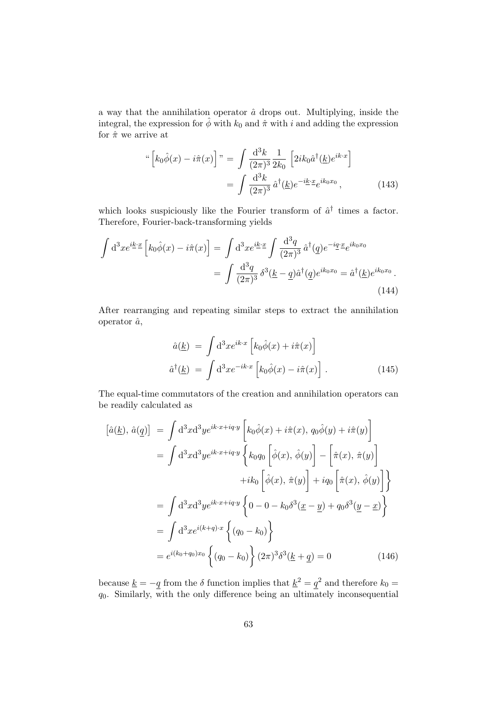a way that the annihilation operator  $\hat{a}$  drops out. Multiplying, inside the integral, the expression for  $\hat{\phi}$  with  $k_0$  and  $\hat{\pi}$  with i and adding the expression for  $\hat{\pi}$  we arrive at

$$
\begin{aligned}\n\text{``}\left[k_0\hat{\phi}(x) - i\hat{\pi}(x)\right] \text{''} &= \int \frac{\mathrm{d}^3 k}{(2\pi)^3} \frac{1}{2k_0} \left[2ik_0\hat{a}^\dagger(\underline{k})e^{ik\cdot x}\right] \\
&= \int \frac{\mathrm{d}^3 k}{(2\pi)^3} \hat{a}^\dagger(\underline{k})e^{-i\underline{k}\cdot \underline{x}}e^{ik_0x_0}\,,\n\end{aligned} \tag{143}
$$

which looks suspiciously like the Fourier transform of  $\hat{a}^{\dagger}$  times a factor. Therefore, Fourier-back-transforming yields

$$
\int d^3x e^{i\underline{k}\cdot \underline{x}} \left[ k_0 \hat{\phi}(x) - i\hat{\pi}(x) \right] = \int d^3x e^{i\underline{k}\cdot \underline{x}} \int \frac{d^3q}{(2\pi)^3} \hat{a}^\dagger(\underline{q}) e^{-i\underline{q}\cdot \underline{x}} e^{ik_0x_0}
$$

$$
= \int \frac{d^3q}{(2\pi)^3} \delta^3(\underline{k} - \underline{q}) \hat{a}^\dagger(\underline{q}) e^{ik_0x_0} = \hat{a}^\dagger(\underline{k}) e^{ik_0x_0}.
$$
(144)

After rearranging and repeating similar steps to extract the annihilation operator  $\hat{a}$ ,

$$
\hat{a}(\underline{k}) = \int d^3x e^{ik \cdot x} \left[ k_0 \hat{\phi}(x) + i \hat{\pi}(x) \right]
$$

$$
\hat{a}^\dagger(\underline{k}) = \int d^3x e^{-ik \cdot x} \left[ k_0 \hat{\phi}(x) - i \hat{\pi}(x) \right].
$$
(145)

The equal-time commutators of the creation and annihilation operators can be readily calculated as

$$
[\hat{a}(\underline{k}), \hat{a}(\underline{q})] = \int d^3x d^3y e^{ik \cdot x + iq \cdot y} \left[ k_0 \hat{\phi}(x) + i\hat{\pi}(x), q_0 \hat{\phi}(y) + i\hat{\pi}(y) \right]
$$
  
\n
$$
= \int d^3x d^3y e^{ik \cdot x + iq \cdot y} \left\{ k_0 q_0 \left[ \hat{\phi}(x), \hat{\phi}(y) \right] - \left[ \hat{\pi}(x), \hat{\pi}(y) \right] \right\}
$$
  
\n
$$
+ ik_0 \left[ \hat{\phi}(x), \hat{\pi}(y) \right] + iq_0 \left[ \hat{\pi}(x), \hat{\phi}(y) \right] \right\}
$$
  
\n
$$
= \int d^3x d^3y e^{ik \cdot x + iq \cdot y} \left\{ 0 - 0 - k_0 \delta^3(\underline{x} - \underline{y}) + q_0 \delta^3(\underline{y} - \underline{x}) \right\}
$$
  
\n
$$
= \int d^3x e^{i(k+q) \cdot x} \left\{ (q_0 - k_0) \right\}
$$
  
\n
$$
= e^{i(k_0+q_0)x_0} \left\{ (q_0 - k_0) \right\} (2\pi)^3 \delta^3(\underline{k} + \underline{q}) = 0
$$
 (146)

because  $\underline{k} = -q$  from the  $\delta$  function implies that  $\underline{k}^2 = q^2$  and therefore  $k_0 =$  $q_0$ . Similarly, with the only difference being an ultimately inconsequential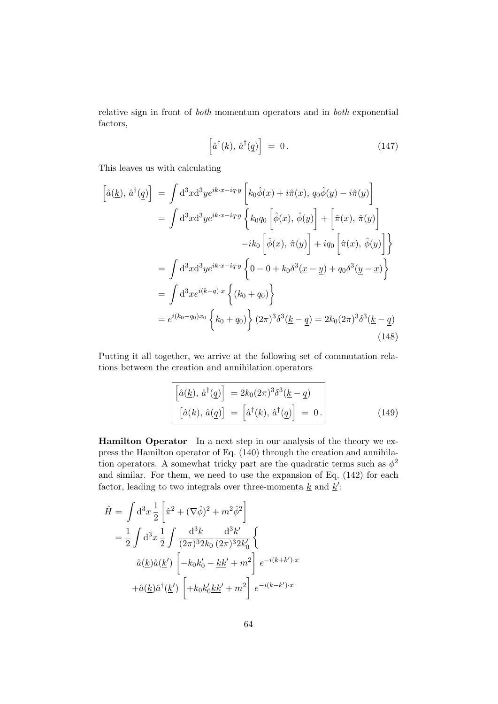relative sign in front of both momentum operators and in both exponential factors,

$$
\left[\hat{a}^{\dagger}(\underline{k}), \,\hat{a}^{\dagger}(\underline{q})\right] = 0. \tag{147}
$$

This leaves us with calculating

$$
\begin{aligned}\n\left[\hat{a}(\underline{k}), \hat{a}^{\dagger}(\underline{q})\right] &= \int \mathrm{d}^{3}x \mathrm{d}^{3}y e^{ik \cdot x - iq \cdot y} \left[k_{0}\hat{\phi}(x) + i\hat{\pi}(x), q_{0}\hat{\phi}(y) - i\hat{\pi}(y)\right] \\
&= \int \mathrm{d}^{3}x \mathrm{d}^{3}y e^{ik \cdot x - iq \cdot y} \left\{k_{0}q_{0}\left[\hat{\phi}(x), \hat{\phi}(y)\right] + \left[\hat{\pi}(x), \hat{\pi}(y)\right] - ik_{0}\left[\hat{\phi}(x), \hat{\pi}(y)\right] + iq_{0}\left[\hat{\pi}(x), \hat{\phi}(y)\right]\right\} \\
&= \int \mathrm{d}^{3}x \mathrm{d}^{3}y e^{ik \cdot x - iq \cdot y} \left\{0 - 0 + k_{0}\delta^{3}(\underline{x} - \underline{y}) + q_{0}\delta^{3}(\underline{y} - \underline{x})\right\} \\
&= \int \mathrm{d}^{3}x e^{i(k-q)\cdot x} \left\{(k_{0} + q_{0})\right\} \\
&= e^{i(k_{0} - q_{0})x_{0}} \left\{k_{0} + q_{0}\right\} (2\pi)^{3} \delta^{3}(\underline{k} - \underline{q}) = 2k_{0}(2\pi)^{3} \delta^{3}(\underline{k} - \underline{q})\n\end{aligned} \tag{148}
$$

Putting it all together, we arrive at the following set of commutation relations between the creation and annihilation operators

$$
\begin{aligned}\n\left[\hat{a}(\underline{k}), \hat{a}^\dagger(\underline{q})\right] &= 2k_0(2\pi)^3 \delta^3(\underline{k} - \underline{q}) \\
\left[\hat{a}(\underline{k}), \hat{a}(\underline{q})\right] &= \left[\hat{a}^\dagger(\underline{k}), \hat{a}^\dagger(\underline{q})\right] = 0.\n\end{aligned} \tag{149}
$$

Hamilton Operator In a next step in our analysis of the theory we express the Hamilton operator of Eq. (140) through the creation and annihilation operators. A somewhat tricky part are the quadratic terms such as  $\phi^2$ and similar. For them, we need to use the expansion of Eq. (142) for each factor, leading to two integrals over three-momenta  $\underline{k}$  and  $\underline{k}'$ :

$$
\hat{H} = \int d^3x \frac{1}{2} \left[ \hat{\pi}^2 + (\nabla \hat{\phi})^2 + m^2 \hat{\phi}^2 \right]
$$
  
\n
$$
= \frac{1}{2} \int d^3x \frac{1}{2} \int \frac{d^3k}{(2\pi)^3 2k_0} \frac{d^3k'}{(2\pi)^3 2k'_0} \left\{ \hat{a}(\underline{k}) \hat{a}(\underline{k}') \left[ -k_0k'_0 - \underline{k}\underline{k}' + m^2 \right] e^{-i(k+k')\cdot x} + \hat{a}(\underline{k}) \hat{a}^\dagger(\underline{k}') \left[ +k_0k'_0 \underline{k}\underline{k}' + m^2 \right] e^{-i(k-k')\cdot x} \right. \tag{4.6a}
$$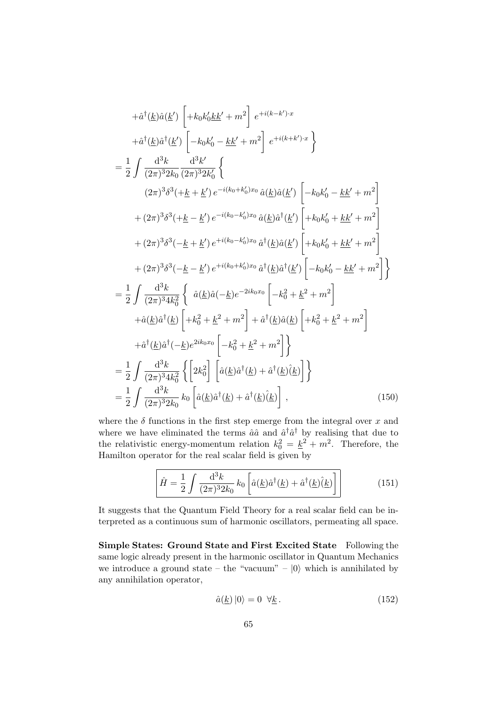$$
+ \hat{a}^{\dagger}(\underline{k})\hat{a}(\underline{k}') \left[ +k_{0}k'_{0}\underline{k}\underline{k}'+m^{2} \right] e^{+i(k-k')\cdot x} \n+ \hat{a}^{\dagger}(\underline{k})\hat{a}^{\dagger}(\underline{k}') \left[ -k_{0}k'_{0} - \underline{k}\underline{k}'+m^{2} \right] e^{+i(k+k')\cdot x} \right\} \n= \frac{1}{2} \int \frac{d^{3}k}{(2\pi)^{3}2k_{0}} \frac{d^{3}k'}{(2\pi)^{3}2k'_{0}} \left\{ (2\pi)^{3}\delta^{3}(+\underline{k}+\underline{k}') e^{-i(k_{0}+k'_{0})x_{0}} \hat{a}(\underline{k})\hat{a}(\underline{k}') \left[ -k_{0}k'_{0} - \underline{k}\underline{k}'+m^{2} \right] \right. \n+ (2\pi)^{3}\delta^{3}(+\underline{k}-\underline{k}') e^{-i(k_{0}-k'_{0})x_{0}} \hat{a}(\underline{k})\hat{a}^{\dagger}(\underline{k}') \left[ +k_{0}k'_{0} + \underline{k}\underline{k}'+m^{2} \right] \n+ (2\pi)^{3}\delta^{3}(-\underline{k}+\underline{k}') e^{+i(k_{0}-k'_{0})x_{0}} \hat{a}^{\dagger}(\underline{k})\hat{a}(\underline{k}') \left[ +k_{0}k'_{0} + \underline{k}\underline{k}'+m^{2} \right] \n+ (2\pi)^{3}\delta^{3}(-\underline{k}+\underline{k}') e^{+i(k_{0}-k'_{0})x_{0}} \hat{a}^{\dagger}(\underline{k})\hat{a}^{\dagger}(\underline{k}') \left[ -k_{0}k'_{0} - \underline{k}\underline{k}'+m^{2} \right] \n+ \hat{a}(2\pi)^{3}4k_{0}^{2} \left\{ \hat{a}(\underline{k})\hat{a}(-\underline{k})e^{-2ik_{0}x_{0}} \left[ -k_{0}^{2} + \underline{k}^{2} + m^{2} \right] \right. \n+ \hat{a}(\underline{k})\hat{a}^{\dagger}(\underline{k}) \left[ +k_{0}^{2} + \underline{k}^{2} + m^{2} \right] \right\} \n+ \hat{a}^{\dagger}(\underline{k})\hat{a}^{\dagger}(-\underline
$$

where the  $\delta$  functions in the first step emerge from the integral over x and where we have eliminated the terms  $\hat{a}\hat{a}$  and  $\hat{a}^{\dagger}\hat{a}^{\dagger}$  by realising that due to the relativistic energy-momentum relation  $k_0^2 = \underline{k}^2 + m^2$ . Therefore, the Hamilton operator for the real scalar field is given by

$$
\hat{H} = \frac{1}{2} \int \frac{\mathrm{d}^3 k}{(2\pi)^3 2k_0} k_0 \left[ \hat{a}(\underline{k}) \hat{a}^\dagger(\underline{k}) + \hat{a}^\dagger(\underline{k}) \hat{(\underline{k})} \right] \tag{151}
$$

It suggests that the Quantum Field Theory for a real scalar field can be interpreted as a continuous sum of harmonic oscillators, permeating all space.

Simple States: Ground State and First Excited State Following the same logic already present in the harmonic oscillator in Quantum Mechanics we introduce a ground state – the "vacuum" –  $|0\rangle$  which is annihilated by any annihilation operator,

$$
\hat{a}(\underline{k})\left|0\right\rangle = 0 \quad \forall \underline{k} \,.
$$
\n(152)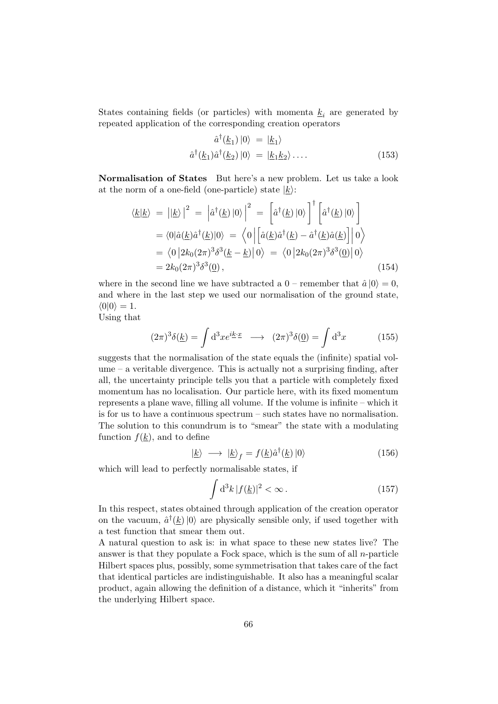States containing fields (or particles) with momenta  $\underline{k}_i$  are generated by repeated application of the corresponding creation operators

$$
\hat{a}^{\dagger}(\underline{k}_1) |0\rangle = |\underline{k}_1\rangle
$$
  

$$
\hat{a}^{\dagger}(\underline{k}_1)\hat{a}^{\dagger}(\underline{k}_2) |0\rangle = |\underline{k}_1\underline{k}_2\rangle \dots
$$
 (153)

Normalisation of States But here's a new problem. Let us take a look at the norm of a one-field (one-particle) state  $|k\rangle$ :

$$
\langle \underline{k} | \underline{k} \rangle = | | \underline{k} \rangle |^2 = | \hat{a}^\dagger(\underline{k}) | 0 \rangle |^2 = \left[ \hat{a}^\dagger(\underline{k}) | 0 \rangle \right]^\dagger \left[ \hat{a}^\dagger(\underline{k}) | 0 \rangle \right]
$$
  
=  $\langle 0 | \hat{a}(\underline{k}) \hat{a}^\dagger(\underline{k}) | 0 \rangle = \langle 0 | \left[ \hat{a}(\underline{k}) \hat{a}^\dagger(\underline{k}) - \hat{a}^\dagger(\underline{k}) \hat{a}(\underline{k}) \right] | 0 \rangle$   
=  $\langle 0 | 2k_0 (2\pi)^3 \delta^3(\underline{k} - \underline{k}) | 0 \rangle = \langle 0 | 2k_0 (2\pi)^3 \delta^3(\underline{0}) | 0 \rangle$   
=  $2k_0 (2\pi)^3 \delta^3(\underline{0}),$  (154)

where in the second line we have subtracted a  $0$  – remember that  $\hat{a} |0\rangle = 0$ , and where in the last step we used our normalisation of the ground state,  $\langle 0|0 \rangle = 1.$ 

Using that

$$
(2\pi)^3 \delta(\underline{k}) = \int d^3x e^{i\underline{k}\cdot \underline{x}} \longrightarrow (2\pi)^3 \delta(\underline{0}) = \int d^3x \tag{155}
$$

suggests that the normalisation of the state equals the (infinite) spatial volume – a veritable divergence. This is actually not a surprising finding, after all, the uncertainty principle tells you that a particle with completely fixed momentum has no localisation. Our particle here, with its fixed momentum represents a plane wave, filling all volume. If the volume is infinite – which it is for us to have a continuous spectrum – such states have no normalisation. The solution to this conundrum is to "smear" the state with a modulating function  $f(k)$ , and to define

$$
|\underline{k}\rangle \longrightarrow |\underline{k}\rangle_f = f(\underline{k})\hat{a}^\dagger(\underline{k})|0\rangle \tag{156}
$$

which will lead to perfectly normalisable states, if

$$
\int d^3k \, |f(\underline{k})|^2 < \infty \,. \tag{157}
$$

In this respect, states obtained through application of the creation operator on the vacuum,  $\hat{a}^{\dagger}(\underline{k})|0\rangle$  are physically sensible only, if used together with a test function that smear them out.

A natural question to ask is: in what space to these new states live? The answer is that they populate a Fock space, which is the sum of all  $n$ -particle Hilbert spaces plus, possibly, some symmetrisation that takes care of the fact that identical particles are indistinguishable. It also has a meaningful scalar product, again allowing the definition of a distance, which it "inherits" from the underlying Hilbert space.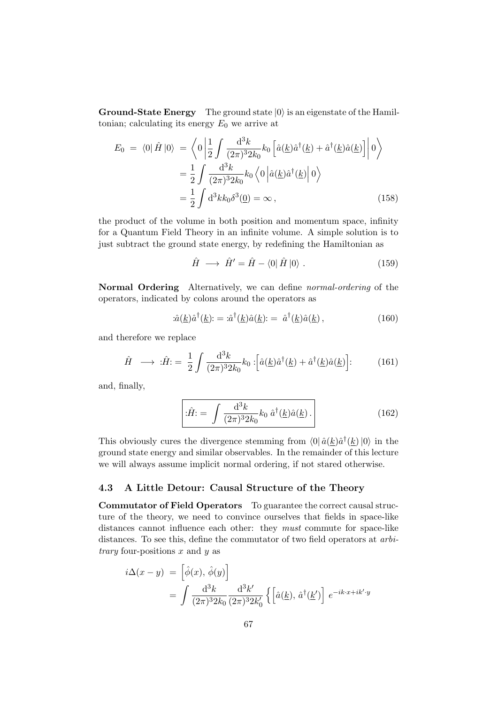**Ground-State Energy** The ground state  $|0\rangle$  is an eigenstate of the Hamiltonian; calculating its energy  $E_0$  we arrive at

$$
E_0 = \langle 0 | \hat{H} | 0 \rangle = \left\langle 0 \left| \frac{1}{2} \int \frac{d^3k}{(2\pi)^3 2k_0} k_0 \left[ \hat{a}(\underline{k}) \hat{a}^\dagger(\underline{k}) + \hat{a}^\dagger(\underline{k}) \hat{a}(\underline{k}) \right] \right| 0 \right\rangle
$$
  

$$
= \frac{1}{2} \int \frac{d^3k}{(2\pi)^3 2k_0} k_0 \left\langle 0 \left| \hat{a}(\underline{k}) \hat{a}^\dagger(\underline{k}) \right| 0 \right\rangle
$$
  

$$
= \frac{1}{2} \int d^3k k_0 \delta^3(0) = \infty , \qquad (158)
$$

the product of the volume in both position and momentum space, infinity for a Quantum Field Theory in an infinite volume. A simple solution is to just subtract the ground state energy, by redefining the Hamiltonian as

$$
\hat{H} \longrightarrow \hat{H}' = \hat{H} - \langle 0 | \hat{H} | 0 \rangle. \tag{159}
$$

Normal Ordering Alternatively, we can define normal-ordering of the operators, indicated by colons around the operators as

$$
\hat{a}(\underline{k})\hat{a}^{\dagger}(\underline{k})\mathbf{.} = \hat{a}^{\dagger}(\underline{k})\hat{a}(\underline{k})\mathbf{.} = \hat{a}^{\dagger}(\underline{k})\hat{a}(\underline{k})\,,\tag{160}
$$

and therefore we replace

$$
\hat{H} \longrightarrow \hat{H} = \frac{1}{2} \int \frac{\mathrm{d}^3 k}{(2\pi)^3 2k_0} k_0 : \left[ \hat{a}(\underline{k}) \hat{a}^\dagger(\underline{k}) + \hat{a}^\dagger(\underline{k}) \hat{a}(\underline{k}) \right] : \tag{161}
$$

and, finally,

$$
\left[ : \hat{H} = \int \frac{\mathrm{d}^3 k}{(2\pi)^3 2k_0} k_0 \, \hat{a}^\dagger(\underline{k}) \hat{a}(\underline{k}) \,. \right] \tag{162}
$$

This obviously cures the divergence stemming from  $\langle 0 | \hat{a}(\underline{k}) \hat{a}^\dagger(\underline{k}) | 0 \rangle$  in the ground state energy and similar observables. In the remainder of this lecture we will always assume implicit normal ordering, if not stared otherwise.

# 4.3 A Little Detour: Causal Structure of the Theory

Commutator of Field Operators To guarantee the correct causal structure of the theory, we need to convince ourselves that fields in space-like distances cannot influence each other: they *must* commute for space-like distances. To see this, define the commutator of two field operators at arbi*trary* four-positions  $x$  and  $y$  as

$$
i\Delta(x-y) = \left[\hat{\phi}(x), \hat{\phi}(y)\right]
$$
  
= 
$$
\int \frac{d^3k}{(2\pi)^3 2k_0} \frac{d^3k'}{(2\pi)^3 2k'_0} \left\{ \left[\hat{a}(\underline{k}), \hat{a}^\dagger(\underline{k}')\right] e^{-ik \cdot x + ik' \cdot y} \right\}
$$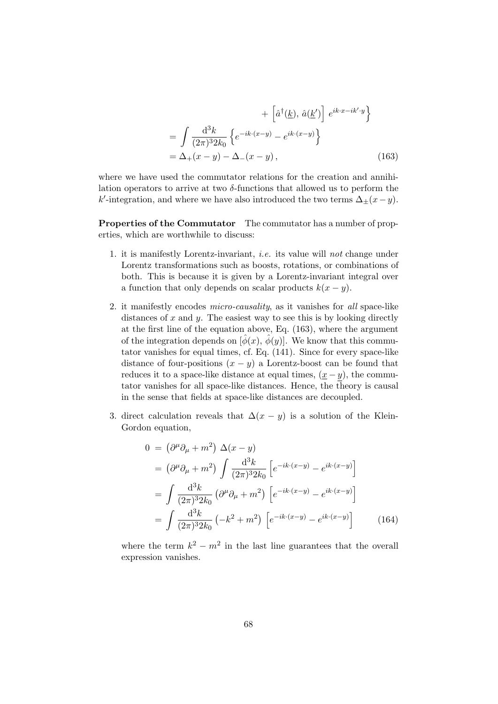$$
+\left[\hat{a}^{\dagger}(\underline{k}), \hat{a}(\underline{k}')\right] e^{ik \cdot x - ik' \cdot y}
$$

$$
=\int \frac{d^3k}{(2\pi)^3 2k_0} \left\{e^{-ik \cdot (x-y)} - e^{ik \cdot (x-y)}\right\}
$$

$$
=\Delta_+(x-y) - \Delta_-(x-y), \qquad (163)
$$

where we have used the commutator relations for the creation and annihilation operators to arrive at two  $\delta$ -functions that allowed us to perform the k'-integration, and where we have also introduced the two terms  $\Delta_{\pm}(x-y)$ .

Properties of the Commutator The commutator has a number of properties, which are worthwhile to discuss:

- 1. it is manifestly Lorentz-invariant, i.e. its value will not change under Lorentz transformations such as boosts, rotations, or combinations of both. This is because it is given by a Lorentz-invariant integral over a function that only depends on scalar products  $k(x - y)$ .
- 2. it manifestly encodes *micro-causality*, as it vanishes for all space-like distances of  $x$  and  $y$ . The easiest way to see this is by looking directly at the first line of the equation above, Eq. (163), where the argument of the integration depends on  $[\phi(x), \dot{\phi}(y)]$ . We know that this commutator vanishes for equal times, cf. Eq. (141). Since for every space-like distance of four-positions  $(x - y)$  a Lorentz-boost can be found that reduces it to a space-like distance at equal times,  $(\underline{x} - y)$ , the commutator vanishes for all space-like distances. Hence, the theory is causal in the sense that fields at space-like distances are decoupled.
- 3. direct calculation reveals that  $\Delta(x y)$  is a solution of the Klein-Gordon equation,

$$
0 = (\partial^{\mu}\partial_{\mu} + m^{2}) \Delta(x - y)
$$
  
\n
$$
= (\partial^{\mu}\partial_{\mu} + m^{2}) \int \frac{d^{3}k}{(2\pi)^{3}2k_{0}} \left[ e^{-ik \cdot (x - y)} - e^{ik \cdot (x - y)} \right]
$$
  
\n
$$
= \int \frac{d^{3}k}{(2\pi)^{3}2k_{0}} \left( \partial^{\mu}\partial_{\mu} + m^{2} \right) \left[ e^{-ik \cdot (x - y)} - e^{ik \cdot (x - y)} \right]
$$
  
\n
$$
= \int \frac{d^{3}k}{(2\pi)^{3}2k_{0}} \left( -k^{2} + m^{2} \right) \left[ e^{-ik \cdot (x - y)} - e^{ik \cdot (x - y)} \right]
$$
(164)

where the term  $k^2 - m^2$  in the last line guarantees that the overall expression vanishes.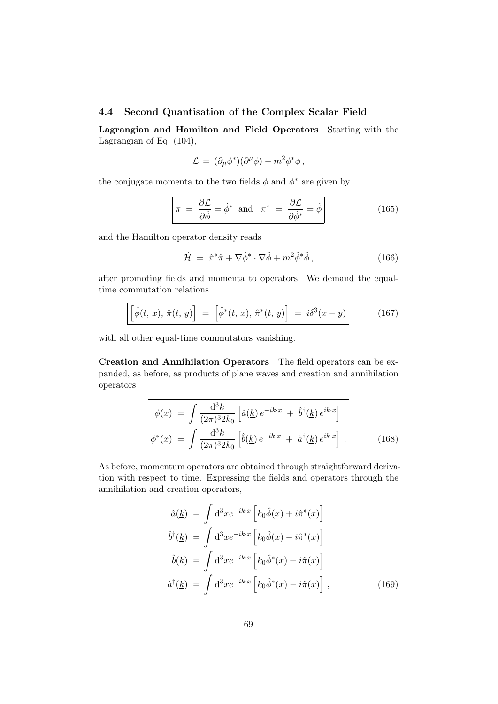### 4.4 Second Quantisation of the Complex Scalar Field

Lagrangian and Hamilton and Field Operators Starting with the Lagrangian of Eq. (104),

$$
\mathcal{L} = (\partial_{\mu}\phi^*)(\partial^{\mu}\phi) - m^2\phi^*\phi,
$$

the conjugate momenta to the two fields  $\phi$  and  $\phi^*$  are given by

$$
\pi = \frac{\partial \mathcal{L}}{\partial \dot{\phi}} = \dot{\phi}^* \text{ and } \pi^* = \frac{\partial \mathcal{L}}{\partial \dot{\phi}^*} = \dot{\phi}
$$
 (165)

and the Hamilton operator density reads

$$
\hat{\mathcal{H}} = \hat{\pi}^* \hat{\pi} + \underline{\nabla} \hat{\phi}^* \cdot \underline{\nabla} \hat{\phi} + m^2 \hat{\phi}^* \hat{\phi}, \qquad (166)
$$

after promoting fields and momenta to operators. We demand the equaltime commutation relations

$$
\left[\hat{\phi}(t, \underline{x}), \hat{\pi}(t, \underline{y})\right] = \left[\hat{\phi}^*(t, \underline{x}), \hat{\pi}^*(t, \underline{y})\right] = i\delta^3(\underline{x} - \underline{y})\right]
$$
(167)

with all other equal-time commutators vanishing.

Creation and Annihilation Operators The field operators can be expanded, as before, as products of plane waves and creation and annihilation operators

$$
\phi(x) = \int \frac{d^3k}{(2\pi)^3 2k_0} \left[ \hat{a}(\underline{k}) e^{-ik \cdot x} + \hat{b}^\dagger(\underline{k}) e^{ik \cdot x} \right] \n\phi^*(x) = \int \frac{d^3k}{(2\pi)^3 2k_0} \left[ \hat{b}(\underline{k}) e^{-ik \cdot x} + \hat{a}^\dagger(\underline{k}) e^{ik \cdot x} \right].
$$
\n(168)

As before, momentum operators are obtained through straightforward derivation with respect to time. Expressing the fields and operators through the annihilation and creation operators,

$$
\hat{a}(\underline{k}) = \int d^3x e^{+ik \cdot x} \left[ k_0 \hat{\phi}(x) + i \hat{\pi}^*(x) \right]
$$
  

$$
\hat{b}^\dagger(\underline{k}) = \int d^3x e^{-ik \cdot x} \left[ k_0 \hat{\phi}(x) - i \hat{\pi}^*(x) \right]
$$
  

$$
\hat{b}(\underline{k}) = \int d^3x e^{+ik \cdot x} \left[ k_0 \hat{\phi}^*(x) + i \hat{\pi}(x) \right]
$$
  

$$
\hat{a}^\dagger(\underline{k}) = \int d^3x e^{-ik \cdot x} \left[ k_0 \hat{\phi}^*(x) - i \hat{\pi}(x) \right],
$$
 (169)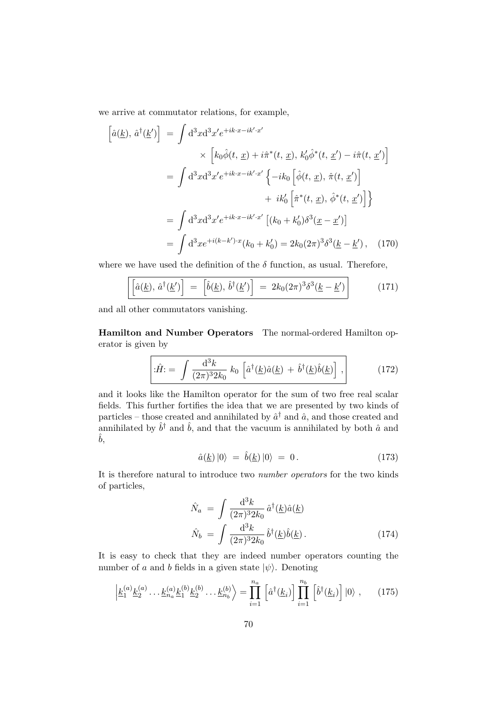we arrive at commutator relations, for example,

$$
\begin{aligned}\n\left[\hat{a}(\underline{k}), \hat{a}^{\dagger}(\underline{k}')\right] &= \int \mathrm{d}^{3}x \mathrm{d}^{3}x' e^{+ik \cdot x - ik' \cdot x'} \\
&\times \left[k_{0}\hat{\phi}(t, \underline{x}) + i\hat{\pi}^{*}(t, \underline{x}), \, k'_{0}\hat{\phi}^{*}(t, \underline{x}') - i\hat{\pi}(t, \underline{x}')\right] \\
&= \int \mathrm{d}^{3}x \mathrm{d}^{3}x' e^{+ik \cdot x - ik' \cdot x'} \left\{-ik_{0}\left[\hat{\phi}(t, \underline{x}), \hat{\pi}(t, \underline{x}')\right] \\
&\quad + ik'_{0}\left[\hat{\pi}^{*}(t, \underline{x}), \hat{\phi}^{*}(t, \underline{x}')\right]\right\} \\
&= \int \mathrm{d}^{3}x \mathrm{d}^{3}x' e^{+ik \cdot x - ik' \cdot x'} \left[(k_{0} + k'_{0})\delta^{3}(\underline{x} - \underline{x}')\right] \\
&= \int \mathrm{d}^{3}x e^{+i(k - k') \cdot x}(k_{0} + k'_{0}) = 2k_{0}(2\pi)^{3} \delta^{3}(\underline{k} - \underline{k}'), \quad (170)\n\end{aligned}
$$

where we have used the definition of the  $\delta$  function, as usual. Therefore,

$$
\left[\left[\hat{a}(\underline{k}), \hat{a}^\dagger(\underline{k}')\right] = \left[\hat{b}(\underline{k}), \hat{b}^\dagger(\underline{k}')\right] = 2k_0(2\pi)^3\delta^3(\underline{k} - \underline{k}')\right]
$$
(171)

and all other commutators vanishing.

Hamilton and Number Operators The normal-ordered Hamilton operator is given by

$$
\left[\hat{H} = \int \frac{\mathrm{d}^3 k}{(2\pi)^3 2k_0} k_0 \left[ \hat{a}^\dagger(\underline{k}) \hat{a}(\underline{k}) + \hat{b}^\dagger(\underline{k}) \hat{b}(\underline{k}) \right],\right] \tag{172}
$$

and it looks like the Hamilton operator for the sum of two free real scalar fields. This further fortifies the idea that we are presented by two kinds of particles – those created and annihilated by  $\hat{a}^{\dagger}$  and  $\hat{a}$ , and those created and annihilated by  $\hat{b}^{\dagger}$  and  $\hat{b}$ , and that the vacuum is annihilated by both  $\hat{a}$  and  $\hat{b}$ ,

$$
\hat{a}(\underline{k})\left|0\right\rangle = \hat{b}(\underline{k})\left|0\right\rangle = 0. \tag{173}
$$

It is therefore natural to introduce two number operators for the two kinds of particles,

$$
\hat{N}_a = \int \frac{\mathrm{d}^3 k}{(2\pi)^3 2k_0} \hat{a}^\dagger(\underline{k}) \hat{a}(\underline{k})
$$
\n
$$
\hat{N}_b = \int \frac{\mathrm{d}^3 k}{(2\pi)^3 2k_0} \hat{b}^\dagger(\underline{k}) \hat{b}(\underline{k}) .
$$
\n(174)

It is easy to check that they are indeed number operators counting the number of a and b fields in a given state  $|\psi\rangle$ . Denoting

$$
\left| \underline{k}_1^{(a)} \underline{k}_2^{(a)} \dots \underline{k}_{n_a}^{(a)} \underline{k}_1^{(b)} \underline{k}_2^{(b)} \dots \underline{k}_{n_b}^{(b)} \right\rangle = \prod_{i=1}^{n_a} \left[ \hat{a}^\dagger(\underline{k}_i) \right] \prod_{i=1}^{n_b} \left[ \hat{b}^\dagger(\underline{k}_i) \right] |0\rangle , \qquad (175)
$$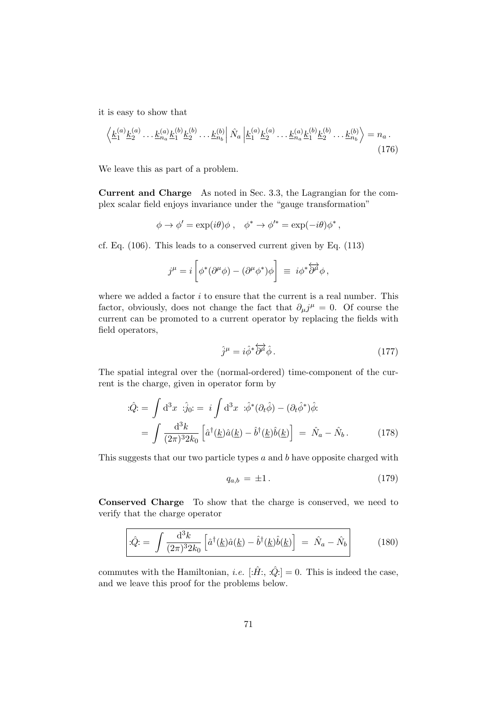it is easy to show that

$$
\left\langle \underline{k}_1^{(a)} \underline{k}_2^{(a)} \cdots \underline{k}_{n_a}^{(a)} \underline{k}_1^{(b)} \underline{k}_2^{(b)} \cdots \underline{k}_{n_b}^{(b)} \right| \hat{N}_a \left| \underline{k}_1^{(a)} \underline{k}_2^{(a)} \cdots \underline{k}_{n_a}^{(a)} \underline{k}_1^{(b)} \underline{k}_2^{(b)} \cdots \underline{k}_{n_b}^{(b)} \right\rangle = n_a \,. \tag{176}
$$

We leave this as part of a problem.

Current and Charge As noted in Sec. 3.3, the Lagrangian for the complex scalar field enjoys invariance under the "gauge transformation"

$$
\phi \to \phi' = \exp(i\theta)\phi \ , \quad \phi^* \to \phi'^* = \exp(-i\theta)\phi^* \ ,
$$

cf. Eq. (106). This leads to a conserved current given by Eq. (113)

$$
j^{\mu} = i \left[ \phi^* (\partial^{\mu} \phi) - (\partial^{\mu} \phi^*) \phi \right] \equiv i \phi^* \overleftrightarrow{\partial^{\mu}} \phi,
$$

where we added a factor  $i$  to ensure that the current is a real number. This factor, obviously, does not change the fact that  $\partial_\mu j^\mu = 0$ . Of course the current can be promoted to a current operator by replacing the fields with field operators,

$$
\hat{j}^{\mu} = i\hat{\phi}^* \overleftrightarrow{\partial^{\mu}} \hat{\phi} \,. \tag{177}
$$

The spatial integral over the (normal-ordered) time-component of the current is the charge, given in operator form by

$$
\begin{split} \dot{Q} &= \int \mathrm{d}^3 x \; \stackrel{\cdot}{\cdot} \dot{j}_0 = \; i \int \mathrm{d}^3 x \; \stackrel{\cdot}{\cdot} \dot{\phi}^* (\partial_t \hat{\phi}) - (\partial_t \hat{\phi}^*) \hat{\phi} \\ &= \int \frac{\mathrm{d}^3 k}{(2\pi)^3 2k_0} \left[ \hat{a}^\dagger(\underline{k}) \hat{a}(\underline{k}) - \hat{b}^\dagger(\underline{k}) \hat{b}(\underline{k}) \right] \; = \; \hat{N}_a - \hat{N}_b \,. \end{split} \tag{178}
$$

This suggests that our two particle types  $a$  and  $b$  have opposite charged with

$$
q_{a,b} = \pm 1. \tag{179}
$$

Conserved Charge To show that the charge is conserved, we need to verify that the charge operator

$$
\left|\hat{\mathcal{L}}\hat{\mathcal{L}}\right| = \int \frac{\mathrm{d}^3 k}{(2\pi)^3 2k_0} \left[\hat{a}^\dagger(\underline{k})\hat{a}(\underline{k}) - \hat{b}^\dagger(\underline{k})\hat{b}(\underline{k})\right] = \hat{N}_a - \hat{N}_b\right] \tag{180}
$$

commutes with the Hamiltonian, *i.e.*  $[\hat{H}$ :,  $\hat{Q}$ : = 0. This is indeed the case, and we leave this proof for the problems below.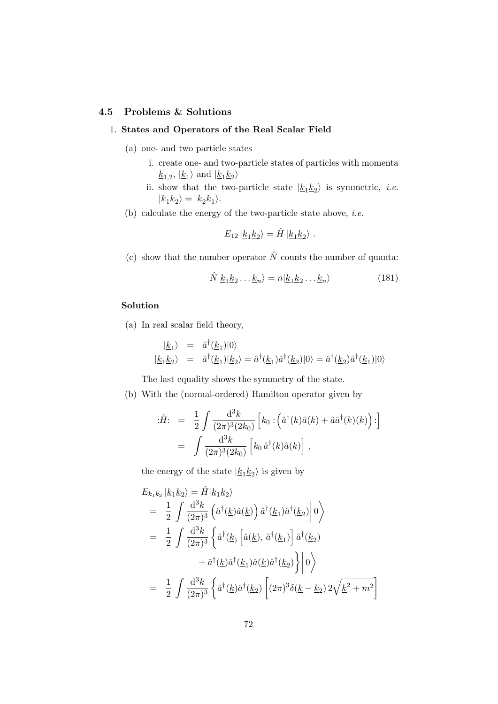### 4.5 Problems & Solutions

### 1. States and Operators of the Real Scalar Field

- (a) one- and two particle states
	- i. create one- and two-particle states of particles with momenta  $\underline{k}_{1,2}$ ,  $|\underline{k}_1\rangle$  and  $|\underline{k}_1\underline{k}_2\rangle$
	- ii. show that the two-particle state  $|\underline{k}_1 \underline{k}_2\rangle$  is symmetric, *i.e.*  $|k_1k_2\rangle = |k_2k_1\rangle.$
- (b) calculate the energy of the two-particle state above, *i.e.*

$$
E_{12} | \underline{k_1 k_2} \rangle = \hat{H} | \underline{k_1 k_2} \rangle .
$$

(c) show that the number operator  $\hat{N}$  counts the number of quanta:

$$
\hat{N}|\underline{k}_1 \underline{k}_2 \dots \underline{k}_n\rangle = n|\underline{k}_1 \underline{k}_2 \dots \underline{k}_n\rangle \tag{181}
$$

### Solution

(a) In real scalar field theory,

$$
\begin{array}{rcl}\n|\underline{k}_1\rangle & = & \hat{a}^\dagger(\underline{k}_1)|0\rangle \\
|\underline{k}_1\underline{k}_2\rangle & = & \hat{a}^\dagger(\underline{k}_1)|\underline{k}_2\rangle = \hat{a}^\dagger(\underline{k}_1)\hat{a}^\dagger(\underline{k}_2)|0\rangle = \hat{a}^\dagger(\underline{k}_2)\hat{a}^\dagger(\underline{k}_1)|0\rangle\n\end{array}
$$

The last equality shows the symmetry of the state.

(b) With the (normal-ordered) Hamilton operator given by

$$
\begin{split} \vec{H} &= \frac{1}{2} \int \frac{d^3k}{(2\pi)^3 (2k_0)} \left[ k_0 \cdot \left( \hat{a}^\dagger(k) \hat{a}(k) + \hat{a} \hat{a}^\dagger(k)(k) \right) : \right] \\ &= \int \frac{d^3k}{(2\pi)^3 (2k_0)} \left[ k_0 \, \hat{a}^\dagger(k) \hat{a}(k) \right] \,, \end{split}
$$

the energy of the state  $|\underline{k_1}\underline{k_2}\rangle$  is given by

$$
E_{k_1k_2} | \underline{k_1k_2} \rangle = \hat{H} | \underline{k_1k_2} \rangle
$$
  
=  $\frac{1}{2} \int \frac{d^3k}{(2\pi)^3} (\hat{a}^\dagger(\underline{k})\hat{a}(\underline{k})) \hat{a}^\dagger(\underline{k_1})\hat{a}^\dagger(\underline{k_2}) | 0 \rangle$   
=  $\frac{1}{2} \int \frac{d^3k}{(2\pi)^3} {\hat{a}^\dagger(\underline{k}) [\hat{a}(\underline{k}), \hat{a}^\dagger(\underline{k_1})] \hat{a}^\dagger(\underline{k_2})$   
+  $\hat{a}^\dagger(\underline{k})\hat{a}^\dagger(\underline{k_1})\hat{a}(\underline{k})\hat{a}^\dagger(\underline{k_2}) {\hat{b}} \rangle$   
=  $\frac{1}{2} \int \frac{d^3k}{(2\pi)^3} {\hat{a}^\dagger(\underline{k})\hat{a}^\dagger(\underline{k_2}) [\hat{a}^\dagger(\underline{k_2}) (\hat{a}^\dagger(\underline{k_2}) \hat{b}^\dagger(\underline{k_2}) \hat{b}^\dagger(\underline{k_2}) \hat{c}^\dagger(\underline{k_2}) \hat{c}^\dagger(\underline{k_2}) \hat{c}^\dagger(\underline{k_2}) \hat{c}^\dagger(\underline{k_2}) \hat{c}^\dagger(\underline{k_2}) \hat{c}^\dagger(\underline{k_2}) \hat{c}^\dagger(\underline{k_2}) \hat{c}^\dagger(\underline{k_2}) \hat{c}^\dagger(\underline{k_2}) \hat{c}^\dagger(\underline{k_2}) \hat{c}^\dagger(\underline{k_2}) \hat{c}^\dagger(\underline{k_2}) \hat{c}^\dagger(\underline{k_2}) \hat{c}^\dagger(\underline{k_2}) \hat{c}^\dagger(\underline{k_2}) \hat{c}^\dagger(\underline{k_2}) \hat{c}^\dagger(\underline{k_2}) \hat{c}^\dagger(\underline{k_2}) \hat{c}^\dagger(\underline{k_2}) \hat{c}^\dagger(\underline{k_2}) \hat{c}^\dagger(\underline{k_2}) \hat{c}^\dagger(\underline{k_2}) \hat{c}^\dagger(\underline{k_2}) \hat{c}^\dagger(\underline{k_2}) \hat{c}^\dagger(\underline{k_2}) \hat{c}^\dagger(\underline{k_2}) \hat{c}^\dagger(\underline{k_2})$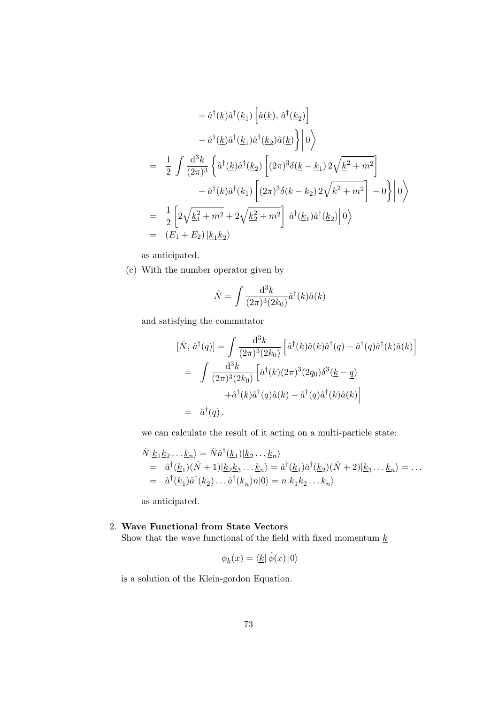$$
+ \hat{a}^{\dagger}(\underline{k})\hat{a}^{\dagger}(\underline{k}_{1}) \left[ \hat{a}(\underline{k}), \hat{a}^{\dagger}(\underline{k}_{2}) \right] - \hat{a}^{\dagger}(\underline{k})\hat{a}^{\dagger}(\underline{k}_{1})\hat{a}^{\dagger}(\underline{k}_{2})\hat{a}(\underline{k}) \right\} | 0 \rangle = \frac{1}{2} \int \frac{d^{3}k}{(2\pi)^{3}} \left\{ \hat{a}^{\dagger}(\underline{k})\hat{a}^{\dagger}(\underline{k}_{2}) \left[ (2\pi)^{3}\delta(\underline{k} - \underline{k}_{1}) 2\sqrt{\underline{k}^{2} + m^{2}} \right] \right. + \hat{a}^{\dagger}(\underline{k})\hat{a}^{\dagger}(\underline{k}_{1}) \left[ (2\pi)^{3}\delta(\underline{k} - \underline{k}_{2}) 2\sqrt{\underline{k}^{2} + m^{2}} \right] - 0 \right\} | 0 \rangle = \frac{1}{2} \left[ 2\sqrt{\underline{k}_{1}^{2} + m^{2}} + 2\sqrt{\underline{k}_{2}^{2} + m^{2}} \right] \hat{a}^{\dagger}(\underline{k}_{1})\hat{a}^{\dagger}(\underline{k}_{2}) | 0 \rangle = (E_{1} + E_{2}) |\underline{k}_{1}\underline{k}_{2} \rangle
$$

as anticipated.

(c) With the number operator given by

$$
\hat{N} = \int \frac{\mathrm{d}^3 k}{(2\pi)^3 (2k_0)} \hat{a}^\dagger(k) \hat{a}(k)
$$

and satisfying the commutator

$$
[\hat{N}, \hat{a}^\dagger(q)] = \int \frac{d^3k}{(2\pi)^3 (2k_0)} \left[ \hat{a}^\dagger(k) \hat{a}(k) \hat{a}^\dagger(q) - \hat{a}^\dagger(q) \hat{a}^\dagger(k) \hat{a}(k) \right]
$$
  
= 
$$
\int \frac{d^3k}{(2\pi)^3 (2k_0)} \left[ \hat{a}^\dagger(k) (2\pi)^3 (2q_0) \delta^3(\underline{k} - \underline{q}) \right.
$$

$$
+ \hat{a}^\dagger(k) \hat{a}^\dagger(q) \hat{a}(k) - \hat{a}^\dagger(q) \hat{a}^\dagger(k) \hat{a}(k) \right]
$$
  
= 
$$
\hat{a}^\dagger(q).
$$

we can calculate the result of it acting on a multi-particle state:

$$
\hat{N}|\underline{k}_1 \underline{k}_2 \dots \underline{k}_n\rangle = \hat{N} \hat{a}^\dagger(\underline{k}_1)|\underline{k}_2 \dots \underline{k}_n\rangle
$$
  
\n
$$
= \hat{a}^\dagger(\underline{k}_1)(\hat{N} + 1)|\underline{k}_2 \underline{k}_3 \dots \underline{k}_n\rangle = \hat{a}^\dagger(\underline{k}_1)\hat{a}^\dagger(\underline{k}_2)(\hat{N} + 2)|\underline{k}_3 \dots \underline{k}_n\rangle = \dots
$$
  
\n
$$
= \hat{a}^\dagger(\underline{k}_1)\hat{a}^\dagger(\underline{k}_2) \dots \hat{a}^\dagger(\underline{k}_n)n|0\rangle = n|\underline{k}_1 \underline{k}_2 \dots \underline{k}_n\rangle
$$

as anticipated.

# 2. Wave Functional from State Vectors

Show that the wave functional of the field with fixed momentum  $\underline{k}$ 

$$
\phi_{\underline{k}}(x) = \langle \underline{k} | \hat{\phi}(x) | 0 \rangle
$$

is a solution of the Klein-gordon Equation.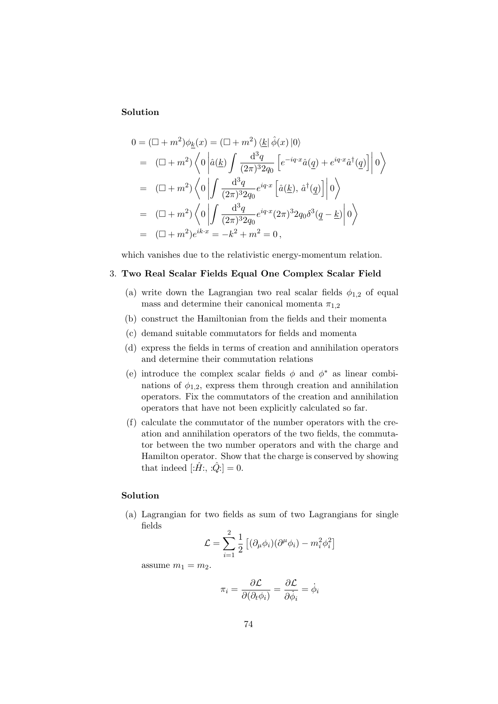#### Solution

$$
0 = (\Box + m^2)\phi_{\underline{k}}(x) = (\Box + m^2) \langle \underline{k} | \hat{\phi}(x) | 0 \rangle
$$
  
\n
$$
= (\Box + m^2) \langle 0 | \hat{a}(\underline{k}) \int \frac{d^3q}{(2\pi)^3 2q_0} \left[ e^{-iq \cdot x} \hat{a}(q) + e^{iq \cdot x} \hat{a}^\dagger(q) \right] | 0 \rangle
$$
  
\n
$$
= (\Box + m^2) \langle 0 | \int \frac{d^3q}{(2\pi)^3 2q_0} e^{iq \cdot x} \left[ \hat{a}(\underline{k}), \hat{a}^\dagger(\underline{q}) \right] | 0 \rangle
$$
  
\n
$$
= (\Box + m^2) \langle 0 | \int \frac{d^3q}{(2\pi)^3 2q_0} e^{iq \cdot x} (2\pi)^3 2q_0 \delta^3(\underline{q} - \underline{k}) | 0 \rangle
$$
  
\n
$$
= (\Box + m^2) e^{ik \cdot x} = -k^2 + m^2 = 0,
$$

which vanishes due to the relativistic energy-momentum relation.

### 3. Two Real Scalar Fields Equal One Complex Scalar Field

- (a) write down the Lagrangian two real scalar fields  $\phi_{1,2}$  of equal mass and determine their canonical momenta  $\pi_{1,2}$
- (b) construct the Hamiltonian from the fields and their momenta
- (c) demand suitable commutators for fields and momenta
- (d) express the fields in terms of creation and annihilation operators and determine their commutation relations
- (e) introduce the complex scalar fields  $\phi$  and  $\phi^*$  as linear combinations of  $\phi_{1,2}$ , express them through creation and annihilation operators. Fix the commutators of the creation and annihilation operators that have not been explicitly calculated so far.
- (f) calculate the commutator of the number operators with the creation and annihilation operators of the two fields, the commutator between the two number operators and with the charge and Hamilton operator. Show that the charge is conserved by showing that indeed  $[\hat{H}$ :, : $\hat{Q}$ : = 0.

#### Solution

(a) Lagrangian for two fields as sum of two Lagrangians for single fields

$$
\mathcal{L} = \sum_{i=1}^{2} \frac{1}{2} \left[ (\partial_{\mu} \phi_i)(\partial^{\mu} \phi_i) - m_i^2 \phi_i^2 \right]
$$

assume  $m_1 = m_2$ .

$$
\pi_i = \frac{\partial \mathcal{L}}{\partial(\partial_t \phi_i)} = \frac{\partial \mathcal{L}}{\partial \dot{\phi}_i} = \dot{\phi}_i
$$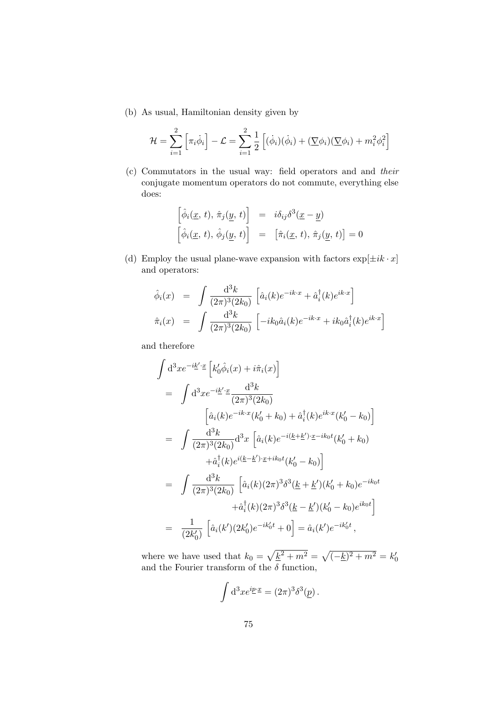(b) As usual, Hamiltonian density given by

$$
\mathcal{H} = \sum_{i=1}^{2} \left[ \pi_i \dot{\phi}_i \right] - \mathcal{L} = \sum_{i=1}^{2} \frac{1}{2} \left[ (\dot{\phi}_i)(\dot{\phi}_i) + (\nabla \phi_i)(\nabla \phi_i) + m_i^2 \phi_i^2 \right]
$$

(c) Commutators in the usual way: field operators and and their conjugate momentum operators do not commute, everything else does:

$$
\begin{aligned}\n\left[\hat{\phi}_i(\underline{x}, t), \hat{\pi}_j(\underline{y}, t)\right] &= i\delta_{ij}\delta^3(\underline{x} - \underline{y}) \\
\left[\hat{\phi}_i(\underline{x}, t), \hat{\phi}_j(\underline{y}, t)\right] &= \left[\hat{\pi}_i(\underline{x}, t), \hat{\pi}_j(\underline{y}, t)\right] = 0\n\end{aligned}
$$

(d) Employ the usual plane-wave expansion with factors  $\exp[\pm ik \cdot x]$ and operators:

$$
\hat{\phi}_i(x) = \int \frac{\mathrm{d}^3 k}{(2\pi)^3 (2k_0)} \left[ \hat{a}_i(k) e^{-ik \cdot x} + \hat{a}_i^\dagger(k) e^{ik \cdot x} \right]
$$

$$
\hat{\pi}_i(x) = \int \frac{\mathrm{d}^3 k}{(2\pi)^3 (2k_0)} \left[ -ik_0 \hat{a}_i(k) e^{-ik \cdot x} + ik_0 \hat{a}_i^\dagger(k) e^{ik \cdot x} \right]
$$

and therefore

$$
\int d^{3}x e^{-i\underline{k}' \cdot \underline{x}} \left[ k'_{0} \hat{\phi}_{i}(x) + i \hat{\pi}_{i}(x) \right]
$$
\n
$$
= \int d^{3}x e^{-i\underline{k}' \cdot \underline{x}} \frac{d^{3}k}{(2\pi)^{3}(2k_{0})}
$$
\n
$$
\left[ \hat{a}_{i}(k) e^{-ik \cdot x} (k'_{0} + k_{0}) + \hat{a}_{i}^{\dagger}(k) e^{ik \cdot x} (k'_{0} - k_{0}) \right]
$$
\n
$$
= \int \frac{d^{3}k}{(2\pi)^{3}(2k_{0})} d^{3}x \left[ \hat{a}_{i}(k) e^{-i(\underline{k} + \underline{k}') \cdot \underline{x} - ik_{0}t} (k'_{0} + k_{0}) \right]
$$
\n
$$
+ \hat{a}_{i}^{\dagger}(k) e^{i(\underline{k} - \underline{k}') \cdot \underline{x} + ik_{0}t} (k'_{0} - k_{0}) \right]
$$
\n
$$
= \int \frac{d^{3}k}{(2\pi)^{3}(2k_{0})} \left[ \hat{a}_{i}(k)(2\pi)^{3} \delta^{3}(\underline{k} + \underline{k}') (k'_{0} + k_{0}) e^{-ik_{0}t} \right]
$$
\n
$$
+ \hat{a}_{i}^{\dagger}(k)(2\pi)^{3} \delta^{3}(\underline{k} - \underline{k}') (k'_{0} - k_{0}) e^{ik_{0}t} \right]
$$
\n
$$
= \frac{1}{(2k'_{0})} \left[ \hat{a}_{i}(k')(2k'_{0}) e^{-ik'_{0}t} + 0 \right] = \hat{a}_{i}(k') e^{-ik'_{0}t},
$$

where we have used that  $k_0 = \sqrt{\underline{k}^2 + m^2} = \sqrt{(-\underline{k})^2 + m^2} = k'_0$ and the Fourier transform of the  $\delta$  function,

$$
\int d^3x e^{i\underline{p}\cdot \underline{x}} = (2\pi)^3 \delta^3(\underline{p}).
$$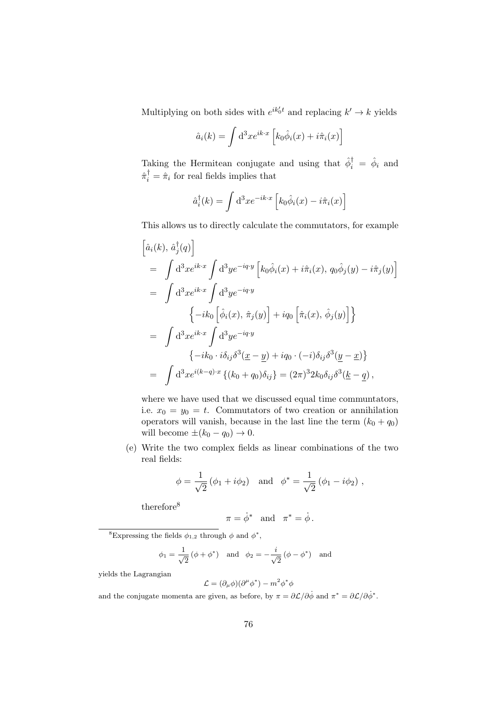Multiplying on both sides with  $e^{ik'_0t}$  and replacing  $k' \to k$  yields

$$
\hat{a}_i(k) = \int d^3x e^{ik \cdot x} \left[ k_0 \hat{\phi}_i(x) + i \hat{\pi}_i(x) \right]
$$

Taking the Hermitean conjugate and using that  $\hat{\phi}_i^{\dagger} = \hat{\phi}_i$  and  $\hat{\pi}_i^{\dagger} = \hat{\pi}_i$  for real fields implies that

$$
\hat{a}_i^{\dagger}(k) = \int d^3x e^{-ik \cdot x} \left[ k_0 \hat{\phi}_i(x) - i \hat{\pi}_i(x) \right]
$$

This allows us to directly calculate the commutators, for example

$$
\begin{aligned}\n\left[\hat{a}_{i}(k), \hat{a}_{j}^{\dagger}(q)\right] \\
&= \int d^{3}x e^{ik\cdot x} \int d^{3}y e^{-iq\cdot y} \left[k_{0}\hat{\phi}_{i}(x) + i\hat{\pi}_{i}(x), q_{0}\hat{\phi}_{j}(y) - i\hat{\pi}_{j}(y)\right] \\
&= \int d^{3}x e^{ik\cdot x} \int d^{3}y e^{-iq\cdot y} \\
&\left\{-ik_{0}\left[\hat{\phi}_{i}(x), \hat{\pi}_{j}(y)\right] + iq_{0}\left[\hat{\pi}_{i}(x), \hat{\phi}_{j}(y)\right]\right\} \\
&= \int d^{3}x e^{ik\cdot x} \int d^{3}y e^{-iq\cdot y} \\
&\left\{-ik_{0} \cdot i\delta_{ij}\delta^{3}(\underline{x} - \underline{y}) + iq_{0} \cdot (-i)\delta_{ij}\delta^{3}(\underline{y} - \underline{x})\right\} \\
&= \int d^{3}x e^{i(k-q)\cdot x} \left\{(k_{0} + q_{0})\delta_{ij}\right\} = (2\pi)^{3}2k_{0}\delta_{ij}\delta^{3}(\underline{k} - \underline{q})\n\end{aligned}
$$

where we have used that we discussed equal time communtators, i.e.  $x_0 = y_0 = t$ . Commutators of two creation or annihilation operators will vanish, because in the last line the term  $(k_0 + q_0)$ will become  $\pm(k_0 - q_0) \rightarrow 0$ .

(e) Write the two complex fields as linear combinations of the two real fields:

$$
\phi = \frac{1}{\sqrt{2}} (\phi_1 + i \phi_2)
$$
 and  $\phi^* = \frac{1}{\sqrt{2}} (\phi_1 - i \phi_2)$ ,

therefore<sup>8</sup>

$$
\pi = \dot{\phi}^* \quad \text{and} \quad \pi^* = \dot{\phi} \, .
$$

<sup>8</sup>Expressing the fields  $\phi_{1,2}$  through  $\phi$  and  $\phi^*$ ,

$$
\phi_1 = \frac{1}{\sqrt{2}} (\phi + \phi^*)
$$
 and  $\phi_2 = -\frac{i}{\sqrt{2}} (\phi - \phi^*)$  and

yields the Lagrangian

$$
\mathcal{L} = (\partial_{\mu}\phi)(\partial^{\mu}\phi^*) - m^2\phi^*\phi
$$

and the conjugate momenta are given, as before, by  $\pi = \partial \mathcal{L}/\partial \dot{\phi}$  and  $\pi^* = \partial \mathcal{L}/\partial \dot{\phi}^*$ .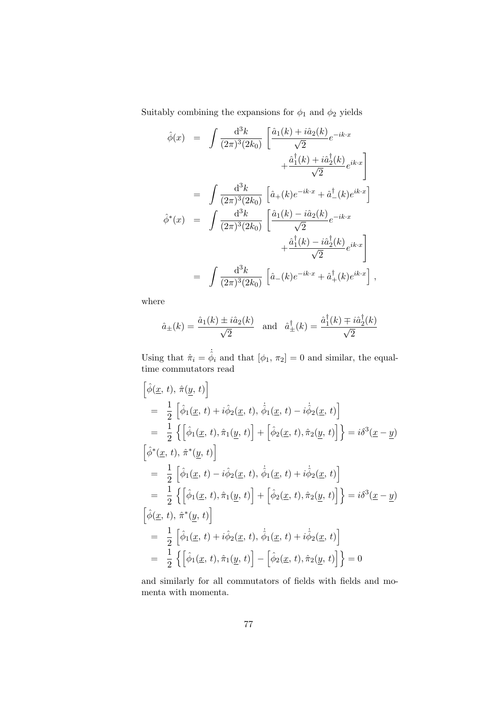Suitably combining the expansions for  $\phi_1$  and  $\phi_2$  yields

$$
\hat{\phi}(x) = \int \frac{d^3k}{(2\pi)^3 (2k_0)} \left[ \frac{\hat{a}_1(k) + i\hat{a}_2(k)}{\sqrt{2}} e^{-ik \cdot x} + \frac{\hat{a}_1^{\dagger}(k) + i\hat{a}_2^{\dagger}(k)}{\sqrt{2}} e^{ik \cdot x} \right]
$$
  
\n
$$
= \int \frac{d^3k}{(2\pi)^3 (2k_0)} \left[ \hat{a}_+(k) e^{-ik \cdot x} + \hat{a}_-^{\dagger}(k) e^{ik \cdot x} \right]
$$
  
\n
$$
\hat{\phi}^*(x) = \int \frac{d^3k}{(2\pi)^3 (2k_0)} \left[ \frac{\hat{a}_1(k) - i\hat{a}_2(k)}{\sqrt{2}} e^{-ik \cdot x} + \frac{\hat{a}_1^{\dagger}(k) - i\hat{a}_2^{\dagger}(k)}{\sqrt{2}} e^{ik \cdot x} \right]
$$
  
\n
$$
= \int \frac{d^3k}{(2\pi)^3 (2k_0)} \left[ \hat{a}_-(k) e^{-ik \cdot x} + \hat{a}_+^{\dagger}(k) e^{ik \cdot x} \right],
$$

where

$$
\hat{a}_{\pm}(k) = \frac{\hat{a}_1(k) \pm i\hat{a}_2(k)}{\sqrt{2}}
$$
 and  $\hat{a}_{\pm}^{\dagger}(k) = \frac{\hat{a}_1^{\dagger}(k) \mp i\hat{a}_2^{\dagger}(k)}{\sqrt{2}}$ 

Using that  $\hat{\pi}_i = \dot{\hat{\phi}}_i$  and that  $[\phi_1, \pi_2] = 0$  and similar, the equaltime commutators read

$$
\begin{aligned}\n\left[\hat{\phi}(\underline{x}, t), \hat{\pi}(\underline{y}, t)\right] \\
&= \frac{1}{2} \left[\hat{\phi}_{1}(\underline{x}, t) + i\hat{\phi}_{2}(\underline{x}, t), \dot{\hat{\phi}}_{1}(\underline{x}, t) - i\dot{\hat{\phi}}_{2}(\underline{x}, t)\right] \\
&= \frac{1}{2} \left\{ \left[\hat{\phi}_{1}(\underline{x}, t), \hat{\pi}_{1}(\underline{y}, t)\right] + \left[\hat{\phi}_{2}(\underline{x}, t), \hat{\pi}_{2}(\underline{y}, t)\right] \right\} = i\delta^{3}(\underline{x} - \underline{y}) \\
\left[\hat{\phi}^{*}(\underline{x}, t), \hat{\pi}^{*}(\underline{y}, t)\right] \\
&= \frac{1}{2} \left[\hat{\phi}_{1}(\underline{x}, t) - i\hat{\phi}_{2}(\underline{x}, t), \dot{\hat{\phi}}_{1}(\underline{x}, t) + i\dot{\hat{\phi}}_{2}(\underline{x}, t)\right] \\
&= \frac{1}{2} \left\{ \left[\hat{\phi}_{1}(\underline{x}, t), \hat{\pi}_{1}(\underline{y}, t)\right] + \left[\hat{\phi}_{2}(\underline{x}, t), \hat{\pi}_{2}(\underline{y}, t)\right] \right\} = i\delta^{3}(\underline{x} - \underline{y}) \\
\left[\hat{\phi}(\underline{x}, t), \hat{\pi}^{*}(\underline{y}, t)\right] \\
&= \frac{1}{2} \left[\hat{\phi}_{1}(\underline{x}, t) + i\hat{\phi}_{2}(\underline{x}, t), \dot{\hat{\phi}}_{1}(\underline{x}, t) + i\dot{\hat{\phi}}_{2}(\underline{x}, t)\right] \\
&= \frac{1}{2} \left\{ \left[\hat{\phi}_{1}(\underline{x}, t), \hat{\pi}_{1}(\underline{y}, t)\right] - \left[\hat{\phi}_{2}(\underline{x}, t), \hat{\pi}_{2}(\underline{y}, t)\right] \right\} = 0\n\end{aligned}
$$

and similarly for all commutators of fields with fields and momenta with momenta.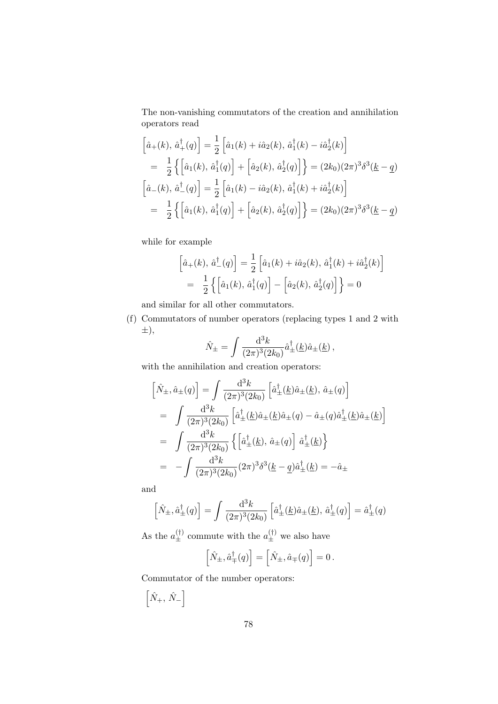The non-vanishing commutators of the creation and annihilation operators read

$$
\begin{aligned}\n\left[\hat{a}_{+}(k), \,\hat{a}_{+}^{\dagger}(q)\right] &= \frac{1}{2} \left[\hat{a}_{1}(k) + i\hat{a}_{2}(k), \,\hat{a}_{1}^{\dagger}(k) - i\hat{a}_{2}^{\dagger}(k)\right] \\
&= \frac{1}{2} \left\{ \left[\hat{a}_{1}(k), \,\hat{a}_{1}^{\dagger}(q)\right] + \left[\hat{a}_{2}(k), \,\hat{a}_{2}^{\dagger}(q)\right] \right\} = (2k_{0})(2\pi)^{3} \delta^{3}(k - q) \\
\left[\hat{a}_{-}(k), \,\hat{a}_{-}^{\dagger}(q)\right] &= \frac{1}{2} \left[\hat{a}_{1}(k) - i\hat{a}_{2}(k), \,\hat{a}_{1}^{\dagger}(k) + i\hat{a}_{2}^{\dagger}(k)\right] \\
&= \frac{1}{2} \left\{ \left[\hat{a}_{1}(k), \,\hat{a}_{1}^{\dagger}(q)\right] + \left[\hat{a}_{2}(k), \,\hat{a}_{2}^{\dagger}(q)\right] \right\} = (2k_{0})(2\pi)^{3} \delta^{3}(k - q)\n\end{aligned}
$$

while for example

$$
\[\hat{a}_{+}(k), \hat{a}_{-}^{\dagger}(q)\] = \frac{1}{2} \left[ \hat{a}_{1}(k) + i \hat{a}_{2}(k), \hat{a}_{1}^{\dagger}(k) + i \hat{a}_{2}^{\dagger}(k) \right]
$$

$$
= \frac{1}{2} \left\{ \left[ \hat{a}_{1}(k), \hat{a}_{1}^{\dagger}(q) \right] - \left[ \hat{a}_{2}(k), \hat{a}_{2}^{\dagger}(q) \right] \right\} = 0
$$

and similar for all other commutators.

(f) Commutators of number operators (replacing types 1 and 2 with ±),

$$
\hat{N}_{\pm} = \int \frac{\mathrm{d}^3 k}{(2\pi)^3 (2k_0)} \hat{a}^{\dagger}_{\pm}(\underline{k}) \hat{a}_{\pm}(\underline{k}) ,
$$

with the annihilation and creation operators:

$$
\begin{aligned}\n\left[\hat{N}_{\pm},\hat{a}_{\pm}(q)\right] &= \int \frac{\mathrm{d}^3 k}{(2\pi)^3 (2k_0)} \left[\hat{a}^{\dagger}_{\pm}(\underline{k})\hat{a}_{\pm}(\underline{k}), \,\hat{a}_{\pm}(q)\right] \\
&= \int \frac{\mathrm{d}^3 k}{(2\pi)^3 (2k_0)} \left[\hat{a}^{\dagger}_{\pm}(\underline{k})\hat{a}_{\pm}(\underline{k})\hat{a}_{\pm}(q) - \hat{a}_{\pm}(q)\hat{a}^{\dagger}_{\pm}(\underline{k})\hat{a}_{\pm}(\underline{k})\right] \\
&= \int \frac{\mathrm{d}^3 k}{(2\pi)^3 (2k_0)} \left\{ \left[\hat{a}^{\dagger}_{\pm}(\underline{k}), \,\hat{a}_{\pm}(q)\right] \hat{a}^{\dagger}_{\pm}(\underline{k}) \right\} \\
&= -\int \frac{\mathrm{d}^3 k}{(2\pi)^3 (2k_0)} (2\pi)^3 \delta^3(\underline{k} - \underline{q}) \hat{a}^{\dagger}_{\pm}(\underline{k}) = -\hat{a}_{\pm}\n\end{aligned}
$$

and

$$
\left[\hat{N}_{\pm},\hat{a}^{\dagger}_{\pm}(q)\right] = \int \frac{\mathrm{d}^3 k}{(2\pi)^3 (2k_0)} \left[\hat{a}^{\dagger}_{\pm}(\underline{k})\hat{a}_{\pm}(\underline{k}),\,\hat{a}^{\dagger}_{\pm}(q)\right] = \hat{a}^{\dagger}_{\pm}(q)
$$

As the  $a_{\pm}^{(\dagger)}$  commute with the  $a_{\pm}^{(\dagger)}$  we also have

$$
\left[\hat{N}_{\pm}, \hat{a}_{\mp}^{\dagger}(q)\right] = \left[\hat{N}_{\pm}, \hat{a}_{\mp}(q)\right] = 0.
$$

Commutator of the number operators:

$$
\left[\hat{N}_{+},\,\hat{N}_{-}\right]
$$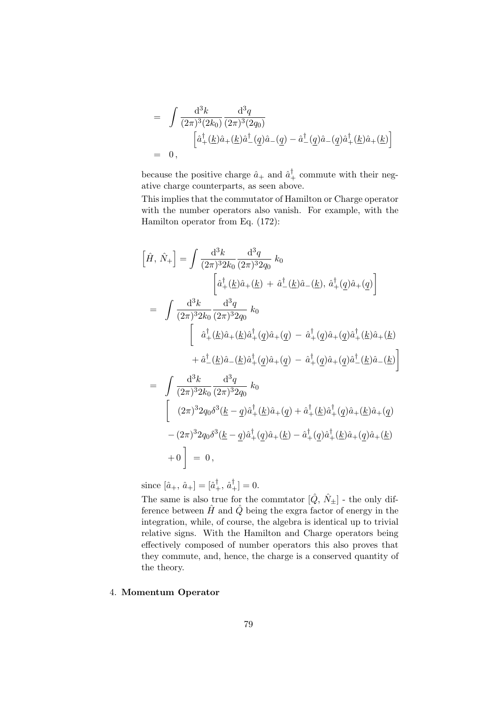$$
= \int \frac{d^3k}{(2\pi)^3 (2k_0)} \frac{d^3q}{(2\pi)^3 (2q_0)} \n= 0,
$$
\n
$$
\left[\hat{a}^\dagger_+(\underline{k})\hat{a}+(\underline{k})\hat{a}^\dagger_-(\underline{q})\hat{a}-(\underline{q}) - \hat{a}^\dagger_-(\underline{q})\hat{a}-(\underline{q})\hat{a}^\dagger_+(\underline{k})\hat{a}+(\underline{k})\right]
$$

because the positive charge  $\hat{a}_{+}$  and  $\hat{a}_{+}^{\dagger}$  commute with their negative charge counterparts, as seen above.

This implies that the commutator of Hamilton or Charge operator with the number operators also vanish. For example, with the Hamilton operator from Eq. (172):

$$
\[\hat{H}, \hat{N}_{+}\] = \int \frac{d^{3}k}{(2\pi)^{3}2k_{0}} \frac{d^{3}q}{(2\pi)^{3}2q_{0}} k_{0}
$$
\n
$$
\left[a_{+}^{\dagger}(\underline{k})\hat{a}_{+}(\underline{k}) + \hat{a}_{-}^{\dagger}(\underline{k})\hat{a}_{-}(\underline{k}), a_{+}^{\dagger}(q)\hat{a}_{+}(q)\right]
$$
\n
$$
= \int \frac{d^{3}k}{(2\pi)^{3}2k_{0}} \frac{d^{3}q}{(2\pi)^{3}2q_{0}} k_{0}
$$
\n
$$
\left[a_{+}^{\dagger}(\underline{k})\hat{a}_{+}(\underline{k})\hat{a}_{+}^{\dagger}(q)\hat{a}_{+}(q) - \hat{a}_{+}^{\dagger}(q)\hat{a}_{+}(q)\hat{a}_{+}^{\dagger}(\underline{k})\hat{a}_{+}(\underline{k})
$$
\n
$$
+ \hat{a}_{-}^{\dagger}(\underline{k})\hat{a}_{-}(\underline{k})\hat{a}_{+}^{\dagger}(q)\hat{a}_{+}(q) - \hat{a}_{+}^{\dagger}(q)\hat{a}_{+}(q)\hat{a}_{-}^{\dagger}(\underline{k})\hat{a}_{-}(\underline{k})\right]
$$
\n
$$
= \int \frac{d^{3}k}{(2\pi)^{3}2k_{0}} \frac{d^{3}q}{(2\pi)^{3}2q_{0}} k_{0}
$$
\n
$$
\left[\begin{array}{c} (2\pi)^{3}2q_{0}\delta^{3}(\underline{k}-q)\hat{a}_{+}^{\dagger}(\underline{k})\hat{a}_{+}(q) + \hat{a}_{+}^{\dagger}(\underline{k})\hat{a}_{+}^{\dagger}(\underline{q})\hat{a}_{+}(\underline{k})\hat{a}_{+}(q) \\ - (2\pi)^{3}2q_{0}\delta^{3}(\underline{k}-q)\hat{a}_{+}^{\dagger}(\underline{q})\hat{a}_{+}(\underline{k}) - \hat{a}_{+}^{\dagger}(\underline{q})\hat{a}_{+}^{\dagger}(\underline{k})\hat{a}_{+}(\underline{q})\hat{a}_{+}(\underline{k})
$$
\n
$$
+ 0 \end{array}\right] = 0,
$$

since  $[\hat{a}_+,\,\hat{a}_+]=[\hat{a}^\dagger_+,\,\hat{a}^\dagger_+]=0.$ 

The same is also true for the commtator  $[\hat{Q}, \hat{N}_{\pm}]$  - the only difference between  $\hat{H}$  and  $\hat{Q}$  being the exgra factor of energy in the integration, while, of course, the algebra is identical up to trivial relative signs. With the Hamilton and Charge operators being effectively composed of number operators this also proves that they commute, and, hence, the charge is a conserved quantity of the theory.

### 4. Momentum Operator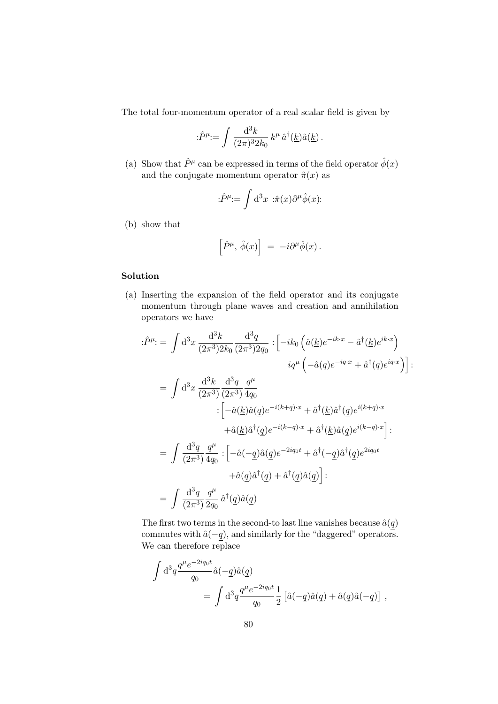The total four-momentum operator of a real scalar field is given by

$$
\hat{P}^{\mu} := \int \frac{\mathrm{d}^3 k}{(2\pi)^3 2k_0} k^{\mu} \,\hat{a}^{\dagger}(\underline{k}) \hat{a}(\underline{k}) \,.
$$

(a) Show that  $\hat{P}^{\mu}$  can be expressed in terms of the field operator  $\hat{\phi}(x)$ and the conjugate momentum operator  $\hat{\pi}(x)$  as

$$
\hat{P}^{\mu} = \int d^3x \; \hat{\pi}(x) \partial^{\mu} \hat{\phi}(x)
$$

(b) show that

$$
\left[\hat{P}^{\mu},\,\hat{\phi}(x)\right]\;=\;-i\partial^{\mu}\hat{\phi}(x)\,.
$$

### Solution

(a) Inserting the expansion of the field operator and its conjugate momentum through plane waves and creation and annihilation operators we have

$$
\begin{split} \label{eq:2.16} \begin{split} \mathrm{i}\hat{P}^{\mu} \mathrm{:=} \,\,\int\mathrm{d}^{3}x\,\frac{\mathrm{d}^{3}k}{(2\pi^{3})2k_{0}}\frac{\mathrm{d}^{3}q}{(2\pi^{3})2q_{0}}\,\, \mathrm{i}\left[-ik_{0}\left(\hat{a}(\underline{k})e^{-ik\cdot x}-\hat{a}^{\dagger}(\underline{k})e^{ik\cdot x}\right)\right.\\ \left.\quad \, i q^{\mu}\left(-\hat{a}(\underline{q})e^{-iq\cdot x}+\hat{a}^{\dagger}(\underline{q})e^{iq\cdot x}\right)\right] \mathrm{:} \\ \end{split} \\ \begin{split} \hspace{0.2cm}=\int\mathrm{d}^{3}x\,\frac{\mathrm{d}^{3}k}{(2\pi^{3})}\frac{\mathrm{d}^{3}q}{(2\pi^{3})}\frac{q^{\mu}}{4q_{0}}\\ \quad \ \cdot\left[-\hat{a}(\underline{k})\hat{a}(\underline{q})e^{-i(k+q)\cdot x}+\hat{a}^{\dagger}(\underline{k})\hat{a}^{\dagger}(\underline{q})e^{i(k+q)\cdot x}\right.\\ \left.\quad \, +\hat{a}(\underline{k})\hat{a}^{\dagger}(\underline{q})e^{-i(k-q)\cdot x}+\hat{a}^{\dagger}(\underline{k})\hat{a}(\underline{q})e^{i(k-q)\cdot x}\right] \mathrm{:} \\ \end{split} \\ \begin{split} \hspace{0.2cm}=\int\frac{\mathrm{d}^{3}q}{(2\pi^{3})}\frac{q^{\mu}}{4q_{0}}\,\, \mathrm{i}\left[-\hat{a}(-q)\hat{a}(\underline{q})e^{-2iq_{0}t}+\hat{a}^{\dagger}(-q)\hat{a}^{\dagger}(\underline{q})e^{2iq_{0}t}\right.\\ \left.\quad \, +\hat{a}(\underline{q})\hat{a}^{\dagger}(\underline{q})+\hat{a}^{\dagger}(\underline{q})\hat{a}(\underline{q})\right] \mathrm{:} \\ \end{split} \\ \begin{split} \end{split}
$$

The first two terms in the second-to last line vanishes because  $\hat{a}(q)$ commutes with  $\hat{a}(-q)$ , and similarly for the "daggered" operators. We can therefore replace

$$
\begin{split} \int\mathrm{d}^3q \frac{q^{\mu}e^{-2iq_0t}}{q_0}\hat{a}(-\underline{q})\hat{a}(\underline{q})\\ &=\int\mathrm{d}^3q \frac{q^{\mu}e^{-2iq_0t}}{q_0}\frac{1}{2}\left[\hat{a}(-\underline{q})\hat{a}(\underline{q})+\hat{a}(\underline{q})\hat{a}(-\underline{q})\right]\,, \end{split}
$$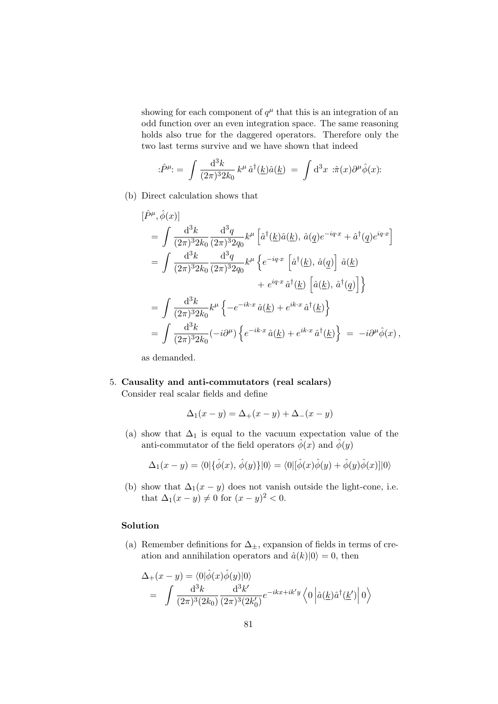showing for each component of  $q^{\mu}$  that this is an integration of an odd function over an even integration space. The same reasoning holds also true for the daggered operators. Therefore only the two last terms survive and we have shown that indeed

$$
\hat{P}^{\mu} = \int \frac{\mathrm{d}^{3}k}{(2\pi)^{3} 2k_{0}} k^{\mu} \hat{a}^{\dagger}(\underline{k}) \hat{a}(\underline{k}) = \int \mathrm{d}^{3}x \; \hat{\pi}(x) \partial^{\mu} \hat{\phi}(x).
$$

(b) Direct calculation shows that

$$
\begin{split} \left[\hat{P}^{\mu},\hat{\phi}(x)\right] \\ &=\int\frac{\mathrm{d}^{3}k}{(2\pi)^{3}2k_{0}}\frac{\mathrm{d}^{3}q}{(2\pi)^{3}2q_{0}}k^{\mu}\left[\hat{a}^{\dagger}(\underline{k})\hat{a}(\underline{k}),\,\hat{a}(\underline{q})e^{-iq\cdot x}+\hat{a}^{\dagger}(\underline{q})e^{iq\cdot x}\right] \\ &=\int\frac{\mathrm{d}^{3}k}{(2\pi)^{3}2k_{0}}\frac{\mathrm{d}^{3}q}{(2\pi)^{3}2q_{0}}k^{\mu}\left\{e^{-iq\cdot x}\left[\hat{a}^{\dagger}(\underline{k}),\,\hat{a}(\underline{q})\right]\,\hat{a}(\underline{k}) \right. \\ &\left. \quad \ \ +e^{iq\cdot x}\,\hat{a}^{\dagger}(\underline{k})\left[\hat{a}(\underline{k}),\,\hat{a}^{\dagger}(\underline{q})\right]\right\} \\ &=\int\frac{\mathrm{d}^{3}k}{(2\pi)^{3}2k_{0}}k^{\mu}\left\{-e^{-ik\cdot x}\,\hat{a}(\underline{k})+e^{ik\cdot x}\,\hat{a}^{\dagger}(\underline{k})\right\} \\ &=\int\frac{\mathrm{d}^{3}k}{(2\pi)^{3}2k_{0}}(-i\partial^{\mu})\left\{e^{-ik\cdot x}\,\hat{a}(\underline{k})+e^{ik\cdot x}\,\hat{a}^{\dagger}(\underline{k})\right\}\;=\;-i\partial^{\mu}\hat{\phi}(x)\,, \end{split}
$$

as demanded.

5. Causality and anti-commutators (real scalars) Consider real scalar fields and define

$$
\Delta_1(x - y) = \Delta_+(x - y) + \Delta_-(x - y)
$$

(a) show that  $\Delta_1$  is equal to the vacuum expectation value of the anti-commutator of the field operators  $\hat{\phi}(x)$  and  $\hat{\phi}(y)$ 

$$
\Delta_1(x-y) = \langle 0 | \{ \hat{\phi}(x), \, \hat{\phi}(y) \} | 0 \rangle = \langle 0 | [\hat{\phi}(x)\hat{\phi}(y) + \hat{\phi}(y)\hat{\phi}(x)] | 0 \rangle
$$

(b) show that  $\Delta_1(x-y)$  does not vanish outside the light-cone, i.e. that  $\Delta_1(x - y) \neq 0$  for  $(x - y)^2 < 0$ .

### Solution

(a) Remember definitions for  $\Delta_{\pm}$ , expansion of fields in terms of creation and annihilation operators and  $\hat{a}(k)|0\rangle = 0$ , then

$$
\Delta_{+}(x-y) = \langle 0|\hat{\phi}(x)\hat{\phi}(y)|0\rangle
$$
  
= 
$$
\int \frac{\mathrm{d}^{3}k}{(2\pi)^{3}(2k_{0})} \frac{\mathrm{d}^{3}k'}{(2\pi)^{3}(2k'_{0})} e^{-ikx+ik'y} \langle 0 | \hat{a}(\underline{k})\hat{a}^{\dagger}(\underline{k}') | 0 \rangle
$$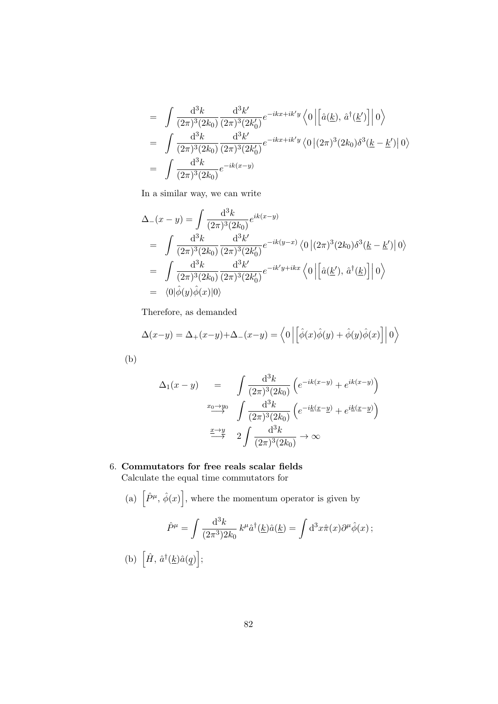$$
= \int \frac{d^3k}{(2\pi)^3 (2k_0)} \frac{d^3k'}{(2\pi)^3 (2k'_0)} e^{-ikx+ik'y} \langle 0 | \left[ \hat{a}(\underline{k}), \hat{a}^\dagger(\underline{k}') \right] | 0 \rangle
$$
  
\n
$$
= \int \frac{d^3k}{(2\pi)^3 (2k_0)} \frac{d^3k'}{(2\pi)^3 (2k'_0)} e^{-ikx+ik'y} \langle 0 | (2\pi)^3 (2k_0) \delta^3(\underline{k}-\underline{k}') | 0 \rangle
$$
  
\n
$$
= \int \frac{d^3k}{(2\pi)^3 (2k_0)} e^{-ik(x-y)}
$$

In a similar way, we can write

$$
\Delta_{-}(x-y) = \int \frac{d^3k}{(2\pi)^3 (2k_0)} e^{ik(x-y)} \n= \int \frac{d^3k}{(2\pi)^3 (2k_0)} \frac{d^3k'}{(2\pi)^3 (2k'_0)} e^{-ik(y-x)} \langle 0 | (2\pi)^3 (2k_0) \delta^3(\underline{k} - \underline{k}') | 0 \rangle \n= \int \frac{d^3k}{(2\pi)^3 (2k_0)} \frac{d^3k'}{(2\pi)^3 (2k'_0)} e^{-ik'y + ikx} \langle 0 | [\hat{a}(\underline{k}'), \hat{a}^{\dagger}(\underline{k})] | 0 \rangle \n= \langle 0 | \hat{\phi}(y) \hat{\phi}(x) | 0 \rangle
$$

Therefore, as demanded

$$
\Delta(x-y) = \Delta_+(x-y) + \Delta_-(x-y) = \langle 0 | \left[ \hat{\phi}(x)\hat{\phi}(y) + \hat{\phi}(y)\hat{\phi}(x) \right] | 0 \rangle
$$

(b)

$$
\Delta_1(x-y) = \int \frac{d^3k}{(2\pi)^3(2k_0)} \left( e^{-ik(x-y)} + e^{ik(x-y)} \right)
$$

$$
\xrightarrow{x_0 \to y_0} \int \frac{d^3k}{(2\pi)^3(2k_0)} \left( e^{-ik(x-y)} + e^{ik(x-y)} \right)
$$

$$
\xrightarrow{x \to y} 2 \int \frac{d^3k}{(2\pi)^3(2k_0)} \to \infty
$$

# 6. Commutators for free reals scalar fields

Calculate the equal time commutators for

(a) 
$$
\left[\hat{P}^{\mu}, \hat{\phi}(x)\right]
$$
, where the momentum operator is given by  
\n
$$
\hat{P}^{\mu} = \int \frac{d^{3}k}{(2\pi^{3})2k_{0}} k^{\mu} \hat{a}^{\dagger}(\underline{k}) \hat{a}(\underline{k}) = \int d^{3}x \hat{\pi}(x) \partial^{\mu} \hat{\phi}(x);
$$
\n(b)  $\left[\hat{H}, \hat{a}^{\dagger}(\underline{k}) \hat{a}(\underline{q})\right];$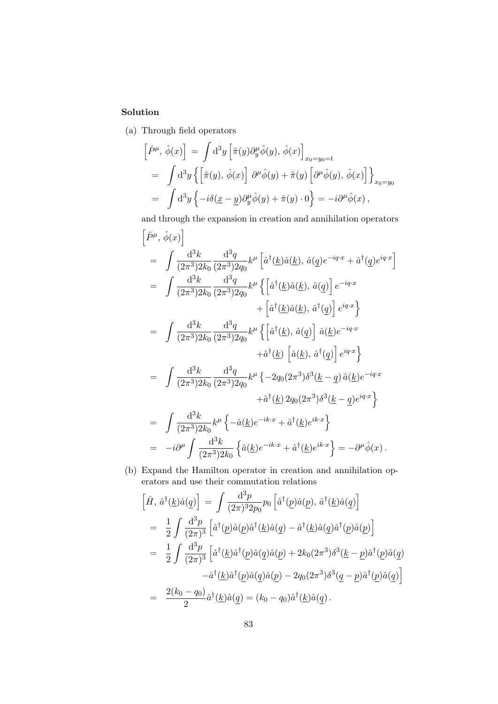## Solution

(a) Through field operators

$$
\left[\hat{P}^{\mu}, \hat{\phi}(x)\right] = \int d^3y \left[\hat{\pi}(y)\partial_y^{\mu}\hat{\phi}(y), \hat{\phi}(x)\right]_{x_0 = y_0 = t}
$$
  
\n
$$
= \int d^3y \left\{ \left[\hat{\pi}(y), \hat{\phi}(x)\right] \partial^{\mu}\hat{\phi}(y) + \hat{\pi}(y) \left[\partial^{\mu}\hat{\phi}(y), \hat{\phi}(x)\right] \right\}_{x_0 = y_0}
$$
  
\n
$$
= \int d^3y \left\{ -i\delta(\underline{x} - \underline{y})\partial_y^{\mu}\hat{\phi}(y) + \hat{\pi}(y) \cdot 0 \right\} = -i\partial^{\mu}\hat{\phi}(x),
$$

and through the expansion in creation and annihilation operators

$$
\left[\hat{P}^{\mu}, \hat{\phi}(x)\right] = \int \frac{d^{3}k}{(2\pi^{3})2k_{0}} \frac{d^{3}q}{(2\pi^{3})2q_{0}} k^{\mu} \left[\hat{a}^{\dagger}(k)\hat{a}(k), \hat{a}(q)e^{-iq \cdot x} + \hat{a}^{\dagger}(q)e^{iq \cdot x}\right]
$$
  
\n
$$
= \int \frac{d^{3}k}{(2\pi^{3})2k_{0}} \frac{d^{3}q}{(2\pi^{3})2q_{0}} k^{\mu} \left\{ \left[\hat{a}^{\dagger}(k)\hat{a}(k), \hat{a}(q)\right] e^{-iq \cdot x} + \left[\hat{a}^{\dagger}(k)\hat{a}(k), \hat{a}^{\dagger}(q)\right] e^{iq \cdot x} \right\}
$$
  
\n
$$
= \int \frac{d^{3}k}{(2\pi^{3})2k_{0}} \frac{d^{3}q}{(2\pi^{3})2q_{0}} k^{\mu} \left\{ \left[\hat{a}^{\dagger}(k), \hat{a}(q)\right] \hat{a}(k)e^{-iq \cdot x} + \hat{a}^{\dagger}(k) \left[\hat{a}(k), \hat{a}^{\dagger}(q)\right] e^{iq \cdot x} \right\}
$$
  
\n
$$
= \int \frac{d^{3}k}{(2\pi^{3})2k_{0}} \frac{d^{3}q}{(2\pi^{3})2q_{0}} k^{\mu} \left\{ -2q_{0}(2\pi^{3})\delta^{3}(k-q)\hat{a}(k)e^{-iq \cdot x} + \hat{a}^{\dagger}(k)2q_{0}(2\pi^{3})\delta^{3}(k-q)e^{iq \cdot x} \right\}
$$
  
\n
$$
= \int \frac{d^{3}k}{(2\pi^{3})2k_{0}} k^{\mu} \left\{ -\hat{a}(k)e^{-ik \cdot x} + \hat{a}^{\dagger}(k)e^{ik \cdot x} \right\}
$$
  
\n
$$
= -i\partial^{\mu} \int \frac{d^{3}k}{(2\pi^{3})2k_{0}} \left\{ \hat{a}(k)e^{-ik \cdot x} + \hat{a}^{\dagger}(k)e^{ik \cdot x} \right\} = -\partial^{\mu} \hat{\phi}(x).
$$

(b) Expand the Hamilton operator in creation and annihilation operators and use their commutation relations

$$
\begin{split}\n\left[\hat{H},\,\hat{a}^{\dagger}(\underline{k})\hat{a}(\underline{q})\right] &= \int \frac{\mathrm{d}^3p}{(2\pi)^3 2p_0} p_0 \left[\hat{a}^{\dagger}(\underline{p})\hat{a}(\underline{p}),\,\hat{a}^{\dagger}(\underline{k})\hat{a}(\underline{q})\right] \\
&= \frac{1}{2} \int \frac{\mathrm{d}^3p}{(2\pi)^3} \left[\hat{a}^{\dagger}(\underline{p})\hat{a}(\underline{p})\hat{a}^{\dagger}(\underline{k})\hat{a}(\underline{q}) - \hat{a}^{\dagger}(\underline{k})\hat{a}(\underline{q})\hat{a}^{\dagger}(\underline{p})\hat{a}(\underline{p})\right] \\
&= \frac{1}{2} \int \frac{\mathrm{d}^3p}{(2\pi)^3} \left[\hat{a}^{\dagger}(\underline{k})\hat{a}^{\dagger}(\underline{p})\hat{a}(\underline{q})\hat{a}(\underline{p}) + 2k_0(2\pi^3)\delta^3(\underline{k} - \underline{p})\hat{a}^{\dagger}(\underline{p})\hat{a}(\underline{q}) - \hat{a}^{\dagger}(\underline{k})\hat{a}^{\dagger}(\underline{p})\hat{a}(\underline{q})\hat{a}(\underline{p}) - 2q_0(2\pi^3)\delta^3(\underline{q} - \underline{p})\hat{a}^{\dagger}(\underline{p})\hat{a}(\underline{q})\right] \\
&= \frac{2(k_0 - q_0)}{2} \hat{a}^{\dagger}(\underline{k})\hat{a}(\underline{q}) = (k_0 - q_0)\hat{a}^{\dagger}(\underline{k})\hat{a}(\underline{q})\,. \n\end{split}
$$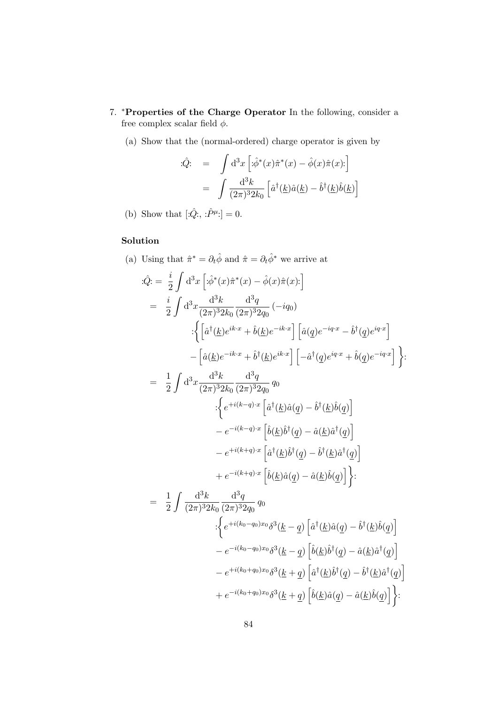- 7. *\*Properties of the Charge Operator In the following, consider a* free complex scalar field  $\phi$ .
	- (a) Show that the (normal-ordered) charge operator is given by

$$
\begin{aligned}\n\text{:} \hat{Q} &= \int \mathrm{d}^3 x \left[ \text{:} \hat{\phi}^*(x) \hat{\pi}^*(x) - \hat{\phi}(x) \hat{\pi}(x) \text{:} \right] \\
&= \int \frac{\mathrm{d}^3 k}{(2\pi)^3 2k_0} \left[ \hat{a}^\dagger(\underline{k}) \hat{a}(\underline{k}) - \hat{b}^\dagger(\underline{k}) \hat{b}(\underline{k}) \right]\n\end{aligned}
$$

(b) Show that  $[\hat{Q};, \hat{P}^{\mu}]=0$ .

## Solution

(a) Using that  $\hat{\pi}^* = \partial_t \hat{\phi}$  and  $\hat{\pi} = \partial_t \hat{\phi}^*$  we arrive at

$$
\begin{split}\n\hat{Q} &= \frac{i}{2} \int \mathrm{d}^{3}x \left[ \hat{\phi}^{*}(x)\hat{\pi}^{*}(x) - \hat{\phi}(x)\hat{\pi}(x) \right] \\
&= \frac{i}{2} \int \mathrm{d}^{3}x \frac{\mathrm{d}^{3}k}{(2\pi)^{3}2k_{0}} \frac{\mathrm{d}^{3}q}{(2\pi)^{3}2q_{0}} \left( -iq_{0} \right) \\
& \cdot \left\{ \left[ \hat{a}^{\dagger}(\underline{k})e^{ik\cdot x} + \hat{b}(\underline{k})e^{-ik\cdot x} \right] \left[ \hat{a}(q)e^{-iq\cdot x} - \hat{b}^{\dagger}(q)e^{iq\cdot x} \right] \right. \\
&\quad - \left[ \hat{a}(\underline{k})e^{-ik\cdot x} + \hat{b}^{\dagger}(\underline{k})e^{ik\cdot x} \right] \left[ -\hat{a}^{\dagger}(q)e^{iq\cdot x} + \hat{b}(q)e^{-iq\cdot x} \right] \right\} \\
&= \frac{1}{2} \int \mathrm{d}^{3}x \frac{\mathrm{d}^{3}k}{(2\pi)^{3}2k_{0}} \frac{\mathrm{d}^{3}q}{(2\pi)^{3}2q_{0}} q_{0} \\
& \cdot \left\{ e^{+i(k-q)\cdot x} \left[ \hat{a}^{\dagger}(\underline{k})\hat{a}(q) - \hat{b}^{\dagger}(\underline{k})\hat{b}(q) \right] \right. \\
&\quad - e^{-i(k-q)\cdot x} \left[ \hat{b}(\underline{k})\hat{b}^{\dagger}(q) - \hat{a}(\underline{k})\hat{a}^{\dagger}(q) \right] \\
&+ e^{-i(k+q)\cdot x} \left[ \hat{a}^{\dagger}(\underline{k})\hat{b}^{\dagger}(q) - \hat{b}^{\dagger}(\underline{k})\hat{a}^{\dagger}(q) \right] \\
&+ e^{-i(k+q)\cdot x} \left[ \hat{b}(\underline{k})\hat{a}(q) - \hat{a}(\underline{k})\hat{b}(q) \right] \right\} \\
&= \frac{1}{2} \int \frac{\mathrm{d}^{3}k}{(2\pi)^{3}2k_{0}} \frac{\mathrm{d}^{3}q}{(2\pi)^{3}2q_{0}} q_{0} \\
& \cdot \left\{ e^{+i(k
$$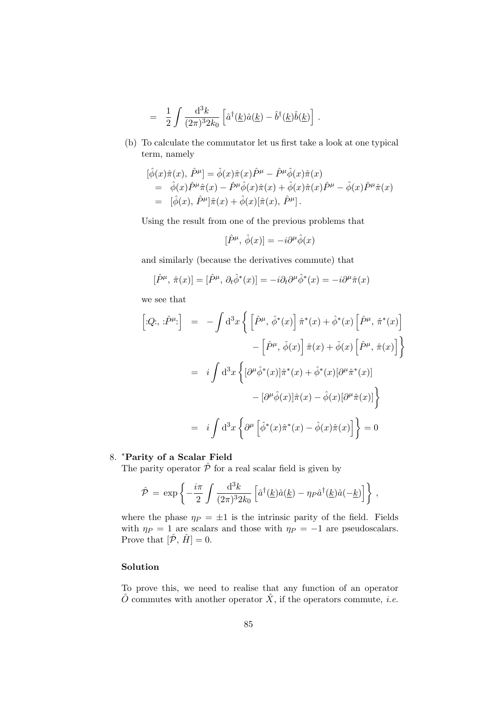$$
= \frac{1}{2} \int \frac{\mathrm{d}^3 k}{(2\pi)^3 2k_0} \left[ \hat{a}^\dagger(\underline{k}) \hat{a}(\underline{k}) - \hat{b}^\dagger(\underline{k}) \hat{b}(\underline{k}) \right] .
$$

(b) To calculate the commutator let us first take a look at one typical term, namely

$$
\begin{split}\n&[\hat{\phi}(x)\hat{\pi}(x),\,\hat{P}^{\mu}] = \hat{\phi}(x)\hat{\pi}(x)\hat{P}^{\mu} - \hat{P}^{\mu}\hat{\phi}(x)\hat{\pi}(x) \\
&= \hat{\phi}(x)\hat{P}^{\mu}\hat{\pi}(x) - \hat{P}^{\mu}\hat{\phi}(x)\hat{\pi}(x) + \hat{\phi}(x)\hat{\pi}(x)\hat{P}^{\mu} - \hat{\phi}(x)\hat{P}^{\mu}\hat{\pi}(x) \\
&= [\hat{\phi}(x),\,\hat{P}^{\mu}]\hat{\pi}(x) + \hat{\phi}(x)[\hat{\pi}(x),\,\hat{P}^{\mu}].\n\end{split}
$$

Using the result from one of the previous problems that

$$
[\hat{P}^{\mu}, \hat{\phi}(x)] = -i\partial^{\mu}\hat{\phi}(x)
$$

and similarly (because the derivatives commute) that

$$
[\hat{P}^{\mu}, \hat{\pi}(x)] = [\hat{P}^{\mu}, \partial_t \hat{\phi}^*(x)] = -i \partial_t \partial^{\mu} \hat{\phi}^*(x) = -i \partial^{\mu} \hat{\pi}(x)
$$

we see that

$$
\begin{aligned}\n\left[ \begin{array}{lll} \left[ Q; \right] \cdot \hat{P}^{\mu} \cdot \right] & = & - \int \mathrm{d}^{3}x \left\{ \left[ \hat{P}^{\mu}, \hat{\phi}^{*}(x) \right] \hat{\pi}^{*}(x) + \hat{\phi}^{*}(x) \left[ \hat{P}^{\mu}, \hat{\pi}^{*}(x) \right] \right. \\
 &\quad - \left[ \hat{P}^{\mu}, \hat{\phi}(x) \right] \hat{\pi}(x) + \hat{\phi}(x) \left[ \hat{P}^{\mu}, \hat{\pi}(x) \right] \right\} \\
 & = & i \int \mathrm{d}^{3}x \left\{ \left[ \partial^{\mu} \hat{\phi}^{*}(x) \right] \hat{\pi}^{*}(x) + \hat{\phi}^{*}(x) \left[ \partial^{\mu} \hat{\pi}^{*}(x) \right] \right. \\
 &\quad \left. - \left[ \partial^{\mu} \hat{\phi}(x) \right] \hat{\pi}(x) - \hat{\phi}(x) \left[ \partial^{\mu} \hat{\pi}(x) \right] \right\} \\
 & = & i \int \mathrm{d}^{3}x \left\{ \partial^{\mu} \left[ \hat{\phi}^{*}(x) \hat{\pi}^{*}(x) - \hat{\phi}(x) \hat{\pi}(x) \right] \right\} = 0\n\end{aligned}
$$

### 8. \*Parity of a Scalar Field

The parity operator  $\hat{\mathcal{P}}$  for a real scalar field is given by

$$
\hat{\mathcal{P}} = \exp\left\{-\frac{i\pi}{2}\int \frac{\mathrm{d}^3k}{(2\pi)^3 2k_0} \left[\hat{a}^\dagger(\underline{k})\hat{a}(\underline{k}) - \eta_P \hat{a}^\dagger(\underline{k})\hat{a}(-\underline{k})\right]\right\},\,
$$

where the phase  $\eta_P = \pm 1$  is the intrinsic parity of the field. Fields with  $\eta_P = 1$  are scalars and those with  $\eta_P = -1$  are pseudoscalars. Prove that  $[\hat{\mathcal{P}}, \hat{H}] = 0$ .

### Solution

To prove this, we need to realise that any function of an operator  $\hat{O}$  commutes with another operator  $\hat{X}$ , if the operators commute, *i.e.*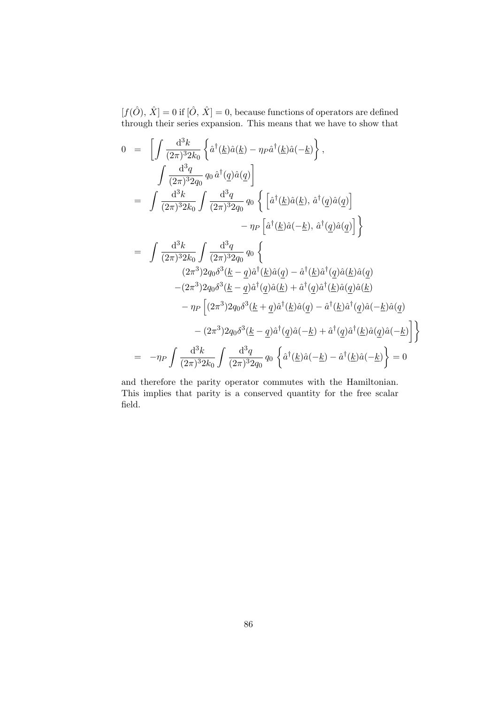$[f(\hat{O}), \,\hat{X}]=0$  if  $[\hat{O}, \,\hat{X}]=0,$  because functions of operators are defined through their series expansion. This means that we have to show that

$$
0 = \left[ \int \frac{d^3k}{(2\pi)^3 2k_0} \left\{ \hat{a}^\dagger(\underline{k}) \hat{a}(\underline{k}) - \eta_P \hat{a}^\dagger(\underline{k}) \hat{a}(-\underline{k}) \right\}, \right.\n\int \frac{d^3q}{(2\pi)^3 2q_0} q_0 \hat{a}^\dagger(\underline{q}) \hat{a}(\underline{q}) \right] \n= \int \frac{d^3k}{(2\pi)^3 2k_0} \int \frac{d^3q}{(2\pi)^3 2q_0} q_0 \left\{ \left[ \hat{a}^\dagger(\underline{k}) \hat{a}(\underline{k}), \hat{a}^\dagger(\underline{q}) \hat{a}(\underline{q}) \right] \right. \n- \eta_P \left[ \hat{a}^\dagger(\underline{k}) \hat{a}(-\underline{k}), \hat{a}^\dagger(\underline{q}) \hat{a}(\underline{q}) \right] \right\} \n= \int \frac{d^3k}{(2\pi)^3 2k_0} \int \frac{d^3q}{(2\pi)^3 2q_0} q_0 \left\{ (2\pi^3) 2q_0 \delta^3(\underline{k} - \underline{q}) \hat{a}^\dagger(\underline{k}) \hat{a}(\underline{q}) - \hat{a}^\dagger(\underline{k}) \hat{a}^\dagger(\underline{q}) \hat{a}(\underline{k}) \hat{a}(\underline{q}) - (2\pi^3) 2q_0 \delta^3(\underline{k} - \underline{q}) \hat{a}^\dagger(\underline{q}) \hat{a}(\underline{k}) + \hat{a}^\dagger(\underline{q}) \hat{a}^\dagger(\underline{k}) \hat{a}(\underline{q}) \hat{a}(\underline{k}) \right. \n- \eta_P \left[ (2\pi^3) 2q_0 \delta^3(\underline{k} + \underline{q}) \hat{a}^\dagger(\underline{k}) \hat{a}(\underline{q}) - \hat{a}^\dagger(\underline{k}) \hat{a}^\dagger(\underline{q}) \hat{a}(-\underline{k}) \hat{a}(\underline{q}) \right. \n- (2\pi^3) 2q_0 \delta^3(\underline{k} - \underline{q}) \hat{a}^\dagger(\underline{q}) \hat{a}(-\underline{k}) + \hat{a}^\dagger(\underline{q}) \hat{a}^\dagger(\underline{k}) \hat{a}(\underline{q}) \hat{a
$$

and therefore the parity operator commutes with the Hamiltonian. This implies that parity is a conserved quantity for the free scalar field.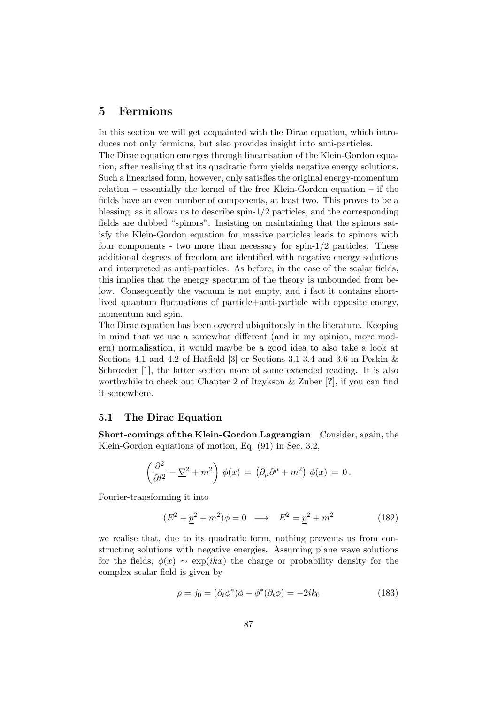## 5 Fermions

In this section we will get acquainted with the Dirac equation, which introduces not only fermions, but also provides insight into anti-particles.

The Dirac equation emerges through linearisation of the Klein-Gordon equation, after realising that its quadratic form yields negative energy solutions. Such a linearised form, however, only satisfies the original energy-momentum relation – essentially the kernel of the free Klein-Gordon equation – if the fields have an even number of components, at least two. This proves to be a blessing, as it allows us to describe spin-1/2 particles, and the corresponding fields are dubbed "spinors". Insisting on maintaining that the spinors satisfy the Klein-Gordon equation for massive particles leads to spinors with four components - two more than necessary for spin- $1/2$  particles. These additional degrees of freedom are identified with negative energy solutions and interpreted as anti-particles. As before, in the case of the scalar fields, this implies that the energy spectrum of the theory is unbounded from below. Consequently the vacuum is not empty, and i fact it contains shortlived quantum fluctuations of particle+anti-particle with opposite energy, momentum and spin.

The Dirac equation has been covered ubiquitously in the literature. Keeping in mind that we use a somewhat different (and in my opinion, more modern) normalisation, it would maybe be a good idea to also take a look at Sections 4.1 and 4.2 of Hatfield [3] or Sections 3.1-3.4 and 3.6 in Peskin & Schroeder [1], the latter section more of some extended reading. It is also worthwhile to check out Chapter 2 of Itzykson & Zuber [?], if you can find it somewhere.

#### 5.1 The Dirac Equation

Short-comings of the Klein-Gordon Lagrangian Consider, again, the Klein-Gordon equations of motion, Eq. (91) in Sec. 3.2,

$$
\left(\frac{\partial^2}{\partial t^2} - \underline{\nabla}^2 + m^2\right)\,\phi(x) \,=\, \left(\partial_\mu\partial^\mu + m^2\right)\,\phi(x) \,=\, 0\,.
$$

Fourier-transforming it into

$$
(E2 - p2 - m2)\phi = 0 \longrightarrow E2 = p2 + m2
$$
 (182)

we realise that, due to its quadratic form, nothing prevents us from constructing solutions with negative energies. Assuming plane wave solutions for the fields,  $\phi(x) \sim \exp(ikx)$  the charge or probability density for the complex scalar field is given by

$$
\rho = j_0 = (\partial_t \phi^*) \phi - \phi^* (\partial_t \phi) = -2ik_0 \tag{183}
$$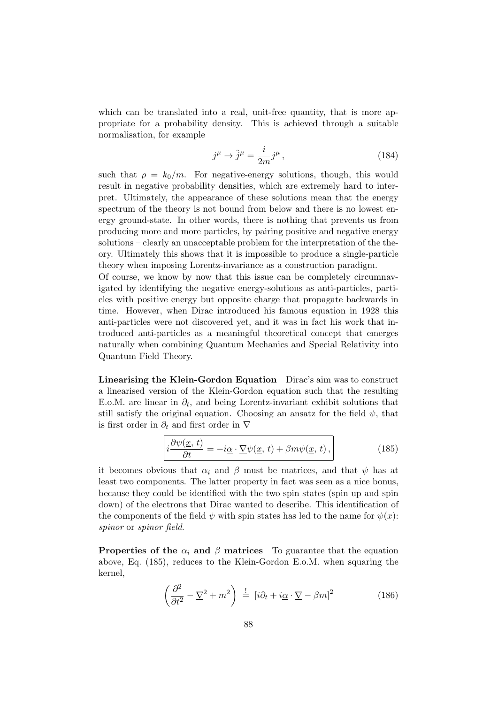which can be translated into a real, unit-free quantity, that is more appropriate for a probability density. This is achieved through a suitable normalisation, for example

$$
j^{\mu} \to \tilde{j}^{\mu} = \frac{i}{2m} j^{\mu}, \qquad (184)
$$

such that  $\rho = k_0/m$ . For negative-energy solutions, though, this would result in negative probability densities, which are extremely hard to interpret. Ultimately, the appearance of these solutions mean that the energy spectrum of the theory is not bound from below and there is no lowest energy ground-state. In other words, there is nothing that prevents us from producing more and more particles, by pairing positive and negative energy solutions – clearly an unacceptable problem for the interpretation of the theory. Ultimately this shows that it is impossible to produce a single-particle theory when imposing Lorentz-invariance as a construction paradigm.

Of course, we know by now that this issue can be completely circumnavigated by identifying the negative energy-solutions as anti-particles, particles with positive energy but opposite charge that propagate backwards in time. However, when Dirac introduced his famous equation in 1928 this anti-particles were not discovered yet, and it was in fact his work that introduced anti-particles as a meaningful theoretical concept that emerges naturally when combining Quantum Mechanics and Special Relativity into Quantum Field Theory.

Linearising the Klein-Gordon Equation Dirac's aim was to construct a linearised version of the Klein-Gordon equation such that the resulting E.o.M. are linear in  $\partial_t$ , and being Lorentz-invariant exhibit solutions that still satisfy the original equation. Choosing an ansatz for the field  $\psi$ , that is first order in  $\partial_t$  and first order in  $\nabla$ 

$$
i\frac{\partial\psi(\underline{x},t)}{\partial t} = -i\underline{\alpha}\cdot\underline{\nabla}\psi(\underline{x},t) + \beta m\psi(\underline{x},t),
$$
 (185)

it becomes obvious that  $\alpha_i$  and  $\beta$  must be matrices, and that  $\psi$  has at least two components. The latter property in fact was seen as a nice bonus, because they could be identified with the two spin states (spin up and spin down) of the electrons that Dirac wanted to describe. This identification of the components of the field  $\psi$  with spin states has led to the name for  $\psi(x)$ : spinor or spinor field.

**Properties of the**  $\alpha_i$  **and β matrices** To guarantee that the equation above, Eq. (185), reduces to the Klein-Gordon E.o.M. when squaring the kernel,

$$
\left(\frac{\partial^2}{\partial t^2} - \underline{\nabla}^2 + m^2\right) \stackrel{!}{=} \left[i\partial_t + i\underline{\alpha} \cdot \underline{\nabla} - \beta m\right]^2 \tag{186}
$$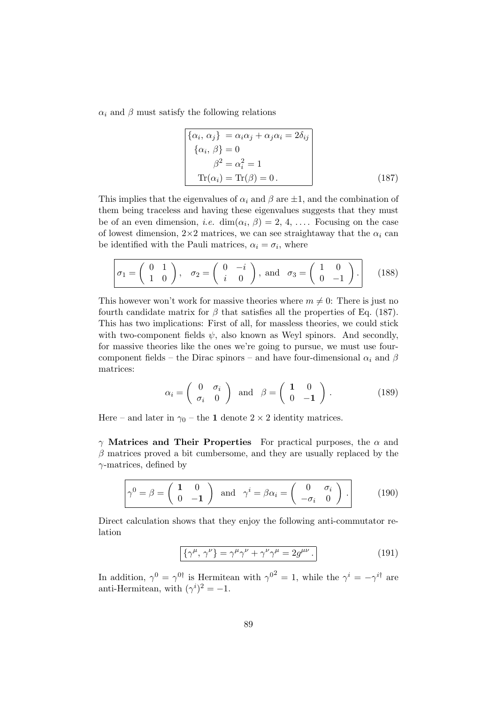$\alpha_i$  and  $\beta$  must satisfy the following relations

$$
\begin{cases}\n\{\alpha_i, \alpha_j\} = \alpha_i \alpha_j + \alpha_j \alpha_i = 2\delta_{ij} \\
\{\alpha_i, \beta\} = 0 \\
\beta^2 = \alpha_i^2 = 1 \\
\text{Tr}(\alpha_i) = \text{Tr}(\beta) = 0.\n\end{cases}
$$
\n(187)

This implies that the eigenvalues of  $\alpha_i$  and  $\beta$  are  $\pm 1$ , and the combination of them being traceless and having these eigenvalues suggests that they must be of an even dimension, *i.e.* dim $(\alpha_i, \beta) = 2, 4, \ldots$ . Focusing on the case of lowest dimension,  $2\times 2$  matrices, we can see straightaway that the  $\alpha_i$  can be identified with the Pauli matrices,  $\alpha_i = \sigma_i$ , where

$$
\sigma_1 = \begin{pmatrix} 0 & 1 \\ 1 & 0 \end{pmatrix}, \quad \sigma_2 = \begin{pmatrix} 0 & -i \\ i & 0 \end{pmatrix}, \text{ and } \sigma_3 = \begin{pmatrix} 1 & 0 \\ 0 & -1 \end{pmatrix}.
$$
 (188)

This however won't work for massive theories where  $m \neq 0$ : There is just no fourth candidate matrix for  $\beta$  that satisfies all the properties of Eq. (187). This has two implications: First of all, for massless theories, we could stick with two-component fields  $\psi$ , also known as Weyl spinors. And secondly, for massive theories like the ones we're going to pursue, we must use fourcomponent fields – the Dirac spinors – and have four-dimensional  $\alpha_i$  and  $\beta$ matrices:

$$
\alpha_i = \begin{pmatrix} 0 & \sigma_i \\ \sigma_i & 0 \end{pmatrix} \text{ and } \beta = \begin{pmatrix} 1 & 0 \\ 0 & -1 \end{pmatrix}.
$$
 (189)

Here – and later in  $\gamma_0$  – the 1 denote  $2 \times 2$  identity matrices.

 $γ$  Matrices and Their Properties For practical purposes, the  $α$  and  $\beta$  matrices proved a bit cumbersome, and they are usually replaced by the  $\gamma$ -matrices, defined by

$$
\gamma^{0} = \beta = \begin{pmatrix} 1 & 0 \\ 0 & -1 \end{pmatrix} \text{ and } \gamma^{i} = \beta \alpha_{i} = \begin{pmatrix} 0 & \sigma_{i} \\ -\sigma_{i} & 0 \end{pmatrix}.
$$
 (190)

Direct calculation shows that they enjoy the following anti-commutator relation

$$
\{\gamma^{\mu}, \gamma^{\nu}\} = \gamma^{\mu}\gamma^{\nu} + \gamma^{\nu}\gamma^{\mu} = 2g^{\mu\nu}.
$$
 (191)

In addition,  $\gamma^0 = \gamma^{0\dagger}$  is Hermitean with  $\gamma^{02} = 1$ , while the  $\gamma^i = -\gamma^{i\dagger}$  are anti-Hermitean, with  $(\gamma^i)^2 = -1$ .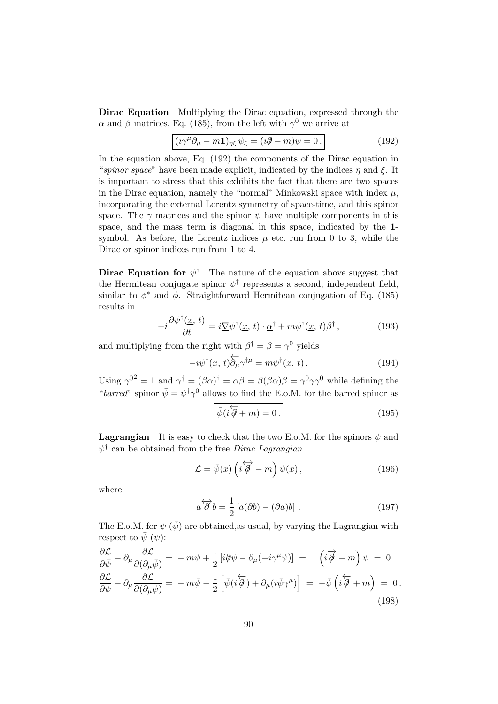Dirac Equation Multiplying the Dirac equation, expressed through the α and β matrices, Eq. (185), from the left with  $\gamma^0$  we arrive at

$$
(\dot{i}\gamma^{\mu}\partial_{\mu} - m\mathbf{1})_{\eta\xi}\,\psi_{\xi} = (\dot{i}\partial - m)\psi = 0. \tag{192}
$$

In the equation above, Eq. (192) the components of the Dirac equation in "spinor space" have been made explicit, indicated by the indices  $\eta$  and  $\xi$ . It is important to stress that this exhibits the fact that there are two spaces in the Dirac equation, namely the "normal" Minkowski space with index  $\mu$ , incorporating the external Lorentz symmetry of space-time, and this spinor space. The  $\gamma$  matrices and the spinor  $\psi$  have multiple components in this space, and the mass term is diagonal in this space, indicated by the 1 symbol. As before, the Lorentz indices  $\mu$  etc. run from 0 to 3, while the Dirac or spinor indices run from 1 to 4.

**Dirac Equation for**  $\psi^{\dagger}$  The nature of the equation above suggest that the Hermitean conjugate spinor  $\psi^{\dagger}$  represents a second, independent field, similar to  $\phi^*$  and  $\phi$ . Straightforward Hermitean conjugation of Eq. (185) results in

$$
-i\frac{\partial \psi^{\dagger}(\underline{x},t)}{\partial t} = i\underline{\nabla}\psi^{\dagger}(\underline{x},t) \cdot \underline{\alpha}^{\dagger} + m\psi^{\dagger}(\underline{x},t)\beta^{\dagger}, \qquad (193)
$$

and multiplying from the right with  $\beta^{\dagger} = \beta = \gamma^0$  yields

$$
-i\psi^{\dagger}(\underline{x}, t)\overleftarrow{\partial_{\mu}}\gamma^{\dagger\mu} = m\psi^{\dagger}(\underline{x}, t). \qquad (194)
$$

Using  $\gamma^{0^2} = 1$  and  $\gamma^{\dagger} = (\beta \alpha)^{\dagger} = \alpha \beta = \beta(\beta \alpha)\beta = \gamma^0 \gamma \gamma^0$  while defining the "barred" spinor  $\bar{\psi} = \psi^{\dagger} \gamma^0$  allows to find the E.o.M. for the barred spinor as

$$
\bar{\psi}(i\overleftarrow{\partial} + m) = 0.
$$
\n(195)

**Lagrangian** It is easy to check that the two E.o.M. for the spinors  $\psi$  and  $\psi^{\dagger}$  can be obtained from the free *Dirac Lagrangian* 

$$
\mathcal{L} = \bar{\psi}(x) \left( i \overleftrightarrow{\partial} - m \right) \psi(x) , \qquad (196)
$$

where

$$
a\overleftrightarrow{\partial} b = \frac{1}{2} [a(\partial b) - (\partial a)b]. \qquad (197)
$$

The E.o.M. for  $\psi(\bar{\psi})$  are obtained as usual, by varying the Lagrangian with respect to  $\bar{\psi}$  ( $\psi$ ):

$$
\frac{\partial \mathcal{L}}{\partial \bar{\psi}} - \partial_{\mu} \frac{\partial \mathcal{L}}{\partial (\partial_{\mu} \bar{\psi})} = -m\psi + \frac{1}{2} \left[ i\partial \psi - \partial_{\mu} (-i\gamma^{\mu} \psi) \right] = \left( i\overrightarrow{\partial} - m \right) \psi = 0
$$
  

$$
\frac{\partial \mathcal{L}}{\partial \psi} - \partial_{\mu} \frac{\partial \mathcal{L}}{\partial (\partial_{\mu} \psi)} = -m\bar{\psi} - \frac{1}{2} \left[ \bar{\psi} (i\overleftarrow{\partial}) + \partial_{\mu} (i\bar{\psi} \gamma^{\mu}) \right] = -\bar{\psi} \left( i\overleftarrow{\partial} + m \right) = 0.
$$
\n(198)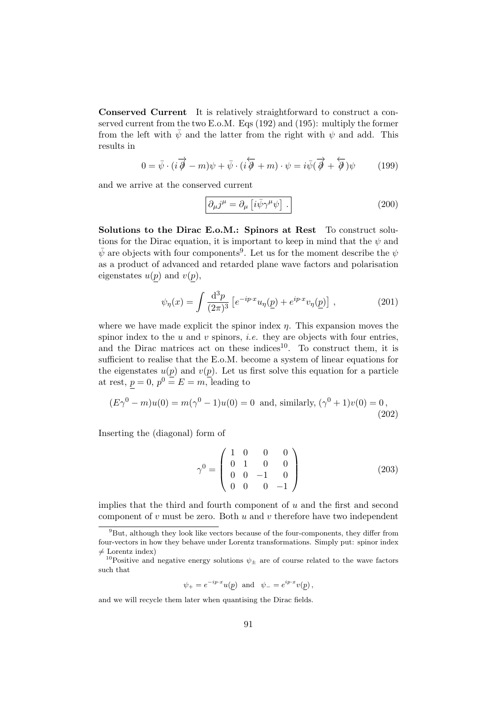Conserved Current It is relatively straightforward to construct a conserved current from the two E.o.M. Eqs (192) and (195): multiply the former from the left with  $\bar{\psi}$  and the latter from the right with  $\psi$  and add. This results in

$$
0 = \bar{\psi} \cdot (i \overrightarrow{\partial} - m)\psi + \bar{\psi} \cdot (i \overleftarrow{\partial} + m) \cdot \psi = i \bar{\psi} (\overrightarrow{\partial} + \overleftarrow{\partial})\psi \qquad (199)
$$

and we arrive at the conserved current

$$
\partial_{\mu}j^{\mu} = \partial_{\mu}\left[i\bar{\psi}\gamma^{\mu}\psi\right].
$$
 (200)

Solutions to the Dirac E.o.M.: Spinors at Rest To construct solutions for the Dirac equation, it is important to keep in mind that the  $\psi$  and  $\bar{\psi}$  are objects with four components<sup>9</sup>. Let us for the moment describe the  $\psi$ as a product of advanced and retarded plane wave factors and polarisation eigenstates  $u(p)$  and  $v(p)$ ,

$$
\psi_{\eta}(x) = \int \frac{\mathrm{d}^3 p}{(2\pi)^3} \left[ e^{-ip \cdot x} u_{\eta}(\underline{p}) + e^{ip \cdot x} v_{\eta}(\underline{p}) \right] , \qquad (201)
$$

where we have made explicit the spinor index  $\eta$ . This expansion moves the spinor index to the  $u$  and  $v$  spinors, *i.e.* they are objects with four entries, and the Dirac matrices act on these indices<sup>10</sup>. To construct them, it is sufficient to realise that the E.o.M. become a system of linear equations for the eigenstates  $u(p)$  and  $v(p)$ . Let us first solve this equation for a particle at rest,  $p = 0$ ,  $p^0 = E = m$ , leading to

$$
(E\gamma^{0} - m)u(0) = m(\gamma^{0} - 1)u(0) = 0
$$
 and, similarly,  $(\gamma^{0} + 1)v(0) = 0$ , (202)

Inserting the (diagonal) form of

$$
\gamma^0 = \begin{pmatrix} 1 & 0 & 0 & 0 \\ 0 & 1 & 0 & 0 \\ 0 & 0 & -1 & 0 \\ 0 & 0 & 0 & -1 \end{pmatrix}
$$
 (203)

implies that the third and fourth component of  $u$  and the first and second component of  $v$  must be zero. Both  $u$  and  $v$  therefore have two independent

$$
\psi_{+} = e^{-ip \cdot x} u(p)
$$
 and  $\psi_{-} = e^{ip \cdot x} v(p)$ ,

and we will recycle them later when quantising the Dirac fields.

 $9But$ , although they look like vectors because of the four-components, they differ from four-vectors in how they behave under Lorentz transformations. Simply put: spinor index  $\neq$  Lorentz index)

<sup>&</sup>lt;sup>10</sup>Positive and negative energy solutions  $\psi_{\pm}$  are of course related to the wave factors such that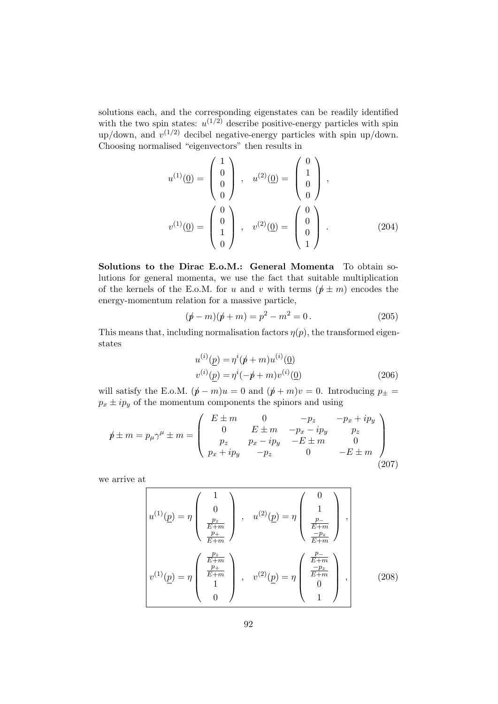solutions each, and the corresponding eigenstates can be readily identified with the two spin states:  $u^{(1/2)}$  describe positive-energy particles with spin up/down, and  $v^{(1/2)}$  decibel negative-energy particles with spin up/down. Choosing normalised "eigenvectors" then results in

$$
u^{(1)}(\underline{0}) = \begin{pmatrix} 1 \\ 0 \\ 0 \\ 0 \end{pmatrix}, \quad u^{(2)}(\underline{0}) = \begin{pmatrix} 0 \\ 1 \\ 0 \\ 0 \end{pmatrix},
$$

$$
v^{(1)}(\underline{0}) = \begin{pmatrix} 0 \\ 0 \\ 1 \\ 0 \end{pmatrix}, \quad v^{(2)}(\underline{0}) = \begin{pmatrix} 0 \\ 0 \\ 0 \\ 1 \end{pmatrix}.
$$
(204)

Solutions to the Dirac E.o.M.: General Momenta To obtain solutions for general momenta, we use the fact that suitable multiplication of the kernels of the E.o.M. for u and v with terms  $(p \pm m)$  encodes the energy-momentum relation for a massive particle,

$$
(\not p - m)(\not p + m) = p^2 - m^2 = 0.
$$
 (205)

This means that, including normalisation factors  $\eta(p)$ , the transformed eigenstates

$$
u^{(i)}(\underline{p}) = \eta^{i}(\cancel{p} + m)u^{(i)}(\underline{0})
$$
  

$$
v^{(i)}(\underline{p}) = \eta^{i}(-\cancel{p} + m)v^{(i)}(\underline{0})
$$
 (206)

will satisfy the E.o.M.  $(p - m)u = 0$  and  $(p + m)v = 0$ . Introducing  $p_{+} =$  $p_x \pm i p_y$  of the momentum components the spinors and using

$$
\not p \pm m = p_{\mu} \gamma^{\mu} \pm m = \begin{pmatrix} E \pm m & 0 & -p_{z} & -p_{x} + ip_{y} \\ 0 & E \pm m & -p_{x} - ip_{y} & p_{z} \\ p_{z} & p_{x} - ip_{y} & -E \pm m & 0 \\ p_{x} + ip_{y} & -p_{z} & 0 & -E \pm m \end{pmatrix}
$$
\n(207)

we arrive at

$$
u^{(1)}(\underline{p}) = \eta \begin{pmatrix} 1 \\ 0 \\ \frac{p_z}{E+m} \\ \frac{p_+}{E+m} \end{pmatrix}, \quad u^{(2)}(\underline{p}) = \eta \begin{pmatrix} 0 \\ 1 \\ \frac{p_-}{E+m} \\ \frac{-p_z}{E+m} \end{pmatrix},
$$
  

$$
v^{(1)}(\underline{p}) = \eta \begin{pmatrix} \frac{p_z}{E+m} \\ \frac{p_+}{E+m} \\ 1 \\ 0 \end{pmatrix}, \quad v^{(2)}(\underline{p}) = \eta \begin{pmatrix} \frac{p_-}{E+m} \\ \frac{-p_z}{E+m} \\ 0 \\ 1 \end{pmatrix},
$$
 (208)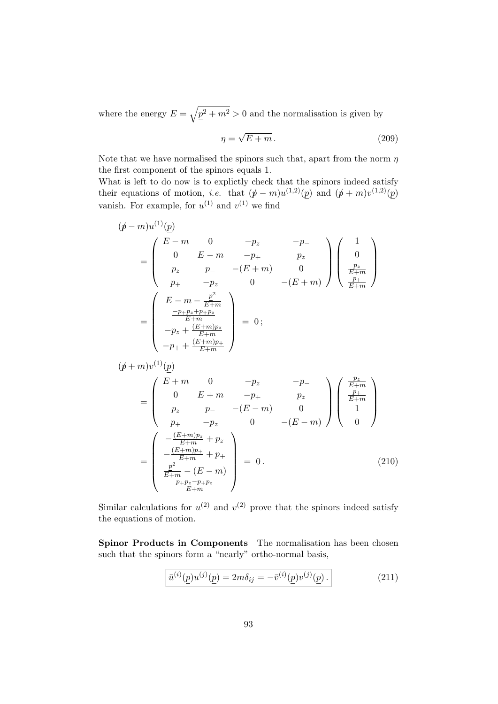where the energy  $E = \sqrt{p^2 + m^2} > 0$  and the normalisation is given by

$$
\eta = \sqrt{E + m} \,. \tag{209}
$$

Note that we have normalised the spinors such that, apart from the norm  $\eta$ the first component of the spinors equals 1.

What is left to do now is to explictly check that the spinors indeed satisfy their equations of motion, *i.e.* that  $(p - m)u^{(1,2)}(p)$  and  $(p + m)v^{(1,2)}(p)$ vanish. For example, for  $u^{(1)}$  and  $v^{(1)}$  we find

$$
(\not p - m)u^{(1)}(\underline{p})
$$
  
\n
$$
= \begin{pmatrix} E-m & 0 & -p_z & -p_- \\ 0 & E-m & -p_+ & p_z \\ p_z & p_- & -(E+m) & 0 \\ p_+ & -p_z & 0 & -(E+m) \end{pmatrix} \begin{pmatrix} 1 \\ 0 \\ \frac{p_z}{E+m} \\ \frac{p_+}{E+m} \end{pmatrix}
$$
  
\n
$$
= \begin{pmatrix} E-m - \frac{p^2}{E+m} \\ \frac{-p_+p_z+p_+p_z}{E+m} \\ -p_+ + \frac{(E+m)p_z}{E+m} \\ -p_+ + \frac{(E+m)p_+}{E+m} \end{pmatrix} = 0;
$$
  
\n
$$
(\not p + m)v^{(1)}(\underline{p})
$$
  
\n
$$
= \begin{pmatrix} E+m & 0 & -p_z & -p_- \\ 0 & E+m & -p_+ & p_z \\ p_z & p_- & -(E-m) & 0 \\ p_+ & -p_z & 0 & -(E-m) \end{pmatrix} \begin{pmatrix} \frac{p_z}{E+m} \\ \frac{p_+}{E+m} \\ 1 \\ 1 \\ 0 \end{pmatrix}
$$
  
\n
$$
= \begin{pmatrix} -\frac{(E+m)p_z}{E+m} + p_z \\ -\frac{(E+m)p_z}{E+m} + p_+ \\ \frac{p^2}{E+m} - (E-m) \\ \frac{p^2}{E+m} - (E-m) \\ \frac{p+p_z-p_+p_z}{E+m} \end{pmatrix} = 0.
$$
 (210)

Similar calculations for  $u^{(2)}$  and  $v^{(2)}$  prove that the spinors indeed satisfy the equations of motion.

Spinor Products in Components The normalisation has been chosen such that the spinors form a "nearly" ortho-normal basis,

$$
\bar{u}^{(i)}(\underline{p})u^{(j)}(\underline{p}) = 2m\delta_{ij} = -\bar{v}^{(i)}(\underline{p})v^{(j)}(\underline{p}).
$$
\n(211)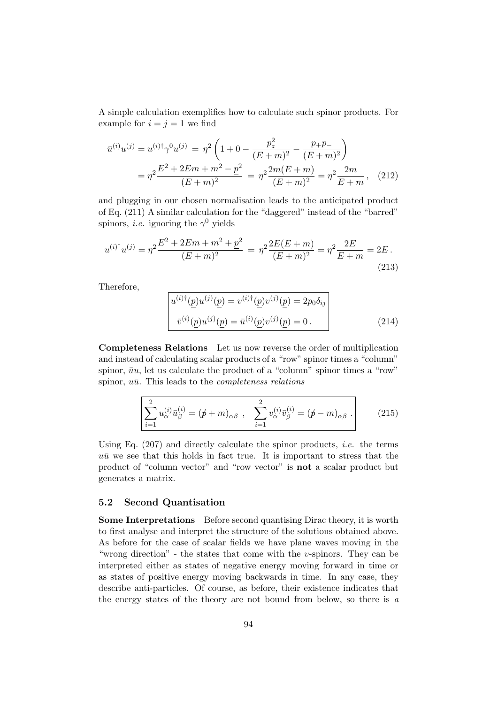A simple calculation exemplifies how to calculate such spinor products. For example for  $i = j = 1$  we find

$$
\bar{u}^{(i)}u^{(j)} = u^{(i)\dagger}\gamma^0 u^{(j)} = \eta^2 \left(1 + 0 - \frac{p_z^2}{(E+m)^2} - \frac{p_+ p_-}{(E+m)^2}\right)
$$

$$
= \eta^2 \frac{E^2 + 2Em + m^2 - p^2}{(E+m)^2} = \eta^2 \frac{2m(E+m)}{(E+m)^2} = \eta^2 \frac{2m}{E+m}, \quad (212)
$$

and plugging in our chosen normalisation leads to the anticipated product of Eq. (211) A similar calculation for the "daggered" instead of the "barred" spinors, *i.e.* ignoring the  $\gamma^0$  yields

$$
u^{(i)*}u^{(j)} = \eta^2 \frac{E^2 + 2Em + m^2 + p^2}{(E+m)^2} = \eta^2 \frac{2E(E+m)}{(E+m)^2} = \eta^2 \frac{2E}{E+m} = 2E.
$$
\n(213)

Therefore,

$$
u^{(i)\dagger}(\underline{p})u^{(j)}(\underline{p}) = v^{(i)\dagger}(\underline{p})v^{(j)}(\underline{p}) = 2p_0 \delta_{ij}
$$
  

$$
\bar{v}^{(i)}(\underline{p})u^{(j)}(\underline{p}) = \bar{u}^{(i)}(\underline{p})v^{(j)}(\underline{p}) = 0.
$$
 (214)

Completeness Relations Let us now reverse the order of multiplication and instead of calculating scalar products of a "row" spinor times a "column" spinor,  $\bar{u}u$ , let us calculate the product of a "column" spinor times a "row" spinor,  $u\bar{u}$ . This leads to the *completeness relations* 

$$
\sum_{i=1}^{2} u_{\alpha}^{(i)} \bar{u}_{\beta}^{(i)} = (\not p + m)_{\alpha\beta} , \quad \sum_{i=1}^{2} v_{\alpha}^{(i)} \bar{v}_{\beta}^{(i)} = (\not p - m)_{\alpha\beta} .
$$
 (215)

Using Eq.  $(207)$  and directly calculate the spinor products, *i.e.* the terms  $u\bar{u}$  we see that this holds in fact true. It is important to stress that the product of "column vector" and "row vector" is not a scalar product but generates a matrix.

### 5.2 Second Quantisation

Some Interpretations Before second quantising Dirac theory, it is worth to first analyse and interpret the structure of the solutions obtained above. As before for the case of scalar fields we have plane waves moving in the "wrong direction" - the states that come with the  $v$ -spinors. They can be interpreted either as states of negative energy moving forward in time or as states of positive energy moving backwards in time. In any case, they describe anti-particles. Of course, as before, their existence indicates that the energy states of the theory are not bound from below, so there is a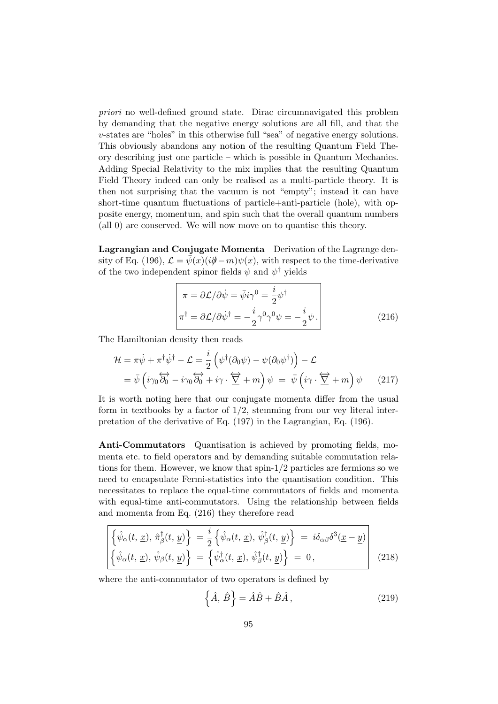priori no well-defined ground state. Dirac circumnavigated this problem by demanding that the negative energy solutions are all fill, and that the v-states are "holes" in this otherwise full "sea" of negative energy solutions. This obviously abandons any notion of the resulting Quantum Field Theory describing just one particle – which is possible in Quantum Mechanics. Adding Special Relativity to the mix implies that the resulting Quantum Field Theory indeed can only be realised as a multi-particle theory. It is then not surprising that the vacuum is not "empty"; instead it can have short-time quantum fluctuations of particle+anti-particle (hole), with opposite energy, momentum, and spin such that the overall quantum numbers (all 0) are conserved. We will now move on to quantise this theory.

Lagrangian and Conjugate Momenta Derivation of the Lagrange density of Eq. (196),  $\mathcal{L} = \bar{\psi}(x)(i\partial\!\!\!/-m)\psi(x)$ , with respect to the time-derivative of the two independent spinor fields  $\psi$  and  $\psi^{\dagger}$  yields

$$
\pi = \partial \mathcal{L} / \partial \dot{\psi} = \bar{\psi} i \gamma^0 = \frac{i}{2} \psi^{\dagger}
$$
  

$$
\pi^{\dagger} = \partial \mathcal{L} / \partial \dot{\psi}^{\dagger} = -\frac{i}{2} \gamma^0 \gamma^0 \psi = -\frac{i}{2} \psi.
$$
 (216)

The Hamiltonian density then reads

$$
\mathcal{H} = \pi \dot{\psi} + \pi^{\dagger} \dot{\psi}^{\dagger} - \mathcal{L} = \frac{i}{2} \left( \psi^{\dagger} (\partial_0 \psi) - \psi (\partial_0 \psi^{\dagger}) \right) - \mathcal{L}
$$
  
=  $\bar{\psi} \left( i \gamma_0 \overleftrightarrow{\partial_0} - i \gamma_0 \overleftrightarrow{\partial_0} + i \underline{\gamma} \cdot \overleftrightarrow{\nabla} + m \right) \psi = \bar{\psi} \left( i \underline{\gamma} \cdot \overleftrightarrow{\nabla} + m \right) \psi$  (217)

It is worth noting here that our conjugate momenta differ from the usual form in textbooks by a factor of  $1/2$ , stemming from our vey literal interpretation of the derivative of Eq. (197) in the Lagrangian, Eq. (196).

Anti-Commutators Quantisation is achieved by promoting fields, momenta etc. to field operators and by demanding suitable commutation relations for them. However, we know that spin- $1/2$  particles are fermions so we need to encapsulate Fermi-statistics into the quantisation condition. This necessitates to replace the equal-time commutators of fields and momenta with equal-time anti-commutators. Using the relationship between fields and momenta from Eq. (216) they therefore read

$$
\left\{ \hat{\psi}_{\alpha}(t, \underline{x}), \hat{\pi}_{\beta}^{\dagger}(t, \underline{y}) \right\} = \frac{i}{2} \left\{ \hat{\psi}_{\alpha}(t, \underline{x}), \hat{\psi}_{\beta}^{\dagger}(t, \underline{y}) \right\} = i \delta_{\alpha\beta} \delta^{3}(\underline{x} - \underline{y})
$$
\n
$$
\left\{ \hat{\psi}_{\alpha}(t, \underline{x}), \hat{\psi}_{\beta}(t, \underline{y}) \right\} = \left\{ \hat{\psi}_{\alpha}^{\dagger}(t, \underline{x}), \hat{\psi}_{\beta}^{\dagger}(t, \underline{y}) \right\} = 0,
$$
\n(218)

where the anti-commutator of two operators is defined by

$$
\left\{\hat{A},\,\hat{B}\right\} = \hat{A}\hat{B} + \hat{B}\hat{A}\,,\tag{219}
$$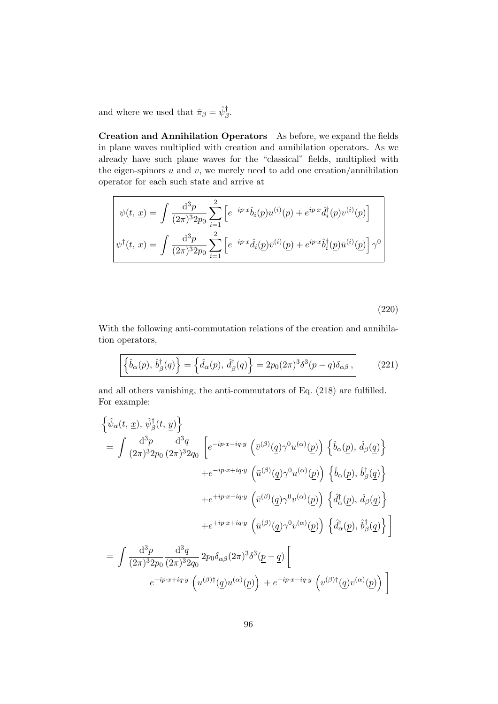and where we used that  $\hat{\pi}_{\beta} = \hat{\psi}_{\beta}^{\dagger}$ .

 $\mathbf{r}$ 

Creation and Annihilation Operators As before, we expand the fields in plane waves multiplied with creation and annihilation operators. As we already have such plane waves for the "classical" fields, multiplied with the eigen-spinors  $u$  and  $v$ , we merely need to add one creation/annihilation operator for each such state and arrive at

$$
\psi(t, \underline{x}) = \int \frac{d^3 p}{(2\pi)^3 2p_0} \sum_{i=1}^2 \left[ e^{-ip \cdot x} \hat{b}_i(\underline{p}) u^{(i)}(\underline{p}) + e^{ip \cdot x} \hat{d}_i^{\dagger}(\underline{p}) v^{(i)}(\underline{p}) \right]
$$

$$
\psi^{\dagger}(t, \underline{x}) = \int \frac{d^3 p}{(2\pi)^3 2p_0} \sum_{i=1}^2 \left[ e^{-ip \cdot x} \hat{d}_i(\underline{p}) \bar{v}^{(i)}(\underline{p}) + e^{ip \cdot x} \hat{b}_i^{\dagger}(\underline{p}) \bar{u}^{(i)}(\underline{p}) \right] \gamma^0
$$

(220)

With the following anti-commutation relations of the creation and annihilation operators,

$$
\left\{ \hat{b}_{\alpha}(\underline{p}), \hat{b}_{\beta}^{\dagger}(\underline{q}) \right\} = \left\{ \hat{d}_{\alpha}(\underline{p}), \hat{d}_{\beta}^{\dagger}(\underline{q}) \right\} = 2p_0(2\pi)^3 \delta^3(\underline{p} - \underline{q}) \delta_{\alpha\beta}, \qquad (221)
$$

and all others vanishing, the anti-commutators of Eq. (218) are fulfilled. For example:

$$
\begin{split}\n&\left\{\hat{\psi}_{\alpha}(t,\,\underline{x}),\,\hat{\psi}_{\beta}^{\dagger}(t,\,\underline{y})\right\} \\
&= \int \frac{\mathrm{d}^{3}p}{(2\pi)^{3}2p_{0}} \frac{\mathrm{d}^{3}q}{(2\pi)^{3}2q_{0}} \left[e^{-ip\cdot x - iq\cdot y} \left(\bar{v}^{(\beta)}(\underline{q})\gamma^{0}u^{(\alpha)}(\underline{p})\right) \left\{\hat{b}_{\alpha}(\underline{p}),\,\hat{d}_{\beta}(\underline{q})\right\} \right. \\
&\left. + e^{-ip\cdot x + iq\cdot y} \left(\bar{u}^{(\beta)}(\underline{q})\gamma^{0}u^{(\alpha)}(\underline{p})\right) \left\{\hat{b}_{\alpha}(\underline{p}),\,\hat{b}_{\beta}^{\dagger}(\underline{q})\right\} \right. \\
&\left. + e^{+ip\cdot x - iq\cdot y} \left(\bar{v}^{(\beta)}(\underline{q})\gamma^{0}v^{(\alpha)}(\underline{p})\right) \left\{\hat{d}_{\alpha}^{\dagger}(\underline{p}),\,\hat{d}_{\beta}(\underline{q})\right\} \right. \\
&\left. + e^{+ip\cdot x + iq\cdot y} \left(\bar{u}^{(\beta)}(\underline{q})\gamma^{0}v^{(\alpha)}(\underline{p})\right) \left\{\hat{d}_{\alpha}^{\dagger}(\underline{p}),\,\hat{b}_{\beta}^{\dagger}(\underline{q})\right\}\right] \\
&= \int \frac{\mathrm{d}^{3}p}{(2\pi)^{3}2p_{0}} \frac{\mathrm{d}^{3}q}{(2\pi)^{3}2q_{0}} 2p_{0}\delta_{\alpha\beta}(2\pi)^{3}\delta^{3}(\underline{p}-\underline{q}) \left[\right. \\
&\left. e^{-ip\cdot x + iq\cdot y} \left(u^{(\beta)\dagger}(\underline{q})u^{(\alpha)}(\underline{p})\right) + e^{+ip\cdot x - iq\cdot y} \left(v^{(\beta)\dagger}(\underline{q})v^{(\alpha)}(\underline{p})\right)\right]\n\end{split}
$$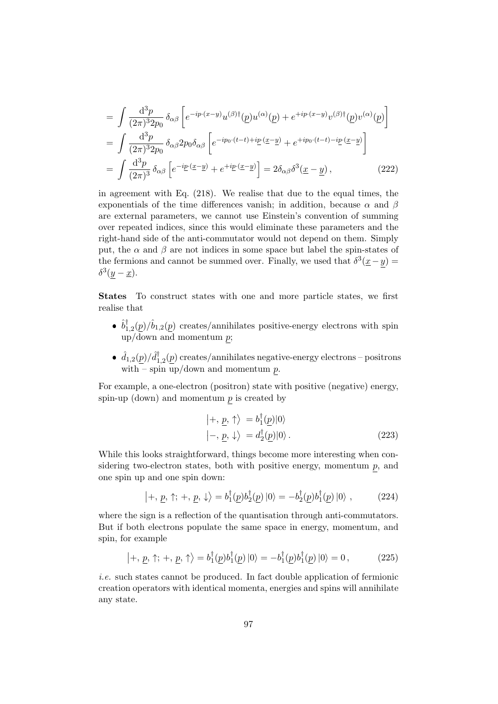$$
= \int \frac{d^3 p}{(2\pi)^3 2p_0} \delta_{\alpha\beta} \left[ e^{-ip \cdot (x-y)} u^{(\beta) \dagger}(\underline{p}) u^{(\alpha)}(\underline{p}) + e^{+ip \cdot (x-y)} v^{(\beta) \dagger}(\underline{p}) v^{(\alpha)}(\underline{p}) \right]
$$
  
\n
$$
= \int \frac{d^3 p}{(2\pi)^3 2p_0} \delta_{\alpha\beta} 2p_0 \delta_{\alpha\beta} \left[ e^{-ip_0 \cdot (t-t) + ip \cdot (\underline{x}-\underline{y})} + e^{+ip_0 \cdot (t-t) - ip \cdot (\underline{x}-\underline{y})} \right]
$$
  
\n
$$
= \int \frac{d^3 p}{(2\pi)^3} \delta_{\alpha\beta} \left[ e^{-ip \cdot (\underline{x}-\underline{y})} + e^{+ip \cdot (\underline{x}-\underline{y})} \right] = 2\delta_{\alpha\beta} \delta^3(\underline{x}-\underline{y}) , \qquad (222)
$$

in agreement with Eq. (218). We realise that due to the equal times, the exponentials of the time differences vanish; in addition, because  $\alpha$  and  $\beta$ are external parameters, we cannot use Einstein's convention of summing over repeated indices, since this would eliminate these parameters and the right-hand side of the anti-commutator would not depend on them. Simply put, the  $\alpha$  and  $\beta$  are not indices in some space but label the spin-states of the fermions and cannot be summed over. Finally, we used that  $\delta^3(\underline{x}-y)$  $\delta^3(y-\underline{x}).$ 

States To construct states with one and more particle states, we first realise that

- $\bullet$   $\hat{b}_1^{\dagger}$  $_{1,2}^{\dagger}(\underline{p})/\hat{b}_{1,2}(\underline{p})$  creates/annihilates positive-energy electrons with spin  $up/\overline{down}$  and momentum  $p$ ;
- $\hat{d}_{1,2}(p)/\hat{d}_{1}^{\dagger}$  $\mathcal{I}_{1,2}(\underline{p})$  creates/annihilates negative-energy electrons – positrons with – spin up/down and momentum  $p$ .

For example, a one-electron (positron) state with positive (negative) energy, spin-up (down) and momentum  $p$  is created by

$$
\langle +, \underline{p}, \uparrow \rangle = b_1^{\dagger}(\underline{p}) |0\rangle \langle -, \underline{p}, \downarrow \rangle = d_2^{\dagger}(\underline{p}) |0\rangle.
$$
\n(223)

While this looks straightforward, things become more interesting when considering two-electron states, both with positive energy, momentum  $p$ , and one spin up and one spin down:

$$
|+, \underline{p}, \uparrow; +, \underline{p}, \downarrow \rangle = b_1^{\dagger}(\underline{p})b_2^{\dagger}(\underline{p})|0\rangle = -b_2^{\dagger}(\underline{p})b_1^{\dagger}(\underline{p})|0\rangle , \qquad (224)
$$

where the sign is a reflection of the quantisation through anti-commutators. But if both electrons populate the same space in energy, momentum, and spin, for example

$$
|+, \underline{p}, \uparrow; +, \underline{p}, \uparrow \rangle = b_1^{\dagger}(\underline{p})b_1^{\dagger}(\underline{p}) |0\rangle = -b_1^{\dagger}(\underline{p})b_1^{\dagger}(\underline{p}) |0\rangle = 0, \qquad (225)
$$

i.e. such states cannot be produced. In fact double application of fermionic creation operators with identical momenta, energies and spins will annihilate any state.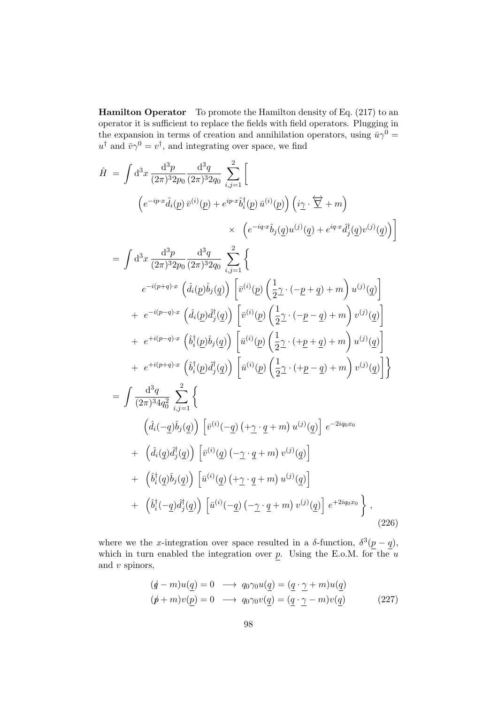Hamilton Operator To promote the Hamilton density of Eq. (217) to an operator it is sufficient to replace the fields with field operators. Plugging in the expansion in terms of creation and annihilation operators, using  $\bar{u}\gamma^0 =$  $u^{\dagger}$  and  $\bar{v}\gamma^0 = v^{\dagger}$ , and integrating over space, we find

$$
\hat{H} = \int d^{3}x \frac{d^{3}p}{(2\pi)^{3}2p_{0}} \frac{d^{3}q}{(2\pi)^{3}2q_{0}} \sum_{i,j=1}^{2} \Bigg[ \n\left(e^{-ip\cdot x}\hat{d}_{i}(p)\bar{v}^{(i)}(p) + e^{ip\cdot x}\hat{b}_{i}^{\dagger}(p)\bar{u}^{(i)}(p)\right) \left(i\gamma \cdot \overleftrightarrow{\Sigma} + m\right) \n\times \left(e^{-iq\cdot x}\hat{b}_{j}(q)u^{(j)}(q) + e^{iq\cdot x}\hat{d}_{j}^{\dagger}(q)v^{(j)}(q)\right) \Bigg] \n= \int d^{3}x \frac{d^{3}p}{(2\pi)^{3}2p_{0}} \frac{d^{3}q}{(2\pi)^{3}2q_{0}} \sum_{i,j=1}^{2} \Bigg\{ \ne^{-i(p+q)\cdot x} \left(\hat{d}_{i}(p)\hat{b}_{j}(q)\right) \left[\bar{v}^{(i)}(p)\left(\frac{1}{2}\gamma \cdot (-p+q) + m\right)u^{(j)}(q)\right] \n+ e^{-i(p-q)\cdot x} \left(\hat{d}_{i}(p)\hat{d}_{j}^{\dagger}(q)\right) \left[\bar{v}^{(i)}(p)\left(\frac{1}{2}\gamma \cdot (-p-q) + m\right)v^{(j)}(q)\right] \n+ e^{+i(p-q)\cdot x} \left(\hat{b}_{i}^{\dagger}(p)\hat{b}_{j}(q)\right) \left[\bar{u}^{(i)}(p)\left(\frac{1}{2}\gamma \cdot (+p+q) + m\right)u^{(j)}(q)\right] \n+ e^{+i(p+q)\cdot x} \left(\hat{b}_{i}^{\dagger}(p)\hat{d}_{j}^{\dagger}(q)\right) \left[\bar{u}^{(i)}(p)\left(\frac{1}{2}\gamma \cdot (+p-q) + m\right)v^{(j)}(q)\right] \Bigg\} \n= \int \frac{d^{3}q}{(2\pi)^{3}4q_{0}^{2}} \sum_{i,j=1}^{2} \Bigg\{ \n\left(\hat{d}_{i}(-q)\hat{b}_{j}(q)\right) \left[\bar{v}^{(i)}(-q)\left(+\gamma \cdot q + m\right)u^{(j)}(q)\right] e^{-2iq_{0}x_{0}} \
$$

where we the x-integration over space resulted in a  $\delta$ -function,  $\delta^3(p-q)$ , which in turn enabled the integration over  $p$ . Using the E.o.M. for the  $u$ and  $v$  spinors,

$$
(\underline{\phi} - m)u(\underline{q}) = 0 \longrightarrow q_0\gamma_0 u(\underline{q}) = (\underline{q} \cdot \underline{\gamma} + m)u(\underline{q})
$$
  

$$
(\cancel{p} + m)v(\underline{p}) = 0 \longrightarrow q_0\gamma_0 v(\underline{q}) = (\underline{q} \cdot \underline{\gamma} - m)v(\underline{q})
$$
 (227)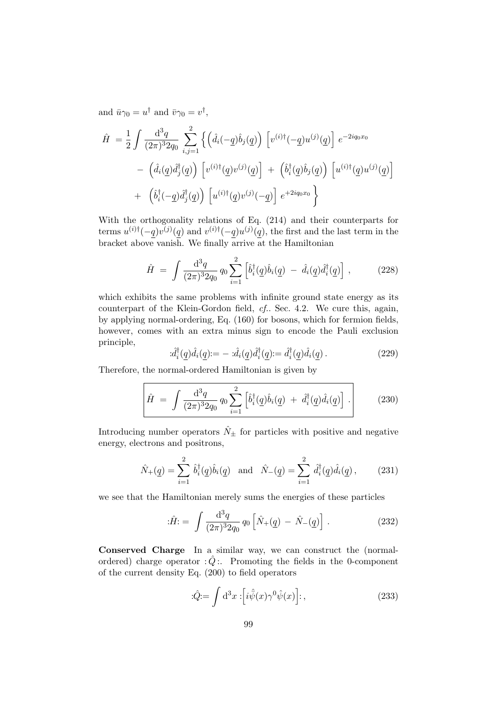and  $\bar{u}\gamma_0 = u^{\dagger}$  and  $\bar{v}\gamma_0 = v^{\dagger}$ ,

$$
\hat{H} = \frac{1}{2} \int \frac{\mathrm{d}^3 q}{(2\pi)^3 2q_0} \sum_{i,j=1}^2 \left\{ \left( \hat{d}_i(-q)\hat{b}_j(q) \right) \left[ v^{(i)\dagger}(-q)u^{(j)}(q) \right] e^{-2iq_0x_0} \right. \\
\left. - \left( \hat{d}_i(q)\hat{d}_j^{\dagger}(q) \right) \left[ v^{(i)\dagger}(q)v^{(j)}(q) \right] + \left( \hat{b}_i^{\dagger}(q)\hat{b}_j(q) \right) \left[ u^{(i)\dagger}(q)u^{(j)}(q) \right] \right. \\
\left. + \left( \hat{b}_i^{\dagger}(-q)\hat{d}_j^{\dagger}(q) \right) \left[ u^{(i)\dagger}(q)v^{(j)}(-q) \right] e^{+2iq_0x_0} \right\}
$$

With the orthogonality relations of Eq. (214) and their counterparts for terms  $u^{(i)\dagger}(-q)v^{(j)}(q)$  and  $v^{(i)\dagger}(-q)u^{(j)}(q)$ , the first and the last term in the bracket above vanish. We finally arrive at the Hamiltonian

$$
\hat{H} = \int \frac{\mathrm{d}^3 q}{(2\pi)^3 2q_0} q_0 \sum_{i=1}^2 \left[ \hat{b}_i^\dagger(\underline{q}) \hat{b}_i(\underline{q}) - \hat{d}_i(\underline{q}) \hat{d}_i^\dagger(\underline{q}) \right], \tag{228}
$$

which exhibits the same problems with infinite ground state energy as its counterpart of the Klein-Gordon field, cf.. Sec. 4.2. We cure this, again, by applying normal-ordering, Eq. (160) for bosons, which for fermion fields, however, comes with an extra minus sign to encode the Pauli exclusion principle,

$$
\hat{d}_i^{\dagger}(\underline{q})\hat{d}_i(\underline{q}) = -\hat{d}_i(\underline{q})\hat{d}_i^{\dagger}(\underline{q}) = \hat{d}_i^{\dagger}(\underline{q})\hat{d}_i(\underline{q})\,. \tag{229}
$$

Therefore, the normal-ordered Hamiltonian is given by

$$
\hat{H} = \int \frac{\mathrm{d}^3 q}{(2\pi)^3 2q_0} q_0 \sum_{i=1}^2 \left[ \hat{b}_i^\dagger(\underline{q}) \hat{b}_i(\underline{q}) + \hat{d}_i^\dagger(\underline{q}) \hat{d}_i(\underline{q}) \right]. \tag{230}
$$

Introducing number operators  $\hat{N}_{\pm}$  for particles with positive and negative energy, electrons and positrons,

$$
\hat{N}_{+}(\underline{q}) = \sum_{i=1}^{2} \hat{b}_{i}^{\dagger}(\underline{q}) \hat{b}_{i}(\underline{q}) \text{ and } \hat{N}_{-}(\underline{q}) = \sum_{i=1}^{2} \hat{d}_{i}^{\dagger}(\underline{q}) \hat{d}_{i}(\underline{q}) , \qquad (231)
$$

we see that the Hamiltonian merely sums the energies of these particles

$$
\hat{H} = \int \frac{\mathrm{d}^3 q}{(2\pi)^3 2q_0} q_0 \left[ \hat{N}_+(\underline{q}) - \hat{N}_-(\underline{q}) \right]. \tag{232}
$$

Conserved Charge In a similar way, we can construct the (normalordered) charge operator  $\hat{Q}$ :. Promoting the fields in the 0-component of the current density Eq. (200) to field operators

$$
\hat{Q} = \int d^3x \; \left[ i\hat{\bar{\psi}}(x)\gamma^0 \hat{\psi}(x) \right];\tag{233}
$$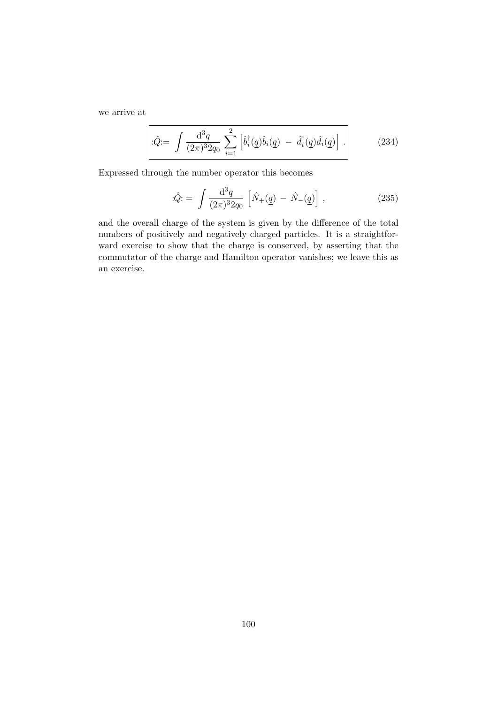we arrive at

$$
\left| \hat{Q} = \int \frac{\mathrm{d}^3 q}{(2\pi)^3 2q_0} \sum_{i=1}^2 \left[ \hat{b}_i^\dagger(\underline{q}) \hat{b}_i(\underline{q}) - \hat{d}_i^\dagger(\underline{q}) \hat{d}_i(\underline{q}) \right] \right]. \tag{234}
$$

Expressed through the number operator this becomes

: 
$$
\hat{Q}
$$
: =  $\int \frac{d^3q}{(2\pi)^3 2q_0} \left[ \hat{N}_+(\underline{q}) - \hat{N}_-(\underline{q}) \right],$  (235)

and the overall charge of the system is given by the difference of the total numbers of positively and negatively charged particles. It is a straightforward exercise to show that the charge is conserved, by asserting that the commutator of the charge and Hamilton operator vanishes; we leave this as an exercise.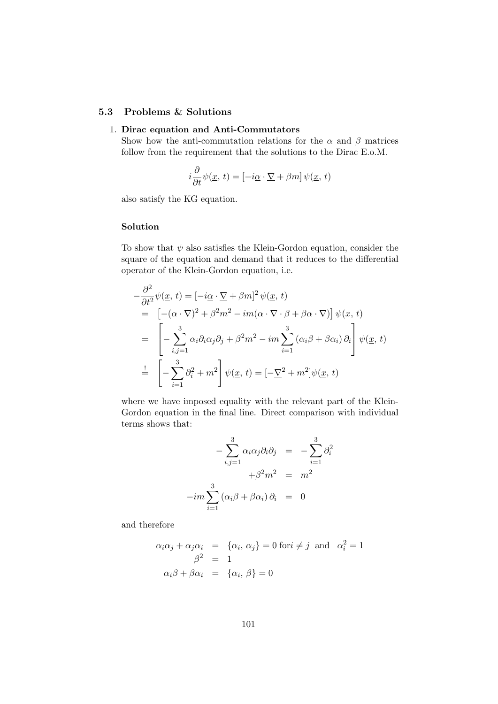## 5.3 Problems & Solutions

### 1. Dirac equation and Anti-Commutators

Show how the anti-commutation relations for the  $\alpha$  and  $\beta$  matrices follow from the requirement that the solutions to the Dirac E.o.M.

$$
i\frac{\partial}{\partial t}\psi(\underline{x}, t) = [-i\underline{\alpha} \cdot \underline{\nabla} + \beta m] \psi(\underline{x}, t)
$$

also satisfy the KG equation.

### Solution

To show that  $\psi$  also satisfies the Klein-Gordon equation, consider the square of the equation and demand that it reduces to the differential operator of the Klein-Gordon equation, i.e.

$$
-\frac{\partial^2}{\partial t^2}\psi(\underline{x}, t) = [-i\underline{\alpha} \cdot \nabla + \beta m]^2 \psi(\underline{x}, t)
$$
  
\n
$$
= [-(\underline{\alpha} \cdot \nabla)^2 + \beta^2 m^2 - im(\underline{\alpha} \cdot \nabla \cdot \beta + \beta \underline{\alpha} \cdot \nabla)] \psi(\underline{x}, t)
$$
  
\n
$$
= \left[ -\sum_{i,j=1}^3 \alpha_i \partial_i \alpha_j \partial_j + \beta^2 m^2 - im \sum_{i=1}^3 (\alpha_i \beta + \beta \alpha_i) \partial_i \right] \psi(\underline{x}, t)
$$
  
\n
$$
\frac{1}{\alpha} \left[ -\sum_{i=1}^3 \partial_i^2 + m^2 \right] \psi(\underline{x}, t) = [-\nabla^2 + m^2] \psi(\underline{x}, t)
$$

where we have imposed equality with the relevant part of the Klein-Gordon equation in the final line. Direct comparison with individual terms shows that:

$$
-\sum_{i,j=1}^{3} \alpha_i \alpha_j \partial_i \partial_j = -\sum_{i=1}^{3} \partial_i^2
$$

$$
+\beta^2 m^2 = m^2
$$

$$
-im \sum_{i=1}^{3} (\alpha_i \beta + \beta \alpha_i) \partial_i = 0
$$

and therefore

$$
\alpha_i \alpha_j + \alpha_j \alpha_i = \{ \alpha_i, \alpha_j \} = 0 \text{ for } i \neq j \text{ and } \alpha_i^2 = 1
$$
  

$$
\beta^2 = 1
$$
  

$$
\alpha_i \beta + \beta \alpha_i = \{ \alpha_i, \beta \} = 0
$$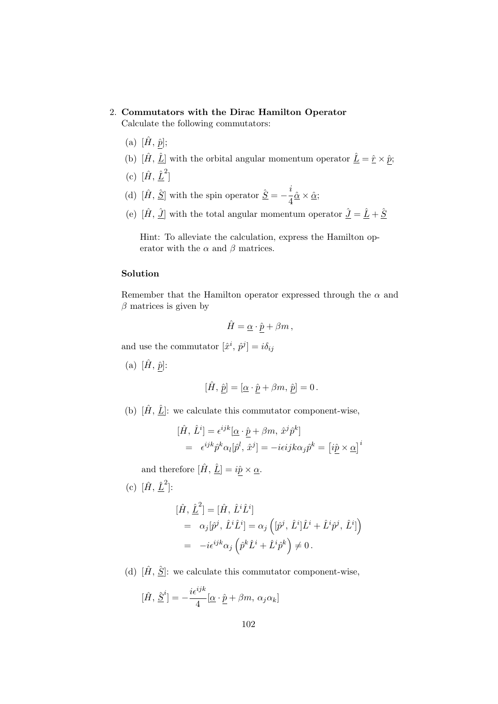### 2. Commutators with the Dirac Hamilton Operator

Calculate the following commutators:

- (a)  $[\hat{H}, \hat{p}];$
- (b)  $[\hat{H}, \hat{L}]$  with the orbital angular momentum operator  $\hat{L} = \hat{r} \times \hat{p}$ ;
- (c)  $[\hat{H}, \hat{L}^2]$
- (d)  $[\hat{H}, \hat{S}]$  with the spin operator  $\hat{S} = -\frac{i}{4}$  $rac{1}{4}\hat{\alpha}\times\hat{\alpha};$
- (e)  $[\hat{H}, \hat{J}]$  with the total angular momentum operator  $\hat{J} = \hat{L} + \hat{S}$

Hint: To alleviate the calculation, express the Hamilton operator with the  $\alpha$  and  $\beta$  matrices.

## Solution

Remember that the Hamilton operator expressed through the  $\alpha$  and  $\beta$  matrices is given by

$$
\hat{H}=\underline{\alpha}\cdot \underline{\hat{p}}+\beta m\,,
$$

and use the commutator  $[\hat{x}^i, \hat{p}^j] = i\delta_{ij}$ 

(a)  $[\hat{H}, \hat{p}]$ :

$$
[\hat{H},\,\hat{p}]=[\underline{\alpha}\cdot\hat{p}+\beta m,\,\hat{p}]=0\,.
$$

(b)  $[\hat{H}, \hat{L}]$ : we calculate this commutator component-wise,

$$
[\hat{H}, \hat{L}^i] = \epsilon^{ijk} [\underline{\alpha} \cdot \hat{\underline{p}} + \beta m, \hat{x}^j \hat{p}^k]
$$
  
=  $\epsilon^{ijk} \hat{p}^k \alpha_l [\hat{p}^l, \hat{x}^j] = -i \epsilon i j k \alpha_j \hat{p}^k = [\hat{i} \hat{\underline{p}} \times \underline{\alpha}]^i$ 

and therefore  $[\hat{H}, \hat{L}] = i\hat{p} \times \underline{\alpha}$ .

(c)  $[\hat{H}, \hat{L}^2]$ :

$$
\begin{aligned}\n[\hat{H}, \hat{\underline{L}}^2] &= [\hat{H}, \hat{L}^i \hat{L}^i] \\
&= \alpha_j [\hat{p}^j, \hat{L}^i \hat{L}^i] = \alpha_j \left( [\hat{p}^j, \hat{L}^i] \hat{L}^i + \hat{L}^i \hat{p}^j, \hat{L}^i] \right) \\
&= -i \epsilon^{ijk} \alpha_j \left( \hat{p}^k \hat{L}^i + \hat{L}^i \hat{p}^k \right) \neq 0.\n\end{aligned}
$$

(d)  $[\hat{H}, \hat{S}]$ : we calculate this commutator component-wise,

$$
[\hat{H}, \hat{\underline{S}}^i] = -\frac{i\epsilon^{ijk}}{4} [\underline{\alpha} \cdot \hat{\underline{p}} + \beta m, \alpha_j \alpha_k]
$$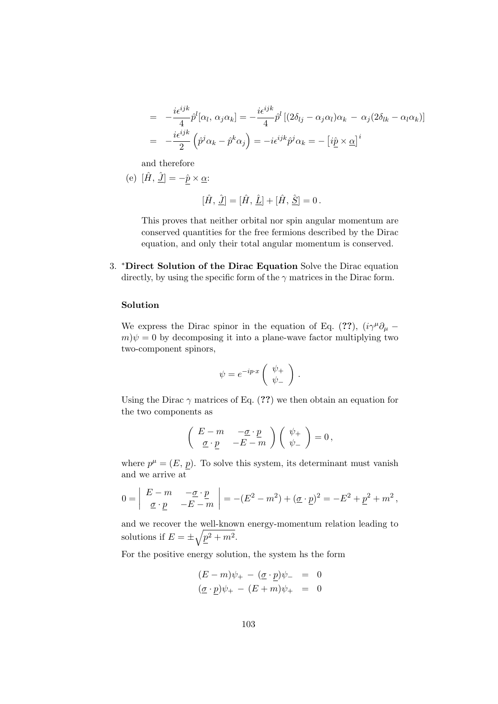$$
= -\frac{i\epsilon^{ijk}}{4}\hat{p}^{l}[\alpha_{l}, \alpha_{j}\alpha_{k}] = -\frac{i\epsilon^{ijk}}{4}\hat{p}^{l}[(2\delta_{lj} - \alpha_{j}\alpha_{l})\alpha_{k} - \alpha_{j}(2\delta_{lk} - \alpha_{l}\alpha_{k})]
$$

$$
= -\frac{i\epsilon^{ijk}}{2}\left(\hat{p}^{j}\alpha_{k} - \hat{p}^{k}\alpha_{j}\right) = -i\epsilon^{ijk}\hat{p}^{j}\alpha_{k} = -\left[i\hat{p} \times \underline{\alpha}\right]^{i}
$$

and therefore

(e) 
$$
[\hat{H}, \hat{J}] = -\hat{p} \times \underline{\alpha}
$$
:

$$
[\hat{H}, \hat{L}] = [\hat{H}, \hat{L}] + [\hat{H}, \hat{S}] = 0.
$$

This proves that neither orbital nor spin angular momentum are conserved quantities for the free fermions described by the Dirac equation, and only their total angular momentum is conserved.

3. <sup>∗</sup>Direct Solution of the Dirac Equation Solve the Dirac equation directly, by using the specific form of the  $\gamma$  matrices in the Dirac form.

#### Solution

We express the Dirac spinor in the equation of Eq. (??),  $(i\gamma^{\mu}\partial_{\mu}$  –  $m|\psi=0$  by decomposing it into a plane-wave factor multiplying two two-component spinors,

$$
\psi = e^{-ip\cdot x} \left( \begin{array}{c} \psi_+ \\ \psi_- \end{array} \right) .
$$

Using the Dirac  $\gamma$  matrices of Eq. (??) we then obtain an equation for the two components as

$$
\left(\begin{array}{cc} E-m & -\underline{\sigma}\cdot \underline{p} \\ \underline{\sigma}\cdot \underline{p} & -E-m \end{array}\right)\left(\begin{array}{c} \psi_+ \\ \psi_- \end{array}\right) = 0\,,
$$

where  $p^{\mu} = (E, p)$ . To solve this system, its determinant must vanish and we arrive at

$$
0 = \begin{vmatrix} E-m & -\underline{\sigma} \cdot \underline{p} \\ \underline{\sigma} \cdot \underline{p} & -E-m \end{vmatrix} = -(E^2 - m^2) + (\underline{\sigma} \cdot \underline{p})^2 = -E^2 + \underline{p}^2 + m^2,
$$

and we recover the well-known energy-momentum relation leading to solutions if  $E = \pm \sqrt{p^2 + m^2}$ .

For the positive energy solution, the system hs the form

$$
(E - m)\psi_{+} - (\underline{\sigma} \cdot \underline{p})\psi_{-} = 0
$$
  

$$
(\underline{\sigma} \cdot \underline{p})\psi_{+} - (E + m)\psi_{+} = 0
$$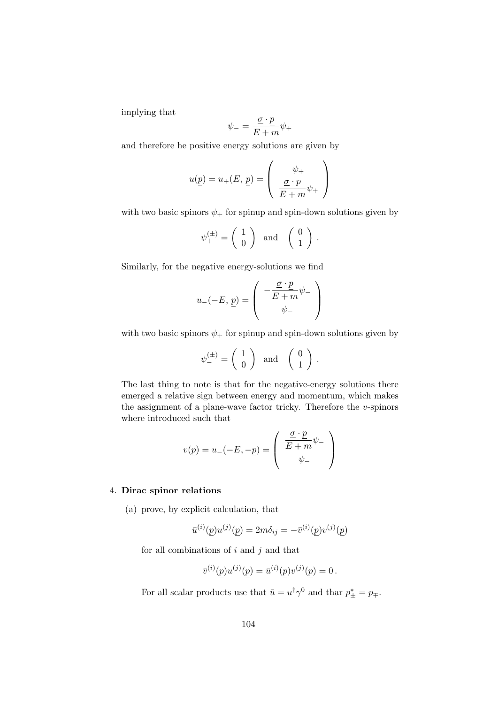implying that

$$
\psi_{-} = \frac{\underline{\sigma} \cdot \underline{p}}{E + m} \psi_{+}
$$

and therefore he positive energy solutions are given by

$$
u(\underline{p}) = u_{+}(E, \underline{p}) = \begin{pmatrix} \psi_{+} \\ \frac{\underline{\sigma} \cdot \underline{p}}{E + m} \psi_{+} \end{pmatrix}
$$

with two basic spinors  $\psi_+$  for spinup and spin-down solutions given by

$$
\psi_{+}^{(\pm)} = \left(\begin{array}{c} 1 \\ 0 \end{array}\right) \text{ and } \left(\begin{array}{c} 0 \\ 1 \end{array}\right).
$$

Similarly, for the negative energy-solutions we find

$$
u_-(-E, \underline{p}) = \begin{pmatrix} -\frac{\underline{\sigma} \cdot \underline{p}}{E+m} \psi_- \\ \psi_- \end{pmatrix}
$$

with two basic spinors  $\psi_+$  for spinup and spin-down solutions given by

$$
\psi_{-}^{(\pm)} = \left(\begin{array}{c} 1 \\ 0 \end{array}\right) \text{ and } \left(\begin{array}{c} 0 \\ 1 \end{array}\right) .
$$

The last thing to note is that for the negative-energy solutions there emerged a relative sign between energy and momentum, which makes the assignment of a plane-wave factor tricky. Therefore the  $v$ -spinors where introduced such that

$$
v(\underline{p}) = u_-(-E, -\underline{p}) = \begin{pmatrix} \frac{\underline{\sigma} \cdot \underline{p}}{E + m} \psi_- \\ \psi_- \end{pmatrix}
$$

#### 4. Dirac spinor relations

(a) prove, by explicit calculation, that

$$
\bar{u}^{(i)}(p)u^{(j)}(p) = 2m\delta_{ij} = -\bar{v}^{(i)}(p)v^{(j)}(p)
$$

for all combinations of  $i$  and  $j$  and that

$$
\bar{v}^{(i)}(\underline{p})u^{(j)}(\underline{p}) = \bar{u}^{(i)}(\underline{p})v^{(j)}(\underline{p}) = 0.
$$

For all scalar products use that  $\bar{u} = u^{\dagger} \gamma^0$  and thar  $p^*_{\pm} = p_{\mp}$ .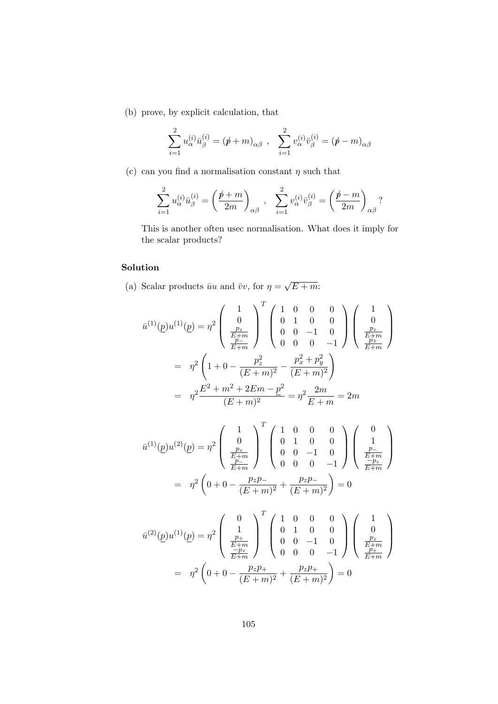(b) prove, by explicit calculation, that

$$
\sum_{i=1}^{2} u_{\alpha}^{(i)} \bar{u}_{\beta}^{(i)} = (\not p + m)_{\alpha\beta} , \quad \sum_{i=1}^{2} v_{\alpha}^{(i)} \bar{v}_{\beta}^{(i)} = (\not p - m)_{\alpha\beta}
$$

(c) can you find a normalisation constant  $\eta$  such that

$$
\sum_{i=1}^{2} u_{\alpha}^{(i)} \bar{u}_{\beta}^{(i)} = \left(\frac{\rlap{/}p + m}{2m}\right)_{\alpha\beta} , \quad \sum_{i=1}^{2} v_{\alpha}^{(i)} \bar{v}_{\beta}^{(i)} = \left(\frac{\rlap{/}p - m}{2m}\right)_{\alpha\beta} ?
$$

This is another often usec normalisation. What does it imply for the scalar products?

## Solution

(a) Scalar products  $\bar{u}u$  and  $\bar{v}v$ , for  $\eta =$ √  $E + m$ 

$$
\bar{u}^{(1)}(\underline{p})u^{(1)}(\underline{p}) = \eta^2 \begin{pmatrix} 1 & 0 & 0 & 0 \\ 0 & 1 & 0 & 0 \\ \frac{p_z}{E+m} & 0 & 0 & -1 \\ \frac{p_{-}}{E+m} & 0 & 0 & -1 \end{pmatrix} \begin{pmatrix} 1 & 0 & 0 \\ 0 & 1 & 0 & 0 \\ \frac{p_z}{E+m} & 0 & 0 & -1 \end{pmatrix}
$$
\n
$$
= \eta^2 \left(1 + 0 - \frac{p_z^2}{(E+m)^2} - \frac{p_x^2 + p_y^2}{(E+m)^2}\right)
$$
\n
$$
= \eta^2 \frac{E^2 + m^2 + 2Em - p^2}{(E+m)^2} = \eta^2 \frac{2m}{E+m} = 2m
$$

$$
\bar{u}^{(1)}(p)u^{(2)}(p) = \eta^2 \begin{pmatrix} 1 & 0 & 0 & 0 \\ 0 & 1 & 0 & 0 \\ \frac{p_z}{E+m} & 0 & 0 & -1 \\ \frac{p_-}{E+m} & 0 & 0 & -1 \end{pmatrix} \begin{pmatrix} 0 \\ 1 \\ \frac{p_-}{E+m} \\ 0 & 0 & -1 \end{pmatrix}
$$

$$
= \eta^2 \left(0 + 0 - \frac{p_z p_-}{(E+m)^2} + \frac{p_z p_-}{(E+m)^2}\right) = 0
$$

$$
\bar{u}^{(2)}(\underline{p})u^{(1)}(\underline{p}) = \eta^2 \begin{pmatrix} 0 \\ 1 \\ \frac{p_+}{E+m} \\ \frac{-p_z}{E+m} \end{pmatrix}^T \begin{pmatrix} 1 & 0 & 0 & 0 \\ 0 & 1 & 0 & 0 \\ 0 & 0 & -1 & 0 \\ 0 & 0 & 0 & -1 \end{pmatrix} \begin{pmatrix} 1 \\ 0 \\ \frac{p_z}{E+m} \\ \frac{p_+}{E+m} \end{pmatrix}
$$

$$
= \eta^2 \left(0 + 0 - \frac{p_z p_+}{(E+m)^2} + \frac{p_z p_+}{(E+m)^2}\right) = 0
$$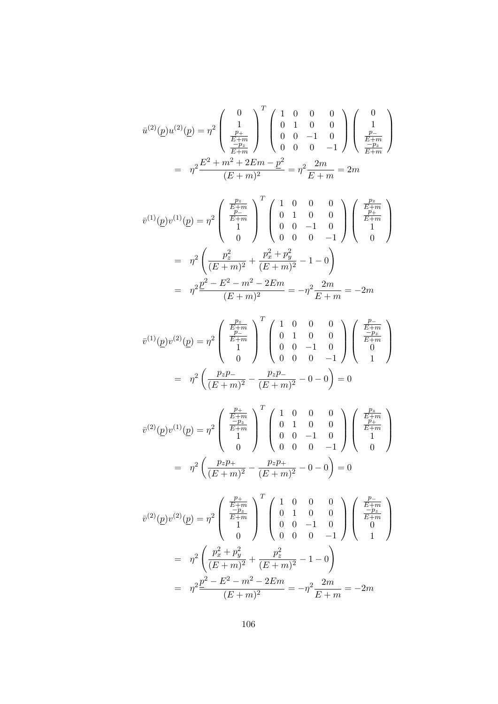$$
\bar{u}^{(2)}(\underline{p})u^{(2)}(\underline{p}) = \eta^2 \begin{pmatrix} 0 \\ 1 \\ \frac{p_+}{E+m} \\ \frac{-p_z}{E+m} \end{pmatrix}^T \begin{pmatrix} 1 & 0 & 0 & 0 \\ 0 & 1 & 0 & 0 \\ 0 & 0 & -1 & 0 \\ 0 & 0 & 0 & -1 \end{pmatrix} \begin{pmatrix} 0 \\ 1 \\ \frac{p_-}{E+m} \\ \frac{-p_z}{E+m} \end{pmatrix}
$$

$$
= \eta^2 \frac{E^2 + m^2 + 2Em - p^2}{(E+m)^2} = \eta^2 \frac{2m}{E+m} = 2m
$$

$$
\bar{v}^{(1)}(p)v^{(1)}(p) = \eta^2 \begin{pmatrix} \frac{p_z}{E+m} \\ \frac{p_z}{E+m} \\ 1 \\ 0 \end{pmatrix}^T \begin{pmatrix} 1 & 0 & 0 & 0 \\ 0 & 1 & 0 & 0 \\ 0 & 0 & -1 & 0 \\ 0 & 0 & 0 & -1 \end{pmatrix} \begin{pmatrix} \frac{p_z}{E+m} \\ \frac{p_{\pm}}{E+m} \\ 1 \\ 0 \end{pmatrix}
$$

$$
= \eta^2 \left( \frac{p_z^2}{(E+m)^2} + \frac{p_x^2 + p_y^2}{(E+m)^2} - 1 - 0 \right)
$$

$$
= \eta^2 \frac{p^2 - E^2 - m^2 - 2Em}{(E+m)^2} = -\eta^2 \frac{2m}{E+m} = -2m
$$

$$
\bar{v}^{(1)}(\underline{p})v^{(2)}(\underline{p}) = \eta^2 \begin{pmatrix} \frac{p_z}{E+m} \\ \frac{p_z}{E+m} \\ 1 \\ 0 \end{pmatrix}^T \begin{pmatrix} 1 & 0 & 0 & 0 \\ 0 & 1 & 0 & 0 \\ 0 & 0 & -1 & 0 \\ 0 & 0 & 0 & -1 \end{pmatrix} \begin{pmatrix} \frac{p_z}{E+m} \\ \frac{-p_z}{E+m} \\ 0 \\ 1 \end{pmatrix}
$$

$$
= \eta^2 \left( \frac{p_z p_-}{(E+m)^2} - \frac{p_z p_-}{(E+m)^2} - 0 - 0 \right) = 0
$$

$$
\bar{v}^{(2)}(\underline{p})v^{(1)}(\underline{p}) = \eta^2 \begin{pmatrix} \frac{p_+}{E+m} \\ \frac{-p_+}{E+m} \\ 1 \\ 0 \end{pmatrix}^T \begin{pmatrix} 1 & 0 & 0 & 0 \\ 0 & 1 & 0 & 0 \\ 0 & 0 & -1 & 0 \\ 0 & 0 & 0 & -1 \end{pmatrix} \begin{pmatrix} \frac{p_z}{E+m} \\ \frac{p_+}{E+m} \\ 1 \\ 0 \end{pmatrix}
$$

$$
= \eta^2 \left( \frac{p_z p_+}{(E+m)^2} - \frac{p_z p_+}{(E+m)^2} - 0 - 0 \right) = 0
$$

$$
\bar{v}^{(2)}(\underline{p})v^{(2)}(\underline{p}) = \eta^2 \begin{pmatrix} \frac{p_+}{E+m} \\ \frac{-p_z}{E+m} \\ 1 \end{pmatrix} \begin{pmatrix} 1 & 0 & 0 & 0 \\ 0 & 1 & 0 & 0 \\ 0 & 0 & -1 & 0 \\ 0 & 0 & 0 & -1 \end{pmatrix} \begin{pmatrix} \frac{p_-}{E+m} \\ \frac{-p_z}{E+m} \\ 0 \end{pmatrix}
$$

$$
= \eta^2 \left( \frac{p_x^2 + p_y^2}{(E+m)^2} + \frac{p_z^2}{(E+m)^2} - 1 - 0 \right)
$$

$$
= \eta^2 \frac{\underline{p}^2 - E^2 - m^2 - 2Em}{(E+m)^2} = -\eta^2 \frac{2m}{E+m} = -2m
$$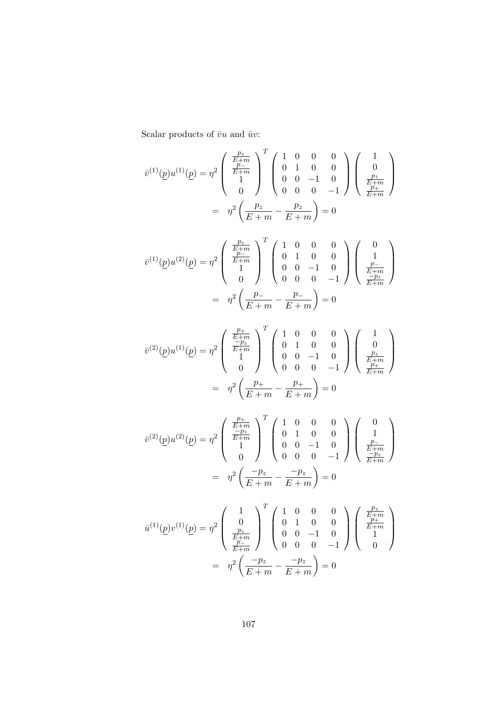Scalar products of  $\bar{v}u$  and  $\bar{u}v$ :

$$
\bar{v}^{(1)}(\underline{p})u^{(1)}(\underline{p}) = \eta^2 \begin{pmatrix} \frac{p_z}{E+m} \\ \frac{p_z}{E+m} \\ 1 \end{pmatrix}^T \begin{pmatrix} 1 & 0 & 0 & 0 \\ 0 & 1 & 0 & 0 \\ 0 & 0 & -1 & 0 \\ 0 & 0 & 0 & -1 \end{pmatrix} \begin{pmatrix} 1 \\ 0 \\ \frac{p_z}{E+m} \\ \frac{p_z}{E+m} \end{pmatrix}
$$

$$
= \eta^2 \left(\frac{p_z}{E+m} - \frac{p_z}{E+m}\right) = 0
$$

$$
\bar{v}^{(1)}(\underline{p})u^{(2)}(\underline{p}) = \eta^2 \begin{pmatrix} \frac{p_z}{E+m} \\ \frac{p_z}{E+m} \\ 1 \end{pmatrix}^T \begin{pmatrix} 1 & 0 & 0 & 0 \\ 0 & 1 & 0 & 0 \\ 0 & 0 & -1 & 0 \\ 0 & 0 & 0 & -1 \end{pmatrix} \begin{pmatrix} 0 \\ 1 \\ \frac{p_z}{E+m} \\ \frac{p_z}{E+m} \end{pmatrix}
$$

$$
= \eta^2 \left(\frac{p_-}{E+m} - \frac{p_-}{E+m}\right) = 0
$$

$$
\bar{v}^{(2)}(\underline{p})u^{(1)}(\underline{p}) = \eta^2 \begin{pmatrix} \frac{p_+}{E+m} \\ \frac{-p_z}{E+m} \\ 1 \\ 0 \end{pmatrix}^T \begin{pmatrix} 1 & 0 & 0 & 0 \\ 0 & 1 & 0 & 0 \\ 0 & 0 & -1 & 0 \\ 0 & 0 & 0 & -1 \end{pmatrix} \begin{pmatrix} 1 \\ 0 \\ \frac{p_z}{E+m} \\ \frac{p_+}{E+m} \end{pmatrix}
$$

$$
= \eta^2 \left(\frac{p_+}{E+m} - \frac{p_+}{E+m}\right) = 0
$$

$$
\bar{v}^{(2)}(\underline{p})u^{(2)}(\underline{p}) = \eta^2 \begin{pmatrix} \frac{p_+}{E+m} \\ \frac{-p_z}{E+m} \\ 1 \\ 0 \end{pmatrix}^T \begin{pmatrix} 1 & 0 & 0 & 0 \\ 0 & 1 & 0 & 0 \\ 0 & 0 & -1 & 0 \\ 0 & 0 & 0 & -1 \end{pmatrix} \begin{pmatrix} 0 \\ 1 \\ \frac{p_-}{E+m} \\ \frac{-p_z}{E+m} \end{pmatrix}
$$

$$
= \eta^2 \left( \frac{-p_z}{E+m} - \frac{-p_z}{E+m} \right) = 0
$$

$$
\bar{u}^{(1)}(\underline{p})v^{(1)}(\underline{p}) = \eta^2 \begin{pmatrix} 1 & 0 & 0 & 0 \\ 0 & 1 & 0 & 0 \\ \frac{p_z}{E+m} & 0 & 0 & -1 & 0 \\ \frac{p_z}{E+m} & 0 & 0 & -1 & 0 \\ 0 & 0 & 0 & -1 & 0 \\ \frac{p_z}{E+m} & -\frac{p_z}{E+m} & -\frac{p_z}{E+m} \end{pmatrix} \begin{pmatrix} \frac{p_z}{E+m} \\ \frac{p_{\pm}}{E+m} \\ 1 \\ 0 \end{pmatrix}
$$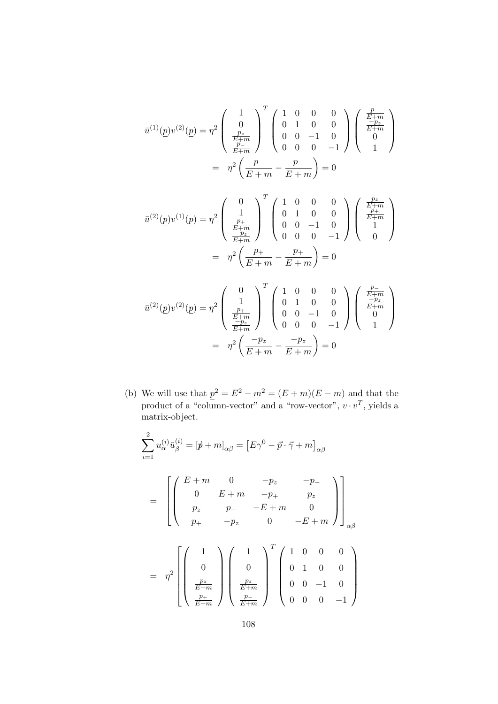$$
\bar{u}^{(1)}(\underline{p})v^{(2)}(\underline{p}) = \eta^2 \left( \begin{array}{c} 1 \\ 0 \\ \frac{p_z}{E+m} \\ \frac{p_-}{E+m} \end{array} \right)^T \left( \begin{array}{cccc} 1 & 0 & 0 & 0 \\ 0 & 1 & 0 & 0 \\ 0 & 0 & -1 & 0 \\ 0 & 0 & 0 & -1 \end{array} \right) \left( \begin{array}{c} \frac{p_-}{E+m} \\ \frac{-p_z}{E+m} \\ 0 \\ 1 \end{array} \right)
$$
\n
$$
= \eta^2 \left( \frac{p_-}{E+m} - \frac{p_-}{E+m} \right) = 0
$$

$$
\bar{u}^{(2)}(\underline{p})v^{(1)}(\underline{p}) = \eta^2 \begin{pmatrix} 0 \\ 1 \\ \frac{p_+}{E+m} \\ \frac{-p_z}{E+m} \end{pmatrix}^T \begin{pmatrix} 1 & 0 & 0 & 0 \\ 0 & 1 & 0 & 0 \\ 0 & 0 & -1 & 0 \\ 0 & 0 & 0 & -1 \end{pmatrix} \begin{pmatrix} \frac{p_z}{E+m} \\ \frac{p_+}{E+m} \\ 1 \\ 0 \end{pmatrix}
$$

$$
= \eta^2 \left(\frac{p_+}{E+m} - \frac{p_+}{E+m}\right) = 0
$$

$$
\bar{u}^{(2)}(p)v^{(2)}(p) = \eta^2 \begin{pmatrix} 0 \\ 1 \\ \frac{p_+}{E+m} \\ \frac{-p_z}{E+m} \end{pmatrix}^T \begin{pmatrix} 1 & 0 & 0 & 0 \\ 0 & 1 & 0 & 0 \\ 0 & 0 & -1 & 0 \\ 0 & 0 & 0 & -1 \end{pmatrix} \begin{pmatrix} \frac{p_-}{E+m} \\ \frac{-p_z}{E+m} \\ 0 \\ 1 \end{pmatrix}
$$

$$
= \eta^2 \left( \frac{-p_z}{E+m} - \frac{-p_z}{E+m} \right) = 0
$$

(b) We will use that  $p^2 = E^2 - m^2 = (E + m)(E - m)$  and that the product of a "column-vector" and a "row-vector",  $v \cdot v^T$ , yields a matrix-object.

$$
\sum_{i=1}^{2} u_{\alpha}^{(i)} \bar{u}_{\beta}^{(i)} = [\not p + m]_{\alpha\beta} = [E\gamma^{0} - \vec{p} \cdot \vec{\gamma} + m]_{\alpha\beta}
$$
  
= 
$$
\begin{bmatrix} E + m & 0 & -p_{z} & -p_{-} \\ 0 & E + m & -p_{+} & p_{z} \\ p_{z} & p_{-} & -E + m & 0 \\ p_{+} & -p_{z} & 0 & -E + m \end{bmatrix}_{\alpha\beta}
$$
  
= 
$$
\eta^{2} \begin{bmatrix} 1 \\ 0 \\ 0 \\ \frac{p_{z}}{E + m} \\ \frac{p_{+}}{E + m} \end{bmatrix} \begin{pmatrix} 1 \\ 0 \\ 0 \\ \frac{p_{z}}{E + m} \\ \frac{p_{-}}{E + m} \end{pmatrix}^{T} \begin{pmatrix} 1 & 0 & 0 & 0 \\ 0 & 1 & 0 & 0 \\ 0 & 0 & -1 & 0 \\ 0 & 0 & 0 & -1 \end{pmatrix}
$$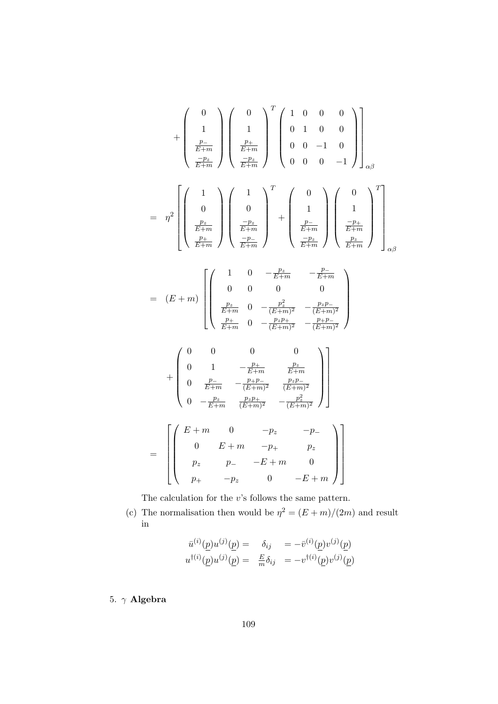$$
+\begin{pmatrix} 0 \\ 1 \\ \frac{p_-}{E+m} \\ \frac{-p_z}{E+m} \end{pmatrix} \begin{pmatrix} 0 \\ 1 \\ \frac{p_+}{E+m} \\ \frac{-p_z}{E+m} \end{pmatrix}^T \begin{pmatrix} 1 & 0 & 0 & 0 \\ 0 & 1 & 0 & 0 \\ 0 & 0 & -1 & 0 \\ 0 & 0 & 0 & -1 \end{pmatrix}_{\alpha\beta}
$$
  
\n
$$
= \eta^2 \begin{bmatrix} 1 \\ 0 \\ \frac{p_z}{E+m} \\ \frac{p_-}{E+m} \end{bmatrix} \begin{pmatrix} 1 \\ 0 \\ \frac{-p_z}{E+m} \\ \frac{-p_z}{E+m} \end{pmatrix} + \begin{pmatrix} 0 \\ 1 \\ \frac{p_-}{E+m} \\ \frac{-p_-}{E+m} \end{pmatrix} \begin{pmatrix} 0 \\ -\frac{p_+}{E+m} \\ \frac{p_-}{E+m} \\ \frac{-p_+}{E+m} \end{pmatrix}
$$
  
\n
$$
= (E+m) \begin{bmatrix} 1 & 0 & -\frac{p_z}{E+m} & -\frac{p_-}{E+m} \\ 0 & 0 & 0 & 0 \\ \frac{p_z}{E+m} & 0 & -\frac{p_z}{(E+m)^2} & -\frac{p_zp_-}{(E+m)^2} \\ \frac{p_+}{E+m} & 0 & -\frac{p_zp_+}{(E+m)^2} & -\frac{p_zp_-}{(E+m)^2} \end{bmatrix}
$$
  
\n
$$
+ \begin{pmatrix} 0 & 0 & 0 & 0 \\ 0 & 1 & -\frac{p_+}{E+m} & \frac{p_z}{E+m} \\ 0 & \frac{p_-}{E+m} & -\frac{p_zp_-}{(E+m)^2} & \frac{p_zp_-}{(E+m)^2} \\ \frac{p_-}{E+m} & \frac{p_zp_+}{(E+m)^2} & -\frac{p_z^2}{(E+m)^2} \end{pmatrix}
$$
  
\n
$$
= \begin{bmatrix} E+m & 0 & -p_z & -p_- \\ 0 & E+m & -p_+ & p_z \\ p_z & p_- & -E+m & 0 \\ p_+ & -p_z & 0 & -E+m \end{bmatrix}
$$

The calculation for the  $v{\text{\rm 's}}$  follows the same pattern.

(c) The normalisation then would be  $\eta^2 = (E+m)/(2m)$  and result in

$$
\bar{u}^{(i)}(p)u^{(j)}(p) = \delta_{ij} = -\bar{v}^{(i)}(p)v^{(j)}(p)
$$
  

$$
u^{\dagger(i)}(p)u^{(j)}(p) = \frac{E}{m}\delta_{ij} = -v^{\dagger(i)}(p)v^{(j)}(p)
$$

5.  $\gamma$  Algebra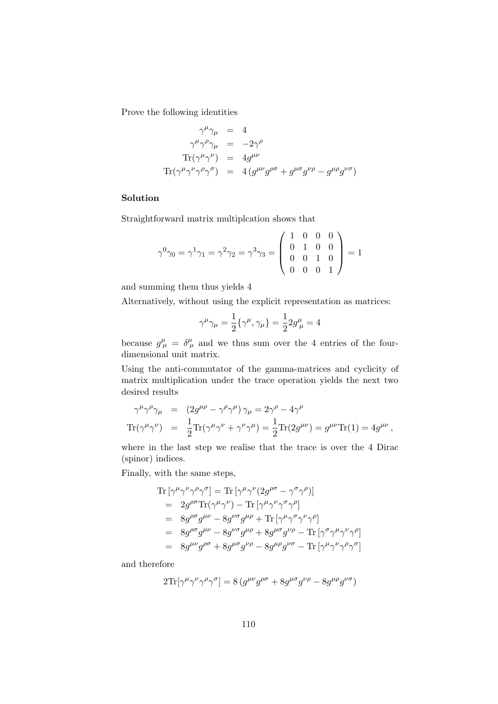Prove the following identities

$$
\gamma^{\mu}\gamma_{\mu} = 4
$$
  
\n
$$
\gamma^{\mu}\gamma^{\rho}\gamma_{\mu} = -2\gamma^{\rho}
$$
  
\n
$$
\text{Tr}(\gamma^{\mu}\gamma^{\nu}) = 4g^{\mu\nu}
$$
  
\n
$$
\text{Tr}(\gamma^{\mu}\gamma^{\nu}\gamma^{\rho}\gamma^{\sigma}) = 4(g^{\mu\nu}g^{\rho\sigma} + g^{\mu\sigma}g^{\nu\rho} - g^{\mu\rho}g^{\nu\sigma})
$$

# Solution

Straightforward matrix multiplcation shows that

$$
\gamma^{0}\gamma_{0} = \gamma^{1}\gamma_{1} = \gamma^{2}\gamma_{2} = \gamma^{3}\gamma_{3} = \begin{pmatrix} 1 & 0 & 0 & 0 \\ 0 & 1 & 0 & 0 \\ 0 & 0 & 1 & 0 \\ 0 & 0 & 0 & 1 \end{pmatrix} = 1
$$

and summing them thus yields 4

Alternatively, without using the explicit representation as matrices:

$$
\gamma^\mu \gamma_\mu = \frac{1}{2}\{\gamma^\mu,\gamma_\mu\} = \frac{1}{2}2g^\mu_{\ \mu} = 4
$$

because  $g^{\mu}_{\mu} = \delta^{\mu}_{\mu}$  and we thus sum over the 4 entries of the fourdimensional unit matrix.

Using the anti-commutator of the gamma-matrices and cyclicity of matrix multiplication under the trace operation yields the next two desired results

$$
\gamma^{\mu}\gamma^{\rho}\gamma_{\mu} = (2g^{\mu\rho} - \gamma^{\rho}\gamma^{\mu})\gamma_{\mu} = 2\gamma^{\rho} - 4\gamma^{\rho}
$$
  
Tr $(\gamma^{\mu}\gamma^{\nu}) = \frac{1}{2}$ Tr $(\gamma^{\mu}\gamma^{\nu} + \gamma^{\nu}\gamma^{\mu}) = \frac{1}{2}$ Tr $(2g^{\mu\nu}) = g^{\mu\nu}$ Tr $(1) = 4g^{\mu\nu}$ ,

where in the last step we realise that the trace is over the 4 Dirac (spinor) indices.

Finally, with the same steps,

$$
\begin{split} \text{Tr}\left[\gamma^{\mu}\gamma^{\nu}\gamma^{\rho}\gamma^{\sigma}\right] & = \text{Tr}\left[\gamma^{\mu}\gamma^{\nu}(2g^{\rho\sigma}-\gamma^{\sigma}\gamma^{\rho})\right] \\ & = 2g^{\rho\sigma}\text{Tr}(\gamma^{\mu}\gamma^{\nu}) - \text{Tr}\left[\gamma^{\mu}\gamma^{\nu}\gamma^{\sigma}\gamma^{\rho}\right] \\ & = 8g^{\rho\sigma}g^{\mu\nu} - 8g^{\nu\sigma}g^{\mu\rho} + \text{Tr}\left[\gamma^{\mu}\gamma^{\sigma}\gamma^{\nu}\gamma^{\rho}\right] \\ & = 8g^{\rho\sigma}g^{\mu\nu} - 8g^{\nu\sigma}g^{\mu\rho} + 8g^{\mu\sigma}g^{\nu\rho} - \text{Tr}\left[\gamma^{\sigma}\gamma^{\mu}\gamma^{\nu}\gamma^{\rho}\right] \\ & = 8g^{\mu\nu}g^{\rho\sigma} + 8g^{\mu\sigma}g^{\nu\rho} - 8g^{\mu\rho}g^{\nu\sigma} - \text{Tr}\left[\gamma^{\mu}\gamma^{\nu}\gamma^{\rho}\gamma^{\sigma}\right] \end{split}
$$

and therefore

$$
2\text{Tr}[\gamma^{\mu}\gamma^{\nu}\gamma^{\rho}\gamma^{\sigma}] = 8(g^{\mu\nu}g^{\rho\sigma} + 8g^{\mu\sigma}g^{\nu\rho} - 8g^{\mu\rho}g^{\nu\sigma})
$$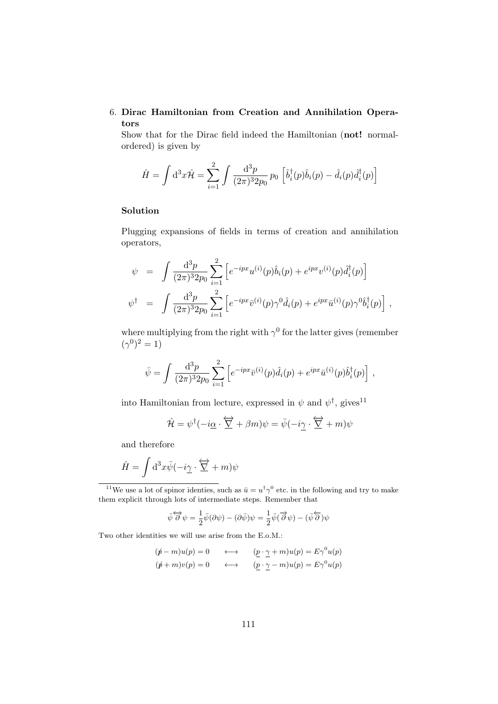# 6. Dirac Hamiltonian from Creation and Annihilation Operators

Show that for the Dirac field indeed the Hamiltonian (not! normalordered) is given by

$$
\hat{H} = \int d^3x \hat{\mathcal{H}} = \sum_{i=1}^2 \int \frac{d^3p}{(2\pi)^3 2p_0} p_0 \left[ \hat{b}_i^\dagger(p) \hat{b}_i(p) - \hat{d}_i(p) \hat{d}_i^\dagger(p) \right]
$$

## Solution

Plugging expansions of fields in terms of creation and annihilation operators,

$$
\psi = \int \frac{d^3 p}{(2\pi)^3 2p_0} \sum_{i=1}^2 \left[ e^{-ipx} u^{(i)}(p) \hat{b}_i(p) + e^{ipx} v^{(i)}(p) \hat{d}_i^{\dagger}(p) \right]
$$
  

$$
\psi^{\dagger} = \int \frac{d^3 p}{(2\pi)^3 2p_0} \sum_{i=1}^2 \left[ e^{-ipx} \bar{v}^{(i)}(p) \gamma^0 \hat{d}_i(p) + e^{ipx} \bar{u}^{(i)}(p) \gamma^0 \hat{b}_i^{\dagger}(p) \right],
$$

where multiplying from the right with  $\gamma^0$  for the latter gives (remember  $({\gamma}^{0})^{2} = 1$ 

$$
\bar{\psi} = \int \frac{\mathrm{d}^3 p}{(2\pi)^3 2p_0} \sum_{i=1}^2 \left[ e^{-ipx} \bar{v}^{(i)}(p) \hat{d}_i(p) + e^{ipx} \bar{u}^{(i)}(p) \hat{b}_i^{\dagger}(p) \right],
$$

into Hamiltonian from lecture, expressed in  $\psi$  and  $\psi^{\dagger}$ , gives<sup>11</sup>

$$
\hat{\mathcal{H}} = \psi^{\dagger}(-i\underline{\alpha} \cdot \overleftrightarrow{\nabla} + \beta m)\psi = \bar{\psi}(-i\underline{\gamma} \cdot \overleftrightarrow{\nabla} + m)\psi
$$

and therefore

$$
\hat{H} = \int \mathrm{d}^3 x \bar{\psi}(-i\underline{\gamma} \cdot \overleftrightarrow{\sum} + m)\psi
$$

<sup>11</sup>We use a lot of spinor identies, such as  $\bar{u} = u^{\dagger} \gamma^0$  etc. in the following and try to make them explicit through lots of intermediate steps. Remember that

$$
\bar{\psi}\overleftrightarrow{\partial}\psi = \frac{1}{2}\bar{\psi}(\partial\psi) - (\partial\bar{\psi})\psi = \frac{1}{2}\bar{\psi}(\overrightarrow{\partial}\psi) - (\bar{\psi}\overleftarrow{\partial})\psi
$$

Two other identities we will use arise from the E.o.M.:

$$
(\not p - m)u(p) = 0 \qquad \longleftrightarrow \qquad (\underline{p} \cdot \underline{\gamma} + m)u(p) = E\gamma^{0}u(p)
$$
  

$$
(\not p + m)v(p) = 0 \qquad \longleftrightarrow \qquad (\underline{p} \cdot \underline{\gamma} - m)u(p) = E\gamma^{0}u(p)
$$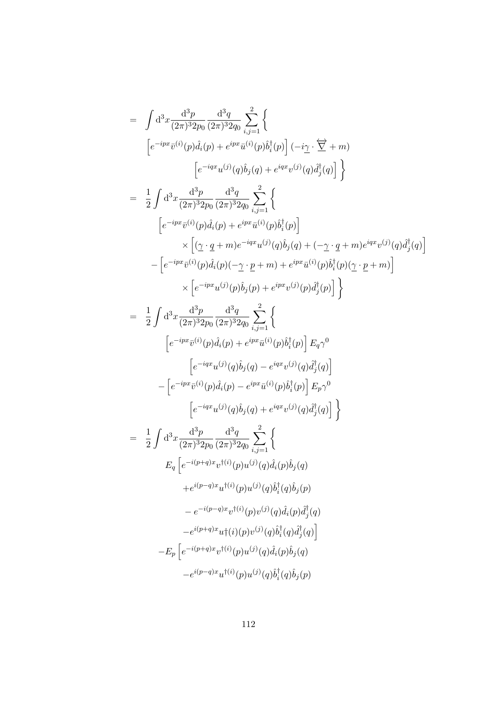$$
= \int d^3x \frac{d^3p}{(2\pi)^3 2p_0} \frac{d^3q}{(2\pi)^3 2q_0} \sum_{i,j=1}^{2} \left\{ \left[ e^{-ipx} \bar{v}^{(i)}(p) \hat{d}_i(p) + e^{ipx} \bar{u}^{(i)}(p) \hat{b}_i^{\dagger}(p) \right] (-i\gamma \cdot \overrightarrow{\nabla} + m) \right. \left. \left. \left[ e^{-ipx} \bar{u}^{(j)}(q) \hat{b}_j(q) + e^{ipx} \bar{u}^{(j)}(q) \bar{d}_j^{\dagger}(q) \right] \right\} \right\}
$$
\n
$$
= \frac{1}{2} \int d^3x \frac{d^3p}{(2\pi)^3 2p_0} \frac{d^3q}{(2\pi)^3 2q_0} \sum_{i,j=1}^{2} \left\{ \left[ e^{-ipx} \bar{v}^{(i)}(p) \hat{d}_i(p) + e^{ipx} \bar{u}^{(i)}(p) \hat{b}_i^{\dagger}(p) \right] \right. \times \left. \left[ \left( \underline{\gamma} \cdot q + m \right) e^{-iqx} u^{(j)}(q) \hat{b}_j(q) + \left( -\underline{\gamma} \cdot q + m \right) e^{iqx} v^{(j)}(q) \hat{d}_j^{\dagger}(q) \right] \right. \times \left. \left[ e^{-ipx} \bar{u}^{(j)}(p) \hat{d}_i(p) (-\underline{\gamma} \cdot p + m) + e^{ipx} \bar{u}^{(i)}(p) \hat{b}_i^{\dagger}(p) (\underline{\gamma} \cdot p + m) \right] \right. \times \left. \left[ e^{-ipx} u^{(j)}(p) \hat{b}_j(p) + e^{ipx} v^{(j)}(p) \hat{d}_j^{\dagger}(p) \right] \right\}
$$
\n
$$
= \frac{1}{2} \int d^3x \frac{d^3p}{(2\pi)^3 2p_0} \frac{d^3q}{(2\pi)^3 2q_0} \sum_{i,j=1}^{2} \left\{ \left[ e^{-ipx} \bar{u}^{(i)}(p) \hat{d}_i(p) + e^{ipx} \bar{u}^{(i)}(p) \hat{d}_j^{\dagger}(p) \right] \right\}
$$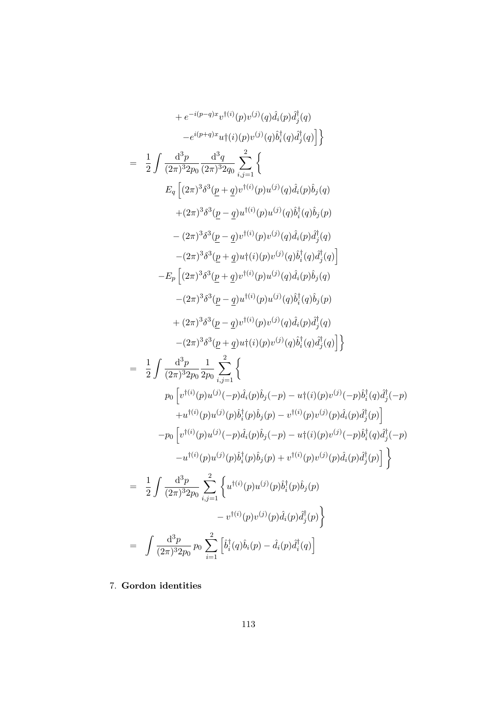$$
+ e^{-i(p-q)x}v^{\dagger(i)}(p)v^{(j)}(q)\hat{d}_{i}(p)\hat{d}_{j}^{\dagger}(q)
$$
\n
$$
-e^{i(p+q)x}u^{\dagger}(i)(p)v^{(j)}(q)\hat{b}_{i}^{\dagger}(q)\hat{d}_{j}^{\dagger}(q)\hat{d}_{j}^{\dagger}(q)
$$
\n
$$
= \frac{1}{2}\int \frac{d^{3}p}{(2\pi)^{3}2p_{0}}\frac{d^{3}q}{(2\pi)^{3}2q_{0}}\sum_{i,j=1}^{2}\left\{E_{q}\left[(2\pi)^{3}\delta^{3}(p+q)v^{\dagger(i)}(p)u^{(j)}(q)\hat{d}_{i}(p)\hat{b}_{j}(q)\right.\right.\\ \left. + (2\pi)^{3}\delta^{3}(p-q)v^{\dagger(i)}(p)u^{(j)}(q)\hat{d}_{i}^{\dagger}(q)\hat{b}_{j}(q)\right.\\ \left. -(2\pi)^{3}\delta^{3}(p-q)v^{\dagger(i)}(p)v^{(j)}(q)\hat{d}_{i}^{\dagger}(q)\hat{d}_{j}^{\dagger}(q)\right.\\ \left. -(2\pi)^{3}\delta^{3}(p+q)v^{\dagger}(i)(p)v^{(j)}(q)\hat{d}_{i}^{\dagger}(q)\hat{d}_{j}^{\dagger}(q)\right.\\ \left. - (2\pi)^{3}\delta^{3}(p+q)v^{\dagger}(i)(p)u^{(j)}(q)\hat{d}_{i}^{\dagger}(q)\hat{d}_{j}^{\dagger}(q)\right.\\ \left. -(2\pi)^{3}\delta^{3}(p-q)v^{\dagger(i)}(p)u^{(j)}(q)\hat{d}_{i}^{\dagger}(q)\hat{d}_{j}^{\dagger}(q)\right.\\ \left. -(2\pi)^{3}\delta^{3}(p-q)v^{\dagger(i)}(p)v^{(j)}(q)\hat{d}_{i}^{\dagger}(q)\hat{d}_{j}^{\dagger}(q)\right.\right\}
$$
\n
$$
= \frac{1}{2}\int \frac{d^{3}p}{(2\pi)^{3}2p_{0}}\frac{1}{2p_{0}}\sum_{i,j=1}^{2}\left\{p_{0}\left[v^{\dagger(i)}(p)u^{(j)}(p)\hat{d}_{i}^{\dagger}(p)\hat{d}_{j}^{\dagger}(q)\right.\right\}
$$
\n<

7. Gordon identities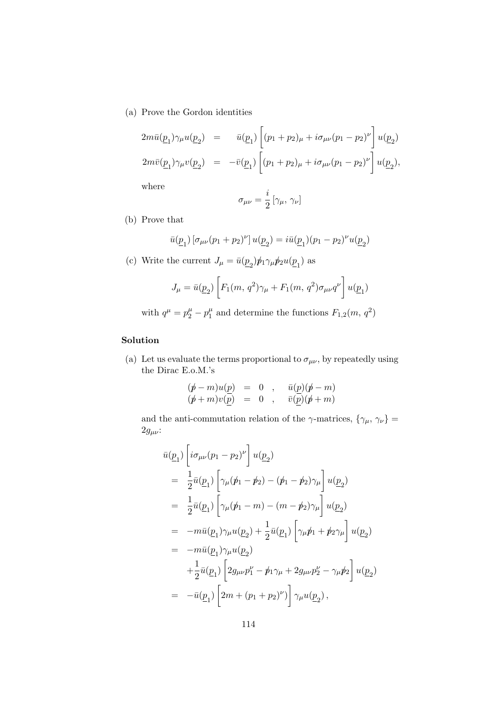(a) Prove the Gordon identities

$$
2m\bar{u}(\underline{p}_1)\gamma_\mu u(\underline{p}_2) = \bar{u}(\underline{p}_1) \left[ (p_1 + p_2)_\mu + i\sigma_{\mu\nu} (p_1 - p_2)^\nu \right] u(\underline{p}_2)
$$
  

$$
2m\bar{v}(\underline{p}_1)\gamma_\mu v(\underline{p}_2) = -\bar{v}(\underline{p}_1) \left[ (p_1 + p_2)_\mu + i\sigma_{\mu\nu} (p_1 - p_2)^\nu \right] u(\underline{p}_2),
$$

where

$$
\sigma_{\mu\nu}=\frac{i}{2}\left[\gamma_\mu,\,\gamma_\nu\right]
$$

(b) Prove that

$$
\bar{u}(\underline{p}_1)\left[\sigma_{\mu\nu}(p_1+p_2)^\nu\right]u(\underline{p}_2)=i\bar{u}(\underline{p}_1)(p_1-p_2)^\nu u(\underline{p}_2)
$$

(c) Write the current  $J_{\mu} = \bar{u}(\underline{p}_2) \rlap/p_1 \gamma_{\mu} \rlap/p_2 u(\underline{p}_1)$  as

$$
J_{\mu} = \bar{u}(\underline{p}_2) \left[ F_1(m, q^2) \gamma_{\mu} + F_1(m, q^2) \sigma_{\mu\nu} q^{\nu} \right] u(\underline{p}_1)
$$

with  $q^{\mu} = p_2^{\mu} - p_1^{\mu}$  $I_1^{\mu}$  and determine the functions  $F_{1,2}(m, q^2)$ 

## Solution

(a) Let us evaluate the terms proportional to  $\sigma_{\mu\nu}$ , by repeatedly using the Dirac E.o.M.'s

$$
\begin{array}{rcl} (\rlap{/}{} \rlap{/}{}+m)u(\underline{p})&=&0\\ (\rlap{/}{}+m)v(\underline{p})&=&0\\ \end{array} \begin{array}{rcl} ,& \bar{u}(\underline{p})(\rlap{/}{}+\bar{m})\\ \bar{v}(\underline{p})(\rlap{/}{}+\bar{m})\\ \end{array}
$$

and the anti-commutation relation of the  $\gamma\textrm{-matrices},$   $\{\gamma_{\mu},$   $\gamma_{\nu}\}$   $=$  $2g_{μν}$ :

$$
\bar{u}(\underline{p}_1) \left[ i \sigma_{\mu\nu} (p_1 - p_2)^{\nu} \right] u(\underline{p}_2) \n= \frac{1}{2} \bar{u}(\underline{p}_1) \left[ \gamma_{\mu} (\not{p}_1 - \not{p}_2) - (\not{p}_1 - \not{p}_2) \gamma_{\mu} \right] u(\underline{p}_2) \n= \frac{1}{2} \bar{u}(\underline{p}_1) \left[ \gamma_{\mu} (\not{p}_1 - m) - (m - \not{p}_2) \gamma_{\mu} \right] u(\underline{p}_2) \n= -m \bar{u}(\underline{p}_1) \gamma_{\mu} u(\underline{p}_2) + \frac{1}{2} \bar{u}(\underline{p}_1) \left[ \gamma_{\mu} \not{p}_1 + \not{p}_2 \gamma_{\mu} \right] u(\underline{p}_2) \n= -m \bar{u}(\underline{p}_1) \gamma_{\mu} u(\underline{p}_2) \n+ \frac{1}{2} \bar{u}(\underline{p}_1) \left[ 2g_{\mu\nu} p_1^{\nu} - \not{p}_1 \gamma_{\mu} + 2g_{\mu\nu} p_2^{\nu} - \gamma_{\mu} \not{p}_2 \right] u(\underline{p}_2) \n= -\bar{u}(\underline{p}_1) \left[ 2m + (p_1 + p_2)^{\nu} \right] \gamma_{\mu} u(\underline{p}_2) ,
$$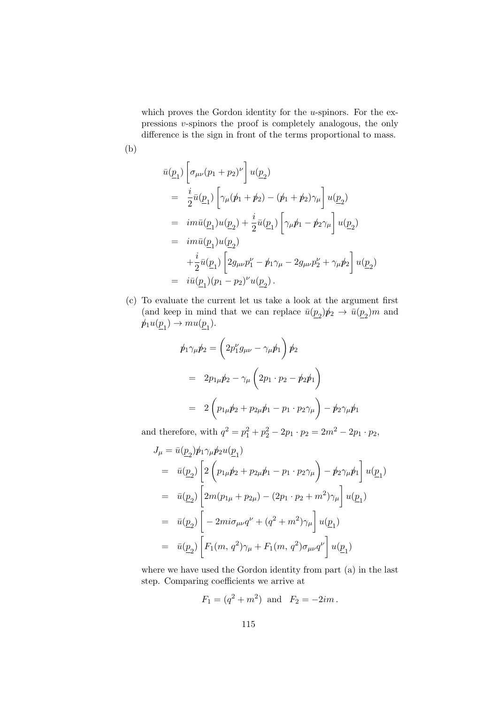which proves the Gordon identity for the  $u$ -spinors. For the expressions v-spinors the proof is completely analogous, the only difference is the sign in front of the terms proportional to mass.

(b)

$$
\bar{u}(\underline{p}_1) \left[ \sigma_{\mu\nu} (p_1 + p_2)^{\nu} \right] u(\underline{p}_2) \n= \frac{i}{2} \bar{u}(\underline{p}_1) \left[ \gamma_{\mu} (\not{p}_1 + \not{p}_2) - (\not{p}_1 + \not{p}_2) \gamma_{\mu} \right] u(\underline{p}_2) \n= im \bar{u}(\underline{p}_1) u(\underline{p}_2) + \frac{i}{2} \bar{u}(\underline{p}_1) \left[ \gamma_{\mu} \not{p}_1 - \not{p}_2 \gamma_{\mu} \right] u(\underline{p}_2) \n= im \bar{u}(\underline{p}_1) u(\underline{p}_2) \n+ \frac{i}{2} \bar{u}(\underline{p}_1) \left[ 2g_{\mu\nu} p_1^{\nu} - \not{p}_1 \gamma_{\mu} - 2g_{\mu\nu} p_2^{\nu} + \gamma_{\mu} \not{p}_2 \right] u(\underline{p}_2) \n= i \bar{u}(\underline{p}_1) (p_1 - p_2)^{\nu} u(\underline{p}_2).
$$

(c) To evaluate the current let us take a look at the argument first (and keep in mind that we can replace  $\bar{u}(\underline{p}_2)\dot{p}_2 \to \bar{u}(\underline{p}_2)m$  and  $p_1u(\underline{p}_1) \rightarrow mu(\underline{p}_1).$ 

$$
\begin{aligned}\n\phi_1 \gamma_\mu \phi_2 &= \left( 2p_1^{\nu} g_{\mu\nu} - \gamma_\mu \phi_1 \right) \phi_2 \\
&= 2p_{1\mu} \phi_2 - \gamma_\mu \left( 2p_1 \cdot p_2 - \phi_2 \phi_1 \right) \\
&= 2 \left( p_{1\mu} \phi_2 + p_{2\mu} \phi_1 - p_1 \cdot p_2 \gamma_\mu \right) - \phi_2 \gamma_\mu \phi_1\n\end{aligned}
$$

and therefore, with  $q^2 = p_1^2 + p_2^2 - 2p_1 \cdot p_2 = 2m^2 - 2p_1 \cdot p_2$ ,

$$
J_{\mu} = \bar{u}(\underline{p}_2)\dot{p}_1\gamma_{\mu}\dot{p}_2u(\underline{p}_1)
$$
  
\n
$$
= \bar{u}(\underline{p}_2) \left[ 2\left(p_{1\mu}\dot{p}_2 + p_{2\mu}\dot{p}_1 - p_1 \cdot p_2\gamma_{\mu}\right) - \dot{p}_2\gamma_{\mu}\dot{p}_1 \right]u(\underline{p}_1)
$$
  
\n
$$
= \bar{u}(\underline{p}_2) \left[ 2m(p_{1\mu} + p_{2\mu}) - (2p_1 \cdot p_2 + m^2)\gamma_{\mu} \right]u(\underline{p}_1)
$$
  
\n
$$
= \bar{u}(\underline{p}_2) \left[ -2mi\sigma_{\mu\nu}q^{\nu} + (q^2 + m^2)\gamma_{\mu} \right]u(\underline{p}_1)
$$
  
\n
$$
= \bar{u}(\underline{p}_2) \left[ F_1(m, q^2)\gamma_{\mu} + F_1(m, q^2)\sigma_{\mu\nu}q^{\nu} \right]u(\underline{p}_1)
$$

where we have used the Gordon identity from part (a) in the last step. Comparing coefficients we arrive at

$$
F_1 = (q^2 + m^2)
$$
 and  $F_2 = -2im$ .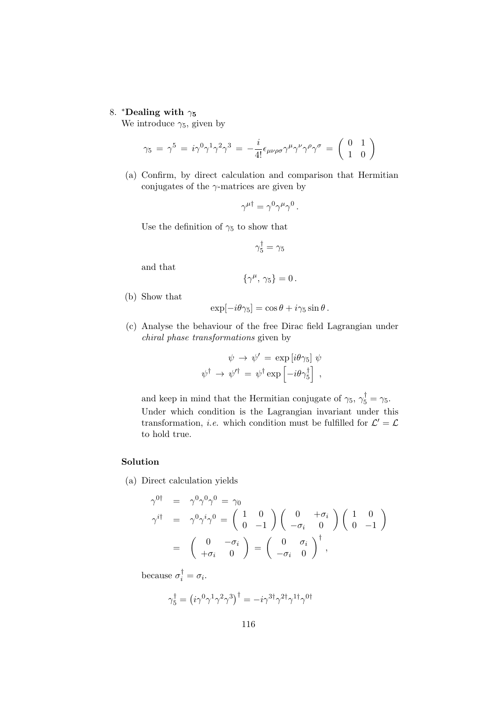## 8. \*Dealing with  $\gamma_5$

We introduce  $\gamma_5$ , given by

$$
\gamma_5 \,=\, \gamma^5 \,=\, i \gamma^0 \gamma^1 \gamma^2 \gamma^3 \,=\, - \frac{i}{4!} \epsilon_{\mu \nu \rho \sigma} \gamma^{\mu} \gamma^{\nu} \gamma^{\rho} \gamma^{\sigma} \,=\, \left(\begin{array}{cc} 0 & 1 \\ 1 & 0 \end{array}\right)
$$

(a) Confirm, by direct calculation and comparison that Hermitian conjugates of the  $\gamma$ -matrices are given by

$$
\gamma^{\mu\dagger} = \gamma^0 \gamma^\mu \gamma^0 \, .
$$

Use the definition of  $\gamma_5$  to show that

$$
\gamma_5^\dagger = \gamma_5
$$

and that

$$
\{\gamma^{\mu},\,\gamma_5\}=0\,.
$$

(b) Show that

$$
\exp[-i\theta\gamma_5] = \cos\theta + i\gamma_5\sin\theta.
$$

(c) Analyse the behaviour of the free Dirac field Lagrangian under chiral phase transformations given by

$$
\psi \rightarrow \psi' = \exp[i\theta\gamma_5] \psi
$$
  

$$
\psi^{\dagger} \rightarrow \psi'^{\dagger} = \psi^{\dagger} \exp\left[-i\theta\gamma_5^{\dagger}\right],
$$

and keep in mind that the Hermitian conjugate of  $\gamma_5$ ,  $\gamma_5^{\dagger} = \gamma_5$ . Under which condition is the Lagrangian invariant under this transformation, *i.e.* which condition must be fulfilled for  $\mathcal{L}' = \mathcal{L}$ to hold true.

# Solution

(a) Direct calculation yields

$$
\gamma^{0\dagger} = \gamma^0 \gamma^0 \gamma^0 = \gamma_0
$$
  
\n
$$
\gamma^{i\dagger} = \gamma^0 \gamma^i \gamma^0 = \begin{pmatrix} 1 & 0 \\ 0 & -1 \end{pmatrix} \begin{pmatrix} 0 & +\sigma_i \\ -\sigma_i & 0 \end{pmatrix} \begin{pmatrix} 1 & 0 \\ 0 & -1 \end{pmatrix}
$$
  
\n
$$
= \begin{pmatrix} 0 & -\sigma_i \\ +\sigma_i & 0 \end{pmatrix} = \begin{pmatrix} 0 & \sigma_i \\ -\sigma_i & 0 \end{pmatrix}^{\dagger},
$$

because  $\sigma_i^{\dagger} = \sigma_i$ .

$$
\gamma_5^{\dagger} = (i\gamma^0\gamma^1\gamma^2\gamma^3)^{\dagger} = -i\gamma^{3\dagger}\gamma^{2\dagger}\gamma^{1\dagger}\gamma^{0\dagger}
$$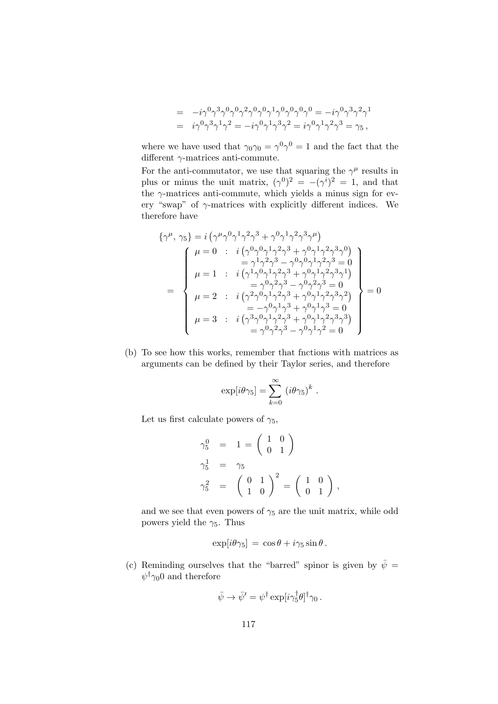$$
= -i\gamma^{0}\gamma^{3}\gamma^{0}\gamma^{0}\gamma^{2}\gamma^{0}\gamma^{0}\gamma^{1}\gamma^{0}\gamma^{0}\gamma^{0} = -i\gamma^{0}\gamma^{3}\gamma^{2}\gamma^{1}
$$
  

$$
= i\gamma^{0}\gamma^{3}\gamma^{1}\gamma^{2} = -i\gamma^{0}\gamma^{1}\gamma^{3}\gamma^{2} = i\gamma^{0}\gamma^{1}\gamma^{2}\gamma^{3} = \gamma_{5},
$$

where we have used that  $\gamma_0 \gamma_0 = \gamma^0 \gamma^0 = 1$  and the fact that the different  $\gamma$ -matrices anti-commute.

For the anti-commutator, we use that squaring the  $\gamma^{\mu}$  results in plus or minus the unit matrix,  $(\gamma^0)^2 = -(\gamma^i)^2 = 1$ , and that the  $\gamma$ -matrices anti-commute, which yields a minus sign for every "swap" of  $\gamma$ -matrices with explicitly different indices. We therefore have

$$
\{\gamma^{\mu}, \gamma_{5}\} = i \left(\gamma^{\mu} \gamma^{0} \gamma^{1} \gamma^{2} \gamma^{3} + \gamma^{0} \gamma^{1} \gamma^{2} \gamma^{3} \gamma^{\mu}\right) \n\mu = 0 : i \left(\gamma^{0} \gamma^{0} \gamma^{1} \gamma^{2} \gamma^{3} + \gamma^{0} \gamma^{1} \gamma^{2} \gamma^{3} \gamma^{0}\right) \n= \gamma^{1} \gamma^{2} \gamma^{3} - \gamma^{0} \gamma^{0} \gamma^{1} \gamma^{2} \gamma^{3} = 0 \n\mu = 1 : i \left(\gamma^{1} \gamma^{0} \gamma^{1} \gamma^{2} \gamma^{3} + \gamma^{0} \gamma^{1} \gamma^{2} \gamma^{3} \gamma^{1}\right) \n= \gamma^{0} \gamma^{2} \gamma^{3} - \gamma^{0} \gamma^{2} \gamma^{3} = 0 \n\mu = 2 : i \left(\gamma^{2} \gamma^{0} \gamma^{1} \gamma^{2} \gamma^{3} + \gamma^{0} \gamma^{1} \gamma^{2} \gamma^{3} \gamma^{2}\right) \n= -\gamma^{0} \gamma^{1} \gamma^{3} + \gamma^{0} \gamma^{1} \gamma^{2} \gamma^{3} \gamma^{2} \n= -\gamma^{0} \gamma^{1} \gamma^{3} + \gamma^{0} \gamma^{1} \gamma^{2} \gamma^{3} \gamma^{3} \n= \gamma^{0} \gamma^{2} \gamma^{3} - \gamma^{0} \gamma^{1} \gamma^{2} = 0
$$

(b) To see how this works, remember that fnctions with matrices as arguments can be defined by their Taylor series, and therefore

$$
\exp[i\theta\gamma_5] = \sum_{k=0}^{\infty} (i\theta\gamma_5)^k.
$$

Let us first calculate powers of  $\gamma_5$ ,

$$
\gamma_5^0 = 1 = \begin{pmatrix} 1 & 0 \\ 0 & 1 \end{pmatrix}
$$
  
\n
$$
\gamma_5^1 = \gamma_5
$$
  
\n
$$
\gamma_5^2 = \begin{pmatrix} 0 & 1 \\ 1 & 0 \end{pmatrix}^2 = \begin{pmatrix} 1 & 0 \\ 0 & 1 \end{pmatrix},
$$

and we see that even powers of  $\gamma_5$  are the unit matrix, while odd powers yield the  $\gamma_5$ . Thus

$$
\exp[i\theta\gamma_5] = \cos\theta + i\gamma_5\sin\theta.
$$

(c) Reminding ourselves that the "barred" spinor is given by  $\bar{\psi}$  =  $\psi^{\dagger} \gamma_0 0$  and therefore

$$
\bar{\psi} \to \bar{\psi}' = \psi^{\dagger} \exp[i\gamma_5^{\dagger} \theta]^{\dagger} \gamma_0.
$$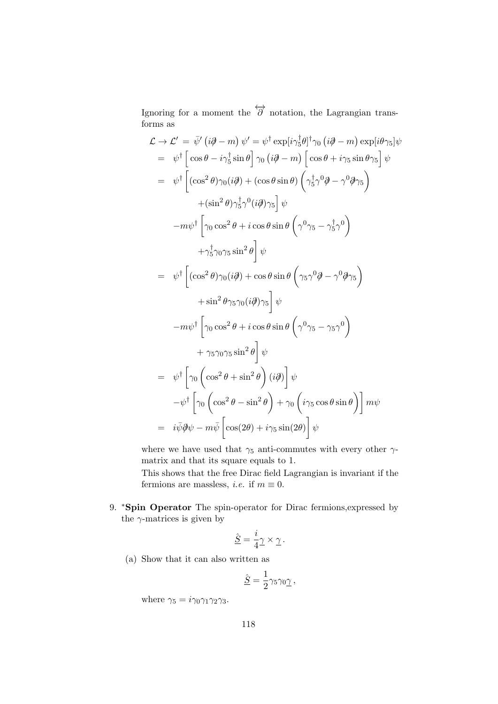Ignoring for a moment the  $\overleftrightarrow{\partial}$  notation, the Lagrangian transforms as

$$
\mathcal{L} \rightarrow \mathcal{L}' = \bar{\psi}' (i\partial - m) \psi' = \psi^{\dagger} \exp[i\gamma_{5}^{\dagger}\theta]^{\dagger}\gamma_{0} (i\partial - m) \exp[i\theta\gamma_{5}]\psi
$$
  
\n
$$
= \psi^{\dagger} \left[ \cos\theta - i\gamma_{5}^{\dagger} \sin\theta \right] \gamma_{0} (i\partial - m) \left[ \cos\theta + i\gamma_{5} \sin\theta\gamma_{5} \right] \psi
$$
  
\n
$$
= \psi^{\dagger} \left[ (\cos^{2}\theta)\gamma_{0} (i\partial) + (\cos\theta \sin\theta) \left( \gamma_{5}^{\dagger}\gamma^{0}\partial - \gamma^{0}\partial\gamma_{5} \right) \right.
$$
  
\n
$$
+ (\sin^{2}\theta)\gamma_{5}^{\dagger}\gamma^{0} (i\partial)\gamma_{5} \right] \psi
$$
  
\n
$$
-m\psi^{\dagger} \left[ \gamma_{0} \cos^{2}\theta + i \cos\theta \sin\theta \left( \gamma^{0}\gamma_{5} - \gamma_{5}^{\dagger}\gamma^{0} \right) \right.
$$
  
\n
$$
+ \gamma_{5}^{\dagger}\gamma_{0}\gamma_{5} \sin^{2}\theta \right] \psi
$$
  
\n
$$
= \psi^{\dagger} \left[ (\cos^{2}\theta)\gamma_{0} (i\partial) + \cos\theta \sin\theta \left( \gamma_{5}\gamma^{0}\partial - \gamma^{0}\partial\gamma_{5} \right) \right.
$$
  
\n
$$
+ \sin^{2}\theta\gamma_{5}\gamma_{0} (i\partial)\gamma_{5} \right] \psi
$$
  
\n
$$
-m\psi^{\dagger} \left[ \gamma_{0} \cos^{2}\theta + i \cos\theta \sin\theta \left( \gamma^{0}\gamma_{5} - \gamma_{5}\gamma^{0} \right) \right.
$$
  
\n
$$
+ \gamma_{5}\gamma_{0}\gamma_{5} \sin^{2}\theta \right] \psi
$$
  
\n
$$
= \psi^{\dagger} \left[ \gamma_{0} \left( \cos^{2}\theta + \sin^{2}\theta \right) (i\partial) \right] \psi
$$
  
\n
$$
- \psi^{\dagger} \left[ \gamma_{0} \left( \cos^{2}\theta - \sin^{2}\theta \right) + \gamma_{0} \left( i\
$$

where we have used that  $\gamma_5$  anti-commutes with every other  $\gamma$ matrix and that its square equals to 1.

This shows that the free Dirac field Lagrangian is invariant if the fermions are massless, *i.e.* if  $m \equiv 0$ .

9. <sup>\*</sup>Spin Operator The spin-operator for Dirac fermions, expressed by the  $\gamma$ -matrices is given by

$$
\underline{\hat{S}} = \frac{i}{4}\underline{\gamma} \times \underline{\gamma} \, .
$$

(a) Show that it can also written as

$$
\underline{\hat{S}} = \frac{1}{2} \gamma_5 \gamma_0 \underline{\gamma} \,,
$$

where  $\gamma_5 = i\gamma_0\gamma_1\gamma_2\gamma_3$ .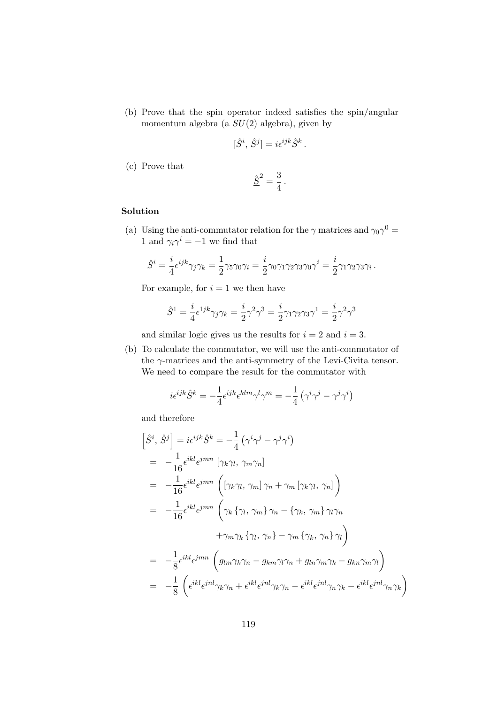(b) Prove that the spin operator indeed satisfies the spin/angular momentum algebra (a  $SU(2)$  algebra), given by

$$
[\hat{S}^i, \hat{S}^j] = i\epsilon^{ijk}\hat{S}^k.
$$

(c) Prove that

$$
\underline{\hat{S}}^2 = \frac{3}{4} \, .
$$

## Solution

(a) Using the anti-commutator relation for the  $\gamma$  matrices and  $\gamma_0 \gamma^0 =$ 1 and  $\gamma_i \gamma^i = -1$  we find that

$$
\hat{S}^i = \frac{i}{4} \epsilon^{ijk} \gamma_j \gamma_k = \frac{1}{2} \gamma_5 \gamma_0 \gamma_i = \frac{i}{2} \gamma_0 \gamma_1 \gamma_2 \gamma_3 \gamma_0 \gamma^i = \frac{i}{2} \gamma_1 \gamma_2 \gamma_3 \gamma_i.
$$

For example, for  $i = 1$  we then have

$$
\hat{S}^1 = \frac{i}{4} \epsilon^{1jk} \gamma_j \gamma_k = \frac{i}{2} \gamma^2 \gamma^3 = \frac{i}{2} \gamma_1 \gamma_2 \gamma_3 \gamma^1 = \frac{i}{2} \gamma^2 \gamma^3
$$

and similar logic gives us the results for  $i = 2$  and  $i = 3$ .

(b) To calculate the commutator, we will use the anti-commutator of the  $\gamma$ -matrices and the anti-symmetry of the Levi-Civita tensor. We need to compare the result for the commutator with

$$
i\epsilon^{ijk}\hat{S}^k = -\frac{1}{4}\epsilon^{ijk}\epsilon^{klm}\gamma^l\gamma^m = -\frac{1}{4}\left(\gamma^i\gamma^j - \gamma^j\gamma^i\right)
$$

and therefore

$$
\begin{split}\n\left[\hat{S}^{i},\,\hat{S}^{j}\right] &= i\epsilon^{ijk}\hat{S}^{k} = -\frac{1}{4}\left(\gamma^{i}\gamma^{j} - \gamma^{j}\gamma^{i}\right) \\
&= -\frac{1}{16}\epsilon^{ikl}\epsilon^{jmn}\left[\gamma_{k}\gamma_{l},\,\gamma_{m}\gamma_{n}\right] \\
&= -\frac{1}{16}\epsilon^{ikl}\epsilon^{jmn}\left(\left[\gamma_{k}\gamma_{l},\,\gamma_{m}\right]\gamma_{n} + \gamma_{m}\left[\gamma_{k}\gamma_{l},\,\gamma_{n}\right]\right) \\
&= -\frac{1}{16}\epsilon^{ikl}\epsilon^{jmn}\left(\gamma_{k}\left\{\gamma_{l},\,\gamma_{m}\right\}\gamma_{n} - \left\{\gamma_{k},\,\gamma_{m}\right\}\gamma_{l}\gamma_{n}\right. \\
&\left. + \gamma_{m}\gamma_{k}\left\{\gamma_{l},\,\gamma_{n}\right\} - \gamma_{m}\left\{\gamma_{k},\,\gamma_{n}\right\}\gamma_{l}\right) \\
&= -\frac{1}{8}\epsilon^{ikl}\epsilon^{jmn}\left(g_{lm}\gamma_{k}\gamma_{n} - g_{km}\gamma_{l}\gamma_{n} + g_{ln}\gamma_{m}\gamma_{k} - g_{kn}\gamma_{m}\gamma_{l}\right) \\
&= -\frac{1}{8}\left(\epsilon^{ikl}\epsilon^{jnl}\gamma_{k}\gamma_{n} + \epsilon^{ikl}\epsilon^{jnl}\gamma_{k}\gamma_{n} - \epsilon^{ikl}\epsilon^{jnl}\gamma_{n}\gamma_{k} - \epsilon^{ikl}\epsilon^{jnl}\gamma_{n}\gamma_{k}\right)\n\end{split}
$$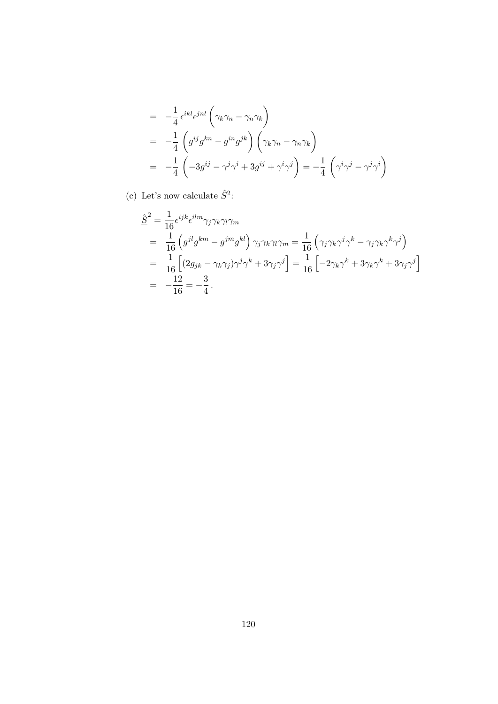$$
= -\frac{1}{4} \epsilon^{ikl} \epsilon^{jnl} \left( \gamma_k \gamma_n - \gamma_n \gamma_k \right)
$$
  
\n
$$
= -\frac{1}{4} \left( g^{ij} g^{kn} - g^{in} g^{jk} \right) \left( \gamma_k \gamma_n - \gamma_n \gamma_k \right)
$$
  
\n
$$
= -\frac{1}{4} \left( -3g^{ij} - \gamma^j \gamma^i + 3g^{ij} + \gamma^i \gamma^j \right) = -\frac{1}{4} \left( \gamma^i \gamma^j - \gamma^j \gamma^i \right)
$$

(c) Let's now calculate  $\hat{S}^2$ :

$$
\begin{split}\n\hat{\underline{S}}^2 &= \frac{1}{16} \epsilon^{ijk} \epsilon^{ilm} \gamma_j \gamma_k \gamma_l \gamma_m \\
&= \frac{1}{16} \left( g^{jl} g^{km} - g^{jm} g^{kl} \right) \gamma_j \gamma_k \gamma_l \gamma_m = \frac{1}{16} \left( \gamma_j \gamma_k \gamma^j \gamma^k - \gamma_j \gamma_k \gamma^k \gamma^j \right) \\
&= \frac{1}{16} \left[ (2g_{jk} - \gamma_k \gamma_j) \gamma^j \gamma^k + 3 \gamma_j \gamma^j \right] = \frac{1}{16} \left[ -2 \gamma_k \gamma^k + 3 \gamma_k \gamma^k + 3 \gamma_j \gamma^j \right] \\
&= -\frac{12}{16} = -\frac{3}{4} \, .\n\end{split}
$$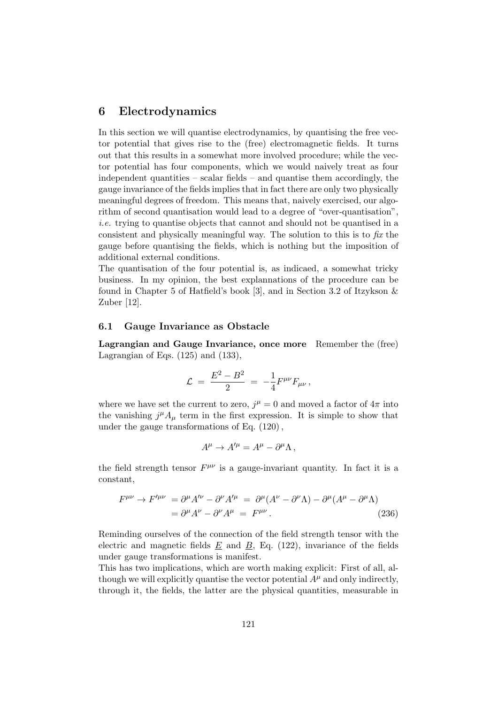# 6 Electrodynamics

In this section we will quantise electrodynamics, by quantising the free vector potential that gives rise to the (free) electromagnetic fields. It turns out that this results in a somewhat more involved procedure; while the vector potential has four components, which we would naively treat as four independent quantities – scalar fields – and quantise them accordingly, the gauge invariance of the fields implies that in fact there are only two physically meaningful degrees of freedom. This means that, naively exercised, our algorithm of second quantisation would lead to a degree of "over-quantisation", i.e. trying to quantise objects that cannot and should not be quantised in a consistent and physically meaningful way. The solution to this is to fix the gauge before quantising the fields, which is nothing but the imposition of additional external conditions.

The quantisation of the four potential is, as indicaed, a somewhat tricky business. In my opinion, the best explannations of the procedure can be found in Chapter 5 of Hatfield's book [3], and in Section 3.2 of Itzykson & Zuber [12].

#### 6.1 Gauge Invariance as Obstacle

Lagrangian and Gauge Invariance, once more Remember the (free) Lagrangian of Eqs. (125) and (133),

$$
{\cal L} ~=~ \frac{E^2-B^2}{2} ~=~ -\frac{1}{4}F^{\mu\nu}F_{\mu\nu}\,,
$$

where we have set the current to zero,  $j^{\mu} = 0$  and moved a factor of  $4\pi$  into the vanishing  $j^{\mu}A_{\mu}$  term in the first expression. It is simple to show that under the gauge transformations of Eq. (120) ,

$$
A^{\mu} \to A^{\prime \mu} = A^{\mu} - \partial^{\mu} \Lambda \,,
$$

the field strength tensor  $F^{\mu\nu}$  is a gauge-invariant quantity. In fact it is a constant,

$$
F^{\mu\nu} \to F^{\prime \mu\nu} = \partial^{\mu} A^{\prime \nu} - \partial^{\nu} A^{\prime \mu} = \partial^{\mu} (A^{\nu} - \partial^{\nu} \Lambda) - \partial^{\mu} (A^{\mu} - \partial^{\mu} \Lambda)
$$
  
=  $\partial^{\mu} A^{\nu} - \partial^{\nu} A^{\mu} = F^{\mu \nu}$ . (236)

Reminding ourselves of the connection of the field strength tensor with the electric and magnetic fields  $E$  and  $B$ , Eq. (122), invariance of the fields under gauge transformations is manifest.

This has two implications, which are worth making explicit: First of all, although we will explicitly quantise the vector potential  $A^{\mu}$  and only indirectly, through it, the fields, the latter are the physical quantities, measurable in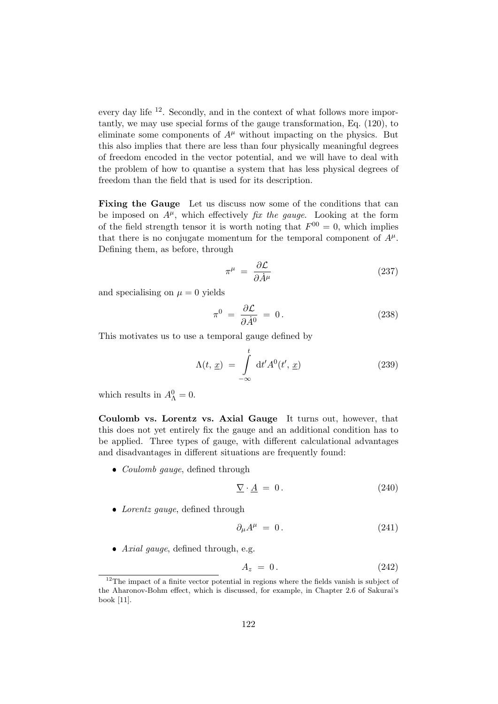every day life <sup>12</sup>. Secondly, and in the context of what follows more importantly, we may use special forms of the gauge transformation, Eq. (120), to eliminate some components of  $A^{\mu}$  without impacting on the physics. But this also implies that there are less than four physically meaningful degrees of freedom encoded in the vector potential, and we will have to deal with the problem of how to quantise a system that has less physical degrees of freedom than the field that is used for its description.

Fixing the Gauge Let us discuss now some of the conditions that can be imposed on  $A^{\mu}$ , which effectively *fix the gauge*. Looking at the form of the field strength tensor it is worth noting that  $F^{00} = 0$ , which implies that there is no conjugate momentum for the temporal component of  $A^{\mu}$ . Defining them, as before, through

$$
\pi^{\mu} = \frac{\partial \mathcal{L}}{\partial \dot{A}^{\mu}}
$$
\n(237)

and specialising on  $\mu = 0$  yields

$$
\pi^0 = \frac{\partial \mathcal{L}}{\partial \dot{A}^0} = 0. \tag{238}
$$

This motivates us to use a temporal gauge defined by

$$
\Lambda(t, \underline{x}) = \int_{-\infty}^{t} dt' A^{0}(t', \underline{x})
$$
\n(239)

which results in  $A_{\Lambda}^0 = 0$ .

Coulomb vs. Lorentz vs. Axial Gauge It turns out, however, that this does not yet entirely fix the gauge and an additional condition has to be applied. Three types of gauge, with different calculational advantages and disadvantages in different situations are frequently found:

• *Coulomb gauge*, defined through

$$
\underline{\nabla} \cdot \underline{A} = 0. \tag{240}
$$

• Lorentz gauge, defined through

$$
\partial_{\mu}A^{\mu} = 0. \tag{241}
$$

Axial gauge, defined through, e.g.

$$
A_z = 0. \t\t(242)
$$

 $12$ The impact of a finite vector potential in regions where the fields vanish is subject of the Aharonov-Bohm effect, which is discussed, for example, in Chapter 2.6 of Sakurai's book [11].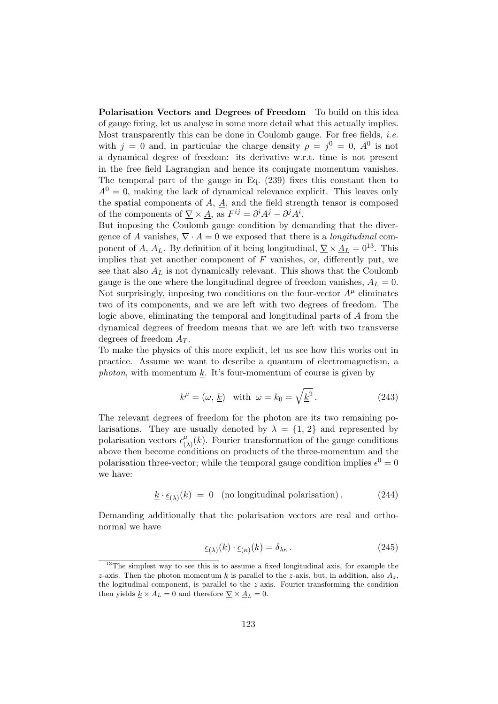Polarisation Vectors and Degrees of Freedom To build on this idea of gauge fixing, let us analyse in some more detail what this actually implies. Most transparently this can be done in Coulomb gauge. For free fields, *i.e.* with  $j = 0$  and, in particular the charge density  $\rho = j^0 = 0$ ,  $A^0$  is not a dynamical degree of freedom: its derivative w.r.t. time is not present in the free field Lagrangian and hence its conjugate momentum vanishes. The temporal part of the gauge in Eq. (239) fixes this constant then to  $A^{0} = 0$ , making the lack of dynamical relevance explicit. This leaves only the spatial components of  $A$ ,  $\underline{A}$ , and the field strength tensor is composed of the components of  $\nabla \times \underline{A}$ , as  $F^{ij} = \partial^i A^j - \partial^j A^i$ .

But imposing the Coulomb gauge condition by demanding that the divergence of A vanishes,  $\nabla \cdot \underline{A} = 0$  we exposed that there is a *longitudinal* component of A,  $A_L$ . By definition of it being longitudinal,  $\nabla \times \underline{A}_L = 0^{13}$ . This implies that yet another component of  $F$  vanishes, or, differently put, we see that also  $A_L$  is not dynamically relevant. This shows that the Coulomb gauge is the one where the longitudinal degree of freedom vanishes,  $A_L = 0$ . Not surprisingly, imposing two conditions on the four-vector  $A^{\mu}$  eliminates two of its components, and we are left with two degrees of freedom. The logic above, eliminating the temporal and longitudinal parts of A from the dynamical degrees of freedom means that we are left with two transverse degrees of freedom  $A_T$ .

To make the physics of this more explicit, let us see how this works out in practice. Assume we want to describe a quantum of electromagnetism, a photon, with momentum  $k$ . It's four-momentum of course is given by

$$
k^{\mu} = (\omega, \underline{k}) \quad \text{with} \quad \omega = k_0 = \sqrt{\underline{k}^2} \,. \tag{243}
$$

The relevant degrees of freedom for the photon are its two remaining polarisations. They are usually denoted by  $\lambda = \{1, 2\}$  and represented by polarisation vectors  $\epsilon_l^{\mu}$  $\mu_{(\lambda)}^{\mu}(k)$ . Fourier transformation of the gauge conditions above then become conditions on products of the three-momentum and the polarisation three-vector; while the temporal gauge condition implies  $\epsilon^0 = 0$ we have:

$$
\underline{k} \cdot \underline{\epsilon}_{(\lambda)}(k) = 0 \quad \text{(no longitudinal polarisation)} \,. \tag{244}
$$

Demanding additionally that the polarisation vectors are real and orthonormal we have

$$
\underline{\epsilon}_{(\lambda)}(k) \cdot \underline{\epsilon}_{(\kappa)}(k) = \delta_{\lambda \kappa} \,. \tag{245}
$$

<sup>&</sup>lt;sup>13</sup>The simplest way to see this is to assume a fixed longitudinal axis, for example the z-axis. Then the photon momentum k is parallel to the z-axis, but, in addition, also  $A_z$ , the logitudinal component, is parallel to the  $z$ -axis. Fourier-transforming the condition then yields  $\underline{k} \times A_L = 0$  and therefore  $\underline{\nabla} \times \underline{A}_L = 0$ .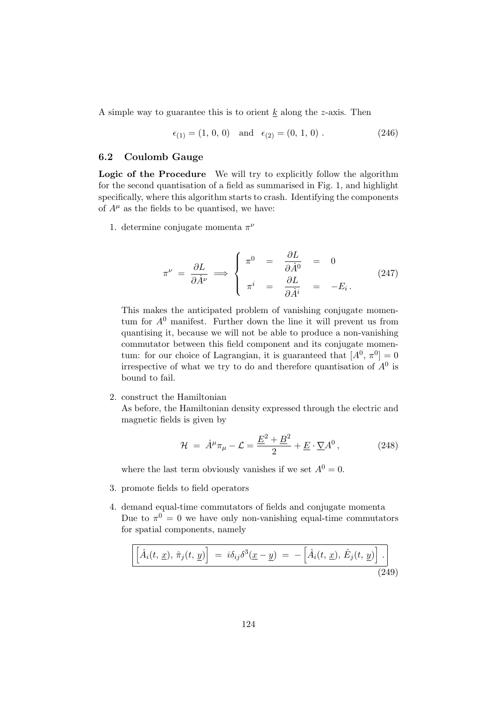A simple way to guarantee this is to orient  $k$  along the z-axis. Then

$$
\epsilon_{(1)} = (1, 0, 0) \text{ and } \epsilon_{(2)} = (0, 1, 0).
$$
\n(246)

### 6.2 Coulomb Gauge

Logic of the Procedure We will try to explicitly follow the algorithm for the second quantisation of a field as summarised in Fig. 1, and highlight specifically, where this algorithm starts to crash. Identifying the components of  $A^{\mu}$  as the fields to be quantised, we have:

1. determine conjugate momenta  $\pi^{\nu}$ 

$$
\pi^{\nu} = \frac{\partial L}{\partial \dot{A}^{\nu}} \implies \begin{cases} \pi^{0} = \frac{\partial L}{\partial \dot{A}^{0}} = 0\\ \pi^{i} = \frac{\partial L}{\partial \dot{A}^{i}} = -E_{i} \end{cases}
$$
\n(247)

This makes the anticipated problem of vanishing conjugate momentum for  $A^0$  manifest. Further down the line it will prevent us from quantising it, because we will not be able to produce a non-vanishing commutator between this field component and its conjugate momentum: for our choice of Lagrangian, it is guaranteed that  $[A^0, \pi^0] = 0$ irrespective of what we try to do and therefore quantisation of  $A^0$  is bound to fail.

2. construct the Hamiltonian

As before, the Hamiltonian density expressed through the electric and magnetic fields is given by

$$
\mathcal{H} = \dot{A}^{\mu} \pi_{\mu} - \mathcal{L} = \frac{\underline{E}^2 + \underline{B}^2}{2} + \underline{E} \cdot \underline{\nabla} A^0, \qquad (248)
$$

where the last term obviously vanishes if we set  $A^0 = 0$ .

- 3. promote fields to field operators
- 4. demand equal-time commutators of fields and conjugate momenta Due to  $\pi^0 = 0$  we have only non-vanishing equal-time commutators for spatial components, namely

$$
\left[\hat{A}_i(t, \underline{x}), \hat{\pi}_j(t, \underline{y})\right] = i\delta_{ij}\delta^3(\underline{x} - \underline{y}) = -\left[\hat{A}_i(t, \underline{x}), \hat{E}_j(t, \underline{y})\right].
$$
\n(249)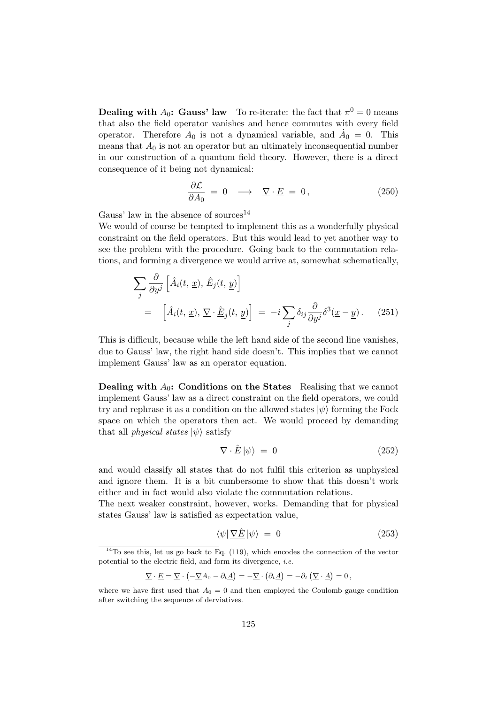**Dealing with A<sub>0</sub>: Gauss' law** To re-iterate: the fact that  $\pi^0 = 0$  means that also the field operator vanishes and hence commutes with every field operator. Therefore  $A_0$  is not a dynamical variable, and  $\dot{A}_0 = 0$ . This means that  $A_0$  is not an operator but an ultimately inconsequential number in our construction of a quantum field theory. However, there is a direct consequence of it being not dynamical:

$$
\frac{\partial \mathcal{L}}{\partial A_0} = 0 \quad \longrightarrow \quad \underline{\nabla} \cdot \underline{E} = 0, \tag{250}
$$

Gauss' law in the absence of sources<sup>14</sup>

We would of course be tempted to implement this as a wonderfully physical constraint on the field operators. But this would lead to yet another way to see the problem with the procedure. Going back to the commutation relations, and forming a divergence we would arrive at, somewhat schematically,

$$
\sum_{j} \frac{\partial}{\partial y^{j}} \left[ \hat{A}_{i}(t, \underline{x}), \hat{E}_{j}(t, \underline{y}) \right]
$$
  
= 
$$
\left[ \hat{A}_{i}(t, \underline{x}), \nabla \cdot \hat{E}_{j}(t, \underline{y}) \right] = -i \sum_{j} \delta_{ij} \frac{\partial}{\partial y^{j}} \delta^{3}(\underline{x} - \underline{y}). \quad (251)
$$

This is difficult, because while the left hand side of the second line vanishes, due to Gauss' law, the right hand side doesn't. This implies that we cannot implement Gauss' law as an operator equation.

**Dealing with**  $A_0$ **: Conditions on the States** Realising that we cannot implement Gauss' law as a direct constraint on the field operators, we could try and rephrase it as a condition on the allowed states  $|\psi\rangle$  forming the Fock space on which the operators then act. We would proceed by demanding that all *physical states*  $|\psi\rangle$  satisfy

$$
\nabla \cdot \hat{\underline{E}} \left| \psi \right\rangle = 0 \tag{252}
$$

and would classify all states that do not fulfil this criterion as unphysical and ignore them. It is a bit cumbersome to show that this doesn't work either and in fact would also violate the commutation relations.

The next weaker constraint, however, works. Demanding that for physical states Gauss' law is satisfied as expectation value,

$$
\langle \psi | \, \nabla \hat{E} \, | \psi \rangle = 0 \tag{253}
$$

$$
\underline{\nabla} \cdot \underline{E} = \underline{\nabla} \cdot \left( -\underline{\nabla} A_0 - \partial_t \underline{A} \right) = -\underline{\nabla} \cdot \left( \partial_t \underline{A} \right) = -\partial_t \left( \underline{\nabla} \cdot \underline{A} \right) = 0,
$$

 $14$ To see this, let us go back to Eq. (119), which encodes the connection of the vector potential to the electric field, and form its divergence, i.e.

where we have first used that  $A_0 = 0$  and then employed the Coulomb gauge condition after switching the sequence of derviatives.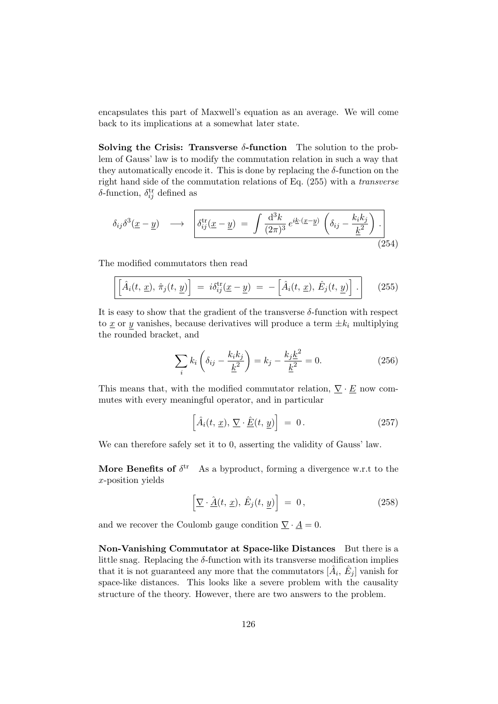encapsulates this part of Maxwell's equation as an average. We will come back to its implications at a somewhat later state.

Solving the Crisis: Transverse  $\delta$ -function The solution to the problem of Gauss' law is to modify the commutation relation in such a way that they automatically encode it. This is done by replacing the  $\delta$ -function on the right hand side of the commutation relations of Eq. (255) with a transverse  $\delta$ -function,  $\delta_{ij}^{\text{tr}}$  defined as

$$
\delta_{ij}\delta^3(\underline{x}-\underline{y}) \longrightarrow \left[\delta_{ij}^{\text{tr}}(\underline{x}-\underline{y}) = \int \frac{\mathrm{d}^3k}{(2\pi)^3} e^{i\underline{k}\cdot(\underline{x}-\underline{y})} \left(\delta_{ij} - \frac{k_ik_j}{\underline{k}^2}\right). \right]
$$
\n(254)

The modified commutators then read

$$
\left[\hat{A}_i(t, \underline{x}), \hat{\pi}_j(t, \underline{y})\right] = i\delta_{ij}^{\text{tr}}(\underline{x} - \underline{y}) = -\left[\hat{A}_i(t, \underline{x}), \hat{E}_j(t, \underline{y})\right].
$$
 (255)

It is easy to show that the gradient of the transverse  $\delta$ -function with respect to  $\underline{x}$  or y vanishes, because derivatives will produce a term  $\pm k_i$  multiplying the rounded bracket, and

$$
\sum_{i} k_{i} \left( \delta_{ij} - \frac{k_{i} k_{j}}{\underline{k}^{2}} \right) = k_{j} - \frac{k_{j} \underline{k}^{2}}{\underline{k}^{2}} = 0.
$$
 (256)

This means that, with the modified commutator relation,  $\nabla \cdot \underline{E}$  now commutes with every meaningful operator, and in particular

$$
\left[\hat{A}_i(t, \underline{x}), \underline{\nabla} \cdot \underline{\hat{E}}(t, \underline{y})\right] = 0.
$$
\n(257)

We can therefore safely set it to 0, asserting the validity of Gauss' law.

More Benefits of  $\delta^{\text{tr}}$  As a byproduct, forming a divergence w.r.t to the x-position yields

$$
\left[\underline{\nabla}\cdot \hat{\underline{A}}(t,\,\underline{x}),\,\hat{E}_j(t,\,\underline{y})\right] = 0\,,\tag{258}
$$

and we recover the Coulomb gauge condition  $\underline{\nabla} \cdot \underline{A} = 0$ .

Non-Vanishing Commutator at Space-like Distances But there is a little snag. Replacing the  $\delta$ -function with its transverse modification implies that it is not guaranteed any more that the commutators  $[\hat{A}_i, \hat{E}_j]$  vanish for space-like distances. This looks like a severe problem with the causality structure of the theory. However, there are two answers to the problem.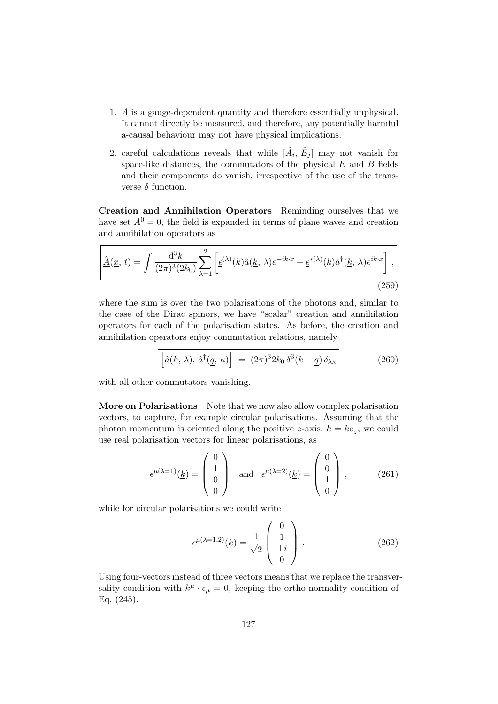- 1.  $\hat{A}$  is a gauge-dependent quantity and therefore essentially unphysical. It cannot directly be measured, and therefore, any potentially harmful a-causal behaviour may not have physical implications.
- 2. careful calculations reveals that while  $[\hat{A}_i, \hat{E}_j]$  may not vanish for space-like distances, the commutators of the physical  $E$  and  $B$  fields and their components do vanish, irrespective of the use of the transverse  $\delta$  function.

Creation and Annihilation Operators Reminding ourselves that we have set  $A^0 = 0$ , the field is expanded in terms of plane waves and creation and annihilation operators as

$$
\underline{\hat{A}}(\underline{x}, t) = \int \frac{\mathrm{d}^3 k}{(2\pi)^3 (2k_0)} \sum_{\lambda=1}^2 \left[ \underline{\epsilon}^{(\lambda)}(k) \hat{a}(\underline{k}, \lambda) e^{-ik \cdot x} + \underline{\epsilon}^{*(\lambda)}(k) \hat{a}^\dagger(\underline{k}, \lambda) e^{ik \cdot x} \right], \tag{259}
$$

where the sum is over the two polarisations of the photons and, similar to the case of the Dirac spinors, we have "scalar" creation and annihilation operators for each of the polarisation states. As before, the creation and annihilation operators enjoy commutation relations, namely

$$
\left[\hat{a}(\underline{k},\lambda),\,\hat{a}^\dagger(\underline{q},\kappa)\right] = (2\pi)^3 2k_0 \,\delta^3(\underline{k}-\underline{q}) \,\delta_{\lambda\kappa}\right] \tag{260}
$$

with all other commutators vanishing.

More on Polarisations Note that we now also allow complex polarisation vectors, to capture, for example circular polarisations. Assuming that the photon momentum is oriented along the positive z-axis,  $\underline{k} = k\underline{e}_z$ , we could use real polarisation vectors for linear polarisations, as

$$
\epsilon^{\mu(\lambda=1)}(\underline{k}) = \begin{pmatrix} 0 \\ 1 \\ 0 \\ 0 \end{pmatrix} \quad \text{and} \quad \epsilon^{\mu(\lambda=2)}(\underline{k}) = \begin{pmatrix} 0 \\ 0 \\ 1 \\ 0 \end{pmatrix}, \tag{261}
$$

while for circular polarisations we could write

$$
\epsilon^{\mu(\lambda=1,2)}(\underline{k}) = \frac{1}{\sqrt{2}} \begin{pmatrix} 0\\1\\ \pm i\\0 \end{pmatrix} . \tag{262}
$$

Using four-vectors instead of three vectors means that we replace the transversality condition with  $k^{\mu} \cdot \epsilon_{\mu} = 0$ , keeping the ortho-normality condition of Eq. (245).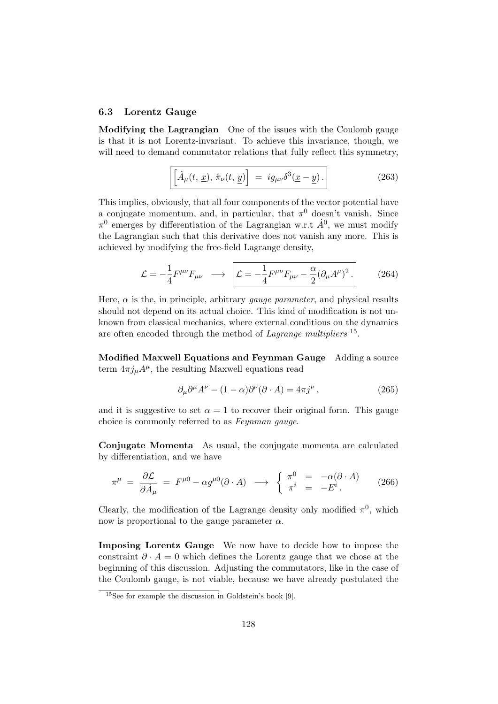#### 6.3 Lorentz Gauge

Modifying the Lagrangian One of the issues with the Coulomb gauge is that it is not Lorentz-invariant. To achieve this invariance, though, we will need to demand commutator relations that fully reflect this symmetry,

$$
\left[\hat{A}_{\mu}(t, \underline{x}), \hat{\pi}_{\nu}(t, \underline{y})\right] = ig_{\mu\nu} \delta^{3}(\underline{x} - \underline{y}). \tag{263}
$$

This implies, obviously, that all four components of the vector potential have a conjugate momentum, and, in particular, that  $\pi^0$  doesn't vanish. Since  $\pi^0$  emerges by differentiation of the Lagrangian w.r.t  $\dot{A}^0$ , we must modify the Lagrangian such that this derivative does not vanish any more. This is achieved by modifying the free-field Lagrange density,

$$
\mathcal{L} = -\frac{1}{4} F^{\mu\nu} F_{\mu\nu} \longrightarrow \left[ \mathcal{L} = -\frac{1}{4} F^{\mu\nu} F_{\mu\nu} - \frac{\alpha}{2} (\partial_{\mu} A^{\mu})^2 \right]. \tag{264}
$$

Here,  $\alpha$  is the, in principle, arbitrary *gauge parameter*, and physical results should not depend on its actual choice. This kind of modification is not unknown from classical mechanics, where external conditions on the dynamics are often encoded through the method of Lagrange multipliers <sup>15</sup>.

Modified Maxwell Equations and Feynman Gauge Adding a source term  $4\pi j_{\mu}A^{\mu}$ , the resulting Maxwell equations read

$$
\partial_{\mu}\partial^{\mu}A^{\nu} - (1 - \alpha)\partial^{\nu}(\partial \cdot A) = 4\pi j^{\nu}, \qquad (265)
$$

and it is suggestive to set  $\alpha = 1$  to recover their original form. This gauge choice is commonly referred to as Feynman gauge.

Conjugate Momenta As usual, the conjugate momenta are calculated by differentiation, and we have

$$
\pi^{\mu} = \frac{\partial \mathcal{L}}{\partial \dot{A}_{\mu}} = F^{\mu 0} - \alpha g^{\mu 0} (\partial \cdot A) \longrightarrow \begin{cases} \pi^{0} = -\alpha (\partial \cdot A) \\ \pi^{i} = -E^{i} \end{cases} (266)
$$

Clearly, the modification of the Lagrange density only modified  $\pi^0$ , which now is proportional to the gauge parameter  $\alpha$ .

Imposing Lorentz Gauge We now have to decide how to impose the constraint  $\partial \cdot A = 0$  which defines the Lorentz gauge that we chose at the beginning of this discussion. Adjusting the commutators, like in the case of the Coulomb gauge, is not viable, because we have already postulated the

 $15$ See for example the discussion in Goldstein's book [9].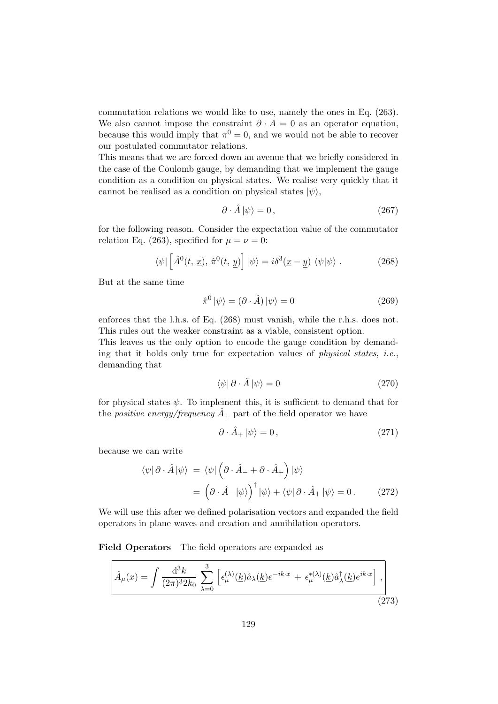commutation relations we would like to use, namely the ones in Eq. (263). We also cannot impose the constraint  $\partial \cdot A = 0$  as an operator equation, because this would imply that  $\pi^0 = 0$ , and we would not be able to recover our postulated commutator relations.

This means that we are forced down an avenue that we briefly considered in the case of the Coulomb gauge, by demanding that we implement the gauge condition as a condition on physical states. We realise very quickly that it cannot be realised as a condition on physical states  $|\psi\rangle$ ,

$$
\partial \cdot \hat{A} |\psi\rangle = 0, \qquad (267)
$$

for the following reason. Consider the expectation value of the commutator relation Eq. (263), specified for  $\mu = \nu = 0$ :

$$
\langle \psi | \left[ \hat{A}^0(t, \underline{x}), \hat{\pi}^0(t, \underline{y}) \right] | \psi \rangle = i \delta^3(\underline{x} - \underline{y}) \langle \psi | \psi \rangle . \tag{268}
$$

But at the same time

$$
\hat{\pi}^0 |\psi\rangle = (\partial \cdot \hat{A}) |\psi\rangle = 0 \tag{269}
$$

enforces that the l.h.s. of Eq. (268) must vanish, while the r.h.s. does not. This rules out the weaker constraint as a viable, consistent option.

This leaves us the only option to encode the gauge condition by demanding that it holds only true for expectation values of *physical states, i.e.*, demanding that

$$
\langle \psi | \partial \cdot \hat{A} | \psi \rangle = 0 \tag{270}
$$

for physical states  $\psi$ . To implement this, it is sufficient to demand that for the *positive energy/frequency*  $\ddot{A}_+$  part of the field operator we have

$$
\partial \cdot \hat{A}_+ \left| \psi \right\rangle = 0 \,, \tag{271}
$$

because we can write

$$
\langle \psi | \partial \cdot \hat{A} | \psi \rangle = \langle \psi | \left( \partial \cdot \hat{A} - \partial \cdot \hat{A} + \partial \cdot \hat{A} \right) | \psi \rangle
$$
  
= 
$$
\left( \partial \cdot \hat{A} - | \psi \rangle \right)^{\dagger} | \psi \rangle + \langle \psi | \partial \cdot \hat{A} + | \psi \rangle = 0.
$$
 (272)

We will use this after we defined polarisation vectors and expanded the field operators in plane waves and creation and annihilation operators.

Field Operators The field operators are expanded as

$$
\hat{A}_{\mu}(x) = \int \frac{\mathrm{d}^{3}k}{(2\pi)^{3}2k_{0}} \sum_{\lambda=0}^{3} \left[ \epsilon_{\mu}^{(\lambda)}(\underline{k})\hat{a}_{\lambda}(\underline{k})e^{-ik\cdot x} + \epsilon_{\mu}^{*(\lambda)}(\underline{k})\hat{a}_{\lambda}^{\dagger}(\underline{k})e^{ik\cdot x} \right], \tag{273}
$$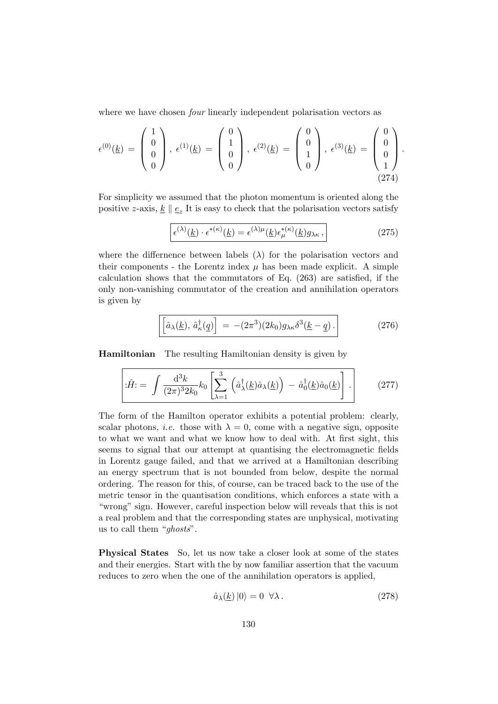where we have chosen *four* linearly independent polarisation vectors as

$$
\epsilon^{(0)}(\underline{k}) = \begin{pmatrix} 1 \\ 0 \\ 0 \\ 0 \end{pmatrix}, \ \epsilon^{(1)}(\underline{k}) = \begin{pmatrix} 0 \\ 1 \\ 0 \\ 0 \end{pmatrix}, \ \epsilon^{(2)}(\underline{k}) = \begin{pmatrix} 0 \\ 0 \\ 1 \\ 0 \end{pmatrix}, \ \epsilon^{(3)}(\underline{k}) = \begin{pmatrix} 0 \\ 0 \\ 0 \\ 1 \end{pmatrix}.
$$
\n(274)

For simplicity we assumed that the photon momentum is oriented along the positive z-axis,  $\underline{k} \parallel \underline{e}_z$  It is easy to check that the polarisation vectors satisfy

$$
\epsilon^{(\lambda)}(\underline{k}) \cdot \epsilon^{*(\kappa)}(\underline{k}) = \epsilon^{(\lambda)\mu}(\underline{k}) \epsilon^{*(\kappa)}_{\mu}(\underline{k}) g_{\lambda \kappa} , \qquad (275)
$$

where the differnence between labels  $(\lambda)$  for the polarisation vectors and their components - the Lorentz index  $\mu$  has been made explicit. A simple calculation shows that the commutators of Eq. (263) are satisfied, if the only non-vanishing commutator of the creation and annihilation operators is given by

$$
\left[\left[\hat{a}_{\lambda}(\underline{k}), \hat{a}_{\kappa}^{\dagger}(\underline{q})\right] = -(2\pi^3)(2k_0)g_{\lambda\kappa}\delta^3(\underline{k}-\underline{q})\,. \right] \tag{276}
$$

Hamiltonian The resulting Hamiltonian density is given by

$$
\hat{H} = \int \frac{\mathrm{d}^3 k}{(2\pi)^3 2k_0} k_0 \left[ \sum_{\lambda=1}^3 \left( \hat{a}_{\lambda}^{\dagger}(\underline{k}) \hat{a}_{\lambda}(\underline{k}) \right) - \hat{a}_0^{\dagger}(\underline{k}) \hat{a}_0(\underline{k}) \right]. \tag{277}
$$

The form of the Hamilton operator exhibits a potential problem: clearly, scalar photons, *i.e.* those with  $\lambda = 0$ , come with a negative sign, opposite to what we want and what we know how to deal with. At first sight, this seems to signal that our attempt at quantising the electromagnetic fields in Lorentz gauge failed, and that we arrived at a Hamiltonian describing an energy spectrum that is not bounded from below, despite the normal ordering. The reason for this, of course, can be traced back to the use of the metric tensor in the quantisation conditions, which enforces a state with a "wrong" sign. However, careful inspection below will reveals that this is not a real problem and that the corresponding states are unphysical, motivating us to call them "ghosts".

Physical States So, let us now take a closer look at some of the states and their energies. Start with the by now familiar assertion that the vacuum reduces to zero when the one of the annihilation operators is applied,

$$
\hat{a}_{\lambda}(\underline{k})\left|0\right\rangle = 0 \quad \forall \lambda \,. \tag{278}
$$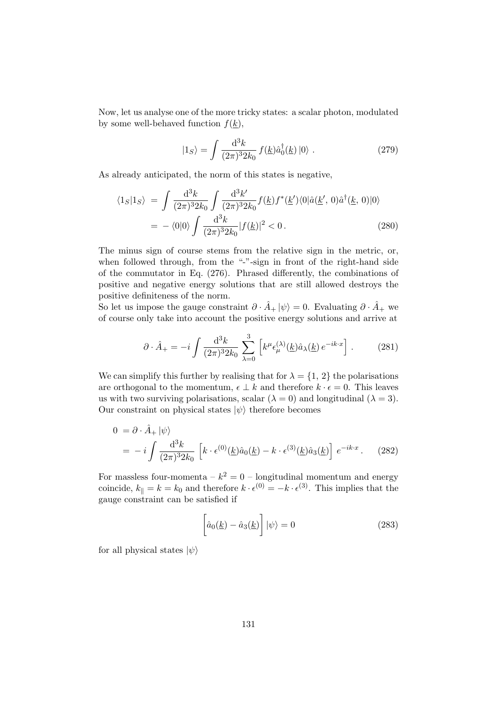Now, let us analyse one of the more tricky states: a scalar photon, modulated by some well-behaved function  $f(k)$ ,

$$
|1_S\rangle = \int \frac{\mathrm{d}^3 k}{(2\pi)^3 2k_0} f(\underline{k}) \hat{a}_0^\dagger(\underline{k}) |0\rangle . \qquad (279)
$$

As already anticipated, the norm of this states is negative,

$$
\langle 1_S | 1_S \rangle = \int \frac{d^3k}{(2\pi)^3 2k_0} \int \frac{d^3k'}{(2\pi)^3 2k_0} f(\underline{k}) f^*(\underline{k}') \langle 0 | \hat{a}(\underline{k}', 0) \hat{a}^\dagger(\underline{k}, 0) | 0 \rangle
$$
  
=  $-\langle 0 | 0 \rangle \int \frac{d^3k}{(2\pi)^3 2k_0} |f(\underline{k})|^2 < 0.$  (280)

The minus sign of course stems from the relative sign in the metric, or, when followed through, from the "-"-sign in front of the right-hand side of the commutator in Eq. (276). Phrased differently, the combinations of positive and negative energy solutions that are still allowed destroys the positive definiteness of the norm.

So let us impose the gauge constraint  $\partial \cdot \hat{A}_+ |\psi\rangle = 0$ . Evaluating  $\partial \cdot \hat{A}_+$  we of course only take into account the positive energy solutions and arrive at

$$
\partial \cdot \hat{A}_{+} = -i \int \frac{\mathrm{d}^3 k}{(2\pi)^3 2k_0} \sum_{\lambda=0}^3 \left[ k^{\mu} \epsilon_{\mu}^{(\lambda)}(\underline{k}) \hat{a}_{\lambda}(\underline{k}) e^{-ik \cdot x} \right]. \tag{281}
$$

We can simplify this further by realising that for  $\lambda = \{1, 2\}$  the polarisations are orthogonal to the momentum,  $\epsilon \perp k$  and therefore  $k \cdot \epsilon = 0$ . This leaves us with two surviving polarisations, scalar  $(\lambda = 0)$  and longitudinal  $(\lambda = 3)$ . Our constraint on physical states  $|\psi\rangle$  therefore becomes

$$
0 = \partial \cdot \hat{A}_+ |\psi\rangle
$$
  
=  $-i \int \frac{d^3 k}{(2\pi)^3 2k_0} \left[ k \cdot \epsilon^{(0)}(\underline{k}) \hat{a}_0(\underline{k}) - k \cdot \epsilon^{(3)}(\underline{k}) \hat{a}_3(\underline{k}) \right] e^{-ik \cdot x}.$  (282)

For massless four-momenta –  $k^2 = 0$  – longitudinal momentum and energy coincide,  $k_{\parallel} = k = k_0$  and therefore  $k \cdot \epsilon^{(0)} = -k \cdot \epsilon^{(3)}$ . This implies that the gauge constraint can be satisfied if

$$
\left[\hat{a}_0(\underline{k}) - \hat{a}_3(\underline{k})\right]|\psi\rangle = 0\tag{283}
$$

for all physical states  $|\psi\rangle$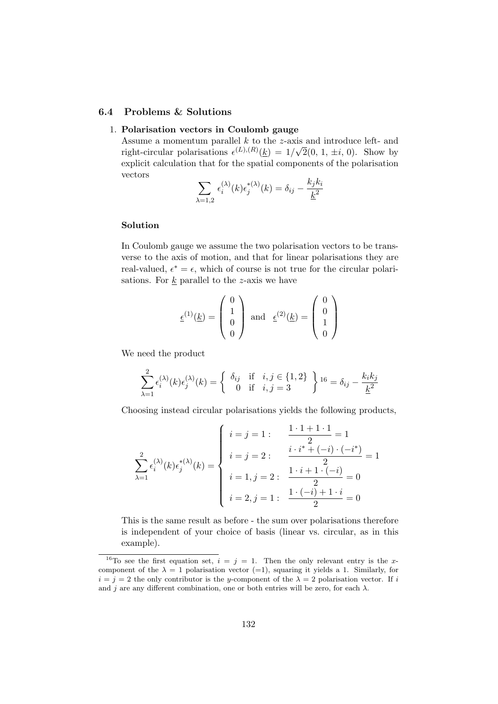## 6.4 Problems & Solutions

### 1. Polarisation vectors in Coulomb gauge

Assume a momentum parallel k to the z-axis and introduce left- and right-circular polarisations  $\epsilon^{(L),(R)}(\underline{k}) = 1/\sqrt{2}(0, 1, \pm i, 0)$ . Show by explicit calculation that for the spatial components of the polarisation vectors

$$
\sum_{\lambda=1,2} \epsilon_i^{(\lambda)}(k) \epsilon_j^{*(\lambda)}(k) = \delta_{ij} - \frac{k_j k_i}{\underline{k}^2}
$$

#### Solution

In Coulomb gauge we assume the two polarisation vectors to be transverse to the axis of motion, and that for linear polarisations they are real-valued,  $\epsilon^* = \epsilon$ , which of course is not true for the circular polarisations. For  $\underline{k}$  parallel to the *z*-axis we have

$$
\underline{\epsilon}^{(1)}(\underline{k}) = \begin{pmatrix} 0 \\ 1 \\ 0 \\ 0 \end{pmatrix} \text{ and } \underline{\epsilon}^{(2)}(\underline{k}) = \begin{pmatrix} 0 \\ 0 \\ 1 \\ 0 \end{pmatrix}
$$

We need the product

$$
\sum_{\lambda=1}^{2} \epsilon_i^{(\lambda)}(k) \epsilon_j^{(\lambda)}(k) = \begin{cases} \delta_{ij} & \text{if } i, j \in \{1, 2\} \\ 0 & \text{if } i, j = 3 \end{cases} 16 = \delta_{ij} - \frac{k_i k_j}{\underline{k}^2}
$$

Choosing instead circular polarisations yields the following products,

$$
\sum_{\lambda=1}^{2} \epsilon_i^{(\lambda)}(k) \epsilon_j^{*(\lambda)}(k) = \begin{cases} i = j = 1: & \frac{1 \cdot 1 + 1 \cdot 1}{2} = 1 \\ i = j = 2: & \frac{i \cdot i^{*} + (-i) \cdot (-i^{*})}{2} = 1 \\ i = 1, j = 2: & \frac{1 \cdot i + 1 \cdot (-i)}{2} = 0 \\ i = 2, j = 1: & \frac{1 \cdot (-i) + 1 \cdot i}{2} = 0 \end{cases}
$$

This is the same result as before - the sum over polarisations therefore is independent of your choice of basis (linear vs. circular, as in this example).

<sup>&</sup>lt;sup>16</sup>To see the first equation set,  $i = j = 1$ . Then the only relevant entry is the xcomponent of the  $\lambda = 1$  polarisation vector (=1), squaring it yields a 1. Similarly, for  $i = j = 2$  the only contributor is the y-component of the  $\lambda = 2$  polarisation vector. If i and j are any different combination, one or both entries will be zero, for each  $\lambda$ .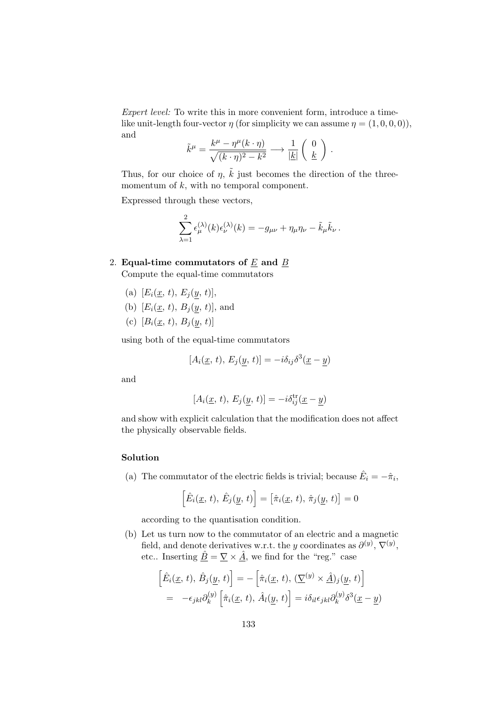Expert level: To write this in more convenient form, introduce a timelike unit-length four-vector  $\eta$  (for simplicity we can assume  $\eta = (1, 0, 0, 0)$ ), and

$$
\tilde{k}^{\mu} = \frac{k^{\mu} - \eta^{\mu}(k \cdot \eta)}{\sqrt{(k \cdot \eta)^2 - k^2}} \longrightarrow \frac{1}{|\underline{k}|} \begin{pmatrix} 0 \\ \underline{k} \end{pmatrix}.
$$

Thus, for our choice of  $\eta$ ,  $\tilde{k}$  just becomes the direction of the threemomentum of  $k$ , with no temporal component.

Expressed through these vectors,

$$
\sum_{\lambda=1}^2 \epsilon_{\mu}^{(\lambda)}(k) \epsilon_{\nu}^{(\lambda)}(k) = -g_{\mu\nu} + \eta_{\mu} \eta_{\nu} - \tilde{k}_{\mu} \tilde{k}_{\nu}.
$$

2. Equal-time commutators of  $E$  and  $B$ 

Compute the equal-time commutators

- (a)  $[E_i(\underline{x}, t), E_i(y, t)],$
- (b)  $[E_i(\underline{x}, t), B_i(y, t)],$  and
- (c)  $[B_i(\underline{x}, t), B_j(y, t)]$

using both of the equal-time commutators

 $[A_i(\underline{x}, t), E_j(y, t)] = -i\delta_{ij}\delta^3(\underline{x} - y)$ 

and

$$
[A_i(\underline{x}, t), E_j(\underline{y}, t)] = -i\delta_{ij}^{\text{tr}}(\underline{x} - \underline{y})
$$

and show with explicit calculation that the modification does not affect the physically observable fields.

### Solution

(a) The commutator of the electric fields is trivial; because  $\hat{E}_i = -\hat{\pi}_i$ ,

$$
\left[\hat{E}_i(\underline{x}, t), \hat{E}_j(\underline{y}, t)\right] = \left[\hat{\pi}_i(\underline{x}, t), \hat{\pi}_j(\underline{y}, t)\right] = 0
$$

according to the quantisation condition.

(b) Let us turn now to the commutator of an electric and a magnetic field, and denote derivatives w.r.t. the y coordinates as  $\partial^{(y)}$ ,  $\nabla^{(y)}$ , etc.. Inserting  $\underline{\hat{B}} = \underline{\nabla} \times \underline{\hat{A}}$ , we find for the "reg." case

$$
\begin{aligned}\n\left[\hat{E}_i(\underline{x}, t), \hat{B}_j(\underline{y}, t)\right] &= -\left[\hat{\pi}_i(\underline{x}, t), (\underline{\nabla}^{(y)} \times \hat{A})_j(\underline{y}, t)\right] \\
&= -\epsilon_{jkl}\partial_k^{(y)} \left[\hat{\pi}_i(\underline{x}, t), \hat{A}_l(\underline{y}, t)\right] = i\delta_{il}\epsilon_{jkl}\partial_k^{(y)}\delta^3(\underline{x} - \underline{y})\n\end{aligned}
$$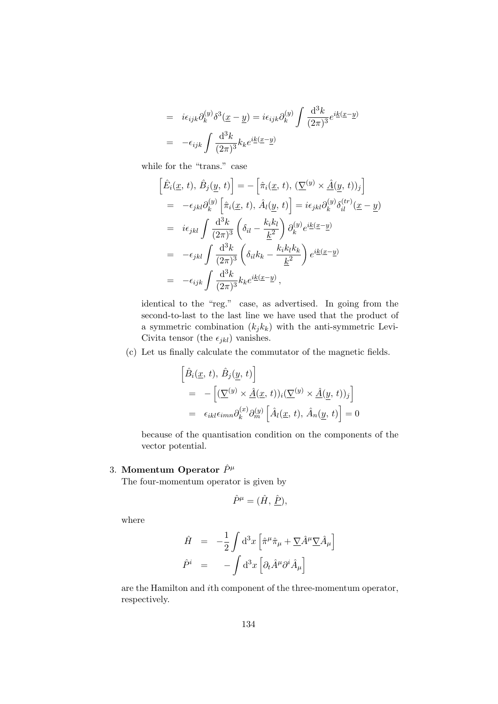$$
= i\epsilon_{ijk}\partial_k^{(y)}\delta^3(\underline{x}-\underline{y}) = i\epsilon_{ijk}\partial_k^{(y)}\int \frac{\mathrm{d}^3k}{(2\pi)^3}e^{i\underline{k}(\underline{x}-\underline{y})}
$$

$$
= -\epsilon_{ijk}\int \frac{\mathrm{d}^3k}{(2\pi)^3}k_k e^{i\underline{k}(\underline{x}-\underline{y})}
$$

while for the "trans." case

$$
\begin{split}\n\left[\hat{E}_i(\underline{x}, t), \hat{B}_j(\underline{y}, t)\right] &= -\left[\hat{\pi}_i(\underline{x}, t), (\nabla^{(y)} \times \underline{\hat{A}}(\underline{y}, t))_j\right] \\
&= -\epsilon_{jkl}\partial_k^{(y)} \left[\hat{\pi}_i(\underline{x}, t), \hat{A}_l(\underline{y}, t)\right] = i\epsilon_{jkl}\partial_k^{(y)}\delta_{il}^{(tr)}(\underline{x} - \underline{y}) \\
&= i\epsilon_{jkl} \int \frac{\mathrm{d}^3k}{(2\pi)^3} \left(\delta_{il} - \frac{k_ik_l}{\underline{k}^2}\right) \partial_k^{(y)} e^{i\underline{k}(\underline{x} - \underline{y})} \\
&= -\epsilon_{jkl} \int \frac{\mathrm{d}^3k}{(2\pi)^3} \left(\delta_{il}k_k - \frac{k_ik_lk_k}{\underline{k}^2}\right) e^{i\underline{k}(\underline{x} - \underline{y})} \\
&= -\epsilon_{ijk} \int \frac{\mathrm{d}^3k}{(2\pi)^3} k_k e^{i\underline{k}(\underline{x} - \underline{y})},\n\end{split}
$$

identical to the "reg." case, as advertised. In going from the second-to-last to the last line we have used that the product of a symmetric combination  $(k_j k_k)$  with the anti-symmetric Levi-Civita tensor (the  $\epsilon_{jkl}$ ) vanishes.

(c) Let us finally calculate the commutator of the magnetic fields.

$$
\begin{aligned}\n\left[\hat{B}_i(\underline{x}, t), \hat{B}_j(\underline{y}, t)\right] \\
= -\left[ (\underline{\nabla}^{(y)} \times \hat{A}(\underline{x}, t))_i (\underline{\nabla}^{(y)} \times \hat{A}(\underline{y}, t))_j \right] \\
= \epsilon_{ikl} \epsilon_{imn} \partial_k^{(x)} \partial_m^{(y)} \left[ \hat{A}_l(\underline{x}, t), \hat{A}_n(\underline{y}, t) \right] = 0\n\end{aligned}
$$

because of the quantisation condition on the components of the vector potential.

# 3. Momentum Operator  $\hat{P}^{\mu}$

The four-momentum operator is given by

$$
\hat{P}^{\mu} = (\hat{H}, \hat{P}),
$$

where

$$
\begin{array}{rcl}\n\hat{H} & = & -\frac{1}{2} \int \mathrm{d}^3 x \left[ \hat{\pi}^{\mu} \hat{\pi}_{\mu} + \underline{\nabla} \hat{A}^{\mu} \underline{\nabla} \hat{A}_{\mu} \right] \\
\hat{P}^{i} & = & - \int \mathrm{d}^3 x \left[ \partial_t \hat{A}^{\mu} \partial^i \hat{A}_{\mu} \right]\n\end{array}
$$

are the Hamilton and ith component of the three-momentum operator, respectively.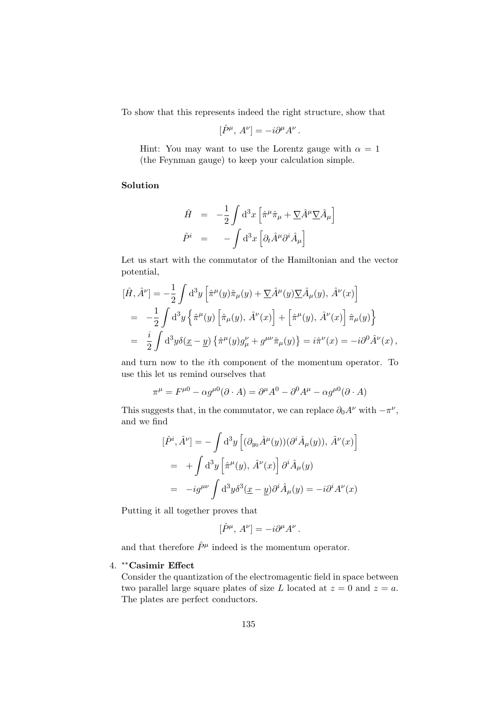To show that this represents indeed the right structure, show that

$$
[\hat{P}^{\mu}, A^{\nu}] = -i\partial^{\mu}A^{\nu}.
$$

Hint: You may want to use the Lorentz gauge with  $\alpha = 1$ (the Feynman gauge) to keep your calculation simple.

#### Solution

$$
\hat{H} = -\frac{1}{2} \int d^3x \left[ \hat{\pi}^{\mu} \hat{\pi}_{\mu} + \nabla \hat{A}^{\mu} \nabla \hat{A}_{\mu} \right]
$$

$$
\hat{P}^{i} = - \int d^3x \left[ \partial_t \hat{A}^{\mu} \partial^i \hat{A}_{\mu} \right]
$$

Let us start with the commutator of the Hamiltonian and the vector potential,

$$
\begin{split}\n[\hat{H}, \hat{A}^{\nu}] &= -\frac{1}{2} \int \mathrm{d}^{3}y \left[ \hat{\pi}^{\mu}(y) \hat{\pi}_{\mu}(y) + \nabla \hat{A}^{\mu}(y) \nabla \hat{A}_{\mu}(y), \,\hat{A}^{\nu}(x) \right] \\
&= -\frac{1}{2} \int \mathrm{d}^{3}y \left\{ \hat{\pi}^{\mu}(y) \left[ \hat{\pi}_{\mu}(y), \,\hat{A}^{\nu}(x) \right] + \left[ \hat{\pi}^{\mu}(y), \,\hat{A}^{\nu}(x) \right] \hat{\pi}_{\mu}(y) \right\} \\
&= \frac{i}{2} \int \mathrm{d}^{3}y \delta(\underline{x} - \underline{y}) \left\{ \hat{\pi}^{\mu}(y) g^{\nu}_{\mu} + g^{\mu\nu} \hat{\pi}_{\mu}(y) \right\} = i \hat{\pi}^{\nu}(x) = -i \partial^{0} \hat{A}^{\nu}(x),\n\end{split}
$$

and turn now to the ith component of the momentum operator. To use this let us remind ourselves that

$$
\pi^{\mu} = F^{\mu 0} - \alpha g^{\mu 0} (\partial \cdot A) = \partial^{\mu} A^{0} - \partial^{0} A^{\mu} - \alpha g^{\mu 0} (\partial \cdot A)
$$

This suggests that, in the commutator, we can replace  $\partial_0 A^{\nu}$  with  $-\pi^{\nu}$ , and we find

$$
[\hat{P}^i, \hat{A}^\nu] = -\int d^3y \left[ (\partial_{y_0} \hat{A}^\mu(y)) (\partial^i \hat{A}_\mu(y)), \hat{A}^\nu(x) \right]
$$
  
= 
$$
+ \int d^3y \left[ \hat{\pi}^\mu(y), \hat{A}^\nu(x) \right] \partial^i \hat{A}_\mu(y)
$$
  
= 
$$
-ig^{\mu\nu} \int d^3y \delta^3(\underline{x} - \underline{y}) \partial^i \hat{A}_\mu(y) = -i \partial^i A^\nu(x)
$$

Putting it all together proves that

$$
[\hat{P}^{\mu}, A^{\nu}] = -i\partial^{\mu}A^{\nu}.
$$

and that therefore  $\hat{P}^{\mu}$  indeed is the momentum operator.

 $\overline{a}$ 

### 4. ∗∗Casimir Effect

Consider the quantization of the electromagentic field in space between two parallel large square plates of size L located at  $z = 0$  and  $z = a$ . The plates are perfect conductors.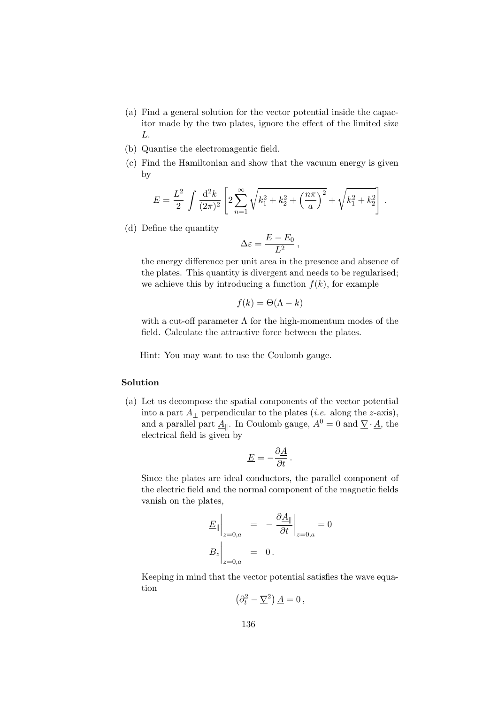- (a) Find a general solution for the vector potential inside the capacitor made by the two plates, ignore the effect of the limited size L.
- (b) Quantise the electromagentic field.
- (c) Find the Hamiltonian and show that the vacuum energy is given by

$$
E = \frac{L^2}{2} \int \frac{d^2k}{(2\pi)^2} \left[ 2 \sum_{n=1}^{\infty} \sqrt{k_1^2 + k_2^2 + \left(\frac{n\pi}{a}\right)^2} + \sqrt{k_1^2 + k_2^2} \right].
$$

(d) Define the quantity

$$
\Delta \varepsilon = \frac{E - E_0}{L^2} \,,
$$

the energy difference per unit area in the presence and absence of the plates. This quantity is divergent and needs to be regularised; we achieve this by introducing a function  $f(k)$ , for example

$$
f(k) = \Theta(\Lambda - k)
$$

with a cut-off parameter  $\Lambda$  for the high-momentum modes of the field. Calculate the attractive force between the plates.

Hint: You may want to use the Coulomb gauge.

#### Solution

(a) Let us decompose the spatial components of the vector potential into a part  $\underline{A}_{\perp}$  perpendicular to the plates (*i.e.* along the *z*-axis), and a parallel part  $\underline{A}_{\parallel}$ . In Coulomb gauge,  $A^0 = 0$  and  $\underline{\nabla} \cdot \underline{A}$ , the electrical field is given by

$$
\underline{E} = -\frac{\partial \underline{A}}{\partial t}.
$$

Since the plates are ideal conductors, the parallel component of the electric field and the normal component of the magnetic fields vanish on the plates,

$$
\underline{E}_{\parallel}\Big|_{z=0,a} = -\frac{\partial \underline{A}_{\parallel}}{\partial t}\Big|_{z=0,a} = 0
$$
  

$$
B_z\Big|_{z=0,a} = 0.
$$

Keeping in mind that the vector potential satisfies the wave equation

$$
\left(\partial_t^2 - \underline{\nabla}^2\right) \underline{A} = 0 \,,
$$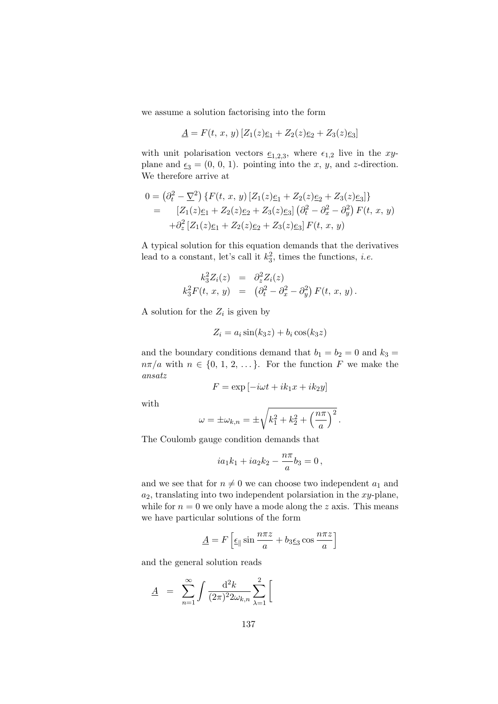we assume a solution factorising into the form

$$
\underline{A} = F(t, x, y) \left[ Z_1(z) \underline{e}_1 + Z_2(z) \underline{e}_2 + Z_3(z) \underline{e}_3 \right]
$$

with unit polarisation vectors  $\underline{e}_{1,2,3}$ , where  $\epsilon_{1,2}$  live in the xyplane and  $\underline{\epsilon}_3 = (0, 0, 1)$ . pointing into the x, y, and z-direction. We therefore arrive at

$$
0 = (\partial_t^2 - \underline{\nabla}^2) \{ F(t, x, y) [Z_1(z)\underline{e}_1 + Z_2(z)\underline{e}_2 + Z_3(z)\underline{e}_3] \}
$$
  
= 
$$
[Z_1(z)\underline{e}_1 + Z_2(z)\underline{e}_2 + Z_3(z)\underline{e}_3] (\partial_t^2 - \partial_x^2 - \partial_y^2) F(t, x, y)
$$
  
+ 
$$
\partial_z^2 [Z_1(z)\underline{e}_1 + Z_2(z)\underline{e}_2 + Z_3(z)\underline{e}_3] F(t, x, y)
$$

A typical solution for this equation demands that the derivatives lead to a constant, let's call it  $k_3^2$ , times the functions, *i.e.* 

$$
k_3^2 Z_i(z) = \partial_z^2 Z_i(z) \nk_3^2 F(t, x, y) = (\partial_t^2 - \partial_x^2 - \partial_y^2) F(t, x, y).
$$

A solution for the  $Z_i$  is given by

$$
Z_i = a_i \sin(k_3 z) + b_i \cos(k_3 z)
$$

and the boundary conditions demand that  $b_1 = b_2 = 0$  and  $k_3 =$  $n\pi/a$  with  $n \in \{0, 1, 2, \ldots\}$ . For the function F we make the ansatz

$$
F = \exp[-i\omega t + ik_1 x + ik_2 y]
$$

with

$$
\omega = \pm \omega_{k,n} = \pm \sqrt{k_1^2 + k_2^2 + \left(\frac{n\pi}{a}\right)^2}.
$$

The Coulomb gauge condition demands that

$$
ia_1k_1 + ia_2k_2 - \frac{n\pi}{a}b_3 = 0,
$$

and we see that for  $n \neq 0$  we can choose two independent  $a_1$  and  $a_2$ , translating into two independent polarsiation in the  $xy$ -plane, while for  $n = 0$  we only have a mode along the z axis. This means we have particular solutions of the form

$$
\underline{A} = F \left[ \underline{\epsilon}_{\parallel} \sin \frac{n \pi z}{a} + b_3 \underline{\epsilon}_3 \cos \frac{n \pi z}{a} \right]
$$

and the general solution reads

$$
\underline{A} = \sum_{n=1}^{\infty} \int \frac{\mathrm{d}^2 k}{(2\pi)^2 2\omega_{k,n}} \sum_{\lambda=1}^2 \left[ \frac{\mathrm{d}^2 k}{2\pi} \right]
$$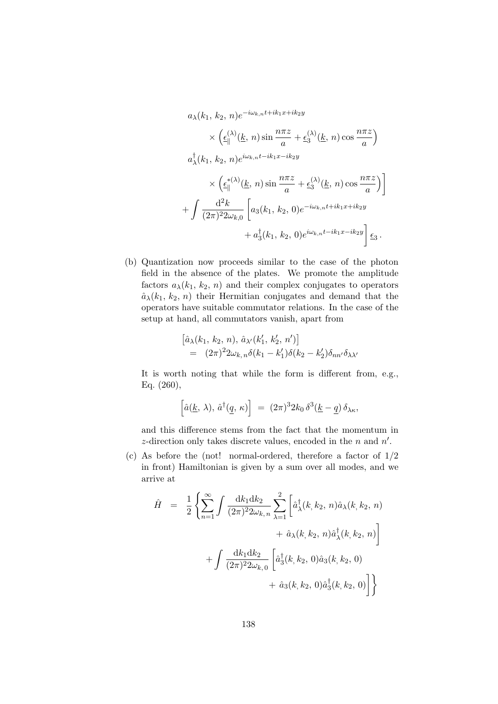$$
a_{\lambda}(k_1, k_2, n)e^{-i\omega_{k,n}t + ik_1x + ik_2y}
$$
  
\n
$$
\times \left(\underline{\epsilon}_{\parallel}^{(\lambda)}(\underline{k}, n) \sin \frac{n\pi z}{a} + \underline{\epsilon}_3^{(\lambda)}(\underline{k}, n) \cos \frac{n\pi z}{a}\right)
$$
  
\n
$$
a_{\lambda}^{\dagger}(k_1, k_2, n)e^{i\omega_{k,n}t - ik_1x - ik_2y}
$$
  
\n
$$
\times \left(\underline{\epsilon}_{\parallel}^{*(\lambda)}(\underline{k}, n) \sin \frac{n\pi z}{a} + \underline{\epsilon}_3^{(\lambda)}(\underline{k}, n) \cos \frac{n\pi z}{a}\right)\right]
$$
  
\n
$$
+ \int \frac{d^2k}{(2\pi)^2 2\omega_{k,0}} \left[a_3(k_1, k_2, 0)e^{-i\omega_{k,n}t + ik_1x + ik_2y} + a_3^{\dagger}(k_1, k_2, 0)e^{i\omega_{k,n}t - ik_1x - ik_2y}\right] \underline{\epsilon}_3.
$$

(b) Quantization now proceeds similar to the case of the photon field in the absence of the plates. We promote the amplitude factors  $a_{\lambda}(k_1, k_2, n)$  and their complex conjugates to operators  $\hat{a}_{\lambda}(k_1, k_2, n)$  their Hermitian conjugates and demand that the operators have suitable commutator relations. In the case of the setup at hand, all commutators vanish, apart from

$$
\begin{aligned} \left[ \hat{a}_{\lambda}(k_1, k_2, n), \, \hat{a}_{\lambda'}(k'_1, k'_2, n') \right] \\ &= (2\pi)^2 2\omega_{k,n} \delta(k_1 - k'_1) \delta(k_2 - k'_2) \delta_{nn'} \delta_{\lambda\lambda'} \end{aligned}
$$

It is worth noting that while the form is different from, e.g., Eq. (260),

$$
\left[\hat{a}(\underline{k},\,\lambda),\,\hat{a}^{\dagger}(\underline{q},\,\kappa)\right] \;=\; (2\pi)^3 2k_0\,\delta^3(\underline{k}-\underline{q})\,\delta_{\lambda\kappa},
$$

and this difference stems from the fact that the momentum in z-direction only takes discrete values, encoded in the  $n$  and  $n'$ .

(c) As before the (not! normal-ordered, therefore a factor of 1/2 in front) Hamiltonian is given by a sum over all modes, and we arrive at

$$
\hat{H} = \frac{1}{2} \left\{ \sum_{n=1}^{\infty} \int \frac{dk_1 dk_2}{(2\pi)^2 2\omega_{k,n}} \sum_{\lambda=1}^2 \left[ \hat{a}_{\lambda}^{\dagger}(k, k_2, n) \hat{a}_{\lambda}(k, k_2, n) + \hat{a}_{\lambda}(k, k_2, n) \hat{a}_{\lambda}^{\dagger}(k, k_2, n) \right] + \int \frac{dk_1 dk_2}{(2\pi)^2 2\omega_{k,0}} \left[ \hat{a}_{3}^{\dagger}(k, k_2, 0) \hat{a}_{3}(k, k_2, 0) + \hat{a}_{3}(k, k_2, 0) \hat{a}_{3}^{\dagger}(k, k_2, 0) \right] \right\}
$$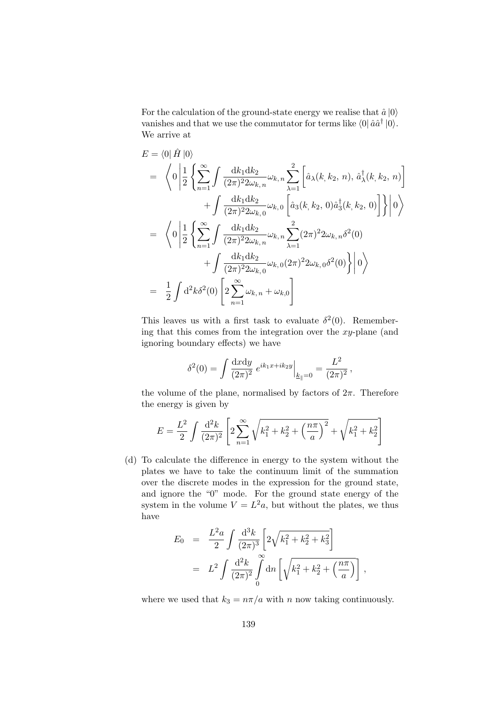For the calculation of the ground-state energy we realise that  $\hat{a} |0\rangle$ vanishes and that we use the commutator for terms like  $\langle 0 | \hat{a} \hat{a}^{\dagger} | 0 \rangle$ . We arrive at

$$
E = \langle 0 | \hat{H} | 0 \rangle
$$
  
\n
$$
= \langle 0 | \frac{1}{2} \left\{ \sum_{n=1}^{\infty} \int \frac{dk_1 dk_2}{(2\pi)^2 2\omega_{k,n}} \omega_{k,n} \sum_{\lambda=1}^2 \left[ \hat{a}_{\lambda}(k, k_2, n), \hat{a}_{\lambda}^{\dagger}(k, k_2, n) \right] + \int \frac{dk_1 dk_2}{(2\pi)^2 2\omega_{k,0}} \omega_{k,0} \left[ \hat{a}_{3}(k, k_2, 0) \hat{a}_{3}^{\dagger}(k, k_2, 0) \right] \right\} | 0 \rangle
$$
  
\n
$$
= \langle 0 | \frac{1}{2} \left\{ \sum_{n=1}^{\infty} \int \frac{dk_1 dk_2}{(2\pi)^2 2\omega_{k,n}} \omega_{k,n} \sum_{\lambda=1}^2 (2\pi)^2 2\omega_{k,n} \delta^2(0) + \int \frac{dk_1 dk_2}{(2\pi)^2 2\omega_{k,0}} \omega_{k,0} (2\pi)^2 2\omega_{k,0} \delta^2(0) \right\} | 0 \rangle
$$
  
\n
$$
= \frac{1}{2} \int d^2k \delta^2(0) \left[ 2 \sum_{n=1}^{\infty} \omega_{k,n} + \omega_{k,0} \right]
$$

This leaves us with a first task to evaluate  $\delta^2(0)$ . Remembering that this comes from the integration over the  $xy$ -plane (and ignoring boundary effects) we have

$$
\delta^{2}(0) = \int \frac{dxdy}{(2\pi)^{2}} e^{ik_{1}x + ik_{2}y} \Big|_{\underline{k}_{\parallel}=0} = \frac{L^{2}}{(2\pi)^{2}},
$$

the volume of the plane, normalised by factors of  $2\pi$ . Therefore the energy is given by

$$
E = \frac{L^2}{2} \int \frac{d^2 k}{(2\pi)^2} \left[ 2 \sum_{n=1}^{\infty} \sqrt{k_1^2 + k_2^2 + \left(\frac{n\pi}{a}\right)^2} + \sqrt{k_1^2 + k_2^2} \right]
$$

(d) To calculate the difference in energy to the system without the plates we have to take the continuum limit of the summation over the discrete modes in the expression for the ground state, and ignore the "0" mode. For the ground state energy of the system in the volume  $V = L^2 a$ , but without the plates, we thus have

$$
E_0 = \frac{L^2 a}{2} \int \frac{d^3 k}{(2\pi)^3} \left[ 2\sqrt{k_1^2 + k_2^2 + k_3^2} \right]
$$
  
=  $L^2 \int \frac{d^2 k}{(2\pi)^2} \int_0^\infty dn \left[ \sqrt{k_1^2 + k_2^2 + \left( \frac{n\pi}{a} \right)} \right],$ 

where we used that  $k_3 = n\pi/a$  with n now taking continuously.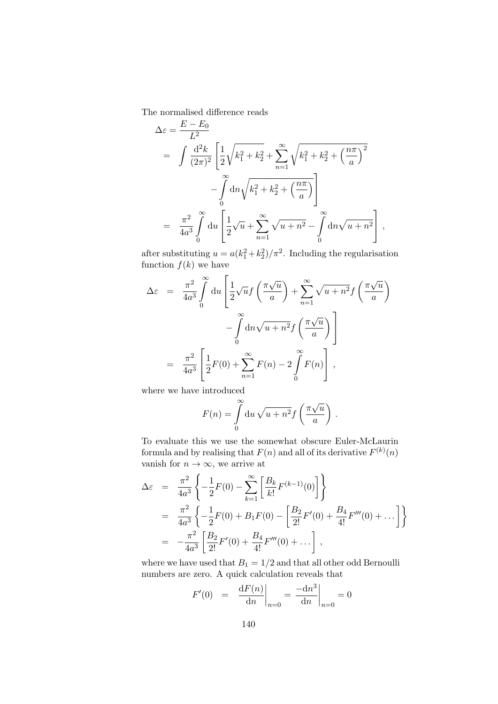The normalised difference reads  $E - E$ 

$$
\Delta \varepsilon = \frac{E - E_0}{L^2}
$$
  
=  $\int \frac{d^2 k}{(2\pi)^2} \left[ \frac{1}{2} \sqrt{k_1^2 + k_2^2} + \sum_{n=1}^{\infty} \sqrt{k_1^2 + k_2^2 + \left(\frac{n\pi}{a}\right)^2} - \int_0^{\infty} dn \sqrt{k_1^2 + k_2^2 + \left(\frac{n\pi}{a}\right)} \right]$   
=  $\frac{\pi^2}{4a^3} \int_0^{\infty} du \left[ \frac{1}{2} \sqrt{u} + \sum_{n=1}^{\infty} \sqrt{u + n^2} - \int_0^{\infty} dn \sqrt{u + n^2} \right],$ 

after substituting  $u = a(k_1^2 + k_2^2)/\pi^2$ . Including the regularisation function  $f(k)$  we have

$$
\Delta \varepsilon = \frac{\pi^2}{4a^3} \int_0^\infty du \left[ \frac{1}{2} \sqrt{u} f\left(\frac{\pi \sqrt{u}}{a}\right) + \sum_{n=1}^\infty \sqrt{u + n^2} f\left(\frac{\pi \sqrt{u}}{a}\right) - \int_0^\infty du \sqrt{u + n^2} f\left(\frac{\pi \sqrt{u}}{a}\right) \right]
$$
  

$$
= \frac{\pi^2}{4a^3} \left[ \frac{1}{2} F(0) + \sum_{n=1}^\infty F(n) - 2 \int_0^\infty F(n) \right],
$$

where we have introduced

$$
F(n) = \int_{0}^{\infty} du \sqrt{u + n^2} f\left(\frac{\pi\sqrt{u}}{a}\right).
$$

To evaluate this we use the somewhat obscure Euler-McLaurin formula and by realising that  $F(n)$  and all of its derivative  $F^{(k)}(n)$ vanish for  $n \to \infty$ , we arrive at

$$
\Delta \varepsilon = \frac{\pi^2}{4a^3} \left\{ -\frac{1}{2}F(0) - \sum_{k=1}^{\infty} \left[ \frac{B_k}{k!} F^{(k-1)}(0) \right] \right\}
$$
  
\n
$$
= \frac{\pi^2}{4a^3} \left\{ -\frac{1}{2}F(0) + B_1F(0) - \left[ \frac{B_2}{2!} F'(0) + \frac{B_4}{4!} F'''(0) + \dots \right] \right\}
$$
  
\n
$$
= -\frac{\pi^2}{4a^3} \left[ \frac{B_2}{2!} F'(0) + \frac{B_4}{4!} F'''(0) + \dots \right],
$$

where we have used that  $B_1 = 1/2$  and that all other odd Bernoulli numbers are zero. A quick calculation reveals that

$$
F'(0) = \left. \frac{\mathrm{d}F(n)}{\mathrm{d}n} \right|_{n=0} = \left. \frac{-\mathrm{d}n^3}{\mathrm{d}n} \right|_{n=0} = 0
$$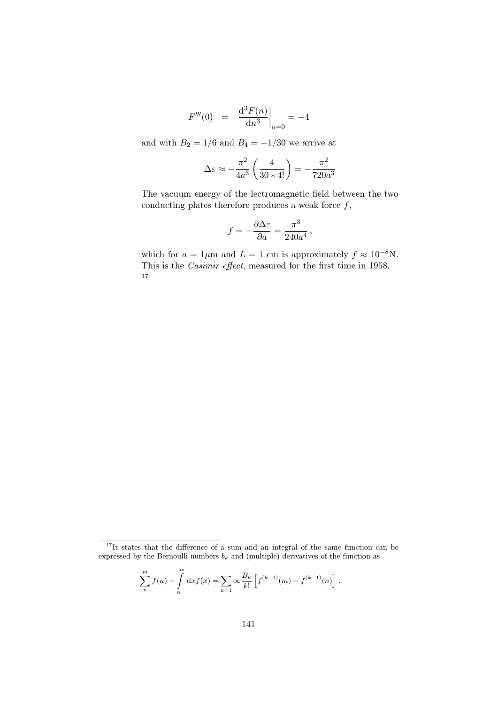$$
F'''(0) = \left. \frac{\mathrm{d}^3 F(n)}{\mathrm{d} n^3} \right|_{n=0} = -4
$$

and with  $B_2 = 1/6$  and  $B_4 = -1/30$  we arrive at

$$
\Delta \varepsilon \approx -\frac{\pi^2}{4a^3} \left( \frac{4}{30*4!} \right) = -\frac{\pi^2}{720a^3}
$$

The vacuum energy of the lectromagnetic field between the two conducting plates therefore produces a weak force  $f$ ,

$$
f = -\frac{\partial \Delta \varepsilon}{\partial a} = \frac{\pi^3}{240a^4},
$$

which for  $a = 1 \mu m$  and  $L = 1$  cm is approximately  $f \approx 10^{-8}$ N. This is the Casimir effect, measured for the first time in 1958. 17

.

$$
\sum_{n}^{m} f(n) - \int_{n}^{m} dx f(x) = \sum_{k=1}^{\infty} \infty \frac{B_k}{k!} \left[ f^{(k-1)}(m) - f^{(k-1)}(n) \right]
$$

 $17$ It states that the difference of a sum and an integral of the same function can be expressed by the Bernoulli numbers  $b_k$  and (multiple) derivatives of the function as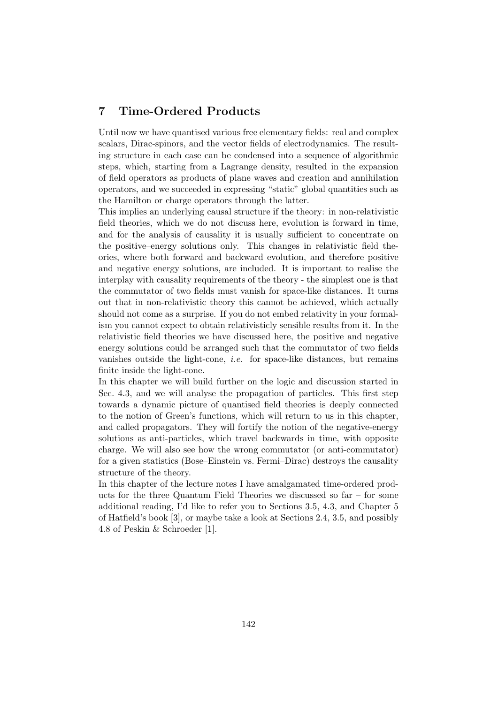# 7 Time-Ordered Products

Until now we have quantised various free elementary fields: real and complex scalars, Dirac-spinors, and the vector fields of electrodynamics. The resulting structure in each case can be condensed into a sequence of algorithmic steps, which, starting from a Lagrange density, resulted in the expansion of field operators as products of plane waves and creation and annihilation operators, and we succeeded in expressing "static" global quantities such as the Hamilton or charge operators through the latter.

This implies an underlying causal structure if the theory: in non-relativistic field theories, which we do not discuss here, evolution is forward in time, and for the analysis of causality it is usually sufficient to concentrate on the positive–energy solutions only. This changes in relativistic field theories, where both forward and backward evolution, and therefore positive and negative energy solutions, are included. It is important to realise the interplay with causality requirements of the theory - the simplest one is that the commutator of two fields must vanish for space-like distances. It turns out that in non-relativistic theory this cannot be achieved, which actually should not come as a surprise. If you do not embed relativity in your formalism you cannot expect to obtain relativisticly sensible results from it. In the relativistic field theories we have discussed here, the positive and negative energy solutions could be arranged such that the commutator of two fields vanishes outside the light-cone, i.e. for space-like distances, but remains finite inside the light-cone.

In this chapter we will build further on the logic and discussion started in Sec. 4.3, and we will analyse the propagation of particles. This first step towards a dynamic picture of quantised field theories is deeply connected to the notion of Green's functions, which will return to us in this chapter, and called propagators. They will fortify the notion of the negative-energy solutions as anti-particles, which travel backwards in time, with opposite charge. We will also see how the wrong commutator (or anti-commutator) for a given statistics (Bose–Einstein vs. Fermi–Dirac) destroys the causality structure of the theory.

In this chapter of the lecture notes I have amalgamated time-ordered products for the three Quantum Field Theories we discussed so far – for some additional reading, I'd like to refer you to Sections 3.5, 4.3, and Chapter 5 of Hatfield's book [3], or maybe take a look at Sections 2.4, 3.5, and possibly 4.8 of Peskin & Schroeder [1].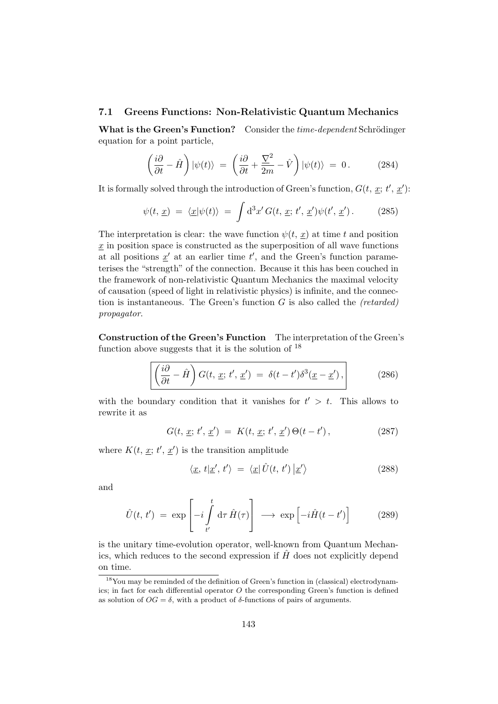#### 7.1 Greens Functions: Non-Relativistic Quantum Mechanics

What is the Green's Function? Consider the time-dependent Schrödinger equation for a point particle,

$$
\left(\frac{i\partial}{\partial t} - \hat{H}\right)|\psi(t)\rangle = \left(\frac{i\partial}{\partial t} + \frac{\nabla^2}{2m} - \hat{V}\right)|\psi(t)\rangle = 0. \quad (284)
$$

It is formally solved through the introduction of Green's function,  $G(t, \underline{x}; t', \underline{x}')$ :

$$
\psi(t, \underline{x}) = \langle \underline{x} | \psi(t) \rangle = \int d^3x' G(t, \underline{x}; t', \underline{x}') \psi(t', \underline{x}'). \qquad (285)
$$

The interpretation is clear: the wave function  $\psi(t, x)$  at time t and position  $x$  in position space is constructed as the superposition of all wave functions at all positions  $\underline{x}'$  at an earlier time  $t'$ , and the Green's function parameterises the "strength" of the connection. Because it this has been couched in the framework of non-relativistic Quantum Mechanics the maximal velocity of causation (speed of light in relativistic physics) is infinite, and the connection is instantaneous. The Green's function  $G$  is also called the *(retarded)* propagator.

Construction of the Green's Function The interpretation of the Green's function above suggests that it is the solution of  $^{18}$ 

$$
\left(\frac{i\partial}{\partial t} - \hat{H}\right)G(t, \underline{x}; t', \underline{x}') = \delta(t - t')\delta^3(\underline{x} - \underline{x}'),\tag{286}
$$

with the boundary condition that it vanishes for  $t' > t$ . This allows to rewrite it as

$$
G(t, \underline{x}; t', \underline{x}') = K(t, \underline{x}; t', \underline{x}') \Theta(t - t'), \qquad (287)
$$

where  $K(t, \underline{x}; t', \underline{x}')$  is the transition amplitude

$$
\langle \underline{x}, t | \underline{x}', t' \rangle = \langle \underline{x} | \hat{U}(t, t') | \underline{x}' \rangle \tag{288}
$$

and

$$
\hat{U}(t, t') = \exp\left[-i \int_{t'}^{t} d\tau \, \hat{H}(\tau)\right] \longrightarrow \exp\left[-i \hat{H}(t - t')\right]
$$
\n(289)

is the unitary time-evolution operator, well-known from Quantum Mechanics, which reduces to the second expression if  $\hat{H}$  does not explicitly depend on time.

<sup>&</sup>lt;sup>18</sup>You may be reminded of the definition of Green's function in (classical) electrodynamics; in fact for each differential operator  $O$  the corresponding Green's function is defined as solution of  $OG = \delta$ , with a product of  $\delta$ -functions of pairs of arguments.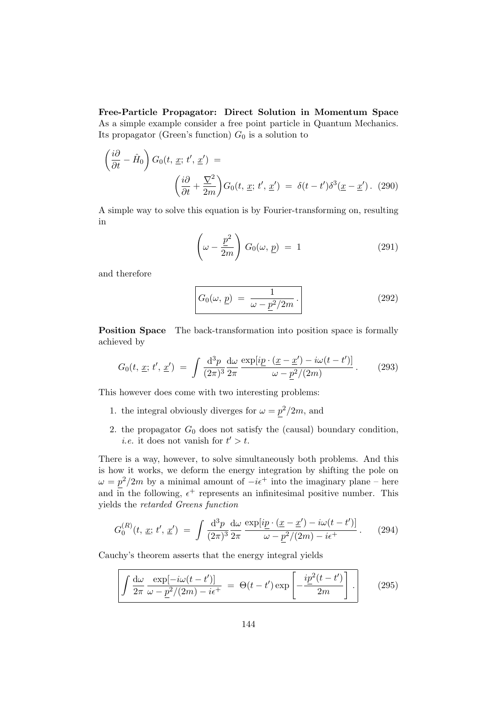Free-Particle Propagator: Direct Solution in Momentum Space As a simple example consider a free point particle in Quantum Mechanics. Its propagator (Green's function)  $G_0$  is a solution to

$$
\left(\frac{i\partial}{\partial t} - \hat{H}_0\right) G_0(t, \underline{x}; t', \underline{x}') =
$$
\n
$$
\left(\frac{i\partial}{\partial t} + \frac{\nabla^2}{2m}\right) G_0(t, \underline{x}; t', \underline{x}') = \delta(t - t') \delta^3(\underline{x} - \underline{x}'). \tag{290}
$$

A simple way to solve this equation is by Fourier-transforming on, resulting in

$$
\left(\omega - \frac{\underline{p}^2}{2m}\right) G_0(\omega, \underline{p}) = 1 \tag{291}
$$

and therefore

$$
G_0(\omega, \underline{p}) = \frac{1}{\omega - \underline{p}^2/2m}.
$$
\n(292)

**Position Space** The back-transformation into position space is formally achieved by

$$
G_0(t, \underline{x}; t', \underline{x}') = \int \frac{\mathrm{d}^3 p}{(2\pi)^3} \frac{\mathrm{d}\omega}{2\pi} \frac{\exp[i\underline{p} \cdot (\underline{x} - \underline{x}') - i\omega(t - t')]}{\omega - \underline{p}^2/(2m)}.
$$
 (293)

This however does come with two interesting problems:

- 1. the integral obviously diverges for  $\omega = p^2/2m$ , and
- 2. the propagator  $G_0$  does not satisfy the (causal) boundary condition, *i.e.* it does not vanish for  $t' > t$ .

There is a way, however, to solve simultaneously both problems. And this is how it works, we deform the energy integration by shifting the pole on  $\omega = p^2/2m$  by a minimal amount of  $-i\epsilon^+$  into the imaginary plane – here and in the following,  $\epsilon^+$  represents an infinitesimal positive number. This yields the retarded Greens function

$$
G_0^{(R)}(t, \underline{x}; t', \underline{x}') = \int \frac{\mathrm{d}^3 p}{(2\pi)^3} \frac{\mathrm{d}\omega}{2\pi} \frac{\exp[i\underline{p} \cdot (\underline{x} - \underline{x}') - i\omega(t - t')]}{\omega - \underline{p}^2/(2m) - i\epsilon^+} . \tag{294}
$$

Cauchy's theorem asserts that the energy integral yields

$$
\int \frac{d\omega}{2\pi} \frac{\exp[-i\omega(t-t')]}{\omega - \underline{p}^2/(2m) - i\epsilon^+} = \Theta(t-t') \exp\left[-\frac{i\underline{p}^2(t-t')}{2m}\right].
$$
 (295)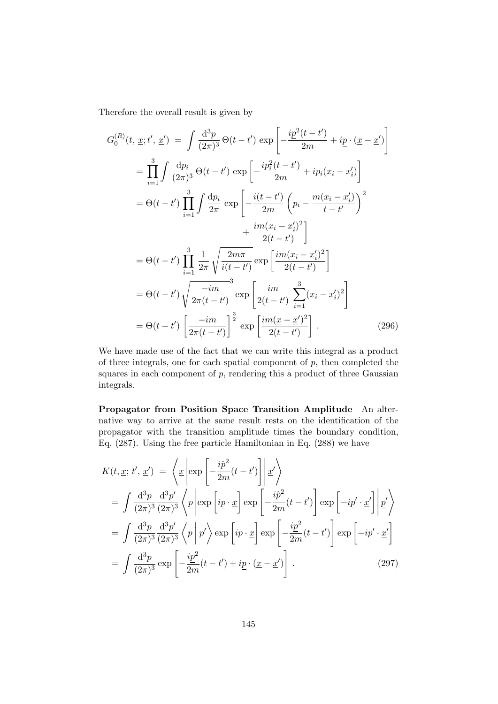Therefore the overall result is given by

$$
G_0^{(R)}(t, \underline{x}; t', \underline{x}') = \int \frac{d^3 p}{(2\pi)^3} \Theta(t - t') \exp\left[-\frac{ip^2(t - t')}{2m} + ip \cdot (\underline{x} - \underline{x}')\right]
$$
  
\n
$$
= \prod_{i=1}^3 \int \frac{dp_i}{(2\pi)^3} \Theta(t - t') \exp\left[-\frac{ip_i^2(t - t')}{2m} + ip_i(x_i - x'_i)\right]
$$
  
\n
$$
= \Theta(t - t') \prod_{i=1}^3 \int \frac{dp_i}{2\pi} \exp\left[-\frac{i(t - t')}{2m} \left(p_i - \frac{m(x_i - x'_i)}{t - t'}\right)^2 + \frac{im(x_i - x'_i)^2}{2(t - t')}\right]
$$
  
\n
$$
= \Theta(t - t') \prod_{i=1}^3 \frac{1}{2\pi} \sqrt{\frac{2m\pi}{i(t - t')}} \exp\left[\frac{im(x_i - x'_i)^2}{2(t - t')}\right]
$$
  
\n
$$
= \Theta(t - t') \sqrt{\frac{-im}{2\pi(t - t')}} \exp\left[\frac{im}{2(t - t')}\sum_{i=1}^3 (x_i - x'_i)^2\right]
$$
  
\n
$$
= \Theta(t - t') \left[\frac{-im}{2\pi(t - t')}\right]^{\frac{3}{2}} \exp\left[\frac{im(\underline{x} - \underline{x}')^2}{2(t - t')}\right].
$$
 (296)

We have made use of the fact that we can write this integral as a product of three integrals, one for each spatial component of  $p$ , then completed the squares in each component of  $p$ , rendering this a product of three Gaussian integrals.

Propagator from Position Space Transition Amplitude An alternative way to arrive at the same result rests on the identification of the propagator with the transition amplitude times the boundary condition, Eq. (287). Using the free particle Hamiltonian in Eq. (288) we have

$$
K(t, \underline{x}; t', \underline{x}') = \left\langle \underline{x} \left| \exp\left[ -\frac{i\hat{p}^2}{2m}(t - t') \right] \middle| \underline{x}' \right\rangle \right\}
$$
  
\n
$$
= \int \frac{d^3 p}{(2\pi)^3} \frac{d^3 p'}{(2\pi)^3} \left\langle \underline{p} \left| \exp\left[ i\underline{p} \cdot \underline{x} \right] \exp\left[ -\frac{i\hat{p}^2}{2m}(t - t') \right] \exp\left[ -i\underline{p}' \cdot \underline{x}' \right] \middle| \underline{p}' \right\rangle
$$
  
\n
$$
= \int \frac{d^3 p}{(2\pi)^3} \frac{d^3 p'}{(2\pi)^3} \left\langle \underline{p} \left| \underline{p}' \right\rangle \exp\left[ i\underline{p} \cdot \underline{x} \right] \exp\left[ -\frac{i\underline{p}^2}{2m}(t - t') \right] \exp\left[ -i\underline{p}' \cdot \underline{x}' \right]
$$
  
\n
$$
= \int \frac{d^3 p}{(2\pi)^3} \exp\left[ -\frac{i\underline{p}^2}{2m}(t - t') + i\underline{p} \cdot (\underline{x} - \underline{x}') \right].
$$
 (297)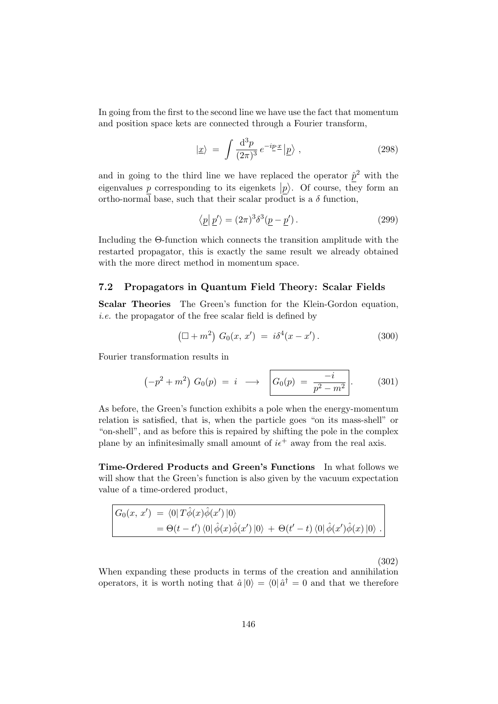In going from the first to the second line we have use the fact that momentum and position space kets are connected through a Fourier transform,

$$
|\underline{x}\rangle = \int \frac{\mathrm{d}^3 p}{(2\pi)^3} e^{-ip\underline{x}} |\underline{p}\rangle , \qquad (298)
$$

and in going to the third line we have replaced the operator  $\hat{p}^2$  with the eigenvalues  $\frac{p}{p}$  corresponding to its eigenkets  $|p\rangle$ . Of course, they form an ortho-normal base, such that their scalar product is a  $\delta$  function.

$$
\langle \underline{p} | \underline{p}' \rangle = (2\pi)^3 \delta^3 (\underline{p} - \underline{p}') . \tag{299}
$$

Including the Θ-function which connects the transition amplitude with the restarted propagator, this is exactly the same result we already obtained with the more direct method in momentum space.

### 7.2 Propagators in Quantum Field Theory: Scalar Fields

Scalar Theories The Green's function for the Klein-Gordon equation, i.e. the propagator of the free scalar field is defined by

$$
(\Box + m^2) G_0(x, x') = i\delta^4(x - x'). \qquad (300)
$$

Fourier transformation results in

$$
(-p^{2} + m^{2}) G_{0}(p) = i \longrightarrow \left[ G_{0}(p) = \frac{-i}{p^{2} - m^{2}} \right].
$$
 (301)

As before, the Green's function exhibits a pole when the energy-momentum relation is satisfied, that is, when the particle goes "on its mass-shell" or "on-shell", and as before this is repaired by shifting the pole in the complex plane by an infinitesimally small amount of  $i\epsilon^+$  away from the real axis.

Time-Ordered Products and Green's Functions In what follows we will show that the Green's function is also given by the vacuum expectation value of a time-ordered product,

$$
G_0(x, x') = \langle 0 | T\hat{\phi}(x)\hat{\phi}(x') | 0 \rangle
$$
  
=  $\Theta(t - t') \langle 0 | \hat{\phi}(x)\hat{\phi}(x') | 0 \rangle + \Theta(t' - t) \langle 0 | \hat{\phi}(x')\hat{\phi}(x) | 0 \rangle$ .

(302)

When expanding these products in terms of the creation and annihilation operators, it is worth noting that  $\hat{a}|0\rangle = \langle 0|\hat{a}^{\dagger} = 0$  and that we therefore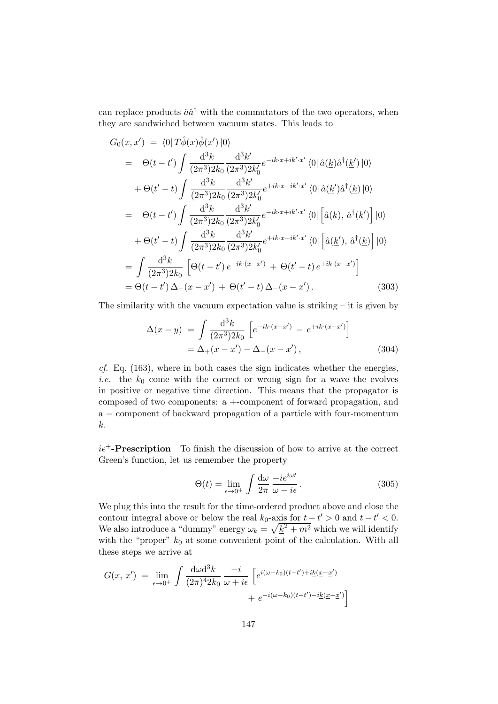can replace products  $\hat{a}\hat{a}^{\dagger}$  with the commutators of the two operators, when they are sandwiched between vacuum states. This leads to

$$
G_{0}(x, x') = \langle 0 | T \hat{\phi}(x) \hat{\phi}(x') | 0 \rangle
$$
  
\n
$$
= \Theta(t - t') \int \frac{d^{3}k}{(2\pi^{3}) 2k_{0}} \frac{d^{3}k'}{(2\pi^{3}) 2k'_{0}} e^{-ik \cdot x + ik' \cdot x'} \langle 0 | \hat{a}(\underline{k}) \hat{a}^{\dagger}(\underline{k}') | 0 \rangle
$$
  
\n
$$
+ \Theta(t' - t) \int \frac{d^{3}k}{(2\pi^{3}) 2k_{0}} \frac{d^{3}k'}{(2\pi^{3}) 2k'_{0}} e^{+ik \cdot x - ik' \cdot x'} \langle 0 | \hat{a}(\underline{k}') \hat{a}^{\dagger}(\underline{k}) | 0 \rangle
$$
  
\n
$$
= \Theta(t - t') \int \frac{d^{3}k}{(2\pi^{3}) 2k_{0}} \frac{d^{3}k'}{(2\pi^{3}) 2k'_{0}} e^{-ik \cdot x + ik' \cdot x'} \langle 0 | [\hat{a}(\underline{k}), \hat{a}^{\dagger}(\underline{k}')] | 0 \rangle
$$
  
\n
$$
+ \Theta(t' - t) \int \frac{d^{3}k}{(2\pi^{3}) 2k_{0}} \frac{d^{3}k'}{(2\pi^{3}) 2k'_{0}} e^{+ik \cdot x - ik' \cdot x'} \langle 0 | [\hat{a}(\underline{k}'), \hat{a}^{\dagger}(\underline{k})] | 0 \rangle
$$
  
\n
$$
= \int \frac{d^{3}k}{(2\pi^{3}) 2k_{0}} [\Theta(t - t') e^{-ik \cdot (x - x')} + \Theta(t' - t) e^{+ik \cdot (x - x')}]
$$
  
\n
$$
= \Theta(t - t') \Delta_{+}(x - x') + \Theta(t' - t) \Delta_{-}(x - x'). \qquad (303)
$$

The similarity with the vacuum expectation value is striking – it is given by

$$
\Delta(x - y) = \int \frac{d^3k}{(2\pi^3)2k_0} \left[ e^{-ik \cdot (x - x')} - e^{+ik \cdot (x - x')} \right]
$$
  
=  $\Delta_+(x - x') - \Delta_-(x - x')$ , (304)

 $cf.$  Eq.  $(163)$ , where in both cases the sign indicates whether the energies, *i.e.* the  $k_0$  come with the correct or wrong sign for a wave the evolves in positive or negative time direction. This means that the propagator is composed of two components: a +-component of forward propagation, and a − component of backward propagation of a particle with four-momentum k.

 $i\epsilon^+$ -**Prescription** To finish the discussion of how to arrive at the correct Green's function, let us remember the property

$$
\Theta(t) = \lim_{\epsilon \to 0^+} \int \frac{\mathrm{d}\omega}{2\pi} \frac{-ie^{i\omega t}}{\omega - i\epsilon} \,. \tag{305}
$$

We plug this into the result for the time-ordered product above and close the contour integral above or below the real  $k_0$ -axis for  $t - t' > 0$  and  $t - t' < 0$ . We also introduce a "dummy" energy  $\omega_k = \sqrt{\underline{k}^2 + m^2}$  which we will identify with the "proper"  $k_0$  at some convenient point of the calculation. With all these steps we arrive at

$$
G(x, x') = \lim_{\epsilon \to 0^+} \int \frac{d\omega d^3k}{(2\pi)^4 2k_0} \frac{-i}{\omega + i\epsilon} \left[ e^{i(\omega - k_0)(t - t') + i\underline{k}(\underline{x} - \underline{x}')}\n+ e^{-i(\omega - k_0)(t - t') - i\underline{k}(\underline{x} - \underline{x}')}\n\right]
$$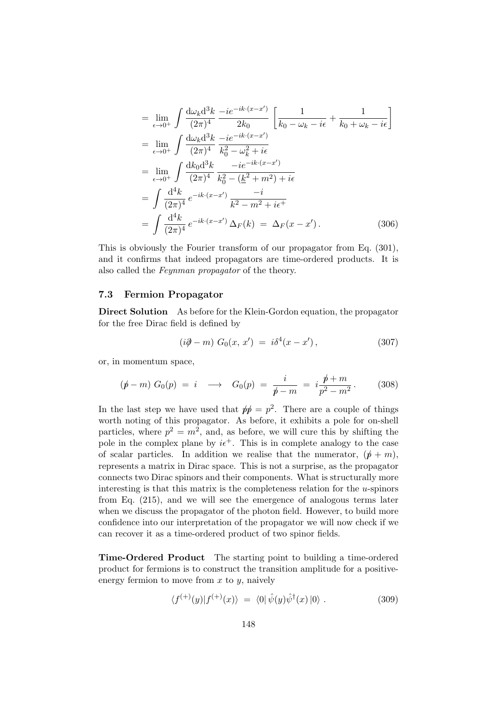$$
= \lim_{\epsilon \to 0^{+}} \int \frac{d\omega_{k} d^{3}k}{(2\pi)^{4}} \frac{-ie^{-ik \cdot (x-x')}}{2k_{0}} \left[ \frac{1}{k_{0} - \omega_{k} - i\epsilon} + \frac{1}{k_{0} + \omega_{k} - i\epsilon} \right]
$$
  
\n
$$
= \lim_{\epsilon \to 0^{+}} \int \frac{d\omega_{k} d^{3}k}{(2\pi)^{4}} \frac{-ie^{-ik \cdot (x-x')}}{k_{0}^{2} - \omega_{k}^{2} + i\epsilon}
$$
  
\n
$$
= \lim_{\epsilon \to 0^{+}} \int \frac{dk_{0} d^{3}k}{(2\pi)^{4}} \frac{-ie^{-ik \cdot (x-x')}}{k_{0}^{2} - (\underline{k}^{2} + m^{2}) + i\epsilon}
$$
  
\n
$$
= \int \frac{d^{4}k}{(2\pi)^{4}} e^{-ik \cdot (x-x')} \frac{-i}{k^{2} - m^{2} + i\epsilon^{+}}
$$
  
\n
$$
= \int \frac{d^{4}k}{(2\pi)^{4}} e^{-ik \cdot (x-x')} \Delta_{F}(k) = \Delta_{F}(x - x'). \qquad (306)
$$

This is obviously the Fourier transform of our propagator from Eq. (301), and it confirms that indeed propagators are time-ordered products. It is also called the Feynman propagator of the theory.

#### 7.3 Fermion Propagator

Direct Solution As before for the Klein-Gordon equation, the propagator for the free Dirac field is defined by

$$
(i\partial \hspace{-0.25cm} / -m) G_0(x, x') = i\delta^4(x - x'), \hspace{1cm} (307)
$$

or, in momentum space,

$$
(\not p - m) G_0(p) = i \longrightarrow G_0(p) = \frac{i}{\not p - m} = i \frac{\not p + m}{p^2 - m^2}.
$$
 (308)

In the last step we have used that  $p'p = p^2$ . There are a couple of things worth noting of this propagator. As before, it exhibits a pole for on-shell particles, where  $p^2 = m^2$ , and, as before, we will cure this by shifting the pole in the complex plane by  $i\epsilon^+$ . This is in complete analogy to the case of scalar particles. In addition we realise that the numerator,  $(p + m)$ , represents a matrix in Dirac space. This is not a surprise, as the propagator connects two Dirac spinors and their components. What is structurally more interesting is that this matrix is the completeness relation for the  $u$ -spinors from Eq. (215), and we will see the emergence of analogous terms later when we discuss the propagator of the photon field. However, to build more confidence into our interpretation of the propagator we will now check if we can recover it as a time-ordered product of two spinor fields.

Time-Ordered Product The starting point to building a time-ordered product for fermions is to construct the transition amplitude for a positiveenergy fermion to move from  $x$  to  $y$ , naively

$$
\langle f^{(+)}(y)|f^{(+)}(x)\rangle = \langle 0|\hat{\psi}(y)\hat{\psi}^{\dagger}(x)|0\rangle. \tag{309}
$$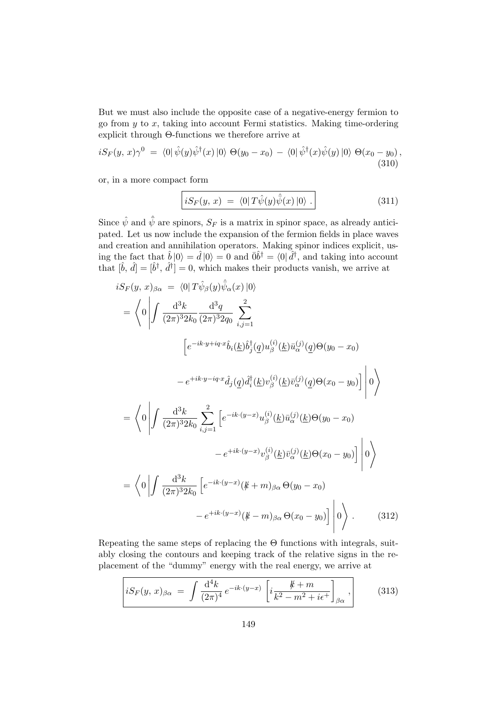But we must also include the opposite case of a negative-energy fermion to go from  $y$  to  $x$ , taking into account Fermi statistics. Making time-ordering explicit through Θ-functions we therefore arrive at

$$
iS_F(y, x)\gamma^0 = \langle 0|\hat{\psi}(y)\hat{\psi}^\dagger(x)|0\rangle \Theta(y_0 - x_0) - \langle 0|\hat{\psi}^\dagger(x)\hat{\psi}(y)|0\rangle \Theta(x_0 - y_0),
$$
\n(310)

or, in a more compact form

$$
iS_F(y, x) = \langle 0|T\hat{\psi}(y)\hat{\bar{\psi}}(x)|0\rangle . \qquad (311)
$$

Since  $\hat{\psi}$  and  $\hat{\bar{\psi}}$  are spinors,  $S_F$  is a matrix in spinor space, as already anticipated. Let us now include the expansion of the fermion fields in place waves and creation and annihilation operators. Making spinor indices explicit, using the fact that  $\hat{b}|0\rangle = \hat{d}|0\rangle = 0$  and  $\bar{0}\hat{b}^{\dagger} = \langle 0|\hat{d}^{\dagger}$ , and taking into account that  $[\hat{b}, \hat{d}] = [\hat{b}^{\dagger}, \hat{d}^{\dagger}] = 0$ , which makes their products vanish, we arrive at

$$
iS_F(y, x)_{\beta\alpha} = \langle 0 | T\hat{\psi}_{\beta}(y)\hat{\psi}_{\alpha}(x) | 0 \rangle
$$
  
\n
$$
= \langle 0 | \int \frac{d^3k}{(2\pi)^3 2k_0} \frac{d^3q}{(2\pi)^3 2q_0} \sum_{i,j=1}^2
$$
  
\n
$$
\left[ e^{-ik \cdot y + iq \cdot x} \hat{b}_i(\underline{k}) \hat{b}_j^{\dagger}(\underline{q}) u_{\beta}^{(i)}(\underline{k}) \bar{u}_{\alpha}^{(j)}(\underline{q}) \Theta(y_0 - x_0) - e^{+ik \cdot y - iq \cdot x} \hat{d}_j(\underline{q}) \hat{d}_i^{\dagger}(\underline{k}) v_{\beta}^{(i)}(\underline{k}) \bar{v}_{\alpha}^{(j)}(\underline{q}) \Theta(x_0 - y_0) \right] | 0 \rangle
$$
  
\n
$$
= \langle 0 | \int \frac{d^3k}{(2\pi)^3 2k_0} \sum_{i,j=1}^2 \left[ e^{-ik \cdot (y-x)} u_{\beta}^{(i)}(\underline{k}) \bar{u}_{\alpha}^{(j)}(\underline{k}) \Theta(y_0 - x_0) - e^{+ik \cdot (y-x)} v_{\beta}^{(i)}(\underline{k}) \bar{v}_{\alpha}^{(j)}(\underline{k}) \Theta(x_0 - y_0) \right] | 0 \rangle
$$
  
\n
$$
= \langle 0 | \int \frac{d^3k}{(2\pi)^3 2k_0} \left[ e^{-ik \cdot (y-x)} (\cancel{k} + m)_{\beta\alpha} \Theta(y_0 - x_0) - e^{+ik \cdot (y-x)} (\cancel{k} - m)_{\beta\alpha} \Theta(x_0 - y_0) \right] | 0 \rangle . \qquad (312)
$$

Repeating the same steps of replacing the Θ functions with integrals, suitably closing the contours and keeping track of the relative signs in the replacement of the "dummy" energy with the real energy, we arrive at

$$
iS_F(y, x)_{\beta\alpha} = \int \frac{d^4k}{(2\pi)^4} e^{-ik \cdot (y-x)} \left[ i \frac{k+m}{k^2 - m^2 + i\epsilon^+} \right]_{\beta\alpha}, \qquad (313)
$$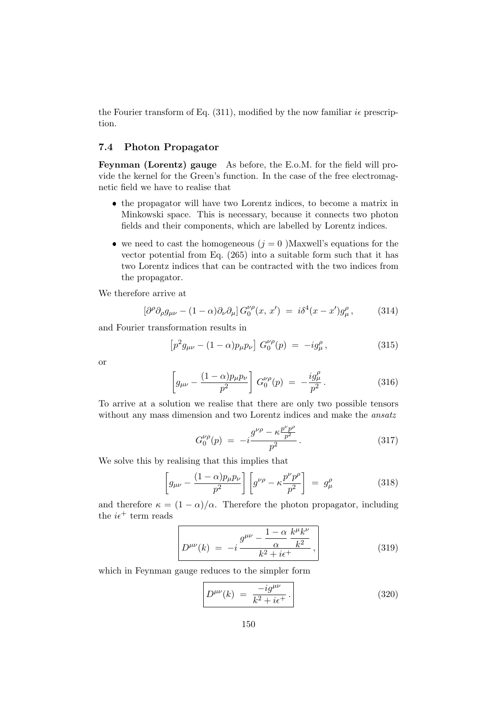the Fourier transform of Eq.  $(311)$ , modified by the now familiar *i* prescription.

## 7.4 Photon Propagator

Feynman (Lorentz) gauge As before, the E.o.M. for the field will provide the kernel for the Green's function. In the case of the free electromagnetic field we have to realise that

- the propagator will have two Lorentz indices, to become a matrix in Minkowski space. This is necessary, because it connects two photon fields and their components, which are labelled by Lorentz indices.
- we need to cast the homogeneous  $(j = 0)$  Maxwell's equations for the vector potential from Eq. (265) into a suitable form such that it has two Lorentz indices that can be contracted with the two indices from the propagator.

We therefore arrive at

$$
\left[\partial^{\rho}\partial_{\rho}g_{\mu\nu} - (1 - \alpha)\partial_{\nu}\partial_{\mu}\right]G_{0}^{\nu\rho}(x, x') = i\delta^{4}(x - x')g_{\mu}^{\rho},\qquad(314)
$$

and Fourier transformation results in

$$
\[p^2 g_{\mu\nu} - (1 - \alpha) p_{\mu} p_{\nu}\] G_0^{\nu\rho}(p) = -ig_{\mu}^{\rho}, \tag{315}
$$

or

$$
\left[g_{\mu\nu} - \frac{(1-\alpha)p_{\mu}p_{\nu}}{p^2}\right] G_0^{\nu\rho}(p) = -\frac{ig_{\mu}^{\rho}}{p^2}.
$$
 (316)

To arrive at a solution we realise that there are only two possible tensors without any mass dimension and two Lorentz indices and make the *ansatz* 

$$
G_0^{\nu\rho}(p) = -i \frac{g^{\nu\rho} - \kappa \frac{p^{\nu}p^{\rho}}{p^2}}{p^2}.
$$
 (317)

We solve this by realising that this implies that

$$
\left[g_{\mu\nu} - \frac{(1-\alpha)p_{\mu}p_{\nu}}{p^2}\right] \left[g^{\nu\rho} - \kappa \frac{p^{\nu}p^{\rho}}{p^2}\right] = g^{\rho}_{\mu} \tag{318}
$$

and therefore  $\kappa = (1 - \alpha)/\alpha$ . Therefore the photon propagator, including the  $i\epsilon^+$  term reads

$$
D^{\mu\nu}(k) = -i \frac{g^{\mu\nu} - \frac{1 - \alpha}{\alpha} \frac{k^{\mu} k^{\nu}}{k^2}}{k^2 + i\epsilon^+},
$$
\n(319)

which in Feynman gauge reduces to the simpler form

$$
D^{\mu\nu}(k) = \frac{-ig^{\mu\nu}}{k^2 + i\epsilon^+}.
$$
 (320)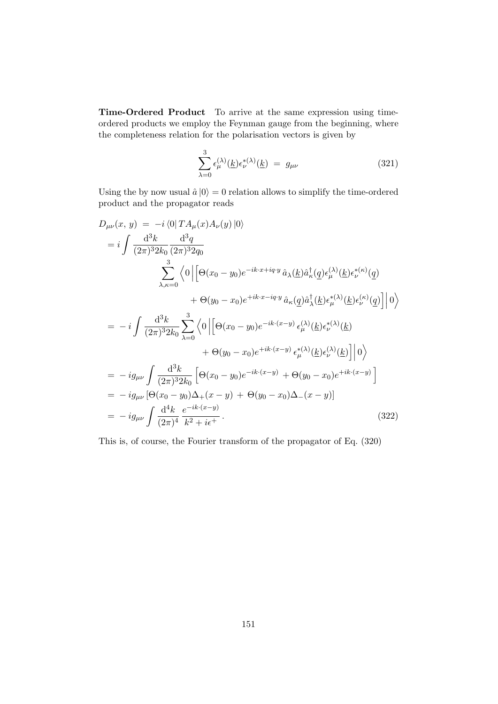Time-Ordered Product To arrive at the same expression using timeordered products we employ the Feynman gauge from the beginning, where the completeness relation for the polarisation vectors is given by

$$
\sum_{\lambda=0}^{3} \epsilon_{\mu}^{(\lambda)}(\underline{k}) \epsilon_{\nu}^{*(\lambda)}(\underline{k}) = g_{\mu\nu}
$$
 (321)

Using the by now usual  $\hat{a}|0\rangle = 0$  relation allows to simplify the time-ordered product and the propagator reads

$$
D_{\mu\nu}(x, y) = -i \langle 0 | TA_{\mu}(x)A_{\nu}(y) | 0 \rangle
$$
  
\n
$$
= i \int \frac{d^{3}k}{(2\pi)^{3}2k_{0}} \frac{d^{3}q}{(2\pi)^{3}2q_{0}}
$$
  
\n
$$
\sum_{\lambda,\kappa=0}^{3} \langle 0 | \left[ \Theta(x_{0} - y_{0})e^{-ik \cdot x + iq \cdot y} \hat{a}_{\lambda}(\underline{k})\hat{a}_{\kappa}^{\dagger}(\underline{q})\epsilon_{\mu}^{(\lambda)}(\underline{k})\epsilon_{\nu}^{*(\kappa)}(\underline{q}) + \Theta(y_{0} - x_{0})e^{+ik \cdot x - iq \cdot y} \hat{a}_{\kappa}(\underline{q})\hat{a}_{\lambda}^{\dagger}(\underline{k})\epsilon_{\mu}^{*(\lambda)}(\underline{k})\epsilon_{\nu}^{(\kappa)}(\underline{q}) \right] | 0 \rangle
$$
  
\n
$$
= -i \int \frac{d^{3}k}{(2\pi)^{3}2k_{0}} \sum_{\lambda=0}^{3} \langle 0 | \left[ \Theta(x_{0} - y_{0})e^{-ik \cdot (x-y)} \epsilon_{\mu}^{(\lambda)}(\underline{k})\epsilon_{\nu}^{*(\lambda)}(\underline{k}) + \Theta(y_{0} - x_{0})e^{+ik \cdot (x-y)} \epsilon_{\mu}^{*(\lambda)}(\underline{k})\epsilon_{\nu}^{(\lambda)}(\underline{k}) \right] | 0 \rangle
$$
  
\n
$$
= -ig_{\mu\nu} \int \frac{d^{3}k}{(2\pi)^{3}2k_{0}} \left[ \Theta(x_{0} - y_{0})e^{-ik \cdot (x-y)} + \Theta(y_{0} - x_{0})e^{+ik \cdot (x-y)} \right]
$$
  
\n
$$
= -ig_{\mu\nu} \int \frac{d^{4}k}{(2\pi)^{4}} \frac{e^{-ik \cdot (x-y)}}{k^{2} + i\epsilon^{+}}.
$$
  
\n(322)

This is, of course, the Fourier transform of the propagator of Eq. (320)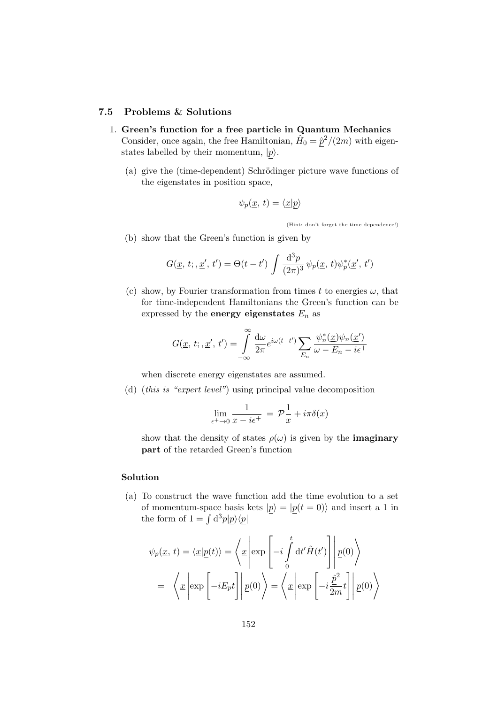#### 7.5 Problems & Solutions

- 1. Green's function for a free particle in Quantum Mechanics Consider, once again, the free Hamiltonian,  $\hat{H}_0 = \hat{p}^2/(2m)$  with eigenstates labelled by their momentum,  $|p\rangle$ .
	- (a) give the (time-dependent) Schrödinger picture wave functions of the eigenstates in position space,

$$
\psi_p(\underline{x}, t) = \langle \underline{x} | p \rangle
$$

(Hint: don't forget the time dependence!)

(b) show that the Green's function is given by

$$
G(\underline{x}, t; , \underline{x}', t') = \Theta(t - t') \int \frac{d^3 p}{(2\pi)^3} \psi_p(\underline{x}, t) \psi_p^*(\underline{x}', t')
$$

(c) show, by Fourier transformation from times t to energies  $\omega$ , that for time-independent Hamiltonians the Green's function can be expressed by the **energy eigenstates**  $E_n$  as

$$
G(\underline{x}, t; , \underline{x}', t') = \int_{-\infty}^{\infty} \frac{d\omega}{2\pi} e^{i\omega(t-t')} \sum_{E_n} \frac{\psi_n^*(\underline{x})\psi_n(\underline{x}')}{\omega - E_n - i\epsilon^+}
$$

when discrete energy eigenstates are assumed.

(d) (this is "expert level") using principal value decomposition

$$
\lim_{\epsilon^+ \to 0} \frac{1}{x - i\epsilon^+} = \mathcal{P} \frac{1}{x} + i\pi \delta(x)
$$

show that the density of states  $\rho(\omega)$  is given by the **imaginary** part of the retarded Green's function

## Solution

(a) To construct the wave function add the time evolution to a set of momentum-space basis kets  $|p\rangle = |p(t = 0)\rangle$  and insert a 1 in the form of  $1 = \int d^3p|p\rangle\langle p|$ 

$$
\psi_p(\underline{x}, t) = \langle \underline{x} | \underline{p}(t) \rangle = \langle \underline{x} \left| \exp\left[ -i \int_0^t dt' \hat{H}(t') \right] \middle| \underline{p}(0) \rangle
$$

$$
= \langle \underline{x} \left| \exp\left[ -iE_p t \right] \middle| \underline{p}(0) \rangle \rangle = \langle \underline{x} \left| \exp\left[ -i \frac{\hat{p}^2}{2m} t \right] \middle| \underline{p}(0) \rangle \rangle
$$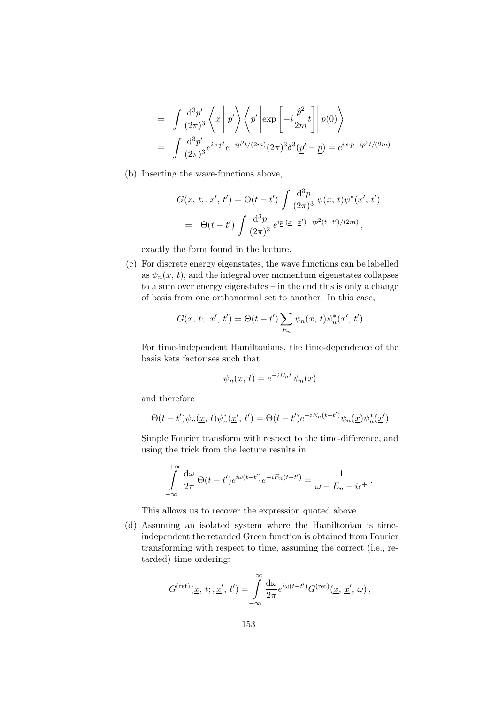$$
= \int \frac{d^3 p'}{(2\pi)^3} \left\langle \underline{x} \middle| \underline{p'} \right\rangle \left\langle \underline{p'} \middle| \exp\left[-i\frac{\hat{p}^2}{2m}t\right] \middle| \underline{p}(0) \right\rangle
$$
  

$$
= \int \frac{d^3 p'}{(2\pi)^3} e^{i\underline{x} \cdot \underline{p'}} e^{-ip^2 t/(2m)} (2\pi)^3 \delta^3(\underline{p'} - \underline{p}) = e^{i\underline{x} \cdot \underline{p} - ip^2 t/(2m)}
$$

(b) Inserting the wave-functions above,

$$
G(\underline{x}, t; , \underline{x}', t') = \Theta(t - t') \int \frac{d^3 p}{(2\pi)^3} \psi(\underline{x}, t) \psi^*(\underline{x}', t')
$$
  
=  $\Theta(t - t') \int \frac{d^3 p}{(2\pi)^3} e^{i\underline{p} \cdot (\underline{x} - \underline{x}') - i p^2 (t - t')/(2m)},$ 

exactly the form found in the lecture.

(c) For discrete energy eigenstates, the wave functions can be labelled as  $\psi_n(x, t)$ , and the integral over momentum eigenstates collapses to a sum over energy eigenstates – in the end this is only a change of basis from one orthonormal set to another. In this case,

$$
G(\underline{x}, t; \underline{x}', t') = \Theta(t - t') \sum_{E_n} \psi_n(\underline{x}, t) \psi_n^*(\underline{x}', t')
$$

For time-independent Hamiltonians, the time-dependence of the basis kets factorises such that

$$
\psi_n(\underline{x}, t) = e^{-iE_n t} \psi_n(\underline{x})
$$

and therefore

$$
\Theta(t-t')\psi_n(\underline{x},t)\psi_n^*(\underline{x}',t') = \Theta(t-t')e^{-iE_n(t-t')}\psi_n(\underline{x})\psi_n^*(\underline{x}')
$$

Simple Fourier transform with respect to the time-difference, and using the trick from the lecture results in

$$
\int_{-\infty}^{+\infty} \frac{d\omega}{2\pi} \Theta(t-t') e^{i\omega(t-t')} e^{-iE_n(t-t')} = \frac{1}{\omega - E_n - i\epsilon^+}.
$$

This allows us to recover the expression quoted above.

(d) Assuming an isolated system where the Hamiltonian is timeindependent the retarded Green function is obtained from Fourier transforming with respect to time, assuming the correct (i.e., retarded) time ordering:

$$
G^{(\mathrm{ret})}(\underline{x}, t; , \underline{x}', t') = \int_{-\infty}^{\infty} \frac{\mathrm{d}\omega}{2\pi} e^{i\omega(t-t')} G^{(\mathrm{ret})}(\underline{x}, \underline{x}', \omega) ,
$$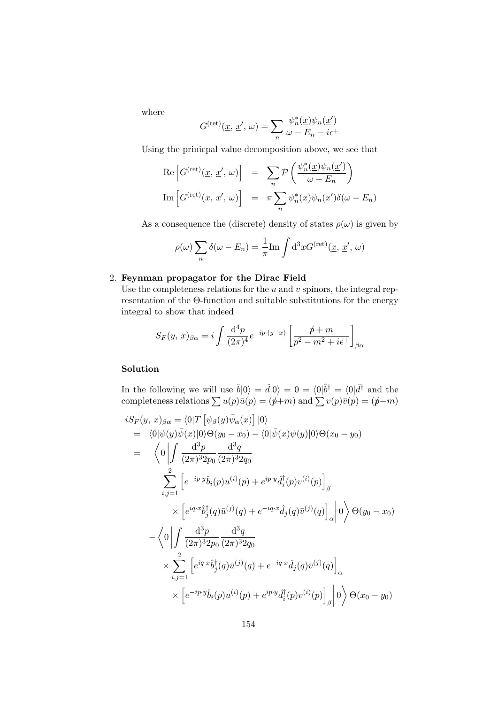where

$$
G^{(\mathrm{ret})}(\underline{x}, \underline{x}', \omega) = \sum_{n} \frac{\psi_n^*(\underline{x}) \psi_n(\underline{x}')}{\omega - E_n - i\epsilon^+}
$$

Using the prinicpal value decomposition above, we see that

Re 
$$
\left[G^{(\text{ret})}(\underline{x}, \underline{x}', \omega)\right] = \sum_{n} \mathcal{P}\left(\frac{\psi_n^*(\underline{x})\psi_n(\underline{x}')}{\omega - E_n}\right)
$$
  
Im  $\left[G^{(\text{ret})}(\underline{x}, \underline{x}', \omega)\right] = \pi \sum_{n} \psi_n^*(\underline{x})\psi_n(\underline{x}')\delta(\omega - E_n)$ 

As a consequence the (discrete) density of states  $\rho(\omega)$  is given by

$$
\rho(\omega) \sum_{n} \delta(\omega - E_n) = \frac{1}{\pi} \text{Im} \int d^3x G^{(\text{ret})}(\underline{x}, \underline{x}', \omega)
$$

#### 2. Feynman propagator for the Dirac Field

Use the completeness relations for the  $u$  and  $v$  spinors, the integral representation of the Θ-function and suitable substitutions for the energy integral to show that indeed

$$
S_F(y, x)_{\beta\alpha} = i \int \frac{\mathrm{d}^4 p}{(2\pi)^4} e^{-ip \cdot (y-x)} \left[ \frac{\rlap/v}{p^2 - m^2 + i\epsilon^+} \right]_{\beta\alpha}
$$

### Solution

In the following we will use  $\hat{b}|0\rangle = \hat{d}|0\rangle = 0 = \langle 0|\hat{b}^{\dagger} = \langle 0|\hat{d}^{\dagger} \rangle$  and the completeness relations  $\sum u(p)\bar{u}(p) = (p+m)$  and  $\sum v(p)\bar{v}(p) = (p-m)$ 

$$
iS_F(y, x)_{\beta\alpha} = \langle 0|T [\psi_{\beta}(y)\bar{\psi}_{\alpha}(x)] |0\rangle
$$
  
\n
$$
= \langle 0|\psi(y)\bar{\psi}(x)|0\rangle\Theta(y_0 - x_0) - \langle 0|\bar{\psi}(x)\psi(y)|0\rangle\Theta(x_0 - y_0)
$$
  
\n
$$
= \langle 0| \int \frac{d^3p}{(2\pi)^3 2p_0} \frac{d^3q}{(2\pi)^3 2q_0}
$$
  
\n
$$
\sum_{i,j=1}^2 \left[ e^{-ip \cdot y} \hat{b}_i(p) u^{(i)}(p) + e^{ip \cdot y} \hat{d}_i^{\dagger}(p) v^{(i)}(p) \right]_{\beta}
$$
  
\n
$$
\times \left[ e^{iq \cdot x} \hat{b}_j^{\dagger}(q) \bar{u}^{(j)}(q) + e^{-iq \cdot x} \hat{d}_j(q) \bar{v}^{(j)}(q) \right]_{\alpha} |0\rangle \Theta(y_0 - x_0)
$$
  
\n
$$
- \langle 0| \int \frac{d^3p}{(2\pi)^3 2p_0} \frac{d^3q}{(2\pi)^3 2q_0}
$$
  
\n
$$
\times \sum_{i,j=1}^2 \left[ e^{iq \cdot x} \hat{b}_j^{\dagger}(q) \bar{u}^{(j)}(q) + e^{-iq \cdot x} \hat{d}_j(q) \bar{v}^{(j)}(q) \right]_{\alpha}
$$
  
\n
$$
\times \left[ e^{-ip \cdot y} \hat{b}_i(p) u^{(i)}(p) + e^{ip \cdot y} \hat{d}_i^{\dagger}(p) v^{(i)}(p) \right]_{\beta} |0\rangle \Theta(x_0 - y_0)
$$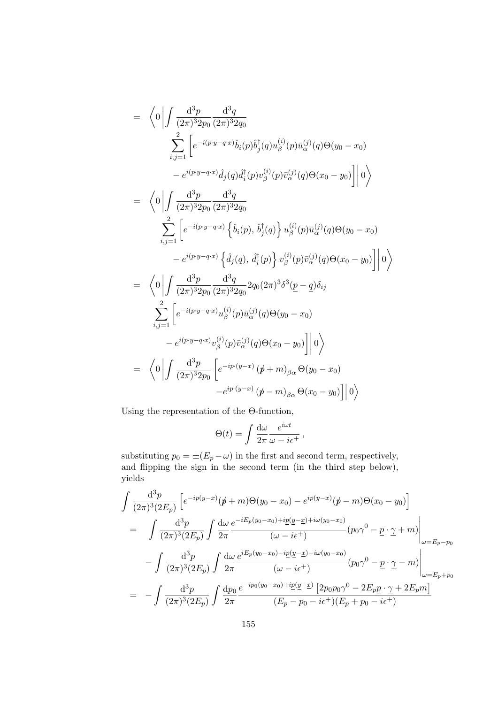$$
= \left\langle 0 \left| \int \frac{d^3 p}{(2\pi)^3 2p_0} \frac{d^3 q}{(2\pi)^3 2q_0} \right. \left. \sum_{i,j=1}^{2} \left[ e^{-i(p \cdot y - q \cdot x)} \hat{b}_i(p) \hat{b}_j^{\dagger}(q) u_{\beta}^{(i)}(p) \bar{u}_{\alpha}^{(j)}(q) \Theta(y_0 - x_0) \right. \right. \left. - e^{i(p \cdot y - q \cdot x)} \hat{d}_j(q) \hat{d}_i^{\dagger}(p) v_{\beta}^{(i)}(p) \bar{v}_{\alpha}^{(j)}(q) \Theta(x_0 - y_0) \right] \right| 0 \right\rangle
$$
  
\n
$$
= \left\langle 0 \left| \int \frac{d^3 p}{(2\pi)^3 2p_0} \frac{d^3 q}{(2\pi)^3 2q_0} \right. \left. \sum_{i,j=1}^{2} \left[ e^{-i(p \cdot y - q \cdot x)} \left\{ \hat{b}_i(p), \hat{b}_j^{\dagger}(q) \right\} u_{\beta}^{(i)}(p) \bar{u}_{\alpha}^{(j)}(q) \Theta(y_0 - x_0) \right. \right. \left. - e^{i(p \cdot y - q \cdot x)} \left\{ \hat{d}_j(q), \hat{d}_i^{\dagger}(p) \right\} v_{\beta}^{(i)}(p) \bar{v}_{\alpha}^{(j)}(q) \Theta(x_0 - y_0) \right] \right| 0 \right\rangle
$$
  
\n
$$
= \left\langle 0 \left| \int \frac{d^3 p}{(2\pi)^3 2p_0} \frac{d^3 q}{(2\pi)^3 2q_0} 2q_0(2\pi)^3 \delta^3(p - q) \delta_{ij} \right. \left. \sum_{i,j=1}^{2} \left[ e^{-i(p \cdot y - q \cdot x)} u_{\beta}^{(i)}(p) \bar{u}_{\alpha}^{(j)}(q) \Theta(y_0 - x_0) \right. \left. - e^{i(p \cdot y - q \cdot x)} u_{\beta}^{(i)}(p) \bar{v}_{\alpha}^{(j)}(q) \Theta(x_0 - y_0) \right] \right| 0 \right\rangle
$$
  
\n
$$
= \left\langle 0 \left| \int \frac{d^3 p}{
$$

Using the representation of the Θ-function,

$$
\Theta(t) = \int \frac{\mathrm{d}\omega}{2\pi} \frac{e^{i\omega t}}{\omega - i\epsilon^+} \,,
$$

substituting  $p_0 = \pm (E_p - \omega)$  in the first and second term, respectively, and flipping the sign in the second term (in the third step below), yields

$$
\int \frac{d^3 p}{(2\pi)^3 (2E_p)} \left[ e^{-ip(y-x)} (\not p + m) \Theta(y_0 - x_0) - e^{ip(y-x)} (\not p - m) \Theta(x_0 - y_0) \right]
$$
\n
$$
= \int \frac{d^3 p}{(2\pi)^3 (2E_p)} \int \frac{d\omega}{2\pi} \frac{e^{-iE_p(y_0 - x_0) + i\underline{p}(\underline{y} - \underline{x}) + i\omega(y_0 - x_0)}}{(\omega - i\epsilon^+)} (\rho_0 \gamma^0 - \underline{p} \cdot \underline{\gamma} + m) \Big|_{\omega = E_p - p_0}
$$
\n
$$
- \int \frac{d^3 p}{(2\pi)^3 (2E_p)} \int \frac{d\omega}{2\pi} \frac{e^{iE_p(y_0 - x_0) - i\underline{p}(\underline{y} - \underline{x}) - i\omega(y_0 - x_0)}}{(\omega - i\epsilon^+)} (\rho_0 \gamma^0 - \underline{p} \cdot \underline{\gamma} - m) \Big|_{\omega = E_p + p_0}
$$
\n
$$
= - \int \frac{d^3 p}{(2\pi)^3 (2E_p)} \int \frac{dp_0}{2\pi} \frac{e^{-ip_0(y_0 - x_0) + ip(\underline{y} - \underline{x})} [2p_0 p_0 \gamma^0 - 2E_p \underline{p} \cdot \underline{\gamma} + 2E_p m]}{(E_p - p_0 - i\epsilon^+) (E_p + p_0 - i\epsilon^+)}
$$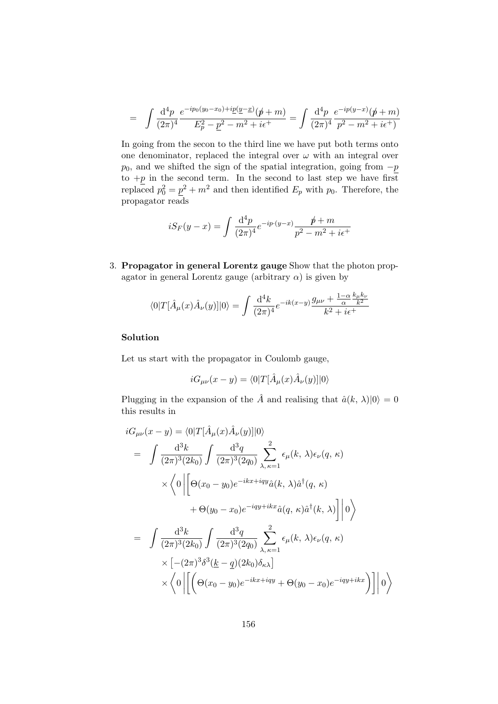$$
= \int \frac{\mathrm{d}^4 p}{(2\pi)^4} \frac{e^{-ip_0(y_0-x_0)+ip(\underline{y}-\underline{x})}(\cancel{p}+m)}{E_p^2 - \underline{p}^2 - m^2 + i\epsilon^+} = \int \frac{\mathrm{d}^4 p}{(2\pi)^4} \frac{e^{-ip(y-x)}(\cancel{p}+m)}{p^2 - m^2 + i\epsilon^+}
$$

In going from the secon to the third line we have put both terms onto one denominator, replaced the integral over  $\omega$  with an integral over  $p_0$ , and we shifted the sign of the spatial integration, going from  $-p$ to  $+p$  in the second term. In the second to last step we have first replaced  $p_0^2 = \underline{p}^2 + m^2$  and then identified  $E_p$  with  $p_0$ . Therefore, the propagator reads

$$
iS_F(y-x) = \int \frac{d^4p}{(2\pi)^4} e^{-ip \cdot (y-x)} \frac{p+m}{p^2 - m^2 + i\epsilon^+}
$$

3. Propagator in general Lorentz gauge Show that the photon propagator in general Lorentz gauge (arbitrary  $\alpha$ ) is given by

$$
\langle 0|T[\hat{A}_{\mu}(x)\hat{A}_{\nu}(y)]|0\rangle = \int \frac{\mathrm{d}^4 k}{(2\pi)^4} e^{-ik(x-y)} \frac{g_{\mu\nu} + \frac{1-\alpha}{\alpha}\frac{k_{\mu}k_{\nu}}{k^2}}{k^2 + i\epsilon^+}
$$

#### Solution

Let us start with the propagator in Coulomb gauge,

$$
iG_{\mu\nu}(x-y) = \langle 0|T[\hat{A}_{\mu}(x)\hat{A}_{\nu}(y)]|0\rangle
$$

Plugging in the expansion of the  $\hat{A}$  and realising that  $\hat{a}(k, \lambda)|0\rangle = 0$ this results in

$$
iG_{\mu\nu}(x - y) = \langle 0|T[\hat{A}_{\mu}(x)\hat{A}_{\nu}(y)]|0\rangle
$$
  
\n
$$
= \int \frac{d^3k}{(2\pi)^3(2k_0)} \int \frac{d^3q}{(2\pi)^3(2q_0)} \sum_{\lambda,\kappa=1}^2 \epsilon_{\mu}(k,\lambda)\epsilon_{\nu}(q,\kappa)
$$
  
\n
$$
\times \langle 0| \left[ \Theta(x_0 - y_0)e^{-ikx+iqy}\hat{a}(k,\lambda)\hat{a}^\dagger(q,\kappa) + \Theta(y_0 - x_0)e^{-iqy+ikx}\hat{a}(q,\kappa)\hat{a}^\dagger(k,\lambda) \right] |0\rangle
$$
  
\n
$$
= \int \frac{d^3k}{(2\pi)^3(2k_0)} \int \frac{d^3q}{(2\pi)^3(2q_0)} \sum_{\lambda,\kappa=1}^2 \epsilon_{\mu}(k,\lambda)\epsilon_{\nu}(q,\kappa)
$$
  
\n
$$
\times \left[ -(2\pi)^3\delta^3(\underline{k} - \underline{q})(2k_0)\delta_{\kappa\lambda} \right]
$$
  
\n
$$
\times \langle 0| \left[ \left( \Theta(x_0 - y_0)e^{-ikx+iqy} + \Theta(y_0 - x_0)e^{-iqy+ikx} \right) \right] |0\rangle
$$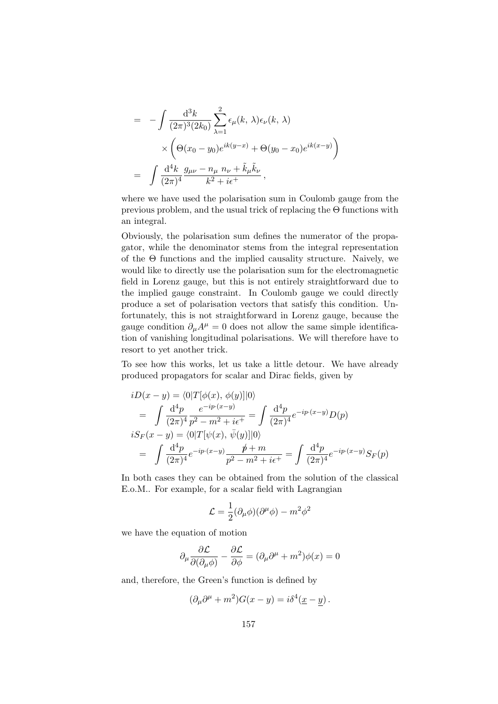$$
= - \int \frac{d^3k}{(2\pi)^3 (2k_0)} \sum_{\lambda=1}^2 \epsilon_\mu(k, \lambda) \epsilon_\nu(k, \lambda)
$$
  
 
$$
\times \left( \Theta(x_0 - y_0) e^{ik(y-x)} + \Theta(y_0 - x_0) e^{ik(x-y)} \right)
$$
  

$$
= \int \frac{d^4k}{(2\pi)^4} \frac{g_{\mu\nu} - n_\mu n_\nu + \tilde{k}_\mu \tilde{k}_\nu}{k^2 + i\epsilon^+},
$$

where we have used the polarisation sum in Coulomb gauge from the previous problem, and the usual trick of replacing the  $\Theta$  functions with an integral.

Obviously, the polarisation sum defines the numerator of the propagator, while the denominator stems from the integral representation of the  $\Theta$  functions and the implied causality structure. Naively, we would like to directly use the polarisation sum for the electromagnetic field in Lorenz gauge, but this is not entirely straightforward due to the implied gauge constraint. In Coulomb gauge we could directly produce a set of polarisation vectors that satisfy this condition. Unfortunately, this is not straightforward in Lorenz gauge, because the gauge condition  $\partial_{\mu}A^{\mu} = 0$  does not allow the same simple identification of vanishing longitudinal polarisations. We will therefore have to resort to yet another trick.

To see how this works, let us take a little detour. We have already produced propagators for scalar and Dirac fields, given by

$$
iD(x - y) = \langle 0|T[\phi(x), \phi(y)]|0\rangle
$$
  
=  $\int \frac{d^4p}{(2\pi)^4} \frac{e^{-ip \cdot (x-y)}}{p^2 - m^2 + i\epsilon^+} = \int \frac{d^4p}{(2\pi)^4} e^{-ip \cdot (x-y)} D(p)$   

$$
iS_F(x - y) = \langle 0|T[\psi(x), \bar{\psi}(y)]|0\rangle
$$
  
=  $\int \frac{d^4p}{(2\pi)^4} e^{-ip \cdot (x-y)} \frac{p+m}{p^2 - m^2 + i\epsilon^+} = \int \frac{d^4p}{(2\pi)^4} e^{-ip \cdot (x-y)} S_F(p)$ 

In both cases they can be obtained from the solution of the classical E.o.M.. For example, for a scalar field with Lagrangian

$$
\mathcal{L} = \frac{1}{2} (\partial_{\mu} \phi)(\partial^{\mu} \phi) - m^2 \phi^2
$$

we have the equation of motion

$$
\partial_{\mu} \frac{\partial \mathcal{L}}{\partial(\partial_{\mu}\phi)} - \frac{\partial \mathcal{L}}{\partial \phi} = (\partial_{\mu}\partial^{\mu} + m^{2})\phi(x) = 0
$$

and, therefore, the Green's function is defined by

$$
(\partial_{\mu}\partial^{\mu} + m^{2})G(x - y) = i\delta^{4}(\underline{x} - \underline{y}).
$$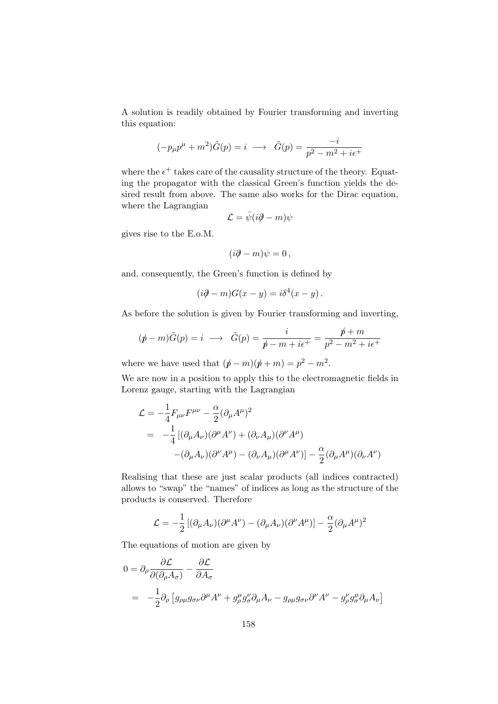A solution is readily obtained by Fourier transforming and inverting this equation:

$$
(-p_{\mu}p^{\mu} + m^2)\tilde{G}(p) = i \longrightarrow \tilde{G}(p) = \frac{-i}{p^2 - m^2 + i\epsilon^+}
$$

where the  $\epsilon^+$  takes care of the causality structure of the theory. Equating the propagator with the classical Green's function yields the desired result from above. The same also works for the Dirac equation, where the Lagrangian

$$
\mathcal{L} = \bar{\psi}(i\partial \!\!\!/- m)\psi
$$

gives rise to the E.o.M.

$$
(i\partial\!\!\!/-m)\psi=0\,,
$$

and, consequently, the Green's function is defined by

$$
(i\partial - m)G(x - y) = i\delta^{4}(x - y).
$$

As before the solution is given by Fourier transforming and inverting,

$$
(\not p - m)\tilde{G}(p) = i \longrightarrow \tilde{G}(p) = \frac{i}{\not p - m + i\epsilon^{+}} = \frac{\not p + m}{p^{2} - m^{2} + i\epsilon^{+}}
$$

where we have used that  $(p - m)(p + m) = p^2 - m^2$ .

We are now in a position to apply this to the electromagnetic fields in Lorenz gauge, starting with the Lagrangian

$$
\mathcal{L} = -\frac{1}{4} F_{\mu\nu} F^{\mu\nu} - \frac{\alpha}{2} (\partial_{\mu} A^{\mu})^2
$$
  
= 
$$
-\frac{1}{4} [(\partial_{\mu} A_{\nu})(\partial^{\mu} A^{\nu}) + (\partial_{\nu} A_{\mu})(\partial^{\nu} A^{\mu})
$$

$$
-(\partial_{\mu} A_{\nu})(\partial^{\nu} A^{\mu}) - (\partial_{\nu} A_{\mu})(\partial^{\mu} A^{\nu})] - \frac{\alpha}{2} (\partial_{\mu} A^{\mu})(\partial_{\nu} A^{\nu})
$$

Realising that these are just scalar products (all indices contracted) allows to "swap" the "names" of indices as long as the structure of the products is conserved. Therefore

$$
\mathcal{L} = -\frac{1}{2} \left[ (\partial_{\mu} A_{\nu}) (\partial^{\mu} A^{\nu}) - (\partial_{\mu} A_{\nu}) (\partial^{\nu} A^{\mu}) \right] - \frac{\alpha}{2} (\partial_{\mu} A^{\mu})^2
$$

The equations of motion are given by

$$
0 = \partial_{\rho} \frac{\partial \mathcal{L}}{\partial(\partial_{\rho} A_{\sigma})} - \frac{\partial \mathcal{L}}{\partial A_{\sigma}}
$$
  
= 
$$
-\frac{1}{2} \partial_{\rho} \left[ g_{\rho \mu} g_{\sigma \nu} \partial^{\mu} A^{\nu} + g_{\rho}^{\mu} g_{\sigma}^{\nu} \partial_{\mu} A_{\nu} - g_{\rho \mu} g_{\sigma \nu} \partial^{\nu} A^{\nu} - g_{\rho}^{\nu} g_{\sigma}^{\mu} \partial_{\mu} A_{\nu} \right]
$$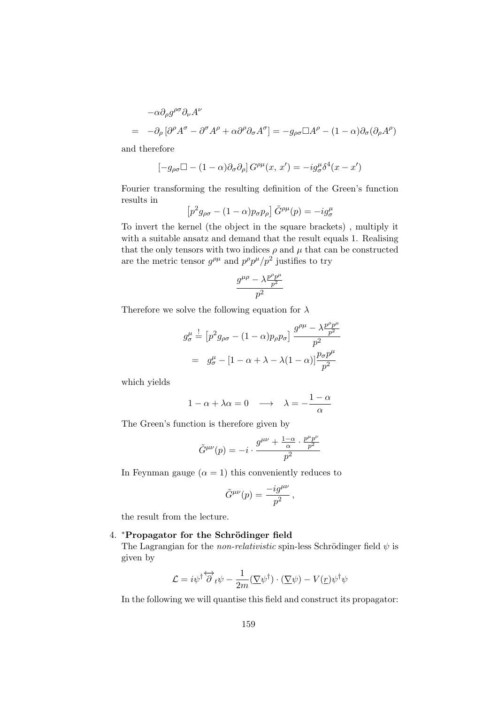$$
-\alpha \partial_{\rho} g^{\rho \sigma} \partial_{\nu} A^{\nu}
$$
  
=  $-\partial_{\rho} [\partial^{\rho} A^{\sigma} - \partial^{\sigma} A^{\rho} + \alpha \partial^{\rho} \partial_{\sigma} A^{\sigma}] = -g_{\rho \sigma} \Box A^{\rho} - (1 - \alpha) \partial_{\sigma} (\partial_{\rho} A^{\rho})$ 

and therefore

$$
[-g_{\rho\sigma}\Box - (1-\alpha)\partial_{\sigma}\partial_{\rho}]G^{\rho\mu}(x, x') = -ig_{\sigma}^{\mu}\delta^{4}(x - x')
$$

Fourier transforming the resulting definition of the Green's function results in

$$
\left[p^2g_{\rho\sigma} - (1-\alpha)p_{\sigma}p_{\rho}\right]\tilde{G}^{\rho\mu}(p) = -ig^{\mu}_{\sigma}
$$

To invert the kernel (the object in the square brackets) , multiply it with a suitable ansatz and demand that the result equals 1. Realising that the only tensors with two indices  $\rho$  and  $\mu$  that can be constructed are the metric tensor  $g^{\rho\mu}$  and  $p^{\rho}p^{\mu}/p^2$  justifies to try

$$
\frac{g^{\mu\rho}-\lambda\frac{p^\rho p^\mu}{p^2}}{p^2}
$$

Therefore we solve the following equation for  $\lambda$ 

$$
g_{\sigma}^{\mu} \stackrel{!}{=} \left[ p^2 g_{\rho\sigma} - (1 - \alpha)p_{\rho}p_{\sigma} \right] \frac{g^{\rho\mu} - \lambda \frac{p^{\rho}p^{\mu}}{p^2}}{p^2}
$$

$$
= g_{\sigma}^{\mu} - \left[ 1 - \alpha + \lambda - \lambda(1 - \alpha) \right] \frac{p_{\sigma}p^{\mu}}{p^2}
$$

which yields

$$
1 - \alpha + \lambda \alpha = 0 \quad \longrightarrow \quad \lambda = -\frac{1 - \alpha}{\alpha}
$$

The Green's function is therefore given by

$$
\tilde{G}^{\mu\nu}(p) = -i \cdot \frac{g^{\mu\nu} + \frac{1-\alpha}{\alpha} \cdot \frac{p^{\mu}p^{\nu}}{p^2}}{p^2}
$$

In Feynman gauge  $(\alpha = 1)$  this conveniently reduces to

$$
\tilde{G}^{\mu\nu}(p) = \frac{-ig^{\mu\nu}}{p^2} \,,
$$

the result from the lecture.

## 4. \*Propagator for the Schrödinger field

The Lagrangian for the *non-relativistic* spin-less Schrödinger field  $\psi$  is given by

$$
\mathcal{L} = i \psi^{\dagger} \overleftrightarrow{\partial}_{t} \psi - \frac{1}{2m} (\underline{\nabla} \psi^{\dagger}) \cdot (\underline{\nabla} \psi) - V(\underline{r}) \psi^{\dagger} \psi
$$

In the following we will quantise this field and construct its propagator: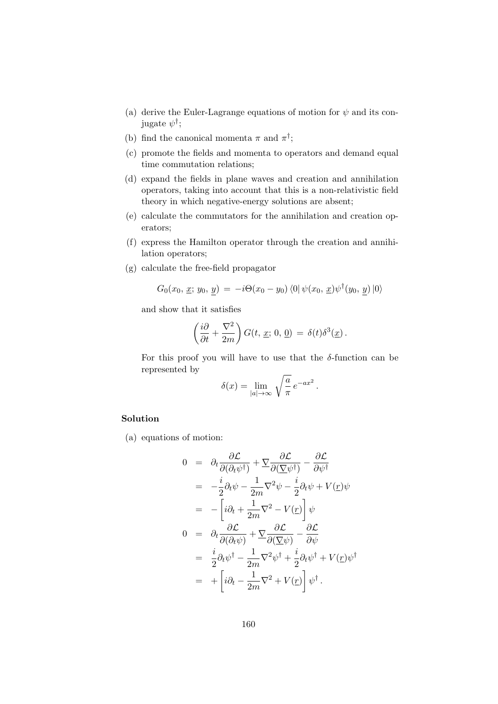- (a) derive the Euler-Lagrange equations of motion for  $\psi$  and its conjugate  $\psi^{\dagger}$ ;
- (b) find the canonical momenta  $\pi$  and  $\pi^{\dagger}$ ;
- (c) promote the fields and momenta to operators and demand equal time commutation relations;
- (d) expand the fields in plane waves and creation and annihilation operators, taking into account that this is a non-relativistic field theory in which negative-energy solutions are absent;
- (e) calculate the commutators for the annihilation and creation operators;
- (f) express the Hamilton operator through the creation and annihilation operators;
- (g) calculate the free-field propagator

$$
G_0(x_0, \underline{x}; y_0, y) = -i\Theta(x_0 - y_0) \langle 0 | \psi(x_0, \underline{x}) \psi^{\dagger}(y_0, y) | 0 \rangle
$$

and show that it satisfies

$$
\left(\frac{i\partial}{\partial t} + \frac{\nabla^2}{2m}\right) G(t, \underline{x}; 0, \underline{0}) = \delta(t)\delta^3(\underline{x}).
$$

For this proof you will have to use that the  $\delta$ -function can be represented by

$$
\delta(x) = \lim_{|a| \to \infty} \sqrt{\frac{a}{\pi}} e^{-ax^2}.
$$

## Solution

(a) equations of motion:

$$
0 = \partial_t \frac{\partial \mathcal{L}}{\partial(\partial_t \psi^{\dagger})} + \nabla \frac{\partial \mathcal{L}}{\partial(\nabla \psi^{\dagger})} - \frac{\partial \mathcal{L}}{\partial \psi^{\dagger}}
$$
  
\n
$$
= -\frac{i}{2}\partial_t \psi - \frac{1}{2m}\nabla^2 \psi - \frac{i}{2}\partial_t \psi + V(\underline{r})\psi
$$
  
\n
$$
= -\left[i\partial_t + \frac{1}{2m}\nabla^2 - V(\underline{r})\right]\psi
$$
  
\n
$$
0 = \partial_t \frac{\partial \mathcal{L}}{\partial(\partial_t \psi)} + \nabla \frac{\partial \mathcal{L}}{\partial(\nabla \psi)} - \frac{\partial \mathcal{L}}{\partial \psi}
$$
  
\n
$$
= \frac{i}{2}\partial_t \psi^{\dagger} - \frac{1}{2m}\nabla^2 \psi^{\dagger} + \frac{i}{2}\partial_t \psi^{\dagger} + V(\underline{r})\psi^{\dagger}
$$
  
\n
$$
= +\left[i\partial_t - \frac{1}{2m}\nabla^2 + V(\underline{r})\right]\psi^{\dagger}.
$$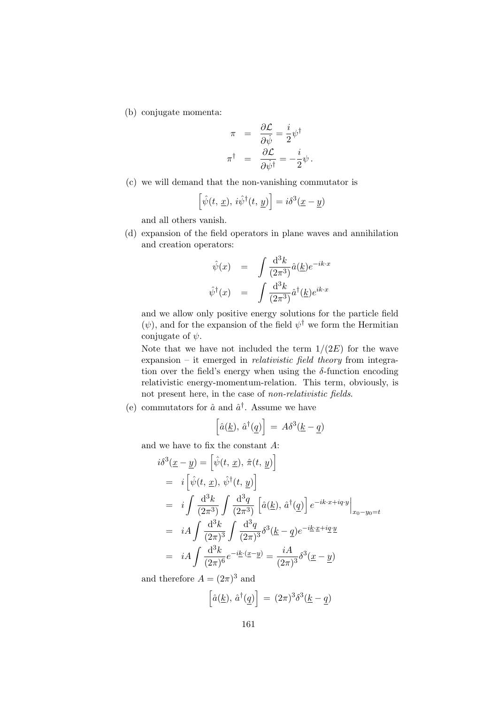(b) conjugate momenta:

$$
\pi = \frac{\partial \mathcal{L}}{\partial \dot{\psi}} = \frac{i}{2} \psi^{\dagger}
$$

$$
\pi^{\dagger} = \frac{\partial \mathcal{L}}{\partial \dot{\psi}^{\dagger}} = -\frac{i}{2} \psi.
$$

(c) we will demand that the non-vanishing commutator is

$$
\left[\hat{\psi}(t, \underline{x}), i\hat{\psi}^{\dagger}(t, \underline{y})\right] = i\delta^3(\underline{x} - \underline{y})
$$

and all others vanish.

(d) expansion of the field operators in plane waves and annihilation and creation operators:

$$
\hat{\psi}(x) = \int \frac{\mathrm{d}^3 k}{(2\pi^3)} \hat{a}(\underline{k}) e^{-ik \cdot x}
$$
  

$$
\hat{\psi}^{\dagger}(x) = \int \frac{\mathrm{d}^3 k}{(2\pi^3)} \hat{a}^{\dagger}(\underline{k}) e^{ik \cdot x}
$$

and we allow only positive energy solutions for the particle field  $(\psi)$ , and for the expansion of the field  $\psi^{\dagger}$  we form the Hermitian conjugate of  $\psi$ .

Note that we have not included the term  $1/(2E)$  for the wave expansion – it emerged in relativistic field theory from integration over the field's energy when using the  $\delta$ -function encoding relativistic energy-momentum-relation. This term, obviously, is not present here, in the case of non-relativistic fields.

(e) commutators for  $\hat{a}$  and  $\hat{a}^{\dagger}$ . Assume we have

$$
\left[\hat{a}(\underline{k}), \hat{a}^\dagger(\underline{q})\right] = A\delta^3(\underline{k} - \underline{q})
$$

and we have to fix the constant A:

$$
i\delta^3(\underline{x} - \underline{y}) = \left[\hat{\psi}(t, \underline{x}), \hat{\pi}(t, \underline{y})\right]
$$
  
\n
$$
= i\left[\hat{\psi}(t, \underline{x}), \hat{\psi}^\dagger(t, \underline{y})\right]
$$
  
\n
$$
= i\int \frac{d^3k}{(2\pi^3)} \int \frac{d^3q}{(2\pi^3)} \left[\hat{a}(\underline{k}), \hat{a}^\dagger(\underline{q})\right] e^{-ik \cdot x + iq \cdot y} \Big|_{x_0 - y_0 = t}
$$
  
\n
$$
= iA \int \frac{d^3k}{(2\pi)^3} \int \frac{d^3q}{(2\pi)^3} \delta^3(\underline{k} - \underline{q}) e^{-i\underline{k} \cdot \underline{x} + i\underline{q} \cdot \underline{y}}
$$
  
\n
$$
= iA \int \frac{d^3k}{(2\pi)^6} e^{-i\underline{k} \cdot (\underline{x} - \underline{y})} = \frac{iA}{(2\pi)^3} \delta^3(\underline{x} - \underline{y})
$$

and therefore  $A = (2\pi)^3$  and

$$
\left[\hat{a}(\underline{k}), \hat{a}^\dagger(\underline{q})\right] = (2\pi)^3 \delta^3(\underline{k} - \underline{q})
$$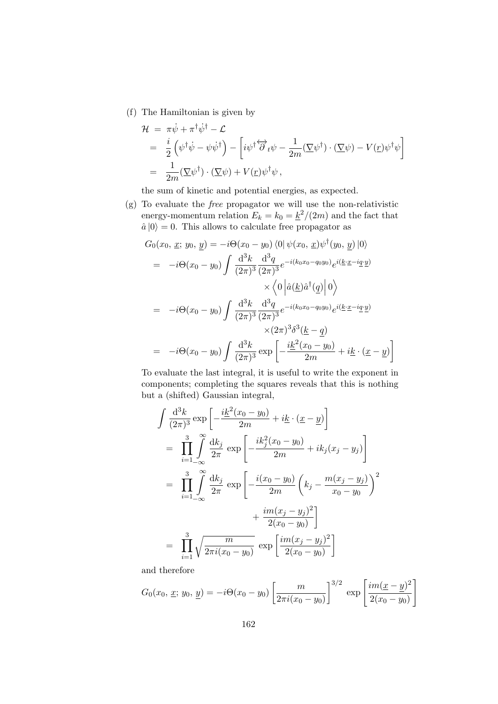(f) The Hamiltonian is given by

$$
\mathcal{H} = \pi \dot{\psi} + \pi^{\dagger} \dot{\psi}^{\dagger} - \mathcal{L}
$$
\n
$$
= \frac{i}{2} (\psi^{\dagger} \dot{\psi} - \psi \dot{\psi}^{\dagger}) - \left[ i \psi^{\dagger} \overleftrightarrow{\partial}_t \psi - \frac{1}{2m} (\Sigma \psi^{\dagger}) \cdot (\Sigma \psi) - V(\underline{r}) \psi^{\dagger} \psi \right]
$$
\n
$$
= \frac{1}{2m} (\Sigma \psi^{\dagger}) \cdot (\Sigma \psi) + V(\underline{r}) \psi^{\dagger} \psi ,
$$

the sum of kinetic and potential energies, as expected.

(g) To evaluate the free propagator we will use the non-relativistic energy-momentum relation  $E_k = k_0 = \frac{k^2}{2m}$  and the fact that  $\hat{a}|0\rangle = 0$ . This allows to calculate free propagator as

$$
G_0(x_0, \underline{x}; y_0, \underline{y}) = -i\Theta(x_0 - y_0) \langle 0 | \psi(x_0, \underline{x})\psi^{\dagger}(y_0, \underline{y}) | 0 \rangle
$$
  
\n
$$
= -i\Theta(x_0 - y_0) \int \frac{d^3k}{(2\pi)^3} \frac{d^3q}{(2\pi)^3} e^{-i(k_0x_0 - q_0y_0)} e^{i(\underline{k}\cdot \underline{x} - i\underline{q}\cdot \underline{y})}
$$
  
\n
$$
\times \langle 0 | \hat{a}(\underline{k})\hat{a}^{\dagger}(\underline{q}) | 0 \rangle
$$
  
\n
$$
= -i\Theta(x_0 - y_0) \int \frac{d^3k}{(2\pi)^3} \frac{d^3q}{(2\pi)^3} e^{-i(k_0x_0 - q_0y_0)} e^{i(\underline{k}\cdot \underline{x} - i\underline{q}\cdot \underline{y})}
$$
  
\n
$$
\times (2\pi)^3 \delta^3(\underline{k} - \underline{q})
$$
  
\n
$$
= -i\Theta(x_0 - y_0) \int \frac{d^3k}{(2\pi)^3} \exp\left[ -\frac{i\underline{k}^2(x_0 - y_0)}{2m} + i\underline{k} \cdot (\underline{x} - \underline{y}) \right]
$$

To evaluate the last integral, it is useful to write the exponent in components; completing the squares reveals that this is nothing but a (shifted) Gaussian integral,

$$
\int \frac{d^3k}{(2\pi)^3} \exp\left[-\frac{i\underline{k}^2(x_0 - y_0)}{2m} + i\underline{k} \cdot (\underline{x} - \underline{y})\right]
$$
\n
$$
= \prod_{i=1}^3 \int_{-\infty}^{\infty} \frac{dk_j}{2\pi} \exp\left[-\frac{i k_j^2(x_0 - y_0)}{2m} + i k_j(x_j - y_j)\right]
$$
\n
$$
= \prod_{i=1}^3 \int_{-\infty}^{\infty} \frac{dk_j}{2\pi} \exp\left[-\frac{i(x_0 - y_0)}{2m} \left(k_j - \frac{m(x_j - y_j)}{x_0 - y_0}\right)^2 + \frac{im(x_j - y_j)^2}{2(x_0 - y_0)}\right]
$$
\n
$$
= \prod_{i=1}^3 \sqrt{\frac{m}{2\pi i (x_0 - y_0)}} \exp\left[\frac{im(x_j - y_j)^2}{2(x_0 - y_0)}\right]
$$

and therefore

$$
G_0(x_0, \underline{x}; y_0, \underline{y}) = -i\Theta(x_0 - y_0) \left[ \frac{m}{2\pi i (x_0 - y_0)} \right]^{3/2} \exp \left[ \frac{im(\underline{x} - \underline{y})^2}{2(x_0 - y_0)} \right]
$$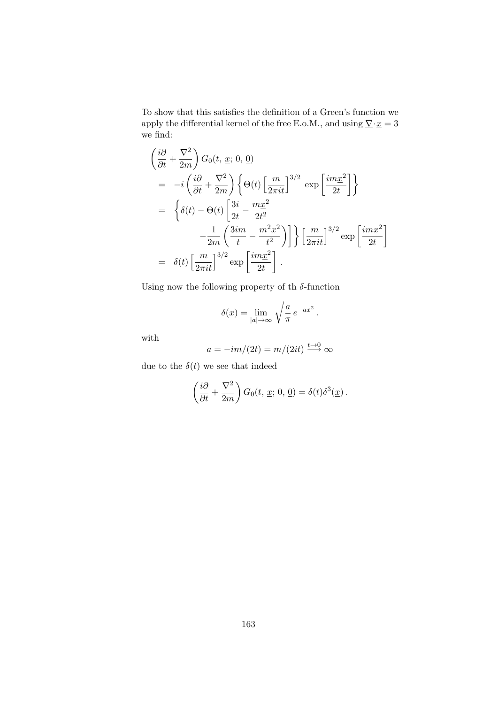To show that this satisfies the definition of a Green's function we apply the differential kernel of the free E.o.M., and using  $\underline{\nabla}\cdot \underline{x}=3$ we find:

$$
\begin{split}\n&\left(\frac{i\partial}{\partial t} + \frac{\nabla^2}{2m}\right) G_0(t, \underline{x}; 0, \underline{0}) \\
&= -i \left(\frac{i\partial}{\partial t} + \frac{\nabla^2}{2m}\right) \left\{\Theta(t) \left[\frac{m}{2\pi i t}\right]^{3/2} \exp\left[\frac{im\underline{x}^2}{2t}\right] \right\} \\
&= \left\{\delta(t) - \Theta(t) \left[\frac{3i}{2t} - \frac{m\underline{x}^2}{2t^2} - \frac{1}{2m} \left(\frac{3im}{t} - \frac{m^2\underline{x}^2}{t^2}\right)\right] \right\} \left[\frac{m}{2\pi i t}\right]^{3/2} \exp\left[\frac{im\underline{x}^2}{2t}\right] \\
&= \delta(t) \left[\frac{m}{2\pi i t}\right]^{3/2} \exp\left[\frac{im\underline{x}^2}{2t}\right].\n\end{split}
$$

Using now the following property of th $\delta\text{-function}$ 

$$
\delta(x) = \lim_{|a| \to \infty} \sqrt{\frac{a}{\pi}} e^{-ax^2}.
$$

with

$$
a = -im/(2t) = m/(2it) \xrightarrow{t \to 0} \infty
$$

due to the  $\delta(t)$  we see that indeed

$$
\left(\frac{i\partial}{\partial t} + \frac{\nabla^2}{2m}\right) G_0(t, \underline{x}; 0, \underline{0}) = \delta(t)\delta^3(\underline{x}).
$$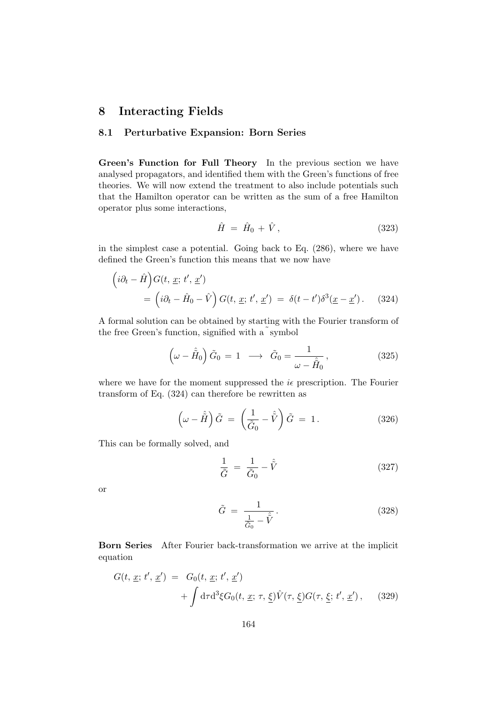# 8 Interacting Fields

## 8.1 Perturbative Expansion: Born Series

Green's Function for Full Theory In the previous section we have analysed propagators, and identified them with the Green's functions of free theories. We will now extend the treatment to also include potentials such that the Hamilton operator can be written as the sum of a free Hamilton operator plus some interactions,

$$
\hat{H} = \hat{H}_0 + \hat{V},\tag{323}
$$

in the simplest case a potential. Going back to Eq. (286), where we have defined the Green's function this means that we now have

$$
\left(i\partial_t - \hat{H}\right)G(t, \underline{x}; t', \underline{x}') = \left(i\partial_t - \hat{H}_0 - \hat{V}\right)G(t, \underline{x}; t', \underline{x}') = \delta(t - t')\delta^3(\underline{x} - \underline{x}'). \quad (324)
$$

A formal solution can be obtained by starting with the Fourier transform of the free Green's function, signified with a symbol

$$
\left(\omega - \hat{H}_0\right)\tilde{G}_0 = 1 \longrightarrow \tilde{G}_0 = \frac{1}{\omega - \hat{H}_0},\tag{325}
$$

where we have for the moment suppressed the  $i\epsilon$  prescription. The Fourier transform of Eq. (324) can therefore be rewritten as

$$
\left(\omega - \hat{\tilde{H}}\right)\tilde{G} = \left(\frac{1}{\tilde{G}_0} - \hat{\tilde{V}}\right)\tilde{G} = 1.
$$
\n(326)

This can be formally solved, and

$$
\frac{1}{\tilde{G}} = \frac{1}{\tilde{G}_0} - \hat{\tilde{V}} \tag{327}
$$

or

$$
\tilde{G} = \frac{1}{\frac{1}{\tilde{G}_0} - \tilde{V}}.
$$
\n(328)

Born Series After Fourier back-transformation we arrive at the implicit equation

$$
G(t, \underline{x}; t', \underline{x}') = G_0(t, \underline{x}; t', \underline{x}')
$$
  
+ 
$$
\int d\tau d^3 \xi G_0(t, \underline{x}; \tau, \underline{\xi}) \hat{V}(\tau, \underline{\xi}) G(\tau, \underline{\xi}; t', \underline{x}'), \quad (329)
$$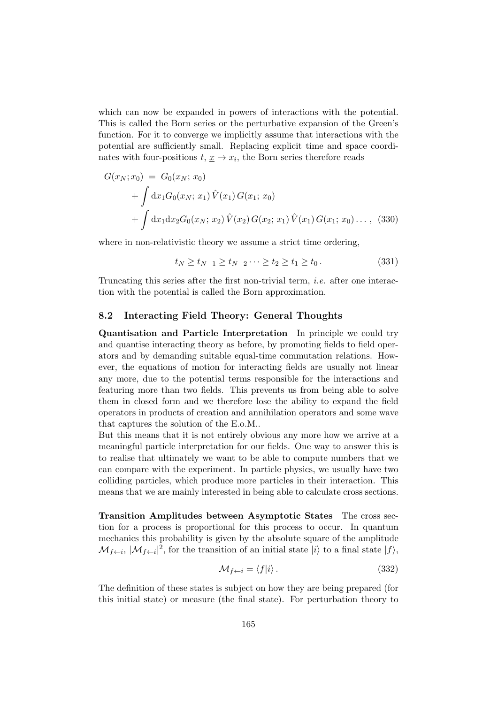which can now be expanded in powers of interactions with the potential. This is called the Born series or the perturbative expansion of the Green's function. For it to converge we implicitly assume that interactions with the potential are sufficiently small. Replacing explicit time and space coordinates with four-positions  $t, \underline{x} \to x_i$ , the Born series therefore reads

$$
G(x_N; x_0) = G_0(x_N; x_0)
$$
  
+  $\int dx_1 G_0(x_N; x_1) \hat{V}(x_1) G(x_1; x_0)$   
+  $\int dx_1 dx_2 G_0(x_N; x_2) \hat{V}(x_2) G(x_2; x_1) \hat{V}(x_1) G(x_1; x_0) \dots$ , (330)

where in non-relativistic theory we assume a strict time ordering,

$$
t_N \ge t_{N-1} \ge t_{N-2} \cdots \ge t_2 \ge t_1 \ge t_0. \tag{331}
$$

Truncating this series after the first non-trivial term, i.e. after one interaction with the potential is called the Born approximation.

#### 8.2 Interacting Field Theory: General Thoughts

Quantisation and Particle Interpretation In principle we could try and quantise interacting theory as before, by promoting fields to field operators and by demanding suitable equal-time commutation relations. However, the equations of motion for interacting fields are usually not linear any more, due to the potential terms responsible for the interactions and featuring more than two fields. This prevents us from being able to solve them in closed form and we therefore lose the ability to expand the field operators in products of creation and annihilation operators and some wave that captures the solution of the E.o.M..

But this means that it is not entirely obvious any more how we arrive at a meaningful particle interpretation for our fields. One way to answer this is to realise that ultimately we want to be able to compute numbers that we can compare with the experiment. In particle physics, we usually have two colliding particles, which produce more particles in their interaction. This means that we are mainly interested in being able to calculate cross sections.

Transition Amplitudes between Asymptotic States The cross section for a process is proportional for this process to occur. In quantum mechanics this probability is given by the absolute square of the amplitude  $\mathcal{M}_{f\leftarrow i}$ ,  $|\mathcal{M}_{f\leftarrow i}|^2$ , for the transition of an initial state  $|i\rangle$  to a final state  $|f\rangle$ ,

$$
\mathcal{M}_{f \leftarrow i} = \langle f | i \rangle. \tag{332}
$$

The definition of these states is subject on how they are being prepared (for this initial state) or measure (the final state). For perturbation theory to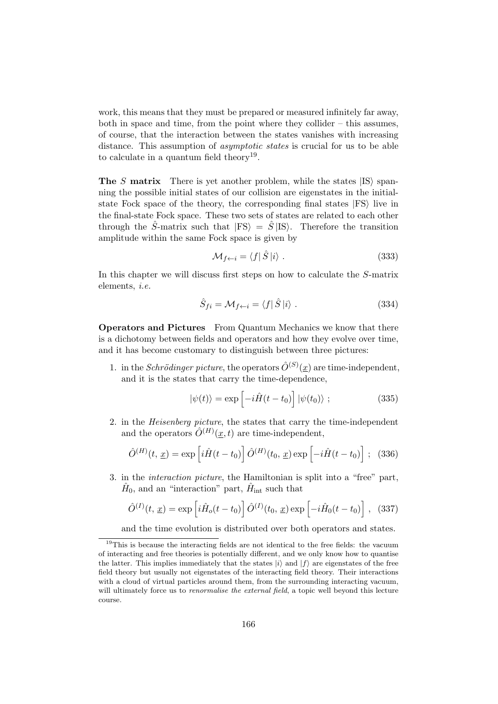work, this means that they must be prepared or measured infinitely far away, both in space and time, from the point where they collider – this assumes, of course, that the interaction between the states vanishes with increasing distance. This assumption of *asymptotic states* is crucial for us to be able to calculate in a quantum field theory<sup>19</sup>.

**The S matrix** There is yet another problem, while the states  $|IS\rangle$  spanning the possible initial states of our collision are eigenstates in the initialstate Fock space of the theory, the corresponding final states  $|FS\rangle$  live in the final-state Fock space. These two sets of states are related to each other through the  $\hat{S}$ -matrix such that  $|FS\rangle = \hat{S}|IS\rangle$ . Therefore the transition amplitude within the same Fock space is given by

$$
\mathcal{M}_{f \leftarrow i} = \langle f | \hat{S} | i \rangle . \tag{333}
$$

In this chapter we will discuss first steps on how to calculate the S-matrix elements, i.e.

$$
\hat{S}_{fi} = \mathcal{M}_{f \leftarrow i} = \langle f | \hat{S} | i \rangle . \tag{334}
$$

Operators and Pictures From Quantum Mechanics we know that there is a dichotomy between fields and operators and how they evolve over time, and it has become customary to distinguish between three pictures:

1. in the *Schrödinger picture*, the operators  $\hat{O}^{(S)}(\underline{x})$  are time-independent, and it is the states that carry the time-dependence,

$$
|\psi(t)\rangle = \exp\left[-i\hat{H}(t-t_0)\right]|\psi(t_0)\rangle ; \qquad (335)
$$

2. in the Heisenberg picture, the states that carry the time-independent and the operators  $\hat{O}^{(H)}(\underline{x},t)$  are time-independent,

$$
\hat{O}^{(H)}(t, \underline{x}) = \exp\left[i\hat{H}(t-t_0)\right]\hat{O}^{(H)}(t_0, \underline{x})\exp\left[-i\hat{H}(t-t_0)\right]; \quad (336)
$$

3. in the interaction picture, the Hamiltonian is split into a "free" part,  $\hat{H}_0$ , and an "interaction" part,  $\hat{H}_{int}$  such that

$$
\hat{O}^{(I)}(t, \underline{x}) = \exp\left[i\hat{H}_o(t - t_0)\right]\hat{O}^{(I)}(t_0, \underline{x})\exp\left[-i\hat{H}_0(t - t_0)\right], \quad (337)
$$

and the time evolution is distributed over both operators and states.

 $19$ This is because the interacting fields are not identical to the free fields: the vacuum of interacting and free theories is potentially different, and we only know how to quantise the latter. This implies immediately that the states  $|i\rangle$  and  $|f\rangle$  are eigenstates of the free field theory but usually not eigenstates of the interacting field theory. Their interactions with a cloud of virtual particles around them, from the surrounding interacting vacuum, will ultimately force us to *renormalise the external field*, a topic well beyond this lecture course.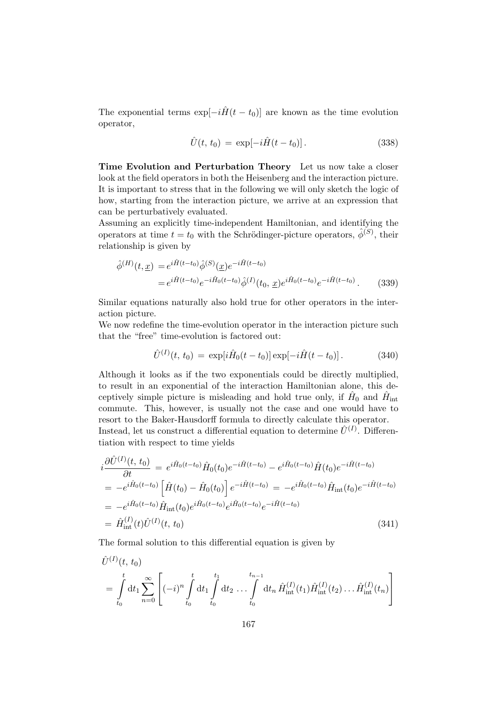The exponential terms  $\exp[-i\hat{H}(t - t_0)]$  are known as the time evolution operator,

$$
\hat{U}(t, t_0) = \exp[-i\hat{H}(t - t_0)].
$$
\n(338)

Time Evolution and Perturbation Theory Let us now take a closer look at the field operators in both the Heisenberg and the interaction picture. It is important to stress that in the following we will only sketch the logic of how, starting from the interaction picture, we arrive at an expression that can be perturbatively evaluated.

Assuming an explicitly time-independent Hamiltonian, and identifying the operators at time  $t = t_0$  with the Schrödinger-picture operators,  $\hat{\phi}^{(S)}$ , their relationship is given by

$$
\hat{\phi}^{(H)}(t, \underline{x}) = e^{i\hat{H}(t-t_0)} \hat{\phi}^{(S)}(\underline{x}) e^{-i\hat{H}(t-t_0)} \n= e^{i\hat{H}(t-t_0)} e^{-i\hat{H}_0(t-t_0)} \hat{\phi}^{(I)}(t_0, \underline{x}) e^{i\hat{H}_0(t-t_0)} e^{-i\hat{H}(t-t_0)}.
$$
\n(339)

Similar equations naturally also hold true for other operators in the interaction picture.

We now redefine the time-evolution operator in the interaction picture such that the "free" time-evolution is factored out:

$$
\hat{U}^{(I)}(t, t_0) = \exp[i\hat{H}_0(t - t_0)] \exp[-i\hat{H}(t - t_0)].
$$
\n(340)

Although it looks as if the two exponentials could be directly multiplied, to result in an exponential of the interaction Hamiltonian alone, this deceptively simple picture is misleading and hold true only, if  $\hat{H}_0$  and  $\hat{H}_{\text{int}}$ commute. This, however, is usually not the case and one would have to resort to the Baker-Hausdorff formula to directly calculate this operator. Instead, let us construct a differential equation to determine  $\hat{U}^{(I)}$ . Differentiation with respect to time yields

$$
i\frac{\partial \hat{U}^{(I)}(t, t_0)}{\partial t} = e^{i\hat{H}_0(t-t_0)}\hat{H}_0(t_0)e^{-i\hat{H}(t-t_0)} - e^{i\hat{H}_0(t-t_0)}\hat{H}(t_0)e^{-i\hat{H}(t-t_0)}
$$
  
\n
$$
= -e^{i\hat{H}_0(t-t_0)}\left[\hat{H}(t_0) - \hat{H}_0(t_0)\right]e^{-i\hat{H}(t-t_0)} = -e^{i\hat{H}_0(t-t_0)}\hat{H}_{int}(t_0)e^{-i\hat{H}(t-t_0)}
$$
  
\n
$$
= -e^{i\hat{H}_0(t-t_0)}\hat{H}_{int}(t_0)e^{i\hat{H}_0(t-t_0)}e^{i\hat{H}_0(t-t_0)}e^{-i\hat{H}(t-t_0)}
$$
  
\n
$$
= \hat{H}_{int}^{(I)}(t)\hat{U}^{(I)}(t, t_0)
$$
\n(341)

The formal solution to this differential equation is given by

$$
\hat{U}^{(I)}(t, t_0) = \int_{t_0}^t dt_1 \sum_{n=0}^{\infty} \left[ (-i)^n \int_{t_0}^t dt_1 \int_{t_0}^{t_1} dt_2 \dots \int_{t_0}^{t_{n-1}} dt_n \hat{H}_{int}^{(I)}(t_1) \hat{H}_{int}^{(I)}(t_2) \dots \hat{H}_{int}^{(I)}(t_n) \right]
$$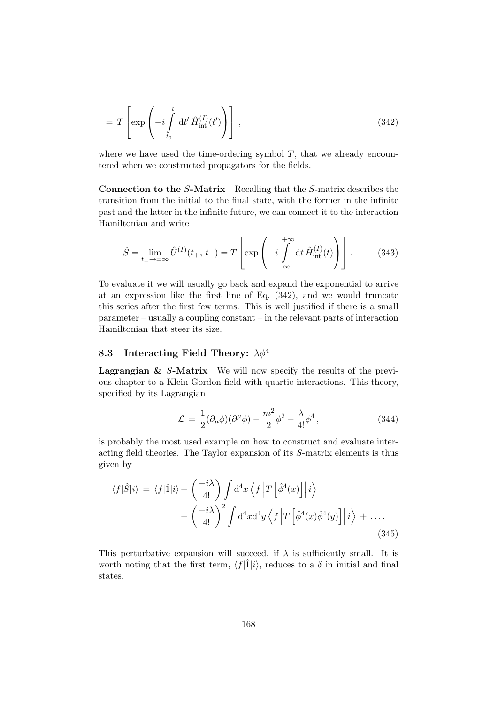$$
= T \left[ \exp \left( -i \int_{t_0}^t dt' \hat{H}_{\text{int}}^{(I)}(t') \right) \right], \qquad (342)
$$

where we have used the time-ordering symbol  $T$ , that we already encountered when we constructed propagators for the fields.

Connection to the S-Matrix Recalling that the S-matrix describes the transition from the initial to the final state, with the former in the infinite past and the latter in the infinite future, we can connect it to the interaction Hamiltonian and write

$$
\hat{S} = \lim_{t_{\pm} \to \pm \infty} \hat{U}^{(I)}(t_{+}, t_{-}) = T \left[ \exp \left( -i \int_{-\infty}^{+\infty} dt \, \hat{H}_{int}^{(I)}(t) \right) \right]. \tag{343}
$$

To evaluate it we will usually go back and expand the exponential to arrive at an expression like the first line of Eq. (342), and we would truncate this series after the first few terms. This is well justified if there is a small parameter – usually a coupling constant – in the relevant parts of interaction Hamiltonian that steer its size.

## 8.3 Interacting Field Theory:  $\lambda \phi^4$

**Lagrangian & S-Matrix** We will now specify the results of the previous chapter to a Klein-Gordon field with quartic interactions. This theory, specified by its Lagrangian

$$
\mathcal{L} = \frac{1}{2} (\partial_{\mu} \phi)(\partial^{\mu} \phi) - \frac{m^2}{2} \phi^2 - \frac{\lambda}{4!} \phi^4, \qquad (344)
$$

is probably the most used example on how to construct and evaluate interacting field theories. The Taylor expansion of its S-matrix elements is thus given by

$$
\langle f|\hat{S}|i\rangle = \langle f|\hat{1}|i\rangle + \left(\frac{-i\lambda}{4!}\right) \int d^4x \left\langle f \left| T\left[\hat{\phi}^4(x)\right] \right| i \right\rangle
$$
  
+ 
$$
\left(\frac{-i\lambda}{4!}\right)^2 \int d^4x d^4y \left\langle f \left| T\left[\hat{\phi}^4(x)\hat{\phi}^4(y)\right] \right| i \right\rangle + \dots
$$
(345)

This perturbative expansion will succeed, if  $\lambda$  is sufficiently small. It is worth noting that the first term,  $\langle f|\hat{1}|i\rangle$ , reduces to a  $\delta$  in initial and final states.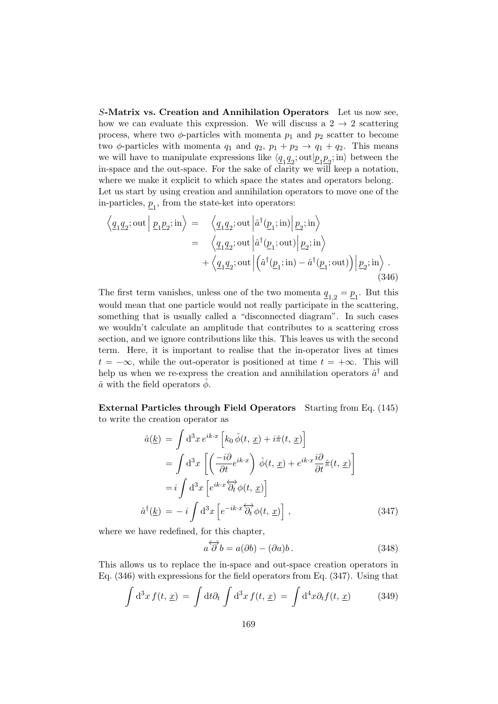S-Matrix vs. Creation and Annihilation Operators Let us now see, how we can evaluate this expression. We will discuss a  $2 \rightarrow 2$  scattering process, where two  $\phi$ -particles with momenta  $p_1$  and  $p_2$  scatter to become two  $\phi$ -particles with momenta  $q_1$  and  $q_2$ ,  $p_1 + p_2 \rightarrow q_1 + q_2$ . This means we will have to manipulate expressions like  $\langle \underline{q}_1 \underline{q}_2; \text{out} | \underline{p}_1 \underline{p}_2; \text{in} \rangle$  between the in-space and the out-space. For the sake of clarity we will keep a notation, where we make it explicit to which space the states and operators belong. Let us start by using creation and annihilation operators to move one of the in-particles,  $\underline{p}_1$ , from the state-ket into operators:

$$
\langle \underline{q_1 q_2}; \text{out} | \underline{p_1 p_2}; \text{in} \rangle = \langle \underline{q_1 q_2}; \text{out} | \hat{a}^\dagger(\underline{p_1}; \text{in}) | \underline{p_2}; \text{in} \rangle \n= \langle \underline{q_1 q_2}; \text{out} | \hat{a}^\dagger(\underline{p_1}; \text{out}) | \underline{p_2}; \text{in} \rangle \n+ \langle \underline{q_1 q_2}; \text{out} | (\hat{a}^\dagger(\underline{p_1}; \text{in}) - \hat{a}^\dagger(\underline{p_1}; \text{out})) | \underline{p_2}; \text{in} \rangle .
$$
\n(346)

The first term vanishes, unless one of the two momenta  $\underline{q}_{1,2} = \underline{p}_1$ . But this would mean that one particle would not really participate in the scattering, something that is usually called a "disconnected diagram". In such cases we wouldn't calculate an amplitude that contributes to a scattering cross section, and we ignore contributions like this. This leaves us with the second term. Here, it is important to realise that the in-operator lives at times  $t = -\infty$ , while the out-operator is positioned at time  $t = +\infty$ . This will help us when we re-express the creation and annihilation operators  $\hat{a}^{\dagger}$  and  $\hat{a}$  with the field operators  $\phi$ .

External Particles through Field Operators Starting from Eq. (145) to write the creation operator as

$$
\hat{a}(\underline{k}) = \int d^3x \, e^{ik \cdot x} \left[ k_0 \, \hat{\phi}(t, \, \underline{x}) + i \hat{\pi}(t, \, \underline{x}) \right]
$$
\n
$$
= \int d^3x \left[ \left( \frac{-i \partial}{\partial t} e^{ik \cdot x} \right) \hat{\phi}(t, \, \underline{x}) + e^{ik \cdot x} \frac{i \partial}{\partial t} \hat{\pi}(t, \, \underline{x}) \right]
$$
\n
$$
= i \int d^3x \left[ e^{ik \cdot x} \overleftrightarrow{\partial_t} \phi(t, \, \underline{x}) \right]
$$
\n
$$
\hat{a}^\dagger(\underline{k}) = -i \int d^3x \left[ e^{-ik \cdot x} \overleftrightarrow{\partial_t} \phi(t, \, \underline{x}) \right], \tag{347}
$$

where we have redefined, for this chapter,

$$
a\overleftrightarrow{\partial} b = a(\partial b) - (\partial a)b. \tag{348}
$$

This allows us to replace the in-space and out-space creation operators in Eq. (346) with expressions for the field operators from Eq. (347). Using that

$$
\int d^3x f(t, \underline{x}) = \int dt \partial_t \int d^3x f(t, \underline{x}) = \int d^4x \partial_t f(t, \underline{x}) \tag{349}
$$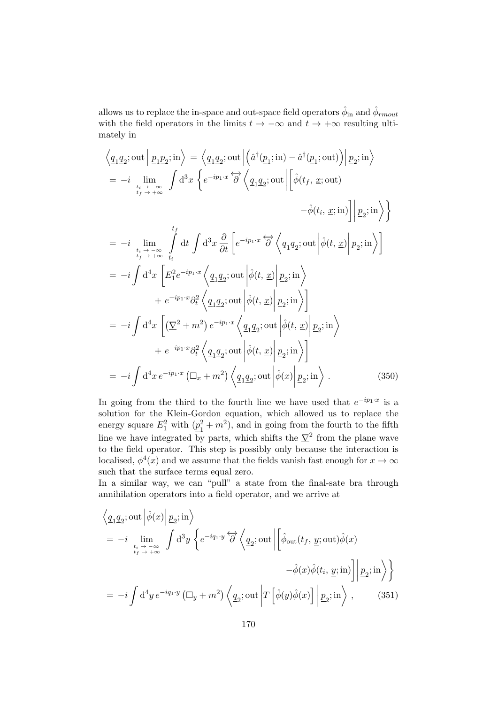allows us to replace the in-space and out-space field operators  $\hat{\phi}_{\text{in}}$  and  $\hat{\phi}_{rmout}$ with the field operators in the limits  $t \to -\infty$  and  $t \to +\infty$  resulting ultimately in

$$
\langle \underline{q}_{1}\underline{q}_{2}; \text{out} | \underline{p}_{1}\underline{p}_{2}; \text{in} \rangle = \langle \underline{q}_{1}\underline{q}_{2}; \text{out} | (\hat{a}^{\dagger}(\underline{p}_{1}; \text{in}) - \hat{a}^{\dagger}(\underline{p}_{1}; \text{out}) ) | \underline{p}_{2}; \text{in} \rangle
$$
  
\n
$$
= -i \lim_{\substack{t_{i} \to -\infty \\ t_{f} \to +\infty}} \int d^{3}x \left\{ e^{-ip_{1} \cdot x} \overleftrightarrow{\partial} \left\langle \underline{q}_{1}\underline{q}_{2}; \text{out} | \left[ \hat{\phi}(t_{f}, \underline{x}; \text{out}) - \hat{\phi}(t_{i}, \underline{x}; \text{in}) \right] | \underline{p}_{2}; \text{in} \right\rangle \right\}
$$
  
\n
$$
= -i \lim_{\substack{t_{i} \to -\infty \\ t_{f} \to +\infty}} \int d^{4}x \int d^{3}x \frac{\partial}{\partial t} \left[ e^{-ip_{1} \cdot x} \overleftrightarrow{\partial} \left\langle \underline{q}_{1}\underline{q}_{2}; \text{out} | \hat{\phi}(t, \underline{x}) | \underline{p}_{2}; \text{in} \right\rangle \right]
$$
  
\n
$$
= -i \int d^{4}x \left[ E_{1}^{2} e^{-ip_{1} \cdot x} \left\langle \underline{q}_{1}\underline{q}_{2}; \text{out} | \hat{\phi}(t, \underline{x}) | \underline{p}_{2}; \text{in} \right\rangle \right]
$$
  
\n
$$
+ e^{-ip_{1} \cdot x} \partial_{t}^{2} \left\langle \underline{q}_{1}\underline{q}_{2}; \text{out} | \hat{\phi}(t, \underline{x}) | \underline{p}_{2}; \text{in} \right\rangle
$$
  
\n
$$
+ e^{-ip_{1} \cdot x} \partial_{t}^{2} \left\langle \underline{q}_{1}\underline{q}_{2}; \text{out} | \hat{\phi}(t, \underline{x}) | \underline{p}_{2}; \text{in} \right\rangle
$$
  
\n
$$
+ e^{-ip_{1} \cdot x} \partial_{t}^{2} \left\langle \underline{q}_{1}\underline{q}_{2}; \text{out} | \hat{\phi}(t, \underline{x}) | \underline{p}_{2}; \text{in} \right\r
$$

In going from the third to the fourth line we have used that  $e^{-ip_1 \cdot x}$  is a solution for the Klein-Gordon equation, which allowed us to replace the energy square  $E_1^2$  with  $(p_1^2)$  $\frac{1}{1} + m^2$ , and in going from the fourth to the fifth line we have integrated by parts, which shifts the  $\nabla^2$  from the plane wave to the field operator. This step is possibly only because the interaction is localised,  $\phi^4(x)$  and we assume that the fields vanish fast enough for  $x \to \infty$ such that the surface terms equal zero.

In a similar way, we can "pull" a state from the final-sate bra through annihilation operators into a field operator, and we arrive at

$$
\langle \underline{q_1 q_2}; \text{out} \left| \hat{\phi}(x) \right| \underline{p_2}; \text{in} \rangle
$$
\n
$$
= -i \lim_{\substack{t_i \to -\infty \\ t_f \to +\infty}} \int d^3 y \left\{ e^{-iq_1 \cdot y} \overleftrightarrow{\partial} \left\langle \underline{q_2}; \text{out} \left| \left[ \hat{\phi}_{\text{out}}(t_f, \underline{y}; \text{out}) \hat{\phi}(x) - \hat{\phi}(x) \hat{\phi}(t_i, \underline{y}; \text{in}) \right] \right| \underline{p_2}; \text{in} \right\} \rangle
$$
\n
$$
= -i \int d^4 y \, e^{-iq_1 \cdot y} \left( \Box_y + m^2 \right) \left\langle \underline{q_2}; \text{out} \left| T \left[ \hat{\phi}(y) \hat{\phi}(x) \right] \right| \underline{p_2}; \text{in} \right\rangle , \qquad (351)
$$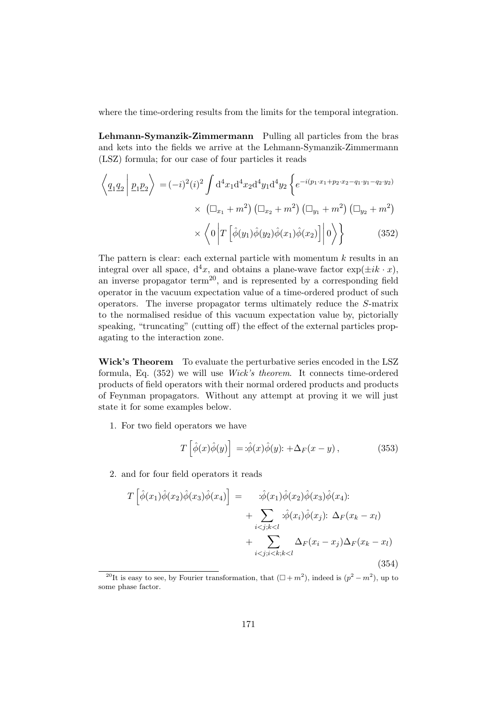where the time-ordering results from the limits for the temporal integration.

Lehmann-Symanzik-Zimmermann Pulling all particles from the bras and kets into the fields we arrive at the Lehmann-Symanzik-Zimmermann (LSZ) formula; for our case of four particles it reads

$$
\left\langle \underline{q}_{1}\underline{q}_{2} \middle| \underline{p}_{1}\underline{p}_{2} \right\rangle = (-i)^{2}(i)^{2} \int d^{4}x_{1}d^{4}x_{2}d^{4}y_{1}d^{4}y_{2} \left\{ e^{-i(p_{1} \cdot x_{1} + p_{2} \cdot x_{2} - q_{1} \cdot y_{1} - q_{2} \cdot y_{2})} \right. \\
\left. \times \left( \Box_{x_{1}} + m^{2} \right) \left( \Box_{x_{2}} + m^{2} \right) \left( \Box_{y_{1}} + m^{2} \right) \left( \Box_{y_{2}} + m^{2} \right) \right. \\
\left. \times \left\langle 0 \left| T \left[ \hat{\phi}(y_{1})\hat{\phi}(y_{2})\hat{\phi}(x_{1})\hat{\phi}(x_{2}) \right] \right| 0 \right\rangle \right\} \tag{352}
$$

The pattern is clear: each external particle with momentum  $k$  results in an integral over all space,  $d^4x$ , and obtains a plane-wave factor  $\exp(\pm ik \cdot x)$ , an inverse propagator term<sup>20</sup>, and is represented by a corresponding field operator in the vacuum expectation value of a time-ordered product of such operators. The inverse propagator terms ultimately reduce the S-matrix to the normalised residue of this vacuum expectation value by, pictorially speaking, "truncating" (cutting off) the effect of the external particles propagating to the interaction zone.

Wick's Theorem To evaluate the perturbative series encoded in the LSZ formula, Eq. (352) we will use Wick's theorem. It connects time-ordered products of field operators with their normal ordered products and products of Feynman propagators. Without any attempt at proving it we will just state it for some examples below.

1. For two field operators we have

$$
T\left[\hat{\phi}(x)\hat{\phi}(y)\right] = \hat{\phi}(x)\hat{\phi}(y)\hat{z} + \Delta_F(x-y), \qquad (353)
$$

2. and for four field operators it reads

$$
T\left[\hat{\phi}(x_1)\hat{\phi}(x_2)\hat{\phi}(x_3)\hat{\phi}(x_4)\right] = \qquad : \hat{\phi}(x_1)\hat{\phi}(x_2)\hat{\phi}(x_3)\hat{\phi}(x_4): + \sum_{i < j; k < l} :\hat{\phi}(x_i)\hat{\phi}(x_j): \Delta_F(x_k - x_l) + \sum_{i < j; i < k; k < l} \Delta_F(x_i - x_j)\Delta_F(x_k - x_l)
$$
\n(354)

<sup>&</sup>lt;sup>20</sup>It is easy to see, by Fourier transformation, that  $(\Box + m^2)$ , indeed is  $(p^2 - m^2)$ , up to some phase factor.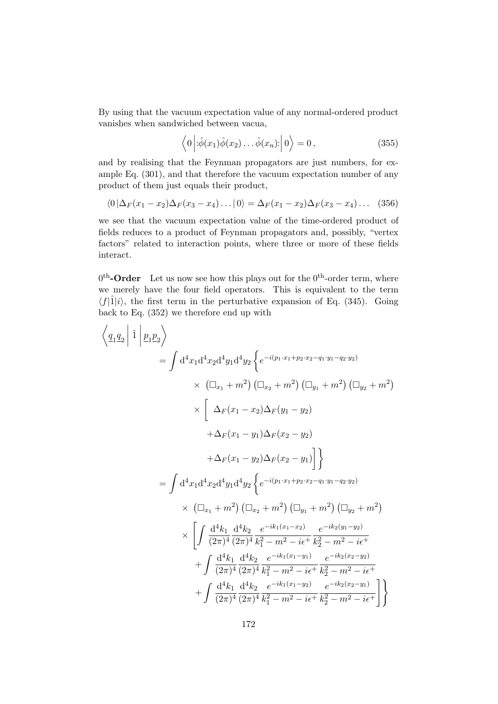By using that the vacuum expectation value of any normal-ordered product vanishes when sandwiched between vacua,

$$
\langle 0 | \hat{\phi}(x_1) \hat{\phi}(x_2) \dots \hat{\phi}(x_n) \rangle | 0 \rangle = 0, \qquad (355)
$$

and by realising that the Feynman propagators are just numbers, for example Eq. (301), and that therefore the vacuum expectation number of any product of them just equals their product,

$$
\langle 0 | \Delta_F(x_1 - x_2) \Delta_F(x_3 - x_4) \dots | 0 \rangle = \Delta_F(x_1 - x_2) \Delta_F(x_3 - x_4) \dots (356)
$$

we see that the vacuum expectation value of the time-ordered product of fields reduces to a product of Feynman propagators and, possibly, "vertex factors" related to interaction points, where three or more of these fields interact.

 $0<sup>th</sup>$ -Order Let us now see how this plays out for the  $0<sup>th</sup>$ -order term, where we merely have the four field operators. This is equivalent to the term  $\langle f|\hat{1}|i\rangle$ , the first term in the perturbative expansion of Eq. (345). Going back to Eq. (352) we therefore end up with

$$
\left\langle \underline{q}_{1}\underline{q}_{2} \right| \hat{1} \left| \underline{p}_{1}\underline{p}_{2} \right\rangle
$$
\n
$$
= \int d^{4}x_{1}d^{4}x_{2}d^{4}y_{1}d^{4}y_{2} \left\{ e^{-i(p_{1}\cdot x_{1} + p_{2}\cdot x_{2} - q_{1}\cdot y_{1} - q_{2}\cdot y_{2})} \right. \\
\left. \times \left[ \Delta_{F}(x_{1} - x_{2})\Delta_{F}(y_{1} - y_{2}) \right. \right. \\
\left. + \Delta_{F}(x_{1} - x_{2})\Delta_{F}(y_{1} - y_{2}) \right. \\
\left. + \Delta_{F}(x_{1} - y_{1})\Delta_{F}(x_{2} - y_{2}) \right. \\
\left. + \Delta_{F}(x_{1} - y_{2})\Delta_{F}(x_{2} - y_{1}) \right] \right\}
$$
\n
$$
= \int d^{4}x_{1}d^{4}x_{2}d^{4}y_{1}d^{4}y_{2} \left\{ e^{-i(p_{1}\cdot x_{1} + p_{2}\cdot x_{2} - q_{1}\cdot y_{1} - q_{2}\cdot y_{2})} \right. \\
\left. \times \left( \Box_{x_{1}} + m^{2} \right) \left( \Box_{x_{2}} + m^{2} \right) \left( \Box_{y_{1}} + m^{2} \right) \left( \Box_{y_{2}} + m^{2} \right) \right. \\
\left. \times \left[ \int \frac{d^{4}k_{1}}{(2\pi)^{4}} \frac{d^{4}k_{2}}{(2\pi)^{4}} \frac{e^{-ik_{1}(x_{1} - x_{2})}}{k_{1}^{2} - m^{2} - i\epsilon^{+}} \frac{e^{-ik_{2}(y_{1} - y_{2})}}{k_{2}^{2} - m^{2} - i\epsilon^{+}} \right. \\
\left. + \int \frac{d^{4}k_{1}}{(2\pi)^{4}} \frac{d^{4}k_{2}}{(2\pi)^{4}} \frac{e^{-ik_{1}(x_{1} - y_{1})}}{e^{-ik_{2}(x_{2} - y_{2})}} \frac{e^{-ik_{2}(x_{2} - y_{2})}}{e^{-ik_{2}(x_{2} - y_{1})}} + \int \frac{d^{4}k_{1}}{(2\pi)^{4}} \frac{d^{4}k_{2}}{(2\pi)^{4}} \frac
$$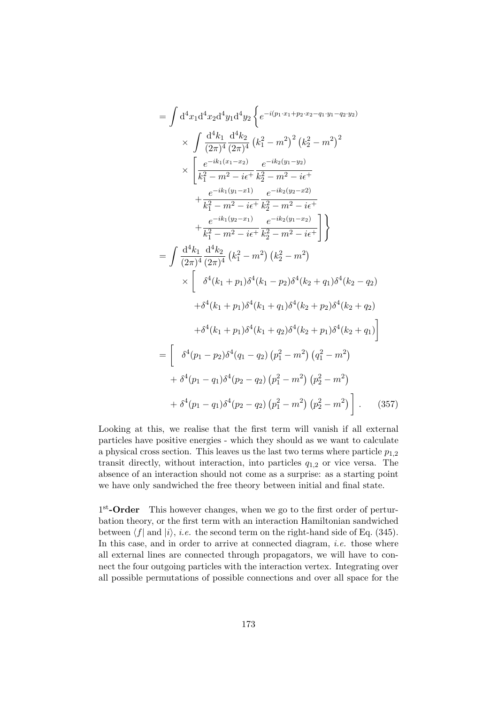$$
= \int d^4x_1 d^4x_2 d^4y_1 d^4y_2 \left\{ e^{-i(p_1 \cdot x_1 + p_2 \cdot x_2 - q_1 \cdot y_1 - q_2 \cdot y_2)} \right\}
$$
  
\n
$$
\times \int \frac{d^4k_1}{(2\pi)^4} \frac{d^4k_2}{(2\pi)^4} (k_1^2 - m^2)^2 (k_2^2 - m^2)^2
$$
  
\n
$$
\times \left[ \frac{e^{-ik_1(x_1 - x_2)}}{k_1^2 - m^2 - i\epsilon + k_2^2 - m^2 - i\epsilon + k_1^2 - m^2 - i\epsilon + k_1^2 - m^2 - i\epsilon + k_1^2 - m^2 - i\epsilon + k_2^2 - m^2 - i\epsilon + k_1^2 - m^2 - i\epsilon + k_2^2 - m^2 - i\epsilon + k_1^2 - m^2 - i\epsilon + k_2^2 - m^2 - i\epsilon + k_1^2 - m^2 - i\epsilon + k_2^2 - m^2 - i\epsilon + k_1^2 - m^2 - i\epsilon + k_2^2 - m^2 - i\epsilon + k_1^2 - m^2 - i\epsilon + k_1^2 - m^2 - i\epsilon + k_1^2 - m^2 - i\epsilon + k_1^2 - m^2 - i\epsilon + k_1^2 - m^2 - i\epsilon + k_1^2 - m^2 - i\epsilon + k_1^2 - m^2 - i\epsilon + k_1^2 - m^2 - k_1^2 - k_1^2 - k_1^2 - k_1^2 - k_1^2 - k_1^2 - k_1^2 - k_1^2 - k_1^2 - k_1^2 - k_1^2 - k_1^2 - k_1^2 - k_1^2 - k_1^2 - k_1^2 - k_1^2 - k_1^2 - k_1^2 - k_1^2 - k_1^2 - k_1^2 - k_1^2 - k_1^2 - k_1^2 - k_1^2 - k_1^2 - k_1^2 - k_1^2 - k_1^2 - k_1^2 - k_1^2 - k_1^2 - k_1^2 - k_1^2 - k_1^2 - k_1^2 - k_1^2 - k_1^2 - k_1^2 - k_1^2 - k_1^2 - k_1^2 - k_1^2 - k_1^2 - k_1^2 -
$$

Looking at this, we realise that the first term will vanish if all external particles have positive energies - which they should as we want to calculate a physical cross section. This leaves us the last two terms where particle  $p_{1,2}$ transit directly, without interaction, into particles  $q_{1,2}$  or vice versa. The absence of an interaction should not come as a surprise: as a starting point we have only sandwiched the free theory between initial and final state.

1<sup>st</sup>-Order This however changes, when we go to the first order of perturbation theory, or the first term with an interaction Hamiltonian sandwiched between  $\langle f |$  and  $|i \rangle$ , *i.e.* the second term on the right-hand side of Eq. (345). In this case, and in order to arrive at connected diagram, *i.e.* those where all external lines are connected through propagators, we will have to connect the four outgoing particles with the interaction vertex. Integrating over all possible permutations of possible connections and over all space for the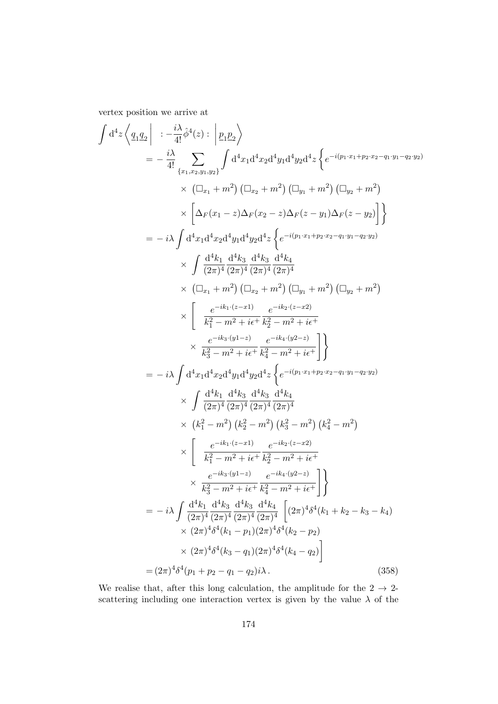vertex position we arrive at

$$
\int d^4z \left\langle \underline{q_1} \underline{q_2} \right| \left. \left. \frac{i \lambda}{4!} \hat{q}^4(z) \right. : \left| \underline{p_1} \underline{p_2} \right\rangle
$$
\n
$$
= -\frac{i \lambda}{4!} \sum_{\{x_1, x_2, y_1, y_2\}} \int d^4x_1 d^4x_2 d^4y_1 d^4y_2 d^4z \left\{ e^{-i(p_1 x_1 + p_2 x_2 - q_1 y_1 - q_2 y_2)} \right\}
$$
\n
$$
\times \left( \Box_{x_1} + m^2 \right) \left( \Box_{x_2} + m^2 \right) \left( \Box_{y_1} + m^2 \right) \left( \Box_{y_2} + m^2 \right)
$$
\n
$$
\times \left[ \Delta_F(x_1 - z) \Delta_F(x_2 - z) \Delta_F(z - y_1) \Delta_F(z - y_2) \right] \right\}
$$
\n
$$
= -i \lambda \int d^4x_1 d^4x_2 d^4y_1 d^4y_2 d^4z \left\{ e^{-i(p_1 x_1 + p_2 x_2 - q_1 y_1 - q_2 y_2)} \right\}
$$
\n
$$
\times \int \frac{d^4k_1}{(2\pi)^4} \frac{d^4k_3}{(2\pi)^4} \frac{d^4k_3}{(2\pi)^4} \frac{d^4k_4}{(2\pi)^4}
$$
\n
$$
\times \left( \Box_{x_1} + m^2 \right) \left( \Box_{x_2} + m^2 \right) \left( \Box_{y_1} + m^2 \right) \left( \Box_{y_2} + m^2 \right)
$$
\n
$$
\times \left[ \frac{e^{-ik_1 \cdot (z - x_1)}}{k_1^2 - m^2 + i \epsilon^4} \frac{e^{-ik_2 \cdot (z - x_2)}}{k_2^2 - m^2 + i \epsilon^4} \right]
$$
\n
$$
= -i \lambda \int d^4x_1 d^4x_2 d^4y_1 d^4y_2 d^4z \left\{ e^{-i(p_1 x_1 + p_2 x_2 - q_1 y_1 - q_2 y_2)} \right\}
$$
\n
$$
\times \int \frac{d^4k_1}{(2\pi)^4} \
$$

We realise that, after this long calculation, the amplitude for the  $2 \rightarrow 2$ scattering including one interaction vertex is given by the value  $\lambda$  of the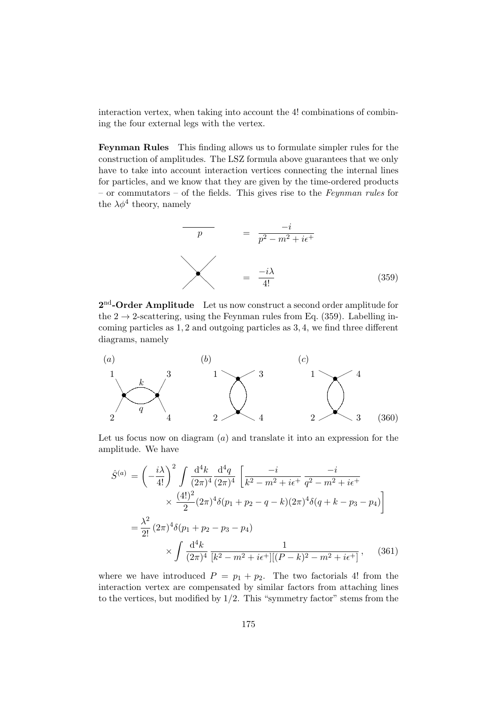interaction vertex, when taking into account the 4! combinations of combining the four external legs with the vertex.

Feynman Rules This finding allows us to formulate simpler rules for the construction of amplitudes. The LSZ formula above guarantees that we only have to take into account interaction vertices connecting the internal lines for particles, and we know that they are given by the time-ordered products – or commutators – of the fields. This gives rise to the Feynman rules for the  $\lambda \phi^4$  theory, namely



 $2<sup>nd</sup>$ -Order Amplitude Let us now construct a second order amplitude for the  $2 \rightarrow 2$ -scattering, using the Feynman rules from Eq. (359). Labelling incoming particles as 1, 2 and outgoing particles as 3, 4, we find three different diagrams, namely



Let us focus now on diagram  $(a)$  and translate it into an expression for the amplitude. We have

$$
\hat{S}^{(a)} = \left(-\frac{i\lambda}{4!}\right)^2 \int \frac{d^4k}{(2\pi)^4} \frac{d^4q}{(2\pi)^4} \left[\frac{-i}{k^2 - m^2 + i\epsilon^+} \frac{-i}{q^2 - m^2 + i\epsilon^+} \right. \\
\left. \times \frac{(4!)^2}{2} (2\pi)^4 \delta(p_1 + p_2 - q - k)(2\pi)^4 \delta(q + k - p_3 - p_4) \right] \\
= \frac{\lambda^2}{2!} (2\pi)^4 \delta(p_1 + p_2 - p_3 - p_4) \\
\times \int \frac{d^4k}{(2\pi)^4} \frac{1}{[k^2 - m^2 + i\epsilon^+][(P - k)^2 - m^2 + i\epsilon^+]} , \quad (361)
$$

where we have introduced  $P = p_1 + p_2$ . The two factorials 4! from the interaction vertex are compensated by similar factors from attaching lines to the vertices, but modified by  $1/2$ . This "symmetry factor" stems from the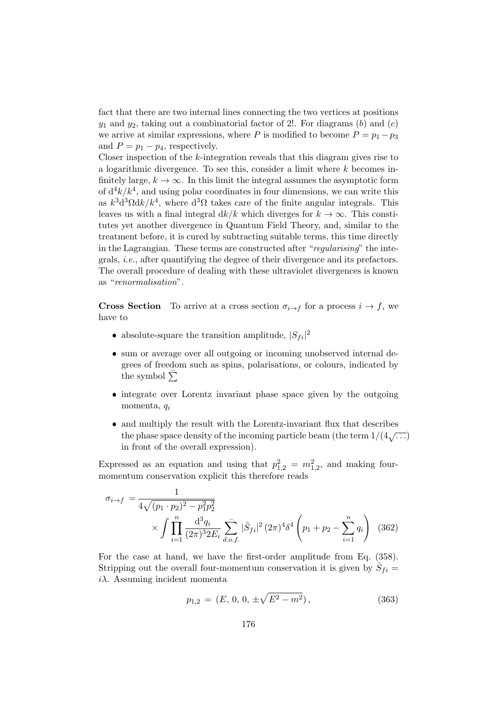fact that there are two internal lines connecting the two vertices at positions  $y_1$  and  $y_2$ , taking out a combinatorial factor of 2!. For diagrams (b) and (c) we arrive at similar expressions, where P is modified to become  $P = p_1 - p_3$ and  $P = p_1 - p_4$ , respectively.

Closer inspection of the k-integration reveals that this diagram gives rise to a logarithmic divergence. To see this, consider a limit where k becomes infinitely large,  $k \to \infty$ . In this limit the integral assumes the asymptotic form of  $d^4k/k^4$ , and using polar coordinates in four dimensions, we can write this as  $k^3 d^3 \Omega dk / k^4$ , where  $d^3 \Omega$  takes care of the finite angular integrals. This leaves us with a final integral  $dk/k$  which diverges for  $k \to \infty$ . This constitutes yet another divergence in Quantum Field Theory, and, similar to the treatment before, it is cured by subtracting suitable terms, this time directly in the Lagrangian. These terms are constructed after "regularising" the integrals, i.e., after quantifying the degree of their divergence and its prefactors. The overall procedure of dealing with these ultraviolet divergences is known as "renormalisation".

**Cross Section** To arrive at a cross section  $\sigma_{i\rightarrow f}$  for a process  $i \rightarrow f$ , we have to

- absolute-square the transition amplitude,  $|S_{fi}|^2$
- sum or average over all outgoing or incoming unobserved internal degrees of freedom such as spins, polarisations, or colours, indicated by the symbol  $\Sigma$
- integrate over Lorentz invariant phase space given by the outgoing momenta,  $q_i$
- and multiply the result with the Lorentz-invariant flux that describes the phase space density of the incoming particle beam (the term  $1/(4\sqrt{\ldots})$ ) in front of the overall expression).

Expressed as an equation and using that  $p_{1,2}^2 = m_{1,2}^2$ , and making fourmomentum conservation explicit this therefore reads

$$
\sigma_{i \to f} = \frac{1}{4\sqrt{(p_1 \cdot p_2)^2 - p_1^2 p_2^2}} \times \int \prod_{i=1}^n \frac{d^3 q_i}{(2\pi)^3 2E_i} \sum_{d.o.f.} |\hat{S}_{fi}|^2 (2\pi)^4 \delta^4 \left(p_1 + p_2 - \sum_{i=1}^n q_i\right)
$$
(362)

For the case at hand, we have the first-order amplitude from Eq. (358). Stripping out the overall four-momentum conservation it is given by  $\hat{S}_{fi}$  =  $i\lambda$ . Assuming incident momenta

$$
p_{1,2} = (E, 0, 0, \pm \sqrt{E^2 - m^2}), \qquad (363)
$$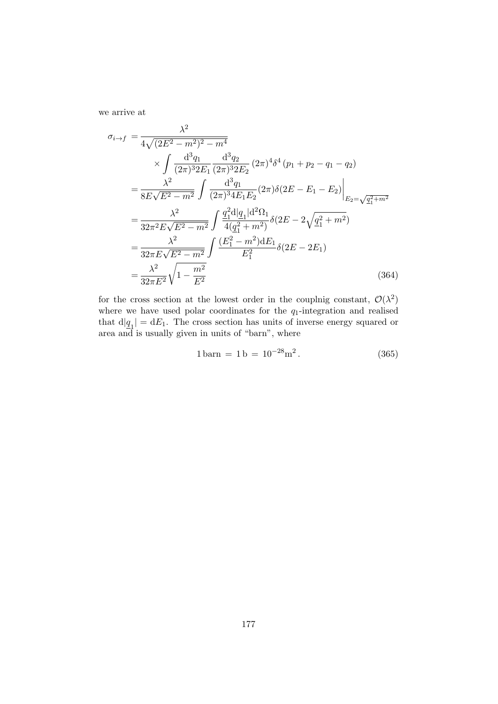we arrive at

$$
\sigma_{i\to f} = \frac{\lambda^2}{4\sqrt{(2E^2 - m^2)^2 - m^4}} \times \int \frac{d^3q_1}{(2\pi)^3 2E_1} \frac{d^3q_2}{(2\pi)^3 2E_2} (2\pi)^4 \delta^4 (p_1 + p_2 - q_1 - q_2)
$$
  
\n
$$
= \frac{\lambda^2}{8E\sqrt{E^2 - m^2}} \int \frac{d^3q_1}{(2\pi)^3 4E_1 E_2} (2\pi) \delta(2E - E_1 - E_2) \Big|_{E_2 = \sqrt{q_1^2 + m^2}}
$$
  
\n
$$
= \frac{\lambda^2}{32\pi^2 E\sqrt{E^2 - m^2}} \int \frac{q_1^2 d|q_1| d^2\Omega_1}{4(q_1^2 + m^2)} \delta(2E - 2\sqrt{q_1^2 + m^2})
$$
  
\n
$$
= \frac{\lambda^2}{32\pi E\sqrt{E^2 - m^2}} \int \frac{(E_1^2 - m^2) dE_1}{E_1^2} \delta(2E - 2E_1)
$$
  
\n
$$
= \frac{\lambda^2}{32\pi E^2} \sqrt{1 - \frac{m^2}{E^2}} \qquad (364)
$$

for the cross section at the lowest order in the couplnig constant,  $\mathcal{O}(\lambda^2)$ where we have used polar coordinates for the  $q_1$ -integration and realised that  $d|\underline{q}_1| = dE_1$ . The cross section has units of inverse energy squared or area and is usually given in units of "barn", where

$$
1\,\text{barn} = 1\,\text{b} = 10^{-28}\,\text{m}^2\,. \tag{365}
$$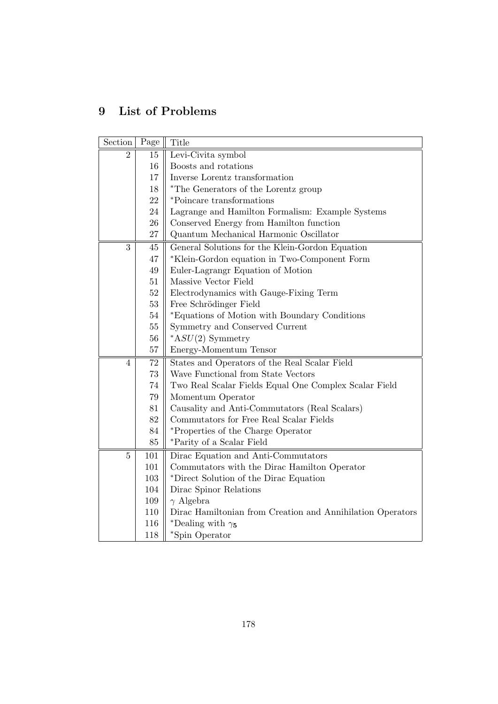## 9 List of Problems

| Section        | Page   | Title                                                      |
|----------------|--------|------------------------------------------------------------|
| $\overline{2}$ | 15     | Levi-Civita symbol                                         |
|                | 16     | Boosts and rotations                                       |
|                | 17     | Inverse Lorentz transformation                             |
|                | 18     | *The Generators of the Lorentz group                       |
|                | 22     | *Poincare transformations                                  |
|                | 24     | Lagrange and Hamilton Formalism: Example Systems           |
|                | 26     | Conserved Energy from Hamilton function                    |
|                | 27     | Quantum Mechanical Harmonic Oscillator                     |
| 3              | 45     | General Solutions for the Klein-Gordon Equation            |
|                | 47     | *Klein-Gordon equation in Two-Component Form               |
|                | 49     | Euler-Lagrangr Equation of Motion                          |
|                | 51     | Massive Vector Field                                       |
|                | 52     | Electrodynamics with Gauge-Fixing Term                     |
|                | 53     | Free Schrödinger Field                                     |
|                | 54     | *Equations of Motion with Boundary Conditions              |
|                | $55\,$ | Symmetry and Conserved Current                             |
|                | 56     | $*ASU(2)$ Symmetry                                         |
|                | 57     | Energy-Momentum Tensor                                     |
| $\overline{4}$ | 72     | States and Operators of the Real Scalar Field              |
|                | 73     | Wave Functional from State Vectors                         |
|                | 74     | Two Real Scalar Fields Equal One Complex Scalar Field      |
|                | 79     | Momentum Operator                                          |
|                | 81     | Causality and Anti-Commutators (Real Scalars)              |
|                | 82     | Commutators for Free Real Scalar Fields                    |
|                | 84     | *Properties of the Charge Operator                         |
|                | 85     | *Parity of a Scalar Field                                  |
| $\overline{5}$ | 101    | Dirac Equation and Anti-Commutators                        |
|                | 101    | Commutators with the Dirac Hamilton Operator               |
|                | 103    | *Direct Solution of the Dirac Equation                     |
|                | 104    | Dirac Spinor Relations                                     |
|                | 109    | $\gamma$ Algebra                                           |
|                | 110    | Dirac Hamiltonian from Creation and Annihilation Operators |
|                | 116    | *Dealing with $\gamma_5$                                   |
|                | 118    | *Spin Operator                                             |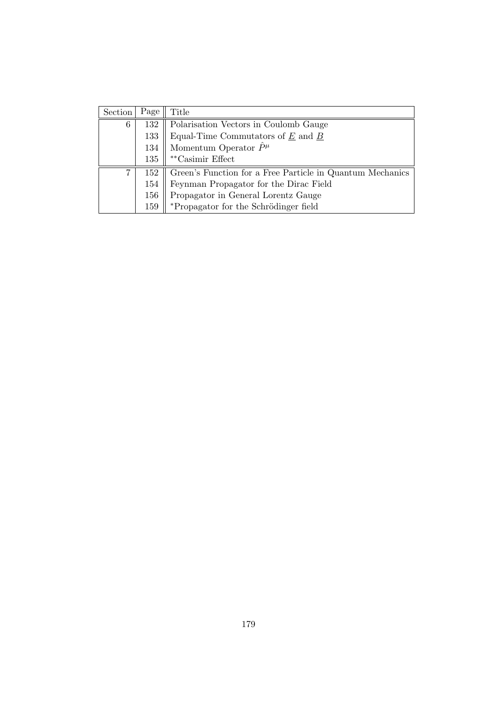| Section | Page | Title                                                     |
|---------|------|-----------------------------------------------------------|
| 6       | 132  | Polarisation Vectors in Coulomb Gauge                     |
|         | 133  | Equal-Time Commutators of $E$ and $B$                     |
|         | 134  | Momentum Operator $\ddot{P}^{\mu}$                        |
|         | 135  | $\mathrm{^{**}Casimir}$ Effect                            |
| 7       | 152  | Green's Function for a Free Particle in Quantum Mechanics |
|         | 154  | Feynman Propagator for the Dirac Field                    |
|         | 156  | Propagator in General Lorentz Gauge                       |
|         | 159  | *Propagator for the Schrödinger field                     |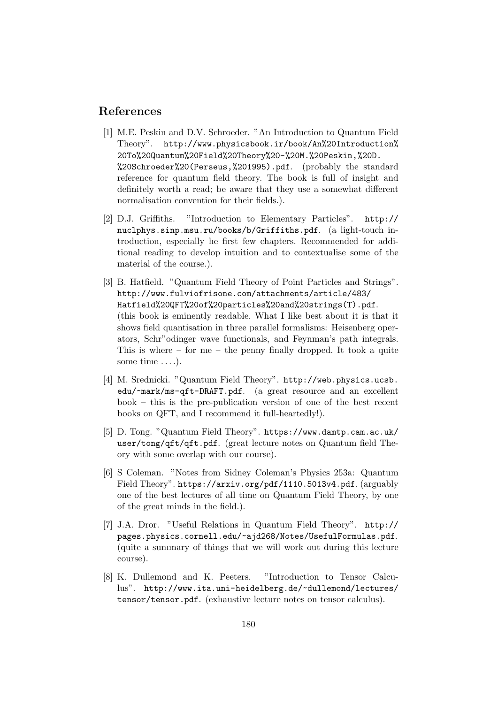## References

- [1] M.E. Peskin and D.V. Schroeder. "An Introduction to Quantum Field Theory". http://www.physicsbook.ir/book/An%20Introduction% 20To%20Quantum%20Field%20Theory%20-%20M.%20Peskin,%20D. %20Schroeder%20(Perseus,%201995).pdf. (probably the standard reference for quantum field theory. The book is full of insight and definitely worth a read; be aware that they use a somewhat different normalisation convention for their fields.).
- [2] D.J. Griffiths. "Introduction to Elementary Particles". http:// nuclphys.sinp.msu.ru/books/b/Griffiths.pdf. (a light-touch introduction, especially he first few chapters. Recommended for additional reading to develop intuition and to contextualise some of the material of the course.).
- [3] B. Hatfield. "Quantum Field Theory of Point Particles and Strings". http://www.fulviofrisone.com/attachments/article/483/ Hatfield%20QFT%20of%20particles%20and%20strings(T).pdf. (this book is eminently readable. What I like best about it is that it shows field quantisation in three parallel formalisms: Heisenberg operators, Schr"odinger wave functionals, and Feynman's path integrals. This is where – for me – the penny finally dropped. It took a quite some time ....).
- [4] M. Srednicki. "Quantum Field Theory". http://web.physics.ucsb. edu/~mark/ms-qft-DRAFT.pdf. (a great resource and an excellent book – this is the pre-publication version of one of the best recent books on QFT, and I recommend it full-heartedly!).
- [5] D. Tong. "Quantum Field Theory". https://www.damtp.cam.ac.uk/ user/tong/qft/qft.pdf. (great lecture notes on Quantum field Theory with some overlap with our course).
- [6] S Coleman. "Notes from Sidney Coleman's Physics 253a: Quantum Field Theory". https://arxiv.org/pdf/1110.5013v4.pdf. (arguably one of the best lectures of all time on Quantum Field Theory, by one of the great minds in the field.).
- [7] J.A. Dror. "Useful Relations in Quantum Field Theory". http:// pages.physics.cornell.edu/~ajd268/Notes/UsefulFormulas.pdf. (quite a summary of things that we will work out during this lecture course).
- [8] K. Dullemond and K. Peeters. "Introduction to Tensor Calculus". http://www.ita.uni-heidelberg.de/~dullemond/lectures/ tensor/tensor.pdf. (exhaustive lecture notes on tensor calculus).